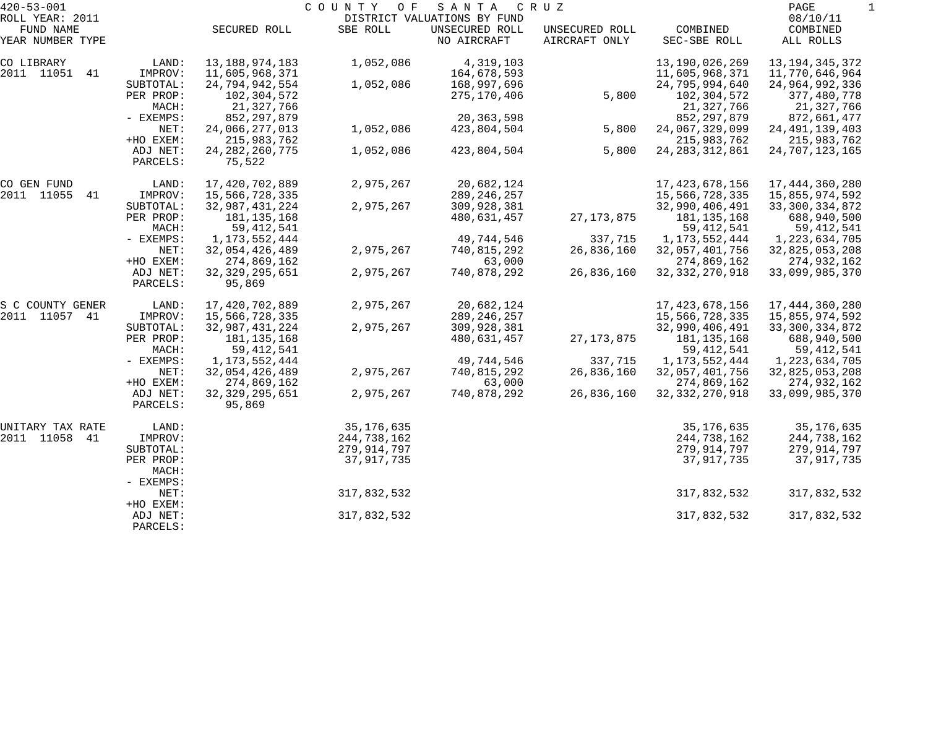| $420 - 53 - 001$              |           |                   | COUNTY<br>O F | SANTA                         | C R U Z                         |                          | PAGE                  |  |
|-------------------------------|-----------|-------------------|---------------|-------------------------------|---------------------------------|--------------------------|-----------------------|--|
| ROLL YEAR: 2011               |           |                   |               | DISTRICT VALUATIONS BY FUND   |                                 |                          | 08/10/11              |  |
| FUND NAME<br>YEAR NUMBER TYPE |           | SECURED ROLL      | SBE ROLL      | UNSECURED ROLL<br>NO AIRCRAFT | UNSECURED ROLL<br>AIRCRAFT ONLY | COMBINED<br>SEC-SBE ROLL | COMBINED<br>ALL ROLLS |  |
|                               |           |                   |               |                               |                                 |                          |                       |  |
| CO LIBRARY                    | LAND:     | 13, 188, 974, 183 | 1,052,086     | 4,319,103                     |                                 | 13, 190, 026, 269        | 13, 194, 345, 372     |  |
| 2011 11051<br>41              | IMPROV:   | 11,605,968,371    |               | 164,678,593                   |                                 | 11,605,968,371           | 11,770,646,964        |  |
|                               | SUBTOTAL: | 24,794,942,554    | 1,052,086     | 168,997,696                   |                                 | 24,795,994,640           | 24,964,992,336        |  |
|                               | PER PROP: | 102,304,572       |               | 275,170,406                   | 5,800                           | 102,304,572              | 377,480,778           |  |
|                               | MACH:     | 21,327,766        |               |                               |                                 | 21,327,766               | 21,327,766            |  |
|                               | - EXEMPS: | 852, 297, 879     |               | 20, 363, 598                  |                                 | 852, 297, 879            | 872,661,477           |  |
|                               | NET:      | 24,066,277,013    | 1,052,086     | 423,804,504                   | 5,800                           | 24,067,329,099           | 24, 491, 139, 403     |  |
|                               | +HO EXEM: | 215,983,762       |               |                               |                                 | 215,983,762              | 215,983,762           |  |
|                               | ADJ NET:  | 24, 282, 260, 775 | 1,052,086     | 423,804,504                   | 5,800                           | 24, 283, 312, 861        | 24,707,123,165        |  |
|                               | PARCELS:  | 75,522            |               |                               |                                 |                          |                       |  |
| CO GEN FUND                   | LAND:     | 17,420,702,889    | 2,975,267     | 20,682,124                    |                                 | 17, 423, 678, 156        | 17,444,360,280        |  |
| 2011 11055<br>41              | IMPROV:   | 15,566,728,335    |               | 289, 246, 257                 |                                 | 15,566,728,335           | 15,855,974,592        |  |
|                               | SUBTOTAL: | 32,987,431,224    | 2,975,267     | 309,928,381                   |                                 | 32,990,406,491           | 33, 300, 334, 872     |  |
|                               | PER PROP: | 181, 135, 168     |               | 480,631,457                   | 27, 173, 875                    | 181, 135, 168            | 688,940,500           |  |
|                               | MACH:     | 59, 412, 541      |               |                               |                                 | 59, 412, 541             | 59, 412, 541          |  |
|                               | - EXEMPS: | 1, 173, 552, 444  |               | 49,744,546                    | 337,715                         | 1, 173, 552, 444         | 1,223,634,705         |  |
|                               | NET:      | 32,054,426,489    | 2,975,267     | 740,815,292                   | 26,836,160                      | 32,057,401,756           | 32,825,053,208        |  |
|                               | +HO EXEM: | 274,869,162       |               | 63,000                        |                                 | 274,869,162              | 274,932,162           |  |
|                               | ADJ NET:  | 32, 329, 295, 651 | 2,975,267     | 740,878,292                   | 26,836,160                      | 32, 332, 270, 918        | 33,099,985,370        |  |
|                               | PARCELS:  | 95,869            |               |                               |                                 |                          |                       |  |
| S C COUNTY GENER              | LAND:     | 17,420,702,889    | 2,975,267     | 20,682,124                    |                                 | 17, 423, 678, 156        | 17,444,360,280        |  |
| 2011 11057 41                 | IMPROV:   | 15,566,728,335    |               | 289, 246, 257                 |                                 | 15,566,728,335           | 15,855,974,592        |  |
|                               | SUBTOTAL: | 32,987,431,224    | 2,975,267     | 309,928,381                   |                                 | 32,990,406,491           | 33, 300, 334, 872     |  |
|                               | PER PROP: | 181, 135, 168     |               | 480,631,457                   | 27, 173, 875                    | 181,135,168              | 688,940,500           |  |
|                               | MACH:     | 59, 412, 541      |               |                               |                                 | 59, 412, 541             | 59,412,541            |  |
|                               | - EXEMPS: | 1,173,552,444     |               | 49,744,546                    | 337,715                         | 1,173,552,444            | 1,223,634,705         |  |
|                               | NET:      | 32,054,426,489    | 2,975,267     | 740,815,292                   | 26,836,160                      | 32,057,401,756           | 32,825,053,208        |  |
|                               | +HO EXEM: | 274,869,162       |               | 63,000                        |                                 | 274,869,162              | 274,932,162           |  |
|                               | ADJ NET:  | 32, 329, 295, 651 | 2,975,267     | 740,878,292                   | 26,836,160                      | 32, 332, 270, 918        | 33,099,985,370        |  |
|                               | PARCELS:  | 95,869            |               |                               |                                 |                          |                       |  |
| UNITARY TAX RATE              | LAND:     |                   | 35, 176, 635  |                               |                                 | 35,176,635               | 35, 176, 635          |  |
| 2011 11058 41                 | IMPROV:   |                   | 244,738,162   |                               |                                 | 244,738,162              | 244,738,162           |  |
|                               | SUBTOTAL: |                   | 279,914,797   |                               |                                 | 279,914,797              | 279,914,797           |  |
|                               | PER PROP: |                   | 37,917,735    |                               |                                 | 37,917,735               | 37,917,735            |  |
|                               | MACH:     |                   |               |                               |                                 |                          |                       |  |
|                               | - EXEMPS: |                   |               |                               |                                 |                          |                       |  |
|                               | NET:      |                   | 317,832,532   |                               |                                 | 317,832,532              | 317,832,532           |  |
|                               | +HO EXEM: |                   |               |                               |                                 |                          |                       |  |
|                               | ADJ NET:  |                   | 317,832,532   |                               |                                 | 317,832,532              | 317,832,532           |  |
|                               | PARCELS:  |                   |               |                               |                                 |                          |                       |  |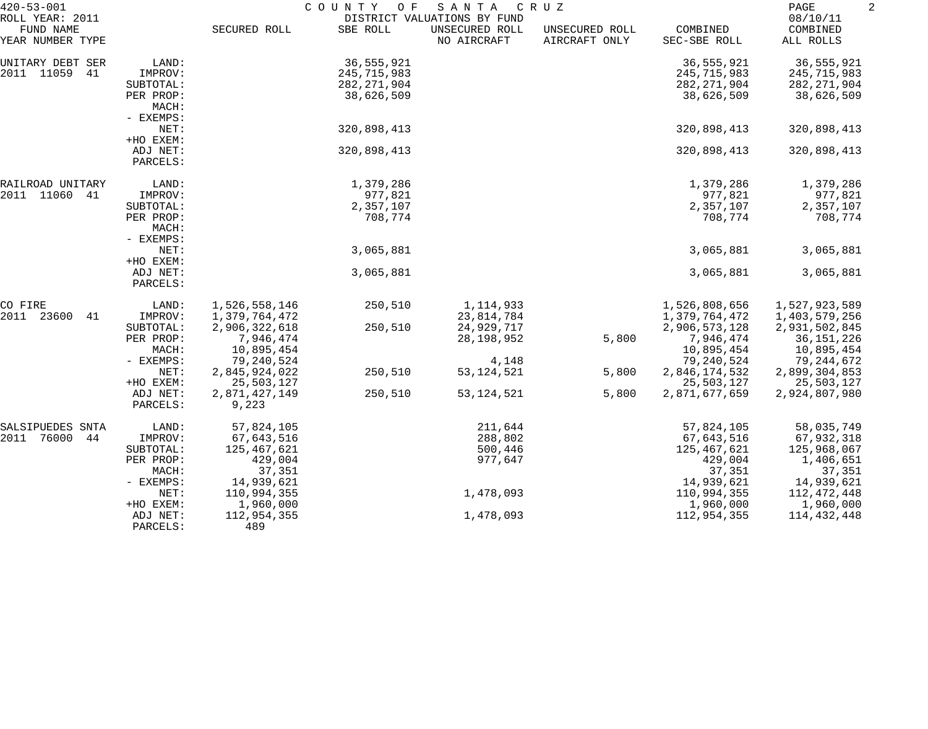| $420 - 53 - 001$<br>ROLL YEAR: 2011 |                                 | COUNTY<br>O F<br>SANTA<br>CRUZ<br>DISTRICT VALUATIONS BY FUND |                             |                               |                                 |                             |                                   |  |
|-------------------------------------|---------------------------------|---------------------------------------------------------------|-----------------------------|-------------------------------|---------------------------------|-----------------------------|-----------------------------------|--|
| FUND NAME<br>YEAR NUMBER TYPE       |                                 | SECURED ROLL                                                  | SBE ROLL                    | UNSECURED ROLL<br>NO AIRCRAFT | UNSECURED ROLL<br>AIRCRAFT ONLY | COMBINED<br>SEC-SBE ROLL    | 08/10/11<br>COMBINED<br>ALL ROLLS |  |
| UNITARY DEBT SER                    | LAND:                           |                                                               | 36,555,921                  |                               |                                 | 36, 555, 921                | 36,555,921                        |  |
| 2011 11059<br>41                    | IMPROV:                         |                                                               | 245,715,983                 |                               |                                 | 245,715,983                 | 245,715,983                       |  |
|                                     | SUBTOTAL:<br>PER PROP:          |                                                               | 282, 271, 904<br>38,626,509 |                               |                                 | 282, 271, 904<br>38,626,509 | 282,271,904<br>38,626,509         |  |
|                                     | MACH:<br>- EXEMPS:              |                                                               |                             |                               |                                 |                             |                                   |  |
|                                     | NET:                            |                                                               | 320,898,413                 |                               |                                 | 320,898,413                 | 320,898,413                       |  |
|                                     | +HO EXEM:                       |                                                               |                             |                               |                                 |                             |                                   |  |
|                                     | ADJ NET:<br>PARCELS:            |                                                               | 320,898,413                 |                               |                                 | 320,898,413                 | 320,898,413                       |  |
| RAILROAD UNITARY                    | LAND:                           |                                                               | 1,379,286                   |                               |                                 | 1,379,286                   | 1,379,286                         |  |
| 2011 11060<br>-41                   | IMPROV:                         |                                                               | 977,821                     |                               |                                 | 977,821                     | 977,821                           |  |
|                                     | SUBTOTAL:                       |                                                               | 2,357,107                   |                               |                                 | 2,357,107                   | 2,357,107                         |  |
|                                     | PER PROP:<br>MACH:<br>- EXEMPS: |                                                               | 708,774                     |                               |                                 | 708,774                     | 708,774                           |  |
|                                     | NET:<br>+HO EXEM:               |                                                               | 3,065,881                   |                               |                                 | 3,065,881                   | 3,065,881                         |  |
|                                     | ADJ NET:<br>PARCELS:            |                                                               | 3,065,881                   |                               |                                 | 3,065,881                   | 3,065,881                         |  |
| CO FIRE                             | LAND:                           | 1,526,558,146                                                 | 250,510                     | 1, 114, 933                   |                                 | 1,526,808,656               | 1,527,923,589                     |  |
| 2011<br>23600<br>41                 | IMPROV:                         | 1,379,764,472                                                 |                             | 23,814,784                    |                                 | 1,379,764,472               | 1,403,579,256                     |  |
|                                     | SUBTOTAL:                       | 2,906,322,618                                                 | 250,510                     | 24,929,717                    |                                 | 2,906,573,128               | 2,931,502,845                     |  |
|                                     | PER PROP:<br>MACH:              | 7,946,474<br>10,895,454                                       |                             | 28, 198, 952                  | 5,800                           | 7,946,474                   | 36,151,226                        |  |
|                                     | - EXEMPS:                       | 79,240,524                                                    |                             | 4,148                         |                                 | 10,895,454<br>79,240,524    | 10,895,454<br>79,244,672          |  |
|                                     | NET:                            | 2,845,924,022                                                 | 250,510                     | 53, 124, 521                  | 5,800                           | 2,846,174,532               | 2,899,304,853                     |  |
|                                     | +HO EXEM:                       | 25,503,127                                                    |                             |                               |                                 | 25,503,127                  | 25,503,127                        |  |
|                                     | ADJ NET:<br>PARCELS:            | 2,871,427,149<br>9,223                                        | 250,510                     | 53, 124, 521                  | 5,800                           | 2,871,677,659               | 2,924,807,980                     |  |
| SALSIPUEDES SNTA                    | LAND:                           | 57,824,105                                                    |                             | 211,644                       |                                 | 57,824,105                  | 58,035,749                        |  |
| 2011<br>76000<br>44                 | IMPROV:                         | 67,643,516                                                    |                             | 288,802                       |                                 | 67,643,516                  | 67,932,318                        |  |
|                                     | SUBTOTAL:                       | 125,467,621                                                   |                             | 500,446                       |                                 | 125,467,621                 | 125,968,067                       |  |
|                                     | PER PROP:                       | 429,004                                                       |                             | 977,647                       |                                 | 429,004                     | 1,406,651                         |  |
|                                     | MACH:                           | 37,351                                                        |                             |                               |                                 | 37,351                      | 37,351                            |  |
|                                     | - EXEMPS:                       | 14,939,621                                                    |                             |                               |                                 | 14,939,621                  | 14,939,621                        |  |
|                                     | NET:                            | 110,994,355                                                   |                             | 1,478,093                     |                                 | 110,994,355                 | 112,472,448                       |  |
|                                     | +HO EXEM:                       | 1,960,000                                                     |                             |                               |                                 | 1,960,000                   | 1,960,000                         |  |
|                                     | ADJ NET:<br>PARCELS:            | 112,954,355<br>489                                            |                             | 1,478,093                     |                                 | 112,954,355                 | 114,432,448                       |  |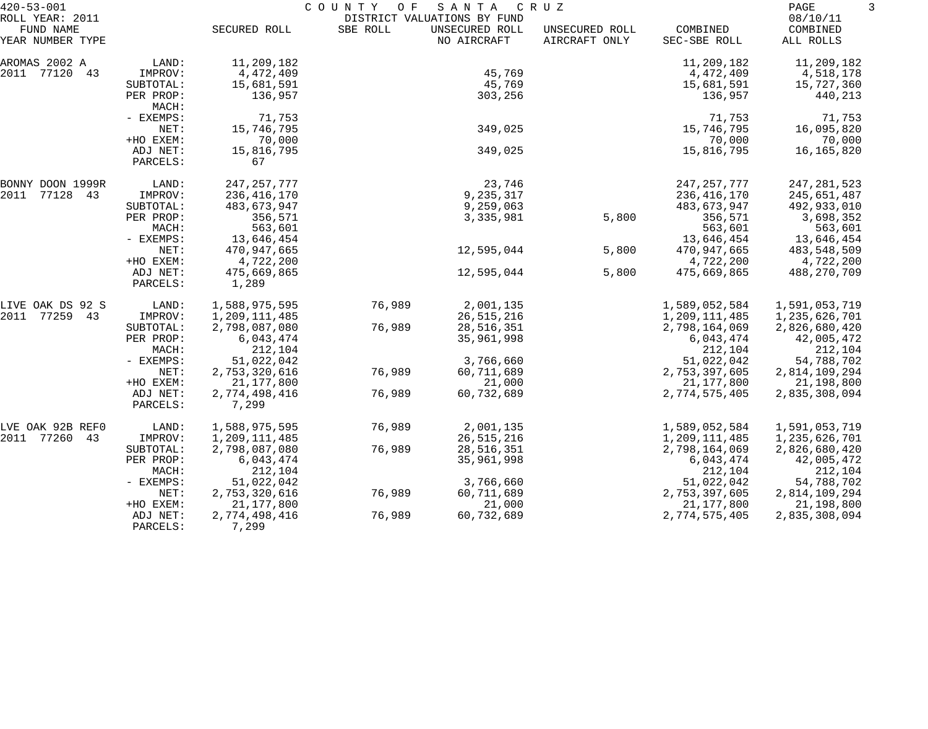| $420 - 53 - 001$                                 |                      |                        | COUNTY<br>O F | SANTA                                                        | CRUZ                            |                          | PAGE                              | 3 |
|--------------------------------------------------|----------------------|------------------------|---------------|--------------------------------------------------------------|---------------------------------|--------------------------|-----------------------------------|---|
| ROLL YEAR: 2011<br>FUND NAME<br>YEAR NUMBER TYPE |                      | SECURED ROLL           | SBE ROLL      | DISTRICT VALUATIONS BY FUND<br>UNSECURED ROLL<br>NO AIRCRAFT | UNSECURED ROLL<br>AIRCRAFT ONLY | COMBINED<br>SEC-SBE ROLL | 08/10/11<br>COMBINED<br>ALL ROLLS |   |
|                                                  |                      |                        |               |                                                              |                                 |                          |                                   |   |
| AROMAS 2002 A                                    | LAND:                | 11,209,182             |               |                                                              |                                 | 11,209,182               | 11,209,182                        |   |
| 2011 77120 43                                    | IMPROV:              | 4,472,409              |               | 45,769                                                       |                                 | 4,472,409                | 4,518,178                         |   |
|                                                  | SUBTOTAL:            | 15,681,591<br>136,957  |               | 45,769                                                       |                                 | 15,681,591               | 15,727,360                        |   |
|                                                  | PER PROP:<br>MACH:   |                        |               | 303,256                                                      |                                 | 136,957                  | 440,213                           |   |
|                                                  | - EXEMPS:            | 71,753                 |               |                                                              |                                 | 71,753                   | 71,753                            |   |
|                                                  | NET:                 | 15,746,795             |               | 349,025                                                      |                                 | 15,746,795               | 16,095,820                        |   |
|                                                  | +HO EXEM:            | 70,000                 |               |                                                              |                                 | 70,000                   | 70,000                            |   |
|                                                  | ADJ NET:<br>PARCELS: | 15,816,795<br>67       |               | 349,025                                                      |                                 | 15,816,795               | 16,165,820                        |   |
| BONNY DOON 1999R                                 | LAND:                | 247, 257, 777          |               | 23,746                                                       |                                 | 247, 257, 777            | 247, 281, 523                     |   |
| 2011<br>77128 43                                 | IMPROV:              | 236, 416, 170          |               | 9,235,317                                                    |                                 | 236,416,170              | 245,651,487                       |   |
|                                                  | SUBTOTAL:            | 483,673,947            |               | 9,259,063                                                    |                                 | 483,673,947              | 492,933,010                       |   |
|                                                  | PER PROP:            | 356,571                |               | 3,335,981                                                    | 5,800                           | 356,571                  | 3,698,352                         |   |
|                                                  | MACH:                | 563,601                |               |                                                              |                                 | 563,601                  | 563,601                           |   |
|                                                  | - EXEMPS:            | 13,646,454             |               |                                                              |                                 | 13,646,454               | 13,646,454                        |   |
|                                                  | NET:                 | 470,947,665            |               | 12,595,044                                                   | 5,800                           | 470,947,665              | 483,548,509                       |   |
|                                                  | +HO EXEM:            | 4,722,200              |               |                                                              |                                 | 4,722,200                | 4,722,200                         |   |
|                                                  | ADJ NET:<br>PARCELS: | 475,669,865<br>1,289   |               | 12,595,044                                                   | 5,800                           | 475,669,865              | 488,270,709                       |   |
| LIVE OAK DS 92 S                                 | LAND:                | 1,588,975,595          | 76,989        | 2,001,135                                                    |                                 | 1,589,052,584            | 1,591,053,719                     |   |
| 2011<br>77259 43                                 | IMPROV:              | 1,209,111,485          |               | 26, 515, 216                                                 |                                 | 1,209,111,485            | 1,235,626,701                     |   |
|                                                  | SUBTOTAL:            | 2,798,087,080          | 76,989        | 28,516,351                                                   |                                 | 2,798,164,069            | 2,826,680,420                     |   |
|                                                  | PER PROP:            | 6,043,474              |               | 35,961,998                                                   |                                 | 6,043,474                | 42,005,472                        |   |
|                                                  | MACH:                | 212,104                |               |                                                              |                                 | 212,104                  | 212,104                           |   |
|                                                  | - EXEMPS:            | 51,022,042             |               | 3,766,660                                                    |                                 | 51,022,042               | 54,788,702                        |   |
|                                                  | NET:                 | 2,753,320,616          | 76,989        | 60,711,689                                                   |                                 | 2,753,397,605            | 2,814,109,294                     |   |
|                                                  | +HO EXEM:            | 21, 177, 800           |               | 21,000                                                       |                                 | 21,177,800               | 21,198,800                        |   |
|                                                  | ADJ NET:<br>PARCELS: | 2,774,498,416<br>7,299 | 76,989        | 60,732,689                                                   |                                 | 2,774,575,405            | 2,835,308,094                     |   |
| LVE OAK 92B REFO                                 | LAND:                | 1,588,975,595          | 76,989        | 2,001,135                                                    |                                 | 1,589,052,584            | 1,591,053,719                     |   |
| 2011 77260<br>43                                 | IMPROV:              | 1,209,111,485          |               | 26,515,216                                                   |                                 | 1,209,111,485            | 1,235,626,701                     |   |
|                                                  | SUBTOTAL:            | 2,798,087,080          | 76,989        | 28,516,351                                                   |                                 | 2,798,164,069            | 2,826,680,420                     |   |
|                                                  | PER PROP:            | 6,043,474              |               | 35,961,998                                                   |                                 | 6,043,474                | 42,005,472                        |   |
|                                                  | MACH:                | 212,104                |               |                                                              |                                 | 212,104                  | 212,104                           |   |
|                                                  | - EXEMPS:            | 51,022,042             |               | 3,766,660                                                    |                                 | 51,022,042               | 54,788,702                        |   |
|                                                  | NET:                 | 2,753,320,616          | 76,989        | 60,711,689                                                   |                                 | 2,753,397,605            | 2,814,109,294                     |   |
|                                                  | +HO EXEM:            | 21,177,800             |               | 21,000                                                       |                                 | 21,177,800               | 21,198,800                        |   |
|                                                  | ADJ NET:<br>PARCELS: | 2,774,498,416<br>7,299 | 76,989        | 60,732,689                                                   |                                 | 2,774,575,405            | 2,835,308,094                     |   |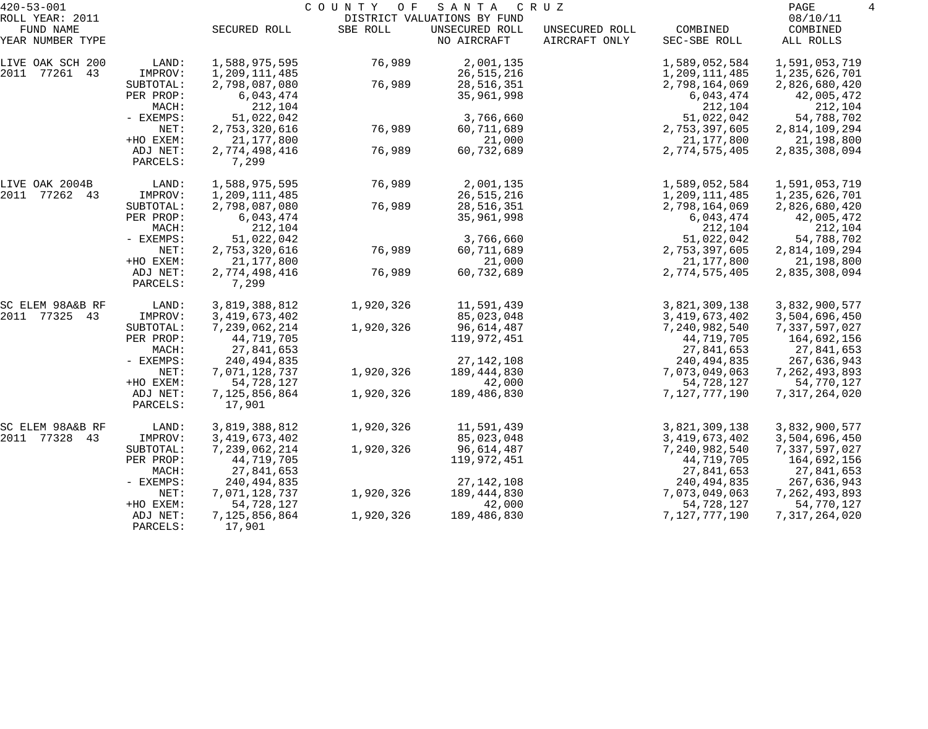| $420 - 53 - 001$                                 |                      | COUNTY<br>O F<br>SANTA<br>C R U Z |           |                                                              |                                 |                          |                                   |  |
|--------------------------------------------------|----------------------|-----------------------------------|-----------|--------------------------------------------------------------|---------------------------------|--------------------------|-----------------------------------|--|
| ROLL YEAR: 2011<br>FUND NAME<br>YEAR NUMBER TYPE |                      | SECURED ROLL                      | SBE ROLL  | DISTRICT VALUATIONS BY FUND<br>UNSECURED ROLL<br>NO AIRCRAFT | UNSECURED ROLL<br>AIRCRAFT ONLY | COMBINED<br>SEC-SBE ROLL | 08/10/11<br>COMBINED<br>ALL ROLLS |  |
| LIVE OAK SCH 200                                 | LAND:                | 1,588,975,595                     | 76,989    | 2,001,135                                                    |                                 | 1,589,052,584            | 1,591,053,719                     |  |
| 2011 77261 43                                    | IMPROV:              | 1,209,111,485                     |           | 26, 515, 216                                                 |                                 | 1,209,111,485            | 1,235,626,701                     |  |
|                                                  | SUBTOTAL:            | 2,798,087,080                     | 76,989    | 28,516,351                                                   |                                 | 2,798,164,069            | 2,826,680,420                     |  |
|                                                  | PER PROP:            | 6,043,474                         |           | 35,961,998                                                   |                                 | 6,043,474                | 42,005,472                        |  |
|                                                  | MACH:<br>- EXEMPS:   | 212,104<br>51,022,042             |           | 3,766,660                                                    |                                 | 212,104<br>51,022,042    | 212,104<br>54,788,702             |  |
|                                                  | NET:                 | 2,753,320,616                     | 76,989    | 60,711,689                                                   |                                 | 2,753,397,605            | 2,814,109,294                     |  |
|                                                  | +HO EXEM:            | 21,177,800                        |           | 21,000                                                       |                                 | 21, 177, 800             | 21,198,800                        |  |
|                                                  | ADJ NET:             | 2,774,498,416                     | 76,989    | 60,732,689                                                   |                                 | 2,774,575,405            | 2,835,308,094                     |  |
|                                                  | PARCELS:             | 7,299                             |           |                                                              |                                 |                          |                                   |  |
| LIVE OAK 2004B                                   | LAND:                | 1,588,975,595                     | 76,989    | 2,001,135                                                    |                                 | 1,589,052,584            | 1,591,053,719                     |  |
| 2011 77262 43                                    | IMPROV:              | 1,209,111,485                     |           | 26, 515, 216                                                 |                                 | 1,209,111,485            | 1,235,626,701                     |  |
|                                                  | SUBTOTAL:            | 2,798,087,080                     | 76,989    | 28,516,351                                                   |                                 | 2,798,164,069            | 2,826,680,420                     |  |
|                                                  | PER PROP:            | 6,043,474                         |           | 35,961,998                                                   |                                 | 6,043,474                | 42,005,472                        |  |
|                                                  | MACH:                | 212,104                           |           |                                                              |                                 | 212,104                  | 212,104                           |  |
|                                                  | - EXEMPS:            | 51,022,042                        |           | 3,766,660                                                    |                                 | 51,022,042               | 54,788,702                        |  |
|                                                  | NET:                 | 2,753,320,616                     | 76,989    | 60,711,689                                                   |                                 | 2,753,397,605            | 2,814,109,294                     |  |
|                                                  | +HO EXEM:            | 21,177,800                        |           | 21,000                                                       |                                 | 21, 177, 800             | 21,198,800                        |  |
|                                                  | ADJ NET:<br>PARCELS: | 2,774,498,416<br>7,299            | 76,989    | 60,732,689                                                   |                                 | 2,774,575,405            | 2,835,308,094                     |  |
| SC ELEM 98A&B RF                                 | LAND:                | 3,819,388,812                     | 1,920,326 | 11,591,439                                                   |                                 | 3,821,309,138            | 3,832,900,577                     |  |
| 2011 77325 43                                    | IMPROV:              | 3, 419, 673, 402                  |           | 85,023,048                                                   |                                 | 3, 419, 673, 402         | 3,504,696,450                     |  |
|                                                  | SUBTOTAL:            | 7,239,062,214                     | 1,920,326 | 96,614,487                                                   |                                 | 7,240,982,540            | 7,337,597,027                     |  |
|                                                  | PER PROP:            | 44,719,705                        |           | 119,972,451                                                  |                                 | 44,719,705               | 164,692,156                       |  |
|                                                  | MACH:                | 27,841,653                        |           |                                                              |                                 | 27,841,653               | 27,841,653                        |  |
|                                                  | - EXEMPS:            | 240, 494, 835                     |           | 27, 142, 108                                                 |                                 | 240, 494, 835            | 267,636,943                       |  |
|                                                  | NET:                 | 7,071,128,737                     | 1,920,326 | 189, 444, 830                                                |                                 | 7,073,049,063            | 7, 262, 493, 893                  |  |
|                                                  | +HO EXEM:            | 54,728,127                        |           | 42,000                                                       |                                 | 54,728,127               | 54,770,127                        |  |
|                                                  | ADJ NET:<br>PARCELS: | 7,125,856,864<br>17,901           | 1,920,326 | 189,486,830                                                  |                                 | 7,127,777,190            | 7,317,264,020                     |  |
| SC ELEM 98A&B RF                                 | LAND:                | 3,819,388,812                     | 1,920,326 | 11,591,439                                                   |                                 | 3,821,309,138            | 3,832,900,577                     |  |
| 2011 77328 43                                    | IMPROV:              | 3, 419, 673, 402                  |           | 85,023,048                                                   |                                 | 3, 419, 673, 402         | 3,504,696,450                     |  |
|                                                  | SUBTOTAL:            | 7,239,062,214                     | 1,920,326 | 96,614,487                                                   |                                 | 7,240,982,540            | 7,337,597,027                     |  |
|                                                  | PER PROP:            | 44,719,705                        |           | 119,972,451                                                  |                                 | 44,719,705               | 164,692,156                       |  |
|                                                  | MACH:                | 27,841,653                        |           |                                                              |                                 | 27,841,653               | 27,841,653                        |  |
|                                                  | $-$ EXEMPS:          | 240, 494, 835                     |           | 27, 142, 108                                                 |                                 | 240, 494, 835            | 267,636,943                       |  |
|                                                  | NET:                 | 7,071,128,737                     | 1,920,326 | 189,444,830                                                  |                                 | 7,073,049,063            | 7, 262, 493, 893                  |  |
|                                                  | +HO EXEM:            | 54,728,127                        |           | 42,000                                                       |                                 | 54,728,127               | 54,770,127                        |  |
|                                                  | ADJ NET:<br>PARCELS: | 7,125,856,864<br>17,901           | 1,920,326 | 189,486,830                                                  |                                 | 7,127,777,190            | 7,317,264,020                     |  |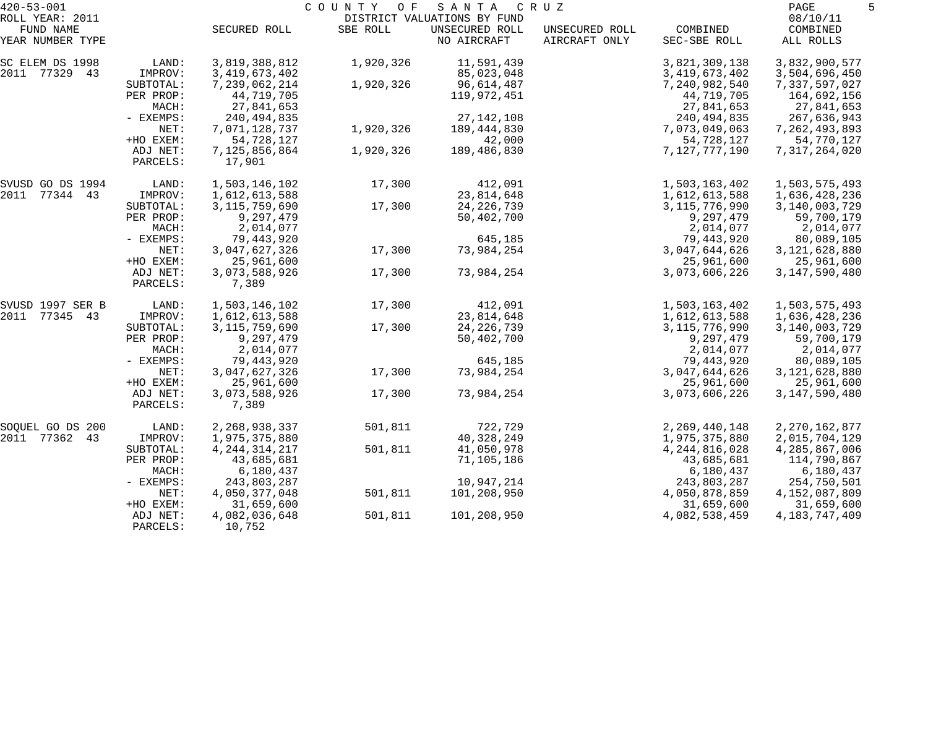| $420 - 53 - 001$              |                      | COUNTY<br>O F<br>SANTA<br>C R U Z |           |                               |                                 |                          |                       |
|-------------------------------|----------------------|-----------------------------------|-----------|-------------------------------|---------------------------------|--------------------------|-----------------------|
| ROLL YEAR: 2011               |                      |                                   |           | DISTRICT VALUATIONS BY FUND   |                                 |                          | 08/10/11              |
| FUND NAME<br>YEAR NUMBER TYPE |                      | SECURED ROLL                      | SBE ROLL  | UNSECURED ROLL<br>NO AIRCRAFT | UNSECURED ROLL<br>AIRCRAFT ONLY | COMBINED<br>SEC-SBE ROLL | COMBINED<br>ALL ROLLS |
| SC ELEM DS 1998               | LAND:                | 3,819,388,812                     | 1,920,326 | 11,591,439                    |                                 | 3,821,309,138            | 3,832,900,577         |
| 2011 77329 43                 | IMPROV:              | 3, 419, 673, 402                  |           | 85,023,048                    |                                 | 3,419,673,402            | 3,504,696,450         |
|                               | SUBTOTAL:            | 7,239,062,214                     | 1,920,326 | 96,614,487                    |                                 | 7,240,982,540            | 7,337,597,027         |
|                               | PER PROP:            | 44,719,705                        |           | 119,972,451                   |                                 | 44,719,705               | 164,692,156           |
|                               | MACH:                | 27,841,653                        |           |                               |                                 | 27,841,653               | 27,841,653            |
|                               | - EXEMPS:            | 240, 494, 835                     |           | 27, 142, 108                  |                                 | 240, 494, 835            | 267,636,943           |
|                               | NET:                 | 7,071,128,737                     | 1,920,326 | 189,444,830                   |                                 | 7,073,049,063            | 7, 262, 493, 893      |
|                               | +HO EXEM:            | 54,728,127                        |           | 42,000                        |                                 | 54,728,127               | 54,770,127            |
|                               | ADJ NET:<br>PARCELS: | 7,125,856,864<br>17,901           | 1,920,326 | 189,486,830                   |                                 | 7,127,777,190            | 7,317,264,020         |
| SVUSD GO DS 1994              | LAND:                | 1,503,146,102                     | 17,300    | 412,091                       |                                 | 1,503,163,402            | 1,503,575,493         |
| 2011 77344 43                 | IMPROV:              | 1,612,613,588                     |           | 23,814,648                    |                                 | 1,612,613,588            | 1,636,428,236         |
|                               | SUBTOTAL:            | 3, 115, 759, 690                  | 17,300    | 24, 226, 739                  |                                 | 3,115,776,990            | 3,140,003,729         |
|                               | PER PROP:            | 9,297,479                         |           | 50,402,700                    |                                 | 9,297,479                | 59,700,179            |
|                               | MACH:                | 2,014,077                         |           |                               |                                 | 2,014,077                | 2,014,077             |
|                               | - EXEMPS:            | 79,443,920                        |           | 645,185                       |                                 | 79,443,920               | 80,089,105            |
|                               | NET:                 | 3,047,627,326                     | 17,300    | 73,984,254                    |                                 | 3,047,644,626            | 3, 121, 628, 880      |
|                               | +HO EXEM:            | 25,961,600                        |           |                               |                                 | 25,961,600               | 25,961,600            |
|                               | ADJ NET:<br>PARCELS: | 3,073,588,926<br>7,389            | 17,300    | 73,984,254                    |                                 | 3,073,606,226            | 3, 147, 590, 480      |
| SVUSD 1997 SER B              | LAND:                | 1,503,146,102                     | 17,300    | 412,091                       |                                 | 1,503,163,402            | 1,503,575,493         |
| 2011<br>77345 43              | IMPROV:              | 1,612,613,588                     |           | 23,814,648                    |                                 | 1,612,613,588            | 1,636,428,236         |
|                               | SUBTOTAL:            | 3, 115, 759, 690                  | 17,300    | 24, 226, 739                  |                                 | 3,115,776,990            | 3,140,003,729         |
|                               | PER PROP:            | 9,297,479                         |           | 50,402,700                    |                                 | 9,297,479                | 59,700,179            |
|                               | MACH:                | 2,014,077                         |           |                               |                                 | 2,014,077                | 2,014,077             |
|                               | - EXEMPS:            | 79,443,920                        |           | 645,185                       |                                 | 79,443,920               | 80,089,105            |
|                               | NET:                 | 3,047,627,326                     | 17,300    | 73,984,254                    |                                 | 3,047,644,626            | 3, 121, 628, 880      |
|                               | +HO EXEM:            | 25,961,600                        |           |                               |                                 | 25,961,600               | 25,961,600            |
|                               | ADJ NET:<br>PARCELS: | 3,073,588,926<br>7,389            | 17,300    | 73,984,254                    |                                 | 3,073,606,226            | 3, 147, 590, 480      |
| SOQUEL GO DS 200              | LAND:                | 2, 268, 938, 337                  | 501,811   | 722,729                       |                                 | 2, 269, 440, 148         | 2, 270, 162, 877      |
| 2011<br>77362<br>43           | IMPROV:              | 1,975,375,880                     |           | 40,328,249                    |                                 | 1,975,375,880            | 2,015,704,129         |
|                               | SUBTOTAL:            | 4, 244, 314, 217                  | 501,811   | 41,050,978                    |                                 | 4, 244, 816, 028         | 4,285,867,006         |
|                               | PER PROP:            | 43,685,681                        |           | 71,105,186                    |                                 | 43,685,681               | 114,790,867           |
|                               | MACH:                | 6,180,437                         |           |                               |                                 | 6,180,437                | 6,180,437             |
|                               | - EXEMPS:            | 243,803,287                       |           | 10,947,214                    |                                 | 243,803,287              | 254,750,501           |
|                               | NET:                 | 4,050,377,048                     | 501,811   | 101,208,950                   |                                 | 4,050,878,859            | 4,152,087,809         |
|                               | +HO EXEM:            | 31,659,600                        |           |                               |                                 | 31,659,600               | 31,659,600            |
|                               | ADJ NET:<br>PARCELS: | 4,082,036,648<br>10,752           | 501,811   | 101,208,950                   |                                 | 4,082,538,459            | 4, 183, 747, 409      |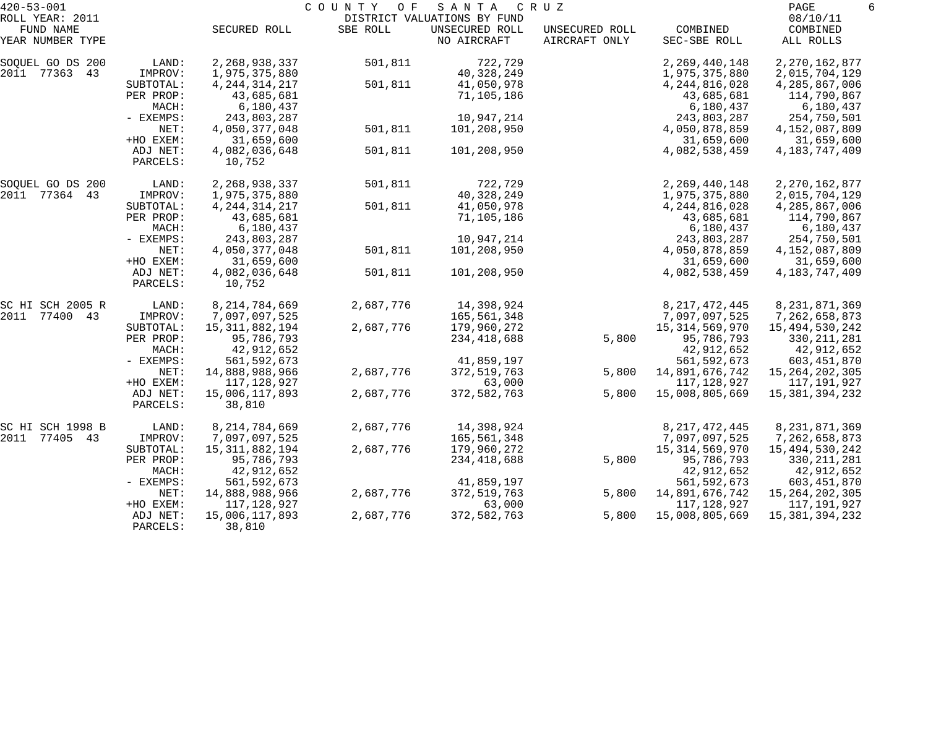| $420 - 53 - 001$             |                      |                              | COUNTY<br>O F | SANTA                                         | C R U Z        |                              | PAGE                         | 6 |
|------------------------------|----------------------|------------------------------|---------------|-----------------------------------------------|----------------|------------------------------|------------------------------|---|
| ROLL YEAR: 2011<br>FUND NAME |                      | SECURED ROLL                 | SBE ROLL      | DISTRICT VALUATIONS BY FUND<br>UNSECURED ROLL | UNSECURED ROLL | COMBINED                     | 08/10/11<br>COMBINED         |   |
| YEAR NUMBER TYPE             |                      |                              |               | NO AIRCRAFT                                   | AIRCRAFT ONLY  | SEC-SBE ROLL                 | ALL ROLLS                    |   |
| SOQUEL GO DS 200             | LAND:                | 2, 268, 938, 337             | 501,811       | 722,729                                       |                | 2, 269, 440, 148             | 2, 270, 162, 877             |   |
| 2011 77363<br>43             | IMPROV:              | 1,975,375,880                |               | 40,328,249                                    |                | 1,975,375,880                | 2,015,704,129                |   |
|                              | SUBTOTAL:            | 4, 244, 314, 217             | 501,811       | 41,050,978                                    |                | 4, 244, 816, 028             | 4,285,867,006                |   |
|                              | PER PROP:            | 43,685,681                   |               | 71,105,186                                    |                | 43,685,681                   | 114,790,867                  |   |
|                              | MACH:                | 6,180,437                    |               |                                               |                | 6,180,437                    | 6,180,437                    |   |
|                              | - EXEMPS:<br>NET:    | 243,803,287<br>4,050,377,048 | 501,811       | 10,947,214<br>101,208,950                     |                | 243,803,287<br>4,050,878,859 | 254,750,501<br>4,152,087,809 |   |
|                              | +HO EXEM:            | 31,659,600                   |               |                                               |                | 31,659,600                   | 31,659,600                   |   |
|                              | ADJ NET:             | 4,082,036,648                | 501,811       | 101,208,950                                   |                | 4,082,538,459                | 4, 183, 747, 409             |   |
|                              | PARCELS:             | 10,752                       |               |                                               |                |                              |                              |   |
| SOQUEL GO DS 200             | LAND:                | 2,268,938,337                | 501,811       | 722,729                                       |                | 2, 269, 440, 148             | 2, 270, 162, 877             |   |
| 2011 77364 43                | IMPROV:              | 1,975,375,880                |               | 40,328,249                                    |                | 1,975,375,880                | 2,015,704,129                |   |
|                              | SUBTOTAL:            | 4, 244, 314, 217             | 501,811       | 41,050,978                                    |                | 4, 244, 816, 028             | 4,285,867,006                |   |
|                              | PER PROP:            | 43,685,681                   |               | 71,105,186                                    |                | 43,685,681                   | 114,790,867                  |   |
|                              | MACH:                | 6,180,437                    |               |                                               |                | 6,180,437                    | 6,180,437                    |   |
|                              | - EXEMPS:            | 243,803,287                  |               | 10,947,214                                    |                | 243,803,287                  | 254,750,501                  |   |
|                              | NET:                 | 4,050,377,048                | 501,811       | 101,208,950                                   |                | 4,050,878,859                | 4,152,087,809                |   |
|                              | +HO EXEM:            | 31,659,600                   |               |                                               |                | 31,659,600                   | 31,659,600                   |   |
|                              | ADJ NET:<br>PARCELS: | 4,082,036,648<br>10,752      | 501,811       | 101,208,950                                   |                | 4,082,538,459                | 4, 183, 747, 409             |   |
| SC HI SCH 2005 R             | LAND:                | 8, 214, 784, 669             | 2,687,776     | 14,398,924                                    |                | 8, 217, 472, 445             | 8, 231, 871, 369             |   |
| 2011<br>77400 43             | IMPROV:              | 7,097,097,525                |               | 165,561,348                                   |                | 7,097,097,525                | 7,262,658,873                |   |
|                              | SUBTOTAL:            | 15, 311, 882, 194            | 2,687,776     | 179,960,272                                   |                | 15, 314, 569, 970            | 15,494,530,242               |   |
|                              | PER PROP:            | 95,786,793                   |               | 234,418,688                                   | 5,800          | 95,786,793                   | 330, 211, 281                |   |
|                              | MACH:                | 42,912,652                   |               |                                               |                | 42,912,652                   | 42,912,652                   |   |
|                              | - EXEMPS:            | 561, 592, 673                |               | 41,859,197                                    |                | 561, 592, 673                | 603,451,870                  |   |
|                              | NET:                 | 14,888,988,966               | 2,687,776     | 372,519,763                                   | 5,800          | 14,891,676,742               | 15, 264, 202, 305            |   |
|                              | +HO EXEM:            | 117,128,927                  |               | 63,000                                        |                | 117,128,927                  | 117,191,927                  |   |
|                              | ADJ NET:<br>PARCELS: | 15,006,117,893<br>38,810     | 2,687,776     | 372,582,763                                   | 5,800          | 15,008,805,669               | 15, 381, 394, 232            |   |
| SC HI SCH 1998 B             | LAND:                | 8, 214, 784, 669             | 2,687,776     | 14,398,924                                    |                | 8, 217, 472, 445             | 8, 231, 871, 369             |   |
| 2011<br>77405 43             | IMPROV:              | 7,097,097,525                |               | 165,561,348                                   |                | 7,097,097,525                | 7,262,658,873                |   |
|                              | SUBTOTAL:            | 15, 311, 882, 194            | 2,687,776     | 179,960,272                                   |                | 15,314,569,970               | 15,494,530,242               |   |
|                              | PER PROP:            | 95,786,793                   |               | 234,418,688                                   | 5,800          | 95,786,793                   | 330, 211, 281                |   |
|                              | MACH:                | 42,912,652                   |               |                                               |                | 42,912,652                   | 42,912,652                   |   |
|                              | - EXEMPS:            | 561, 592, 673                |               | 41,859,197                                    |                | 561, 592, 673                | 603,451,870                  |   |
|                              | NET:                 | 14,888,988,966               | 2,687,776     | 372,519,763                                   | 5,800          | 14,891,676,742               | 15, 264, 202, 305            |   |
|                              | +HO EXEM:            | 117,128,927                  |               | 63,000                                        |                | 117,128,927                  | 117,191,927                  |   |
|                              | ADJ NET:<br>PARCELS: | 15,006,117,893<br>38,810     | 2,687,776     | 372,582,763                                   | 5,800          | 15,008,805,669               | 15, 381, 394, 232            |   |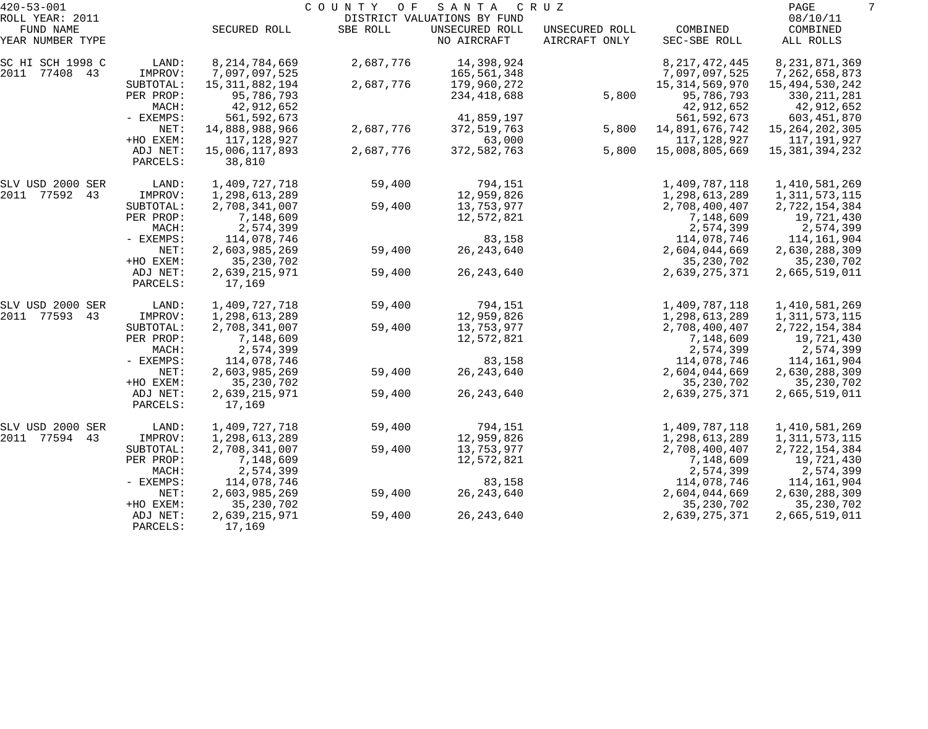| $420 - 53 - 001$                                 |                                            |                                                          | COUNTY<br>O F | SANTA                                                        | C R U Z                         |                                                          | PAGE<br>7                                                 |
|--------------------------------------------------|--------------------------------------------|----------------------------------------------------------|---------------|--------------------------------------------------------------|---------------------------------|----------------------------------------------------------|-----------------------------------------------------------|
| ROLL YEAR: 2011<br>FUND NAME<br>YEAR NUMBER TYPE |                                            | SECURED ROLL                                             | SBE ROLL      | DISTRICT VALUATIONS BY FUND<br>UNSECURED ROLL<br>NO AIRCRAFT | UNSECURED ROLL<br>AIRCRAFT ONLY | COMBINED<br>SEC-SBE ROLL                                 | 08/10/11<br>COMBINED<br>ALL ROLLS                         |
| SC HI SCH 1998 C<br>2011 77408 43                | LAND:<br>IMPROV:                           | 8, 214, 784, 669<br>7,097,097,525                        | 2,687,776     | 14,398,924<br>165,561,348                                    |                                 | 8, 217, 472, 445<br>7,097,097,525                        | 8, 231, 871, 369<br>7,262,658,873                         |
|                                                  | SUBTOTAL:<br>PER PROP:<br>MACH:            | 15, 311, 882, 194<br>95,786,793<br>42,912,652            | 2,687,776     | 179,960,272<br>234,418,688                                   | 5,800                           | 15, 314, 569, 970<br>95,786,793<br>42,912,652            | 15,494,530,242<br>330, 211, 281<br>42,912,652             |
|                                                  | - EXEMPS:<br>NET:                          | 561, 592, 673<br>14,888,988,966                          | 2,687,776     | 41,859,197<br>372,519,763                                    | 5,800                           | 561, 592, 673<br>14,891,676,742                          | 603,451,870<br>15, 264, 202, 305                          |
|                                                  | +HO EXEM:<br>ADJ NET:<br>PARCELS:          | 117,128,927<br>15,006,117,893<br>38,810                  | 2,687,776     | 63,000<br>372,582,763                                        | 5,800                           | 117,128,927<br>15,008,805,669                            | 117,191,927<br>15,381,394,232                             |
| SLV USD 2000 SER                                 | LAND:                                      | 1,409,727,718                                            | 59,400        | 794,151                                                      |                                 | 1,409,787,118                                            | 1,410,581,269                                             |
| 2011 77592 43                                    | IMPROV:<br>SUBTOTAL:<br>PER PROP:          | 1,298,613,289<br>2,708,341,007<br>7,148,609              | 59,400        | 12,959,826<br>13,753,977<br>12,572,821                       |                                 | 1,298,613,289<br>2,708,400,407<br>7,148,609              | 1,311,573,115<br>2,722,154,384<br>19,721,430              |
|                                                  | MACH:<br>- EXEMPS:<br>NET:                 | 2,574,399<br>114,078,746<br>2,603,985,269                | 59,400        | 83,158<br>26, 243, 640                                       |                                 | 2,574,399<br>114,078,746<br>2,604,044,669                | 2,574,399<br>114,161,904<br>2,630,288,309                 |
|                                                  | +HO EXEM:<br>ADJ NET:                      | 35, 230, 702<br>2,639,215,971                            | 59,400        | 26, 243, 640                                                 |                                 | 35, 230, 702<br>2,639,275,371                            | 35, 230, 702<br>2,665,519,011                             |
|                                                  | PARCELS:                                   | 17,169                                                   |               |                                                              |                                 |                                                          |                                                           |
| SLV USD 2000 SER<br>2011 77593 43                | LAND:<br>IMPROV:                           | 1,409,727,718<br>1,298,613,289                           | 59,400        | 794,151<br>12,959,826                                        |                                 | 1,409,787,118<br>1,298,613,289                           | 1,410,581,269<br>1,311,573,115                            |
|                                                  | SUBTOTAL:<br>PER PROP:<br>MACH:            | 2,708,341,007<br>7,148,609<br>2,574,399                  | 59,400        | 13,753,977<br>12,572,821                                     |                                 | 2,708,400,407<br>7,148,609<br>2,574,399                  | 2,722,154,384<br>19,721,430<br>2,574,399                  |
|                                                  | - EXEMPS:<br>NET:<br>+HO EXEM:             | 114,078,746<br>2,603,985,269<br>35, 230, 702             | 59,400        | 83,158<br>26, 243, 640                                       |                                 | 114,078,746<br>2,604,044,669<br>35, 230, 702             | 114,161,904<br>2,630,288,309<br>35, 230, 702              |
|                                                  | ADJ NET:<br>PARCELS:                       | 2,639,215,971<br>17,169                                  | 59,400        | 26, 243, 640                                                 |                                 | 2,639,275,371                                            | 2,665,519,011                                             |
| SLV USD 2000 SER                                 | LAND:                                      | 1,409,727,718                                            | 59,400        | 794,151                                                      |                                 | 1,409,787,118                                            | 1,410,581,269                                             |
| 2011 77594 43                                    | IMPROV:<br>SUBTOTAL:<br>PER PROP:<br>MACH: | 1,298,613,289<br>2,708,341,007<br>7,148,609<br>2,574,399 | 59,400        | 12,959,826<br>13,753,977<br>12,572,821                       |                                 | 1,298,613,289<br>2,708,400,407<br>7,148,609<br>2,574,399 | 1,311,573,115<br>2,722,154,384<br>19,721,430<br>2,574,399 |
|                                                  | - EXEMPS:<br>NET:<br>+HO EXEM:             | 114,078,746<br>2,603,985,269<br>35, 230, 702             | 59,400        | 83,158<br>26, 243, 640                                       |                                 | 114,078,746<br>2,604,044,669<br>35, 230, 702             | 114,161,904<br>2,630,288,309<br>35, 230, 702              |
|                                                  | ADJ NET:<br>PARCELS:                       | 2,639,215,971<br>17,169                                  | 59,400        | 26, 243, 640                                                 |                                 | 2,639,275,371                                            | 2,665,519,011                                             |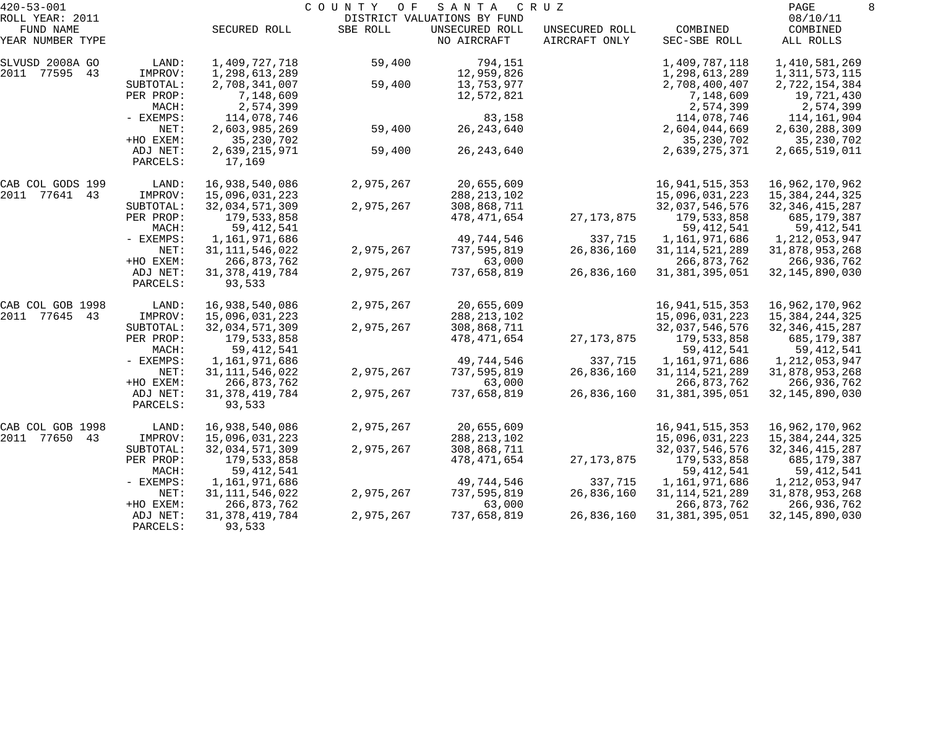| $420 - 53 - 001$              |                      |                             | COUNTY OF | SANTA                         | C R U Z                         |                          | PAGE                  | 8 |
|-------------------------------|----------------------|-----------------------------|-----------|-------------------------------|---------------------------------|--------------------------|-----------------------|---|
| ROLL YEAR: 2011               |                      |                             |           | DISTRICT VALUATIONS BY FUND   |                                 |                          | 08/10/11              |   |
| FUND NAME<br>YEAR NUMBER TYPE |                      | SECURED ROLL                | SBE ROLL  | UNSECURED ROLL<br>NO AIRCRAFT | UNSECURED ROLL<br>AIRCRAFT ONLY | COMBINED<br>SEC-SBE ROLL | COMBINED<br>ALL ROLLS |   |
| SLVUSD 2008A GO               | LAND:                | 1,409,727,718               | 59,400    | 794,151                       |                                 | 1,409,787,118            | 1,410,581,269         |   |
| 2011 77595<br>43              | IMPROV:              | 1,298,613,289               |           | 12,959,826                    |                                 | 1,298,613,289            | 1, 311, 573, 115      |   |
|                               | SUBTOTAL:            | 2,708,341,007               | 59,400    | 13,753,977                    |                                 | 2,708,400,407            | 2,722,154,384         |   |
|                               | PER PROP:            | 7,148,609                   |           | 12,572,821                    |                                 | 7,148,609                | 19,721,430            |   |
|                               | MACH:                | 2,574,399                   |           |                               |                                 | 2,574,399                | 2,574,399             |   |
|                               | - EXEMPS:            | 114,078,746                 |           | 83,158                        |                                 | 114,078,746              | 114,161,904           |   |
|                               | NET:                 | 2,603,985,269               | 59,400    | 26, 243, 640                  |                                 | 2,604,044,669            | 2,630,288,309         |   |
|                               | +HO EXEM:            | 35, 230, 702                |           |                               |                                 | 35, 230, 702             | 35, 230, 702          |   |
|                               | ADJ NET:             | 2,639,215,971               | 59,400    | 26, 243, 640                  |                                 | 2,639,275,371            | 2,665,519,011         |   |
|                               | PARCELS:             | 17,169                      |           |                               |                                 |                          |                       |   |
| CAB COL GODS 199              | LAND:                | 16,938,540,086              | 2,975,267 | 20,655,609                    |                                 | 16,941,515,353           | 16,962,170,962        |   |
| 2011 77641 43                 | IMPROV:              | 15,096,031,223              |           | 288, 213, 102                 |                                 | 15,096,031,223           | 15, 384, 244, 325     |   |
|                               | SUBTOTAL:            | 32,034,571,309              | 2,975,267 | 308,868,711                   |                                 | 32,037,546,576           | 32, 346, 415, 287     |   |
|                               | PER PROP:            | 179,533,858                 |           | 478,471,654                   | 27, 173, 875                    | 179,533,858              | 685,179,387           |   |
|                               | MACH:                | 59, 412, 541                |           |                               |                                 | 59, 412, 541             | 59,412,541            |   |
|                               | - EXEMPS:            | 1,161,971,686               |           | 49,744,546                    | 337,715                         | 1,161,971,686            | 1, 212, 053, 947      |   |
|                               | NET:                 | 31, 111, 546, 022           | 2,975,267 | 737,595,819                   | 26,836,160                      | 31, 114, 521, 289        | 31,878,953,268        |   |
|                               | +HO EXEM:            | 266,873,762                 |           | 63,000                        |                                 | 266,873,762              | 266,936,762           |   |
|                               | ADJ NET:             | 31, 378, 419, 784           | 2,975,267 | 737,658,819                   | 26,836,160                      | 31, 381, 395, 051        | 32, 145, 890, 030     |   |
|                               | PARCELS:             | 93,533                      |           |                               |                                 |                          |                       |   |
| CAB COL GOB 1998              | LAND:                | 16,938,540,086              | 2,975,267 | 20,655,609                    |                                 | 16,941,515,353           | 16,962,170,962        |   |
| 2011 77645 43                 | IMPROV:              | 15,096,031,223              |           | 288, 213, 102                 |                                 | 15,096,031,223           | 15, 384, 244, 325     |   |
|                               | SUBTOTAL:            | 32,034,571,309              | 2,975,267 | 308,868,711                   |                                 | 32,037,546,576           | 32, 346, 415, 287     |   |
|                               | PER PROP:            | 179,533,858                 |           | 478, 471, 654                 | 27, 173, 875                    | 179,533,858              | 685,179,387           |   |
|                               | MACH:                | 59, 412, 541                |           |                               |                                 | 59, 412, 541             | 59, 412, 541          |   |
|                               | - EXEMPS:            | 1,161,971,686               |           | 49,744,546                    | 337,715                         | 1,161,971,686            | 1, 212, 053, 947      |   |
|                               | NET:                 | 31, 111, 546, 022           | 2,975,267 | 737,595,819                   | 26,836,160                      | 31, 114, 521, 289        | 31,878,953,268        |   |
|                               | +HO EXEM:            | 266,873,762                 |           | 63,000                        |                                 | 266,873,762              | 266,936,762           |   |
|                               | ADJ NET:<br>PARCELS: | 31, 378, 419, 784<br>93,533 | 2,975,267 | 737,658,819                   | 26,836,160                      | 31, 381, 395, 051        | 32, 145, 890, 030     |   |
|                               |                      |                             |           |                               |                                 |                          |                       |   |
| CAB COL GOB 1998              | LAND:                | 16,938,540,086              | 2,975,267 | 20,655,609                    |                                 | 16,941,515,353           | 16,962,170,962        |   |
| 2011<br>77650<br>43           | IMPROV:              | 15,096,031,223              |           | 288, 213, 102                 |                                 | 15,096,031,223           | 15,384,244,325        |   |
|                               | SUBTOTAL:            | 32,034,571,309              | 2,975,267 | 308,868,711                   |                                 | 32,037,546,576           | 32, 346, 415, 287     |   |
|                               | PER PROP:            | 179,533,858                 |           | 478,471,654                   | 27, 173, 875                    | 179,533,858              | 685,179,387           |   |
|                               | MACH:                | 59, 412, 541                |           |                               |                                 | 59, 412, 541             | 59, 412, 541          |   |
|                               | $-$ EXEMPS:          | 1,161,971,686               |           | 49,744,546                    | 337,715                         | 1,161,971,686            | 1,212,053,947         |   |
|                               | NET:                 | 31, 111, 546, 022           | 2,975,267 | 737,595,819                   | 26,836,160                      | 31, 114, 521, 289        | 31,878,953,268        |   |
|                               | +HO EXEM:            | 266,873,762                 |           | 63,000                        |                                 | 266,873,762              | 266,936,762           |   |
|                               | ADJ NET:             | 31, 378, 419, 784           | 2,975,267 | 737,658,819                   | 26,836,160                      | 31, 381, 395, 051        | 32, 145, 890, 030     |   |
|                               | PARCELS:             | 93,533                      |           |                               |                                 |                          |                       |   |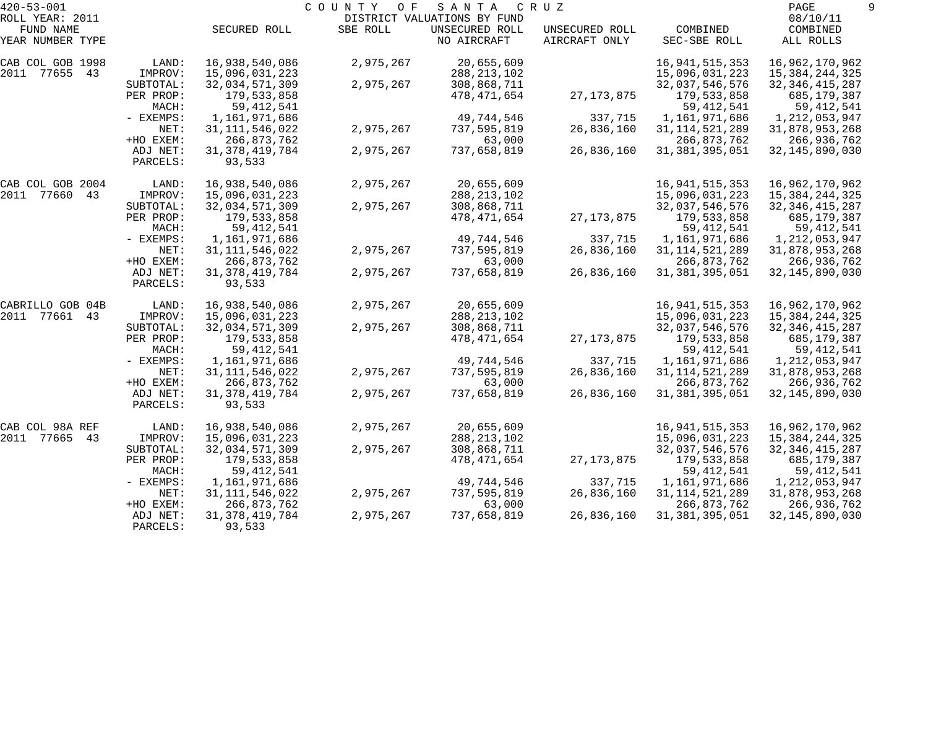| $420 - 53 - 001$              |           |                   | C O U N T Y<br>O F | SANTA                                         | C R U Z                         |                                  | PAGE                  |  |
|-------------------------------|-----------|-------------------|--------------------|-----------------------------------------------|---------------------------------|----------------------------------|-----------------------|--|
| ROLL YEAR: 2011               |           |                   | SBE ROLL           | DISTRICT VALUATIONS BY FUND<br>UNSECURED ROLL |                                 |                                  | 08/10/11              |  |
| FUND NAME<br>YEAR NUMBER TYPE |           | SECURED ROLL      |                    | NO AIRCRAFT                                   | UNSECURED ROLL<br>AIRCRAFT ONLY | COMBINED<br>SEC-SBE ROLL         | COMBINED<br>ALL ROLLS |  |
|                               |           |                   |                    |                                               |                                 |                                  |                       |  |
| CAB COL GOB 1998              | LAND:     | 16,938,540,086    | 2,975,267          | 20,655,609                                    |                                 | 16, 941, 515, 353                | 16,962,170,962        |  |
| 2011 77655<br>43              | IMPROV:   | 15,096,031,223    |                    | 288, 213, 102                                 |                                 | 15,096,031,223                   | 15,384,244,325        |  |
|                               | SUBTOTAL: | 32,034,571,309    | 2,975,267          | 308,868,711                                   |                                 | 32,037,546,576                   | 32, 346, 415, 287     |  |
|                               | PER PROP: | 179,533,858       |                    | 478,471,654                                   | 27, 173, 875                    | 179,533,858                      | 685,179,387           |  |
|                               | MACH:     | 59, 412, 541      |                    |                                               |                                 | 59, 412, 541                     | 59,412,541            |  |
|                               | - EXEMPS: | 1,161,971,686     |                    | 49,744,546                                    | 337,715                         | 1,161,971,686                    | 1,212,053,947         |  |
|                               | NET:      | 31, 111, 546, 022 | 2,975,267          | 737,595,819                                   | 26,836,160                      | 31, 114, 521, 289                | 31,878,953,268        |  |
|                               | +HO EXEM: | 266,873,762       |                    | 63,000                                        |                                 | 266,873,762                      | 266,936,762           |  |
|                               | ADJ NET:  | 31, 378, 419, 784 | 2,975,267          | 737,658,819                                   | 26,836,160                      | 31, 381, 395, 051                | 32, 145, 890, 030     |  |
|                               | PARCELS:  | 93,533            |                    |                                               |                                 |                                  |                       |  |
| CAB COL GOB 2004              | LAND:     | 16,938,540,086    | 2,975,267          | 20,655,609                                    |                                 | 16, 941, 515, 353                | 16,962,170,962        |  |
| 2011 77660<br>43              | IMPROV:   | 15,096,031,223    |                    | 288, 213, 102                                 |                                 | 15,096,031,223                   | 15, 384, 244, 325     |  |
|                               | SUBTOTAL: | 32,034,571,309    | 2,975,267          | 308,868,711                                   |                                 | 32,037,546,576                   | 32, 346, 415, 287     |  |
|                               | PER PROP: | 179,533,858       |                    | 478,471,654                                   | 27, 173, 875                    | 179,533,858                      | 685,179,387           |  |
|                               | MACH:     | 59, 412, 541      |                    |                                               |                                 | 59, 412, 541                     | 59,412,541            |  |
|                               | - EXEMPS: | 1,161,971,686     |                    | 49,744,546                                    | 337,715                         | 1,161,971,686                    | 1, 212, 053, 947      |  |
|                               | NET:      | 31, 111, 546, 022 | 2,975,267          | 737,595,819                                   | 26,836,160                      | 31, 114, 521, 289                | 31,878,953,268        |  |
|                               | +HO EXEM: | 266,873,762       |                    | 63,000                                        |                                 | 266,873,762                      | 266,936,762           |  |
|                               | ADJ NET:  | 31, 378, 419, 784 | 2,975,267          | 737,658,819                                   | 26,836,160                      | 31, 381, 395, 051                | 32, 145, 890, 030     |  |
|                               | PARCELS:  | 93,533            |                    |                                               |                                 |                                  |                       |  |
| CABRILLO GOB 04B              | LAND:     | 16,938,540,086    | 2,975,267          | 20,655,609                                    |                                 | 16, 941, 515, 353                | 16,962,170,962        |  |
| 2011 77661 43                 | IMPROV:   | 15,096,031,223    |                    | 288, 213, 102                                 |                                 | 15,096,031,223                   | 15,384,244,325        |  |
|                               | SUBTOTAL: | 32,034,571,309    | 2,975,267          | 308,868,711                                   |                                 | 32,037,546,576                   | 32, 346, 415, 287     |  |
|                               | PER PROP: | 179,533,858       |                    | 478,471,654                                   | 27, 173, 875                    | 179,533,858                      | 685,179,387           |  |
|                               | MACH:     | 59, 412, 541      |                    |                                               |                                 | 59, 412, 541                     | 59,412,541            |  |
|                               | - EXEMPS: | 1,161,971,686     |                    | 49,744,546                                    | 337,715                         | 1,161,971,686                    | 1,212,053,947         |  |
|                               | NET:      | 31, 111, 546, 022 | 2,975,267          | 737,595,819                                   | 26,836,160                      | 31, 114, 521, 289                | 31,878,953,268        |  |
|                               | +HO EXEM: | 266,873,762       |                    | 63,000                                        |                                 | 266,873,762                      | 266,936,762           |  |
|                               | ADJ NET:  | 31, 378, 419, 784 | 2,975,267          | 737,658,819                                   | 26,836,160                      | 31, 381, 395, 051                | 32, 145, 890, 030     |  |
|                               | PARCELS:  | 93,533            |                    |                                               |                                 |                                  |                       |  |
|                               |           |                   |                    |                                               |                                 |                                  |                       |  |
| CAB COL 98A REF               | LAND:     | 16,938,540,086    | 2,975,267          | 20,655,609                                    |                                 | 16,941,515,353<br>15,096,031,223 | 16,962,170,962        |  |
| 2011<br>77665<br>43           | IMPROV:   | 15,096,031,223    |                    | 288, 213, 102                                 |                                 |                                  | 15, 384, 244, 325     |  |
|                               | SUBTOTAL: | 32,034,571,309    | 2,975,267          | 308,868,711                                   |                                 | 32,037,546,576                   | 32, 346, 415, 287     |  |
|                               | PER PROP: | 179,533,858       |                    | 478,471,654                                   | 27, 173, 875                    | 179,533,858                      | 685,179,387           |  |
|                               | MACH:     | 59, 412, 541      |                    |                                               |                                 | 59, 412, 541                     | 59, 412, 541          |  |
|                               | - EXEMPS: | 1,161,971,686     |                    | 49,744,546                                    | 337,715                         | 1,161,971,686                    | 1,212,053,947         |  |
|                               | NET:      | 31, 111, 546, 022 | 2,975,267          | 737,595,819                                   | 26,836,160                      | 31, 114, 521, 289                | 31,878,953,268        |  |
|                               | +HO EXEM: | 266,873,762       |                    | 63,000                                        |                                 | 266,873,762                      | 266,936,762           |  |
|                               | ADJ NET:  | 31, 378, 419, 784 | 2,975,267          | 737,658,819                                   | 26,836,160                      | 31, 381, 395, 051                | 32, 145, 890, 030     |  |
|                               | PARCELS:  | 93,533            |                    |                                               |                                 |                                  |                       |  |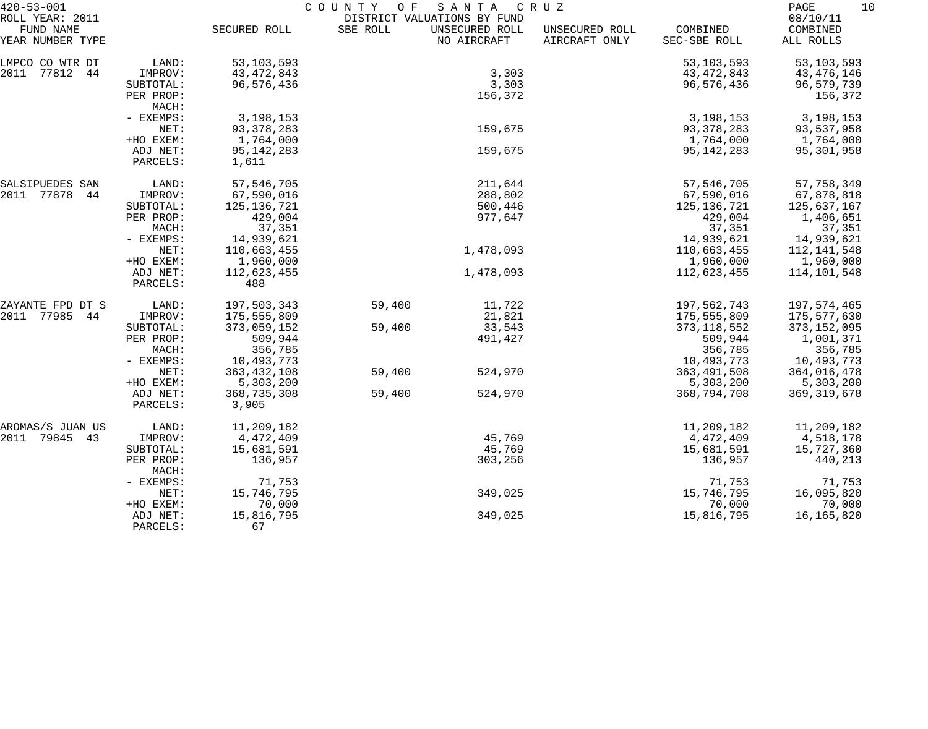| $420 - 53 - 001$                                 |                      | COUNTY OF<br>SANTA<br>C R U Z |          |                                                              |                                 |                          |                                   |  |
|--------------------------------------------------|----------------------|-------------------------------|----------|--------------------------------------------------------------|---------------------------------|--------------------------|-----------------------------------|--|
| ROLL YEAR: 2011<br>FUND NAME<br>YEAR NUMBER TYPE |                      | SECURED ROLL                  | SBE ROLL | DISTRICT VALUATIONS BY FUND<br>UNSECURED ROLL<br>NO AIRCRAFT | UNSECURED ROLL<br>AIRCRAFT ONLY | COMBINED<br>SEC-SBE ROLL | 08/10/11<br>COMBINED<br>ALL ROLLS |  |
| LMPCO CO WTR DT                                  | LAND:                | 53, 103, 593                  |          |                                                              |                                 | 53, 103, 593             | 53, 103, 593                      |  |
| 2011<br>77812 44                                 | IMPROV:              | 43, 472, 843                  |          | 3,303                                                        |                                 | 43, 472, 843             | 43,476,146                        |  |
|                                                  | SUBTOTAL:            | 96,576,436                    |          | 3,303                                                        |                                 | 96,576,436               | 96,579,739                        |  |
|                                                  | PER PROP:            |                               |          | 156,372                                                      |                                 |                          | 156,372                           |  |
|                                                  | MACH:                |                               |          |                                                              |                                 |                          |                                   |  |
|                                                  | - EXEMPS:            | 3,198,153                     |          |                                                              |                                 | 3, 198, 153              | 3, 198, 153                       |  |
|                                                  | NET:                 | 93, 378, 283                  |          | 159,675                                                      |                                 | 93, 378, 283             | 93,537,958                        |  |
|                                                  | +HO EXEM:            | 1,764,000                     |          |                                                              |                                 | 1,764,000                | 1,764,000                         |  |
|                                                  | ADJ NET:             | 95, 142, 283                  |          | 159,675                                                      |                                 | 95, 142, 283             | 95,301,958                        |  |
|                                                  | PARCELS:             | 1,611                         |          |                                                              |                                 |                          |                                   |  |
| SALSIPUEDES SAN                                  | LAND:                | 57, 546, 705                  |          | 211,644                                                      |                                 | 57, 546, 705             | 57,758,349                        |  |
| 2011 77878<br>44                                 | IMPROV:              | 67,590,016                    |          | 288,802                                                      |                                 | 67,590,016               | 67,878,818                        |  |
|                                                  | SUBTOTAL:            | 125, 136, 721                 |          | 500,446                                                      |                                 | 125, 136, 721            | 125,637,167                       |  |
|                                                  | PER PROP:            | 429,004                       |          | 977,647                                                      |                                 | 429,004                  | 1,406,651                         |  |
|                                                  | MACH:                | 37,351                        |          |                                                              |                                 | 37,351                   | 37,351                            |  |
|                                                  | - EXEMPS:            | 14,939,621                    |          |                                                              |                                 | 14,939,621               | 14,939,621                        |  |
|                                                  | NET:                 | 110,663,455                   |          | 1,478,093                                                    |                                 | 110,663,455              | 112,141,548                       |  |
|                                                  | +HO EXEM:            | 1,960,000                     |          |                                                              |                                 | 1,960,000                | 1,960,000                         |  |
|                                                  | ADJ NET:<br>PARCELS: | 112,623,455<br>488            |          | 1,478,093                                                    |                                 | 112,623,455              | 114,101,548                       |  |
| ZAYANTE FPD DT S                                 | LAND:                | 197,503,343                   | 59,400   | 11,722                                                       |                                 | 197,562,743              | 197,574,465                       |  |
| 2011<br>77985<br>44                              | IMPROV:              | 175,555,809                   |          | 21,821                                                       |                                 | 175,555,809              | 175,577,630                       |  |
|                                                  | SUBTOTAL:            | 373,059,152                   | 59,400   | 33,543                                                       |                                 | 373, 118, 552            | 373,152,095                       |  |
|                                                  | PER PROP:            | 509,944                       |          | 491,427                                                      |                                 | 509,944                  | 1,001,371                         |  |
|                                                  | MACH:                | 356,785                       |          |                                                              |                                 | 356,785                  | 356,785                           |  |
|                                                  | - EXEMPS:            | 10,493,773                    |          |                                                              |                                 | 10,493,773               | 10,493,773                        |  |
|                                                  | NET:                 | 363, 432, 108                 | 59,400   | 524,970                                                      |                                 | 363, 491, 508            | 364,016,478                       |  |
|                                                  | +HO EXEM:            | 5,303,200                     |          |                                                              |                                 | 5,303,200                | 5,303,200                         |  |
|                                                  | ADJ NET:             | 368,735,308                   | 59,400   | 524,970                                                      |                                 | 368,794,708              | 369, 319, 678                     |  |
|                                                  | PARCELS:             | 3,905                         |          |                                                              |                                 |                          |                                   |  |
| AROMAS/S JUAN US                                 | LAND:                | 11,209,182                    |          |                                                              |                                 | 11,209,182               | 11,209,182                        |  |
| 2011 79845<br>43                                 | IMPROV:              | 4,472,409                     |          | 45,769                                                       |                                 | 4,472,409                | 4,518,178                         |  |
|                                                  | SUBTOTAL:            | 15,681,591                    |          | 45,769                                                       |                                 | 15,681,591               | 15,727,360                        |  |
|                                                  | PER PROP:<br>MACH:   | 136,957                       |          | 303,256                                                      |                                 | 136,957                  | 440,213                           |  |
|                                                  | - EXEMPS:            | 71,753                        |          |                                                              |                                 | 71,753                   | 71,753                            |  |
|                                                  | NET:                 | 15,746,795                    |          | 349,025                                                      |                                 | 15,746,795               | 16,095,820                        |  |
|                                                  | +HO EXEM:            | 70,000                        |          |                                                              |                                 | 70,000                   | 70,000                            |  |
|                                                  | ADJ NET:             | 15,816,795                    |          | 349,025                                                      |                                 | 15,816,795               | 16,165,820                        |  |
|                                                  | PARCELS:             | 67                            |          |                                                              |                                 |                          |                                   |  |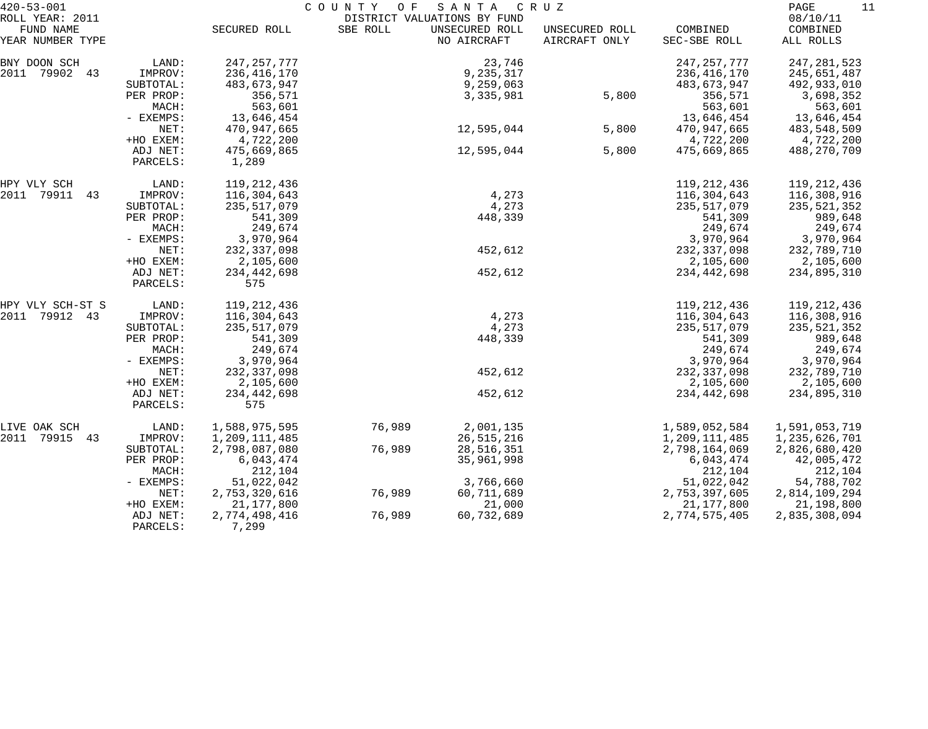| $420 - 53 - 001$              |                      |                        | COUNTY<br>O F | SANTA                         | C R U Z                         |                          | PAGE<br>11            |
|-------------------------------|----------------------|------------------------|---------------|-------------------------------|---------------------------------|--------------------------|-----------------------|
| ROLL YEAR: 2011               |                      |                        |               | DISTRICT VALUATIONS BY FUND   |                                 |                          | 08/10/11              |
| FUND NAME<br>YEAR NUMBER TYPE |                      | SECURED ROLL           | SBE ROLL      | UNSECURED ROLL<br>NO AIRCRAFT | UNSECURED ROLL<br>AIRCRAFT ONLY | COMBINED<br>SEC-SBE ROLL | COMBINED<br>ALL ROLLS |
| BNY DOON SCH                  | LAND:                | 247, 257, 777          |               | 23,746                        |                                 | 247, 257, 777            | 247, 281, 523         |
| 2011 79902 43                 | IMPROV:              | 236,416,170            |               | 9,235,317                     |                                 | 236, 416, 170            | 245,651,487           |
|                               | SUBTOTAL:            | 483,673,947            |               | 9,259,063                     |                                 | 483,673,947              | 492,933,010           |
|                               | PER PROP:            | 356,571                |               | 3,335,981                     | 5,800                           | 356,571                  | 3,698,352             |
|                               | MACH:                | 563,601                |               |                               |                                 | 563,601                  | 563,601               |
|                               | - EXEMPS:            | 13,646,454             |               |                               |                                 | 13,646,454               | 13,646,454            |
|                               | NET:                 | 470,947,665            |               | 12,595,044                    | 5,800                           | 470,947,665              | 483,548,509           |
|                               | +HO EXEM:            | 4,722,200              |               |                               |                                 | 4,722,200                | 4,722,200             |
|                               | ADJ NET:             | 475,669,865            |               | 12,595,044                    | 5,800                           | 475,669,865              | 488,270,709           |
|                               | PARCELS:             | 1,289                  |               |                               |                                 |                          |                       |
| HPY VLY SCH                   | LAND:                | 119,212,436            |               |                               |                                 | 119, 212, 436            | 119, 212, 436         |
| 2011<br>79911<br>43           | IMPROV:              | 116,304,643            |               | 4,273                         |                                 | 116,304,643              | 116,308,916           |
|                               | SUBTOTAL:            | 235,517,079            |               | 4,273                         |                                 | 235,517,079              | 235,521,352           |
|                               | PER PROP:            | 541,309                |               | 448,339                       |                                 | 541,309                  | 989,648               |
|                               | MACH:                | 249,674                |               |                               |                                 | 249,674                  | 249,674               |
|                               | - EXEMPS:            | 3,970,964              |               |                               |                                 | 3,970,964                | 3,970,964             |
|                               | NET:                 | 232,337,098            |               | 452,612                       |                                 | 232, 337, 098            | 232,789,710           |
|                               | +HO EXEM:            | 2,105,600              |               |                               |                                 | 2,105,600                | 2,105,600             |
|                               | ADJ NET:<br>PARCELS: | 234,442,698<br>575     |               | 452,612                       |                                 | 234,442,698              | 234,895,310           |
| HPY VLY SCH-ST S              | LAND:                | 119,212,436            |               |                               |                                 | 119,212,436              | 119,212,436           |
| 2011<br>79912 43              | IMPROV:              | 116,304,643            |               | 4,273                         |                                 | 116,304,643              | 116,308,916           |
|                               | SUBTOTAL:            | 235,517,079            |               | 4,273                         |                                 | 235,517,079              | 235,521,352           |
|                               | PER PROP:            | 541,309                |               | 448,339                       |                                 | 541,309                  | 989,648               |
|                               | MACH:                | 249,674                |               |                               |                                 | 249,674                  | 249,674               |
|                               | - EXEMPS:            | 3,970,964              |               |                               |                                 | 3,970,964                | 3,970,964             |
|                               | NET:                 | 232, 337, 098          |               | 452,612                       |                                 | 232, 337, 098            | 232,789,710           |
|                               | +HO EXEM:            | 2,105,600              |               |                               |                                 | 2,105,600                | 2,105,600             |
|                               | ADJ NET:             | 234,442,698            |               | 452,612                       |                                 | 234, 442, 698            | 234,895,310           |
|                               | PARCELS:             | 575                    |               |                               |                                 |                          |                       |
| LIVE OAK SCH                  | LAND:                | 1,588,975,595          | 76,989        | 2,001,135                     |                                 | 1,589,052,584            | 1,591,053,719         |
| 2011<br>79915<br>43           | IMPROV:              | 1,209,111,485          |               | 26, 515, 216                  |                                 | 1,209,111,485            | 1,235,626,701         |
|                               | SUBTOTAL:            | 2,798,087,080          | 76,989        | 28,516,351                    |                                 | 2,798,164,069            | 2,826,680,420         |
|                               | PER PROP:            | 6,043,474              |               | 35,961,998                    |                                 | 6,043,474                | 42,005,472            |
|                               | MACH:                | 212,104                |               |                               |                                 | 212,104                  | 212,104               |
|                               | $-$ EXEMPS:          | 51,022,042             |               | 3,766,660                     |                                 | 51,022,042               | 54,788,702            |
|                               | NET:                 | 2,753,320,616          | 76,989        | 60,711,689                    |                                 | 2,753,397,605            | 2,814,109,294         |
|                               | +HO EXEM:            | 21, 177, 800           |               | 21,000                        |                                 | 21, 177, 800             | 21,198,800            |
|                               | ADJ NET:<br>PARCELS: | 2,774,498,416<br>7,299 | 76,989        | 60,732,689                    |                                 | 2,774,575,405            | 2,835,308,094         |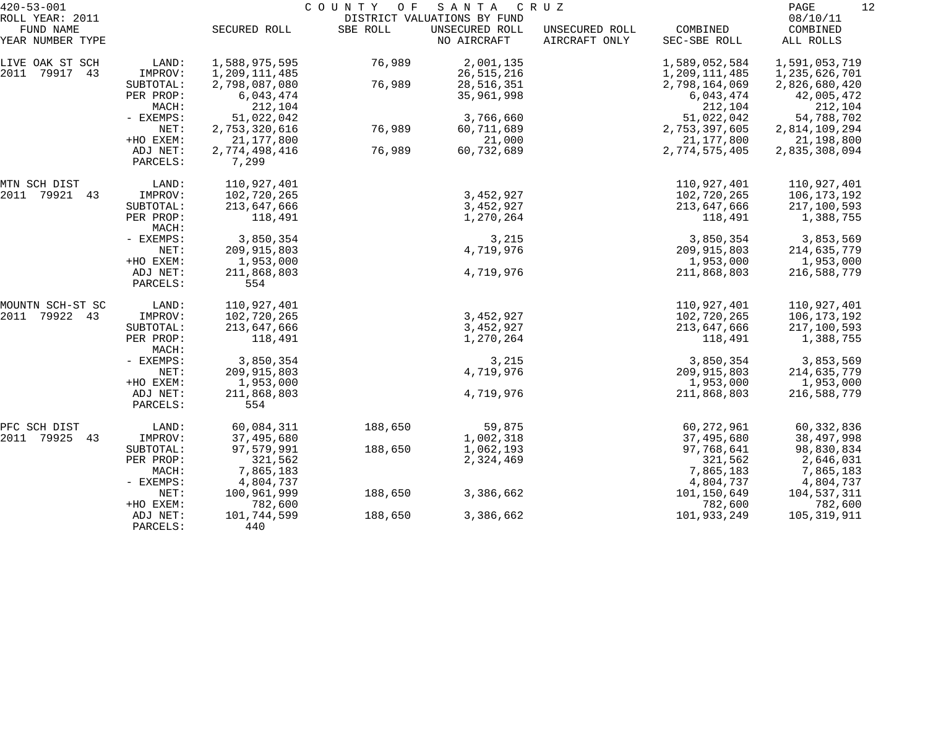| $420 - 53 - 001$    |                    | COUNTY OF<br>SANTA CRUZ |          |                             |                |               |               |  |
|---------------------|--------------------|-------------------------|----------|-----------------------------|----------------|---------------|---------------|--|
| ROLL YEAR: 2011     |                    |                         |          | DISTRICT VALUATIONS BY FUND |                |               | 08/10/11      |  |
| FUND NAME           |                    | SECURED ROLL            | SBE ROLL | UNSECURED ROLL              | UNSECURED ROLL | COMBINED      | COMBINED      |  |
| YEAR NUMBER TYPE    |                    |                         |          | NO AIRCRAFT                 | AIRCRAFT ONLY  | SEC-SBE ROLL  | ALL ROLLS     |  |
| LIVE OAK ST SCH     | LAND:              | 1,588,975,595           | 76,989   | 2,001,135                   |                | 1,589,052,584 | 1,591,053,719 |  |
| 2011<br>79917 43    | IMPROV:            | 1,209,111,485           |          | 26, 515, 216                |                | 1,209,111,485 | 1,235,626,701 |  |
|                     | SUBTOTAL:          | 2,798,087,080           | 76,989   | 28,516,351                  |                | 2,798,164,069 | 2,826,680,420 |  |
|                     | PER PROP:          | 6,043,474               |          | 35,961,998                  |                | 6,043,474     | 42,005,472    |  |
|                     | MACH:              | 212,104                 |          |                             |                | 212,104       | 212,104       |  |
|                     | - EXEMPS:          | 51,022,042              |          | 3,766,660                   |                | 51,022,042    | 54,788,702    |  |
|                     | NET:               | 2,753,320,616           | 76,989   | 60,711,689                  |                | 2,753,397,605 | 2,814,109,294 |  |
|                     | +HO EXEM:          | 21, 177, 800            |          | 21,000                      |                | 21,177,800    | 21,198,800    |  |
|                     | ADJ NET:           | 2,774,498,416           | 76,989   | 60,732,689                  |                | 2,774,575,405 | 2,835,308,094 |  |
|                     | PARCELS:           | 7,299                   |          |                             |                |               |               |  |
| MTN SCH DIST        | LAND:              | 110,927,401             |          |                             |                | 110,927,401   | 110,927,401   |  |
| 2011<br>79921 43    | IMPROV:            | 102,720,265             |          | 3,452,927                   |                | 102,720,265   | 106, 173, 192 |  |
|                     | SUBTOTAL:          | 213,647,666             |          | 3,452,927                   |                | 213,647,666   | 217,100,593   |  |
|                     | PER PROP:<br>MACH: | 118,491                 |          | 1,270,264                   |                | 118,491       | 1,388,755     |  |
|                     | - EXEMPS:          | 3,850,354               |          | 3,215                       |                | 3,850,354     | 3,853,569     |  |
|                     | NET:               | 209, 915, 803           |          | 4,719,976                   |                | 209, 915, 803 | 214,635,779   |  |
|                     | +HO EXEM:          | 1,953,000               |          |                             |                | 1,953,000     | 1,953,000     |  |
|                     | ADJ NET:           | 211,868,803             |          | 4,719,976                   |                | 211,868,803   | 216,588,779   |  |
|                     | PARCELS:           | 554                     |          |                             |                |               |               |  |
| MOUNTN SCH-ST SC    | LAND:              | 110,927,401             |          |                             |                | 110,927,401   | 110,927,401   |  |
| 79922 43<br>2011    | IMPROV:            | 102,720,265             |          | 3,452,927                   |                | 102,720,265   | 106,173,192   |  |
|                     | SUBTOTAL:          | 213,647,666             |          | 3,452,927                   |                | 213,647,666   | 217,100,593   |  |
|                     | PER PROP:<br>MACH: | 118,491                 |          | 1,270,264                   |                | 118,491       | 1,388,755     |  |
|                     | - EXEMPS:          | 3,850,354               |          | 3,215                       |                | 3,850,354     | 3,853,569     |  |
|                     | NET:               | 209, 915, 803           |          | 4,719,976                   |                | 209, 915, 803 | 214,635,779   |  |
|                     | +HO EXEM:          | 1,953,000               |          |                             |                | 1,953,000     | 1,953,000     |  |
|                     | ADJ NET:           | 211,868,803             |          | 4,719,976                   |                | 211,868,803   | 216,588,779   |  |
|                     | PARCELS:           | 554                     |          |                             |                |               |               |  |
| PFC SCH DIST        | LAND:              | 60,084,311              | 188,650  | 59,875                      |                | 60, 272, 961  | 60,332,836    |  |
| 2011<br>79925<br>43 | IMPROV:            | 37,495,680              |          | 1,002,318                   |                | 37,495,680    | 38,497,998    |  |
|                     | SUBTOTAL:          | 97,579,991              | 188,650  | 1,062,193                   |                | 97,768,641    | 98,830,834    |  |
|                     | PER PROP:          | 321,562                 |          | 2,324,469                   |                | 321,562       | 2,646,031     |  |
|                     | MACH:              | 7,865,183               |          |                             |                | 7,865,183     | 7,865,183     |  |
|                     | - EXEMPS:          | 4,804,737               |          |                             |                | 4,804,737     | 4,804,737     |  |
|                     | NET:               | 100,961,999             | 188,650  | 3,386,662                   |                | 101,150,649   | 104,537,311   |  |
|                     | +HO EXEM:          | 782,600                 |          |                             |                | 782,600       | 782,600       |  |
|                     | ADJ NET:           | 101,744,599             | 188,650  | 3,386,662                   |                | 101,933,249   | 105,319,911   |  |
|                     | PARCELS:           | 440                     |          |                             |                |               |               |  |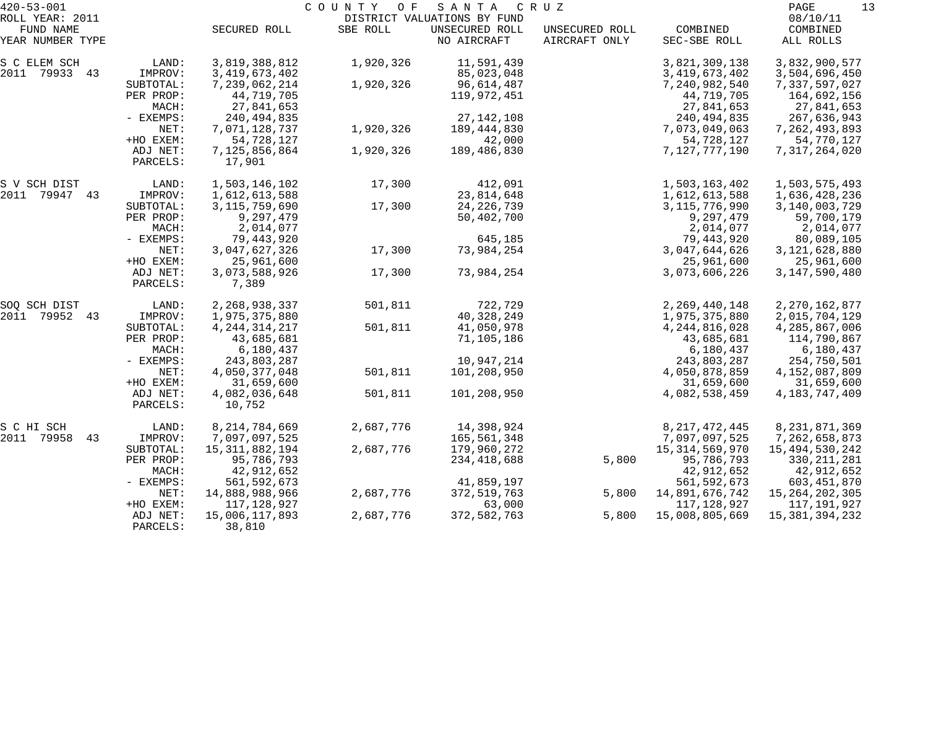| $420 - 53 - 001$    |                      |                         | COUNTY OF | SANTA                       | C R U Z        |                   | 13<br>PAGE        |
|---------------------|----------------------|-------------------------|-----------|-----------------------------|----------------|-------------------|-------------------|
| ROLL YEAR: 2011     |                      |                         |           | DISTRICT VALUATIONS BY FUND |                |                   | 08/10/11          |
| FUND NAME           |                      | SECURED ROLL            | SBE ROLL  | UNSECURED ROLL              | UNSECURED ROLL | COMBINED          | COMBINED          |
| YEAR NUMBER TYPE    |                      |                         |           | NO AIRCRAFT                 | AIRCRAFT ONLY  | SEC-SBE ROLL      | ALL ROLLS         |
| S C ELEM SCH        | LAND:                | 3,819,388,812           | 1,920,326 | 11,591,439                  |                | 3,821,309,138     | 3,832,900,577     |
| 2011 79933 43       | IMPROV:              | 3, 419, 673, 402        |           | 85,023,048                  |                | 3, 419, 673, 402  | 3,504,696,450     |
|                     | SUBTOTAL:            | 7,239,062,214           | 1,920,326 | 96,614,487                  |                | 7,240,982,540     | 7,337,597,027     |
|                     | PER PROP:            | 44,719,705              |           | 119,972,451                 |                | 44,719,705        | 164,692,156       |
|                     | MACH:                | 27,841,653              |           |                             |                | 27,841,653        | 27,841,653        |
|                     | - EXEMPS:            | 240,494,835             |           | 27, 142, 108                |                | 240, 494, 835     | 267,636,943       |
|                     | NET:                 | 7,071,128,737           | 1,920,326 | 189, 444, 830               |                | 7,073,049,063     | 7, 262, 493, 893  |
|                     | +HO EXEM:            | 54,728,127              |           | 42,000                      |                | 54,728,127        | 54,770,127        |
|                     | ADJ NET:<br>PARCELS: | 7,125,856,864<br>17,901 | 1,920,326 | 189,486,830                 |                | 7,127,777,190     | 7,317,264,020     |
| S V SCH DIST        | LAND:                | 1,503,146,102           | 17,300    | 412,091                     |                | 1,503,163,402     | 1,503,575,493     |
| 2011 79947 43       | IMPROV:              | 1,612,613,588           |           | 23,814,648                  |                | 1,612,613,588     | 1,636,428,236     |
|                     | SUBTOTAL:            | 3, 115, 759, 690        | 17,300    | 24, 226, 739                |                | 3, 115, 776, 990  | 3,140,003,729     |
|                     | PER PROP:            | 9,297,479               |           | 50,402,700                  |                | 9,297,479         | 59,700,179        |
|                     | MACH:                | 2,014,077               |           |                             |                | 2,014,077         | 2,014,077         |
|                     | - EXEMPS:            | 79,443,920              |           | 645,185                     |                | 79,443,920        | 80,089,105        |
|                     | NET:                 | 3,047,627,326           | 17,300    | 73,984,254                  |                | 3,047,644,626     | 3, 121, 628, 880  |
|                     | +HO EXEM:            | 25,961,600              |           |                             |                | 25,961,600        | 25,961,600        |
|                     | ADJ NET:             | 3,073,588,926           | 17,300    | 73,984,254                  |                | 3,073,606,226     | 3, 147, 590, 480  |
|                     | PARCELS:             | 7,389                   |           |                             |                |                   |                   |
| SOQ SCH DIST        | LAND:                | 2,268,938,337           | 501,811   | 722,729                     |                | 2,269,440,148     | 2, 270, 162, 877  |
| 79952<br>2011<br>43 | IMPROV:              | 1,975,375,880           |           | 40,328,249                  |                | 1,975,375,880     | 2,015,704,129     |
|                     | SUBTOTAL:            | 4, 244, 314, 217        | 501,811   | 41,050,978                  |                | 4, 244, 816, 028  | 4,285,867,006     |
|                     | PER PROP:            | 43,685,681              |           | 71,105,186                  |                | 43,685,681        | 114,790,867       |
|                     | MACH:                | 6,180,437               |           |                             |                | 6,180,437         | 6,180,437         |
|                     | - EXEMPS:            | 243,803,287             |           | 10,947,214                  |                | 243,803,287       | 254,750,501       |
|                     | NET:                 | 4,050,377,048           | 501,811   | 101,208,950                 |                | 4,050,878,859     | 4,152,087,809     |
|                     | +HO EXEM:            | 31,659,600              |           |                             |                | 31,659,600        | 31,659,600        |
|                     | ADJ NET:<br>PARCELS: | 4,082,036,648<br>10,752 | 501,811   | 101,208,950                 |                | 4,082,538,459     | 4, 183, 747, 409  |
| S C HI SCH          | LAND:                | 8, 214, 784, 669        | 2,687,776 | 14,398,924                  |                | 8, 217, 472, 445  | 8, 231, 871, 369  |
| 2011<br>79958<br>43 | IMPROV:              | 7,097,097,525           |           | 165,561,348                 |                | 7,097,097,525     | 7,262,658,873     |
|                     | SUBTOTAL:            | 15, 311, 882, 194       | 2,687,776 | 179,960,272                 |                | 15, 314, 569, 970 | 15,494,530,242    |
|                     | PER PROP:            | 95,786,793              |           | 234,418,688                 | 5,800          | 95,786,793        | 330, 211, 281     |
|                     | MACH:                | 42,912,652              |           |                             |                | 42,912,652        | 42,912,652        |
|                     | - EXEMPS:            | 561, 592, 673           |           | 41,859,197                  |                | 561, 592, 673     | 603,451,870       |
|                     | NET:                 | 14,888,988,966          | 2,687,776 | 372, 519, 763               | 5,800          | 14,891,676,742    | 15, 264, 202, 305 |
|                     | +HO EXEM:            | 117,128,927             |           | 63,000                      |                | 117,128,927       | 117,191,927       |
|                     | ADJ NET:             | 15,006,117,893          | 2,687,776 | 372,582,763                 | 5,800          | 15,008,805,669    | 15,381,394,232    |
|                     | PARCELS:             | 38,810                  |           |                             |                |                   |                   |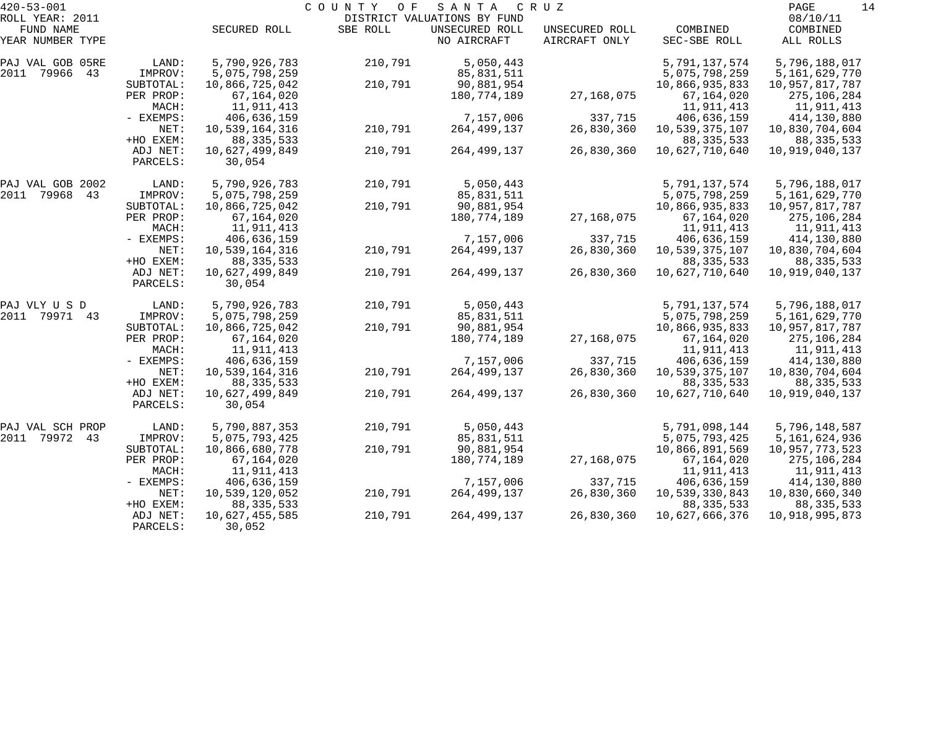| $420 - 53 - 001$    |             |                | COUNTY<br>O F | SANTA                       | C R U Z        |                | 14<br>PAGE     |
|---------------------|-------------|----------------|---------------|-----------------------------|----------------|----------------|----------------|
| ROLL YEAR: 2011     |             |                |               | DISTRICT VALUATIONS BY FUND |                |                | 08/10/11       |
| FUND NAME           |             | SECURED ROLL   | SBE ROLL      | UNSECURED ROLL              | UNSECURED ROLL | COMBINED       | COMBINED       |
| YEAR NUMBER TYPE    |             |                |               | NO AIRCRAFT                 | AIRCRAFT ONLY  | SEC-SBE ROLL   | ALL ROLLS      |
| PAJ VAL GOB 05RE    | LAND:       | 5,790,926,783  | 210,791       | 5,050,443                   |                | 5,791,137,574  | 5,796,188,017  |
| 2011<br>79966<br>43 | IMPROV:     | 5,075,798,259  |               | 85,831,511                  |                | 5,075,798,259  | 5,161,629,770  |
|                     | SUBTOTAL:   | 10,866,725,042 | 210,791       | 90,881,954                  |                | 10,866,935,833 | 10,957,817,787 |
|                     | PER PROP:   | 67,164,020     |               | 180,774,189                 | 27,168,075     | 67,164,020     | 275,106,284    |
|                     | MACH:       | 11,911,413     |               |                             |                | 11,911,413     | 11,911,413     |
|                     | - EXEMPS:   | 406,636,159    |               | 7,157,006                   | 337,715        | 406,636,159    | 414,130,880    |
|                     | NET:        | 10,539,164,316 | 210,791       | 264, 499, 137               | 26,830,360     | 10,539,375,107 | 10,830,704,604 |
|                     | +HO EXEM:   | 88, 335, 533   |               |                             |                | 88, 335, 533   | 88, 335, 533   |
|                     | ADJ NET:    | 10,627,499,849 | 210,791       | 264, 499, 137               | 26,830,360     | 10,627,710,640 | 10,919,040,137 |
|                     | PARCELS:    | 30,054         |               |                             |                |                |                |
| PAJ VAL GOB 2002    | LAND:       | 5,790,926,783  | 210,791       | 5,050,443                   |                | 5,791,137,574  | 5,796,188,017  |
| 2011<br>79968<br>43 | IMPROV:     | 5,075,798,259  |               | 85,831,511                  |                | 5,075,798,259  | 5,161,629,770  |
|                     | SUBTOTAL:   | 10,866,725,042 | 210,791       | 90,881,954                  |                | 10,866,935,833 | 10,957,817,787 |
|                     | PER PROP:   | 67,164,020     |               | 180,774,189                 | 27,168,075     | 67,164,020     | 275,106,284    |
|                     | MACH:       | 11,911,413     |               |                             |                | 11,911,413     | 11,911,413     |
|                     | - EXEMPS:   | 406,636,159    |               | 7,157,006                   | 337,715        | 406,636,159    | 414,130,880    |
|                     | NET:        | 10,539,164,316 | 210,791       | 264, 499, 137               | 26,830,360     | 10,539,375,107 | 10,830,704,604 |
|                     | +HO EXEM:   | 88, 335, 533   |               |                             |                | 88, 335, 533   | 88, 335, 533   |
|                     | ADJ NET:    | 10,627,499,849 | 210,791       | 264,499,137                 | 26,830,360     | 10,627,710,640 | 10,919,040,137 |
|                     | PARCELS:    | 30,054         |               |                             |                |                |                |
| PAJ VLY U S D       | LAND:       | 5,790,926,783  | 210,791       | 5,050,443                   |                | 5,791,137,574  | 5,796,188,017  |
| 2011<br>79971<br>43 | IMPROV:     | 5,075,798,259  |               | 85,831,511                  |                | 5,075,798,259  | 5,161,629,770  |
|                     | SUBTOTAL:   | 10,866,725,042 | 210,791       | 90,881,954                  |                | 10,866,935,833 | 10,957,817,787 |
|                     | PER PROP:   | 67,164,020     |               | 180,774,189                 | 27,168,075     | 67,164,020     | 275,106,284    |
|                     | MACH:       | 11,911,413     |               |                             |                | 11,911,413     | 11,911,413     |
|                     | - EXEMPS:   | 406,636,159    |               | 7,157,006                   | 337,715        | 406,636,159    | 414,130,880    |
|                     | NET:        | 10,539,164,316 | 210,791       | 264, 499, 137               | 26,830,360     | 10,539,375,107 | 10,830,704,604 |
|                     | +HO EXEM:   | 88, 335, 533   |               |                             |                | 88, 335, 533   | 88, 335, 533   |
|                     | ADJ NET:    | 10,627,499,849 | 210,791       | 264,499,137                 | 26,830,360     | 10,627,710,640 | 10,919,040,137 |
|                     | PARCELS:    | 30,054         |               |                             |                |                |                |
| PAJ VAL SCH PROP    | LAND:       | 5,790,887,353  | 210,791       | 5,050,443                   |                | 5,791,098,144  | 5,796,148,587  |
| 2011<br>79972<br>43 | IMPROV:     | 5,075,793,425  |               | 85,831,511                  |                | 5,075,793,425  | 5,161,624,936  |
|                     | SUBTOTAL:   | 10,866,680,778 | 210,791       | 90,881,954                  |                | 10,866,891,569 | 10,957,773,523 |
|                     | PER PROP:   | 67,164,020     |               | 180,774,189                 | 27,168,075     | 67, 164, 020   | 275,106,284    |
|                     | MACH:       | 11,911,413     |               |                             |                | 11,911,413     | 11,911,413     |
|                     | $-$ EXEMPS: | 406,636,159    |               | 7,157,006                   | 337,715        | 406,636,159    | 414,130,880    |
|                     | NET:        | 10,539,120,052 | 210,791       | 264, 499, 137               | 26,830,360     | 10,539,330,843 | 10,830,660,340 |
|                     | +HO EXEM:   | 88, 335, 533   |               |                             |                | 88, 335, 533   | 88, 335, 533   |
|                     | ADJ NET:    | 10,627,455,585 | 210,791       | 264, 499, 137               | 26,830,360     | 10,627,666,376 | 10,918,995,873 |
|                     | PARCELS:    | 30,052         |               |                             |                |                |                |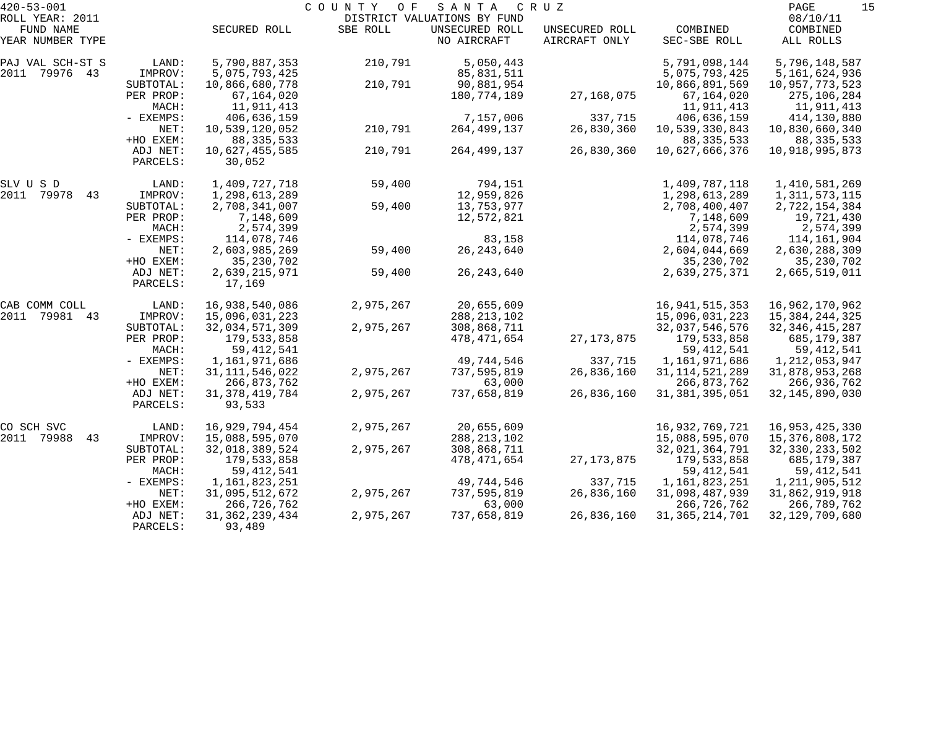| $420 - 53 - 001$    |             |                   | COUNTY<br>O F | SANTA                       | C R U Z        |                   | PAGE<br>15        |
|---------------------|-------------|-------------------|---------------|-----------------------------|----------------|-------------------|-------------------|
| ROLL YEAR: 2011     |             |                   |               | DISTRICT VALUATIONS BY FUND |                |                   | 08/10/11          |
| FUND NAME           |             | SECURED ROLL      | SBE ROLL      | UNSECURED ROLL              | UNSECURED ROLL | COMBINED          | COMBINED          |
| YEAR NUMBER TYPE    |             |                   |               | NO AIRCRAFT                 | AIRCRAFT ONLY  | SEC-SBE ROLL      | ALL ROLLS         |
| PAJ VAL SCH-ST S    | LAND:       | 5,790,887,353     | 210,791       | 5,050,443                   |                | 5,791,098,144     | 5,796,148,587     |
| 2011 79976 43       | IMPROV:     | 5,075,793,425     |               | 85,831,511                  |                | 5,075,793,425     | 5,161,624,936     |
|                     | SUBTOTAL:   | 10,866,680,778    | 210,791       | 90,881,954                  |                | 10,866,891,569    | 10,957,773,523    |
|                     | PER PROP:   | 67,164,020        |               | 180,774,189                 | 27,168,075     | 67,164,020        | 275,106,284       |
|                     | MACH:       | 11,911,413        |               |                             |                | 11,911,413        | 11,911,413        |
|                     | - EXEMPS:   | 406,636,159       |               | 7,157,006                   | 337,715        | 406,636,159       | 414,130,880       |
|                     | NET:        | 10,539,120,052    | 210,791       | 264, 499, 137               | 26,830,360     | 10,539,330,843    | 10,830,660,340    |
|                     | +HO EXEM:   | 88, 335, 533      |               |                             |                | 88, 335, 533      | 88, 335, 533      |
|                     | ADJ NET:    | 10,627,455,585    | 210,791       | 264,499,137                 | 26,830,360     | 10,627,666,376    | 10,918,995,873    |
|                     | PARCELS:    | 30,052            |               |                             |                |                   |                   |
| SLV U S D           | LAND:       | 1,409,727,718     | 59,400        | 794,151                     |                | 1,409,787,118     | 1,410,581,269     |
| 2011<br>79978<br>43 | IMPROV:     | 1,298,613,289     |               | 12,959,826                  |                | 1,298,613,289     | 1, 311, 573, 115  |
|                     | SUBTOTAL:   | 2,708,341,007     | 59,400        | 13,753,977                  |                | 2,708,400,407     | 2,722,154,384     |
|                     | PER PROP:   | 7,148,609         |               | 12,572,821                  |                | 7,148,609         | 19,721,430        |
|                     | MACH:       | 2,574,399         |               |                             |                | 2,574,399         | 2,574,399         |
|                     | - EXEMPS:   | 114,078,746       |               | 83,158                      |                | 114,078,746       | 114,161,904       |
|                     | NET:        | 2,603,985,269     | 59,400        | 26, 243, 640                |                | 2,604,044,669     | 2,630,288,309     |
|                     | +HO EXEM:   | 35, 230, 702      |               |                             |                | 35, 230, 702      | 35,230,702        |
|                     | ADJ NET:    | 2,639,215,971     | 59,400        | 26, 243, 640                |                | 2,639,275,371     | 2,665,519,011     |
|                     | PARCELS:    | 17,169            |               |                             |                |                   |                   |
| CAB COMM COLL       | LAND:       | 16,938,540,086    | 2,975,267     | 20,655,609                  |                | 16, 941, 515, 353 | 16,962,170,962    |
| 2011<br>79981 43    | IMPROV:     | 15,096,031,223    |               | 288, 213, 102               |                | 15,096,031,223    | 15, 384, 244, 325 |
|                     | SUBTOTAL:   | 32,034,571,309    | 2,975,267     | 308,868,711                 |                | 32,037,546,576    | 32, 346, 415, 287 |
|                     | PER PROP:   | 179,533,858       |               | 478,471,654                 | 27, 173, 875   | 179,533,858       | 685,179,387       |
|                     | MACH:       | 59, 412, 541      |               |                             |                | 59, 412, 541      | 59, 412, 541      |
|                     | - EXEMPS:   | 1,161,971,686     |               | 49,744,546                  | 337,715        | 1,161,971,686     | 1, 212, 053, 947  |
|                     | NET:        | 31, 111, 546, 022 | 2,975,267     | 737,595,819                 | 26,836,160     | 31, 114, 521, 289 | 31,878,953,268    |
|                     | +HO EXEM:   | 266,873,762       |               | 63,000                      |                | 266,873,762       | 266,936,762       |
|                     | ADJ NET:    | 31, 378, 419, 784 | 2,975,267     | 737,658,819                 | 26,836,160     | 31, 381, 395, 051 | 32, 145, 890, 030 |
|                     | PARCELS:    | 93,533            |               |                             |                |                   |                   |
| CO SCH SVC          | LAND:       | 16,929,794,454    | 2,975,267     | 20,655,609                  |                | 16,932,769,721    | 16,953,425,330    |
| 2011 79988<br>43    | IMPROV:     | 15,088,595,070    |               | 288, 213, 102               |                | 15,088,595,070    | 15,376,808,172    |
|                     | SUBTOTAL:   | 32,018,389,524    | 2,975,267     | 308,868,711                 |                | 32,021,364,791    | 32, 330, 233, 502 |
|                     | PER PROP:   | 179,533,858       |               | 478,471,654                 | 27, 173, 875   | 179,533,858       | 685,179,387       |
|                     | MACH:       | 59, 412, 541      |               |                             |                | 59, 412, 541      | 59, 412, 541      |
|                     | $-$ EXEMPS: | 1,161,823,251     |               | 49,744,546                  | 337,715        | 1,161,823,251     | 1, 211, 905, 512  |
|                     | NET:        | 31,095,512,672    | 2,975,267     | 737,595,819                 | 26,836,160     | 31,098,487,939    | 31,862,919,918    |
|                     | +HO EXEM:   | 266,726,762       |               | 63,000                      |                | 266,726,762       | 266,789,762       |
|                     | ADJ NET:    | 31, 362, 239, 434 | 2,975,267     | 737,658,819                 | 26,836,160     | 31, 365, 214, 701 | 32, 129, 709, 680 |
|                     | PARCELS:    | 93,489            |               |                             |                |                   |                   |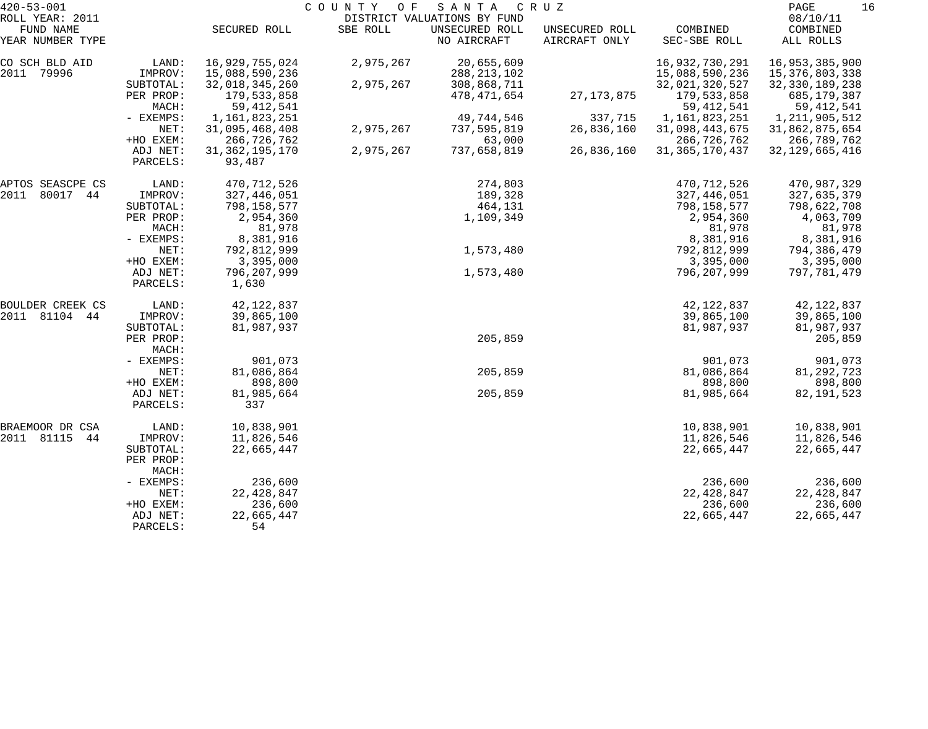| $420 - 53 - 001$                                 |                      | 16<br>PAGE                  |           |                                                              |                                 |                          |                                   |  |
|--------------------------------------------------|----------------------|-----------------------------|-----------|--------------------------------------------------------------|---------------------------------|--------------------------|-----------------------------------|--|
| ROLL YEAR: 2011<br>FUND NAME<br>YEAR NUMBER TYPE |                      | SECURED ROLL                | SBE ROLL  | DISTRICT VALUATIONS BY FUND<br>UNSECURED ROLL<br>NO AIRCRAFT | UNSECURED ROLL<br>AIRCRAFT ONLY | COMBINED<br>SEC-SBE ROLL | 08/10/11<br>COMBINED<br>ALL ROLLS |  |
| CO SCH BLD AID                                   | LAND:                | 16,929,755,024              | 2,975,267 | 20,655,609                                                   |                                 | 16,932,730,291           | 16,953,385,900                    |  |
| 2011<br>79996                                    | IMPROV:              | 15,088,590,236              |           | 288, 213, 102                                                |                                 | 15,088,590,236           | 15,376,803,338                    |  |
|                                                  | SUBTOTAL:            | 32,018,345,260              | 2,975,267 | 308,868,711                                                  |                                 | 32,021,320,527           | 32, 330, 189, 238                 |  |
|                                                  | PER PROP:            | 179,533,858                 |           | 478,471,654                                                  | 27, 173, 875                    | 179,533,858              | 685,179,387                       |  |
|                                                  | MACH:                | 59, 412, 541                |           |                                                              |                                 | 59, 412, 541             | 59,412,541                        |  |
|                                                  | - EXEMPS:            | 1,161,823,251               |           | 49,744,546                                                   | 337,715                         | 1,161,823,251            | 1, 211, 905, 512                  |  |
|                                                  | NET:                 | 31,095,468,408              | 2,975,267 | 737,595,819                                                  | 26,836,160                      | 31,098,443,675           | 31,862,875,654                    |  |
|                                                  | +HO EXEM:            | 266,726,762                 |           | 63,000                                                       |                                 | 266,726,762              | 266,789,762                       |  |
|                                                  | ADJ NET:<br>PARCELS: | 31, 362, 195, 170<br>93,487 | 2,975,267 | 737,658,819                                                  | 26,836,160                      | 31, 365, 170, 437        | 32, 129, 665, 416                 |  |
| APTOS SEASCPE CS                                 | LAND:                | 470,712,526                 |           | 274,803                                                      |                                 | 470,712,526              | 470,987,329                       |  |
| 80017 44<br>2011                                 | IMPROV:              | 327,446,051                 |           | 189,328                                                      |                                 | 327,446,051              | 327,635,379                       |  |
|                                                  | SUBTOTAL:            | 798,158,577                 |           | 464,131                                                      |                                 | 798,158,577              | 798,622,708                       |  |
|                                                  | PER PROP:            | 2,954,360                   |           | 1,109,349                                                    |                                 | 2,954,360                | 4,063,709                         |  |
|                                                  | MACH:                | 81,978                      |           |                                                              |                                 | 81,978                   | 81,978                            |  |
|                                                  | - EXEMPS:            | 8,381,916                   |           |                                                              |                                 | 8,381,916                | 8,381,916                         |  |
|                                                  | NET:                 | 792,812,999                 |           | 1,573,480                                                    |                                 | 792,812,999              | 794,386,479                       |  |
|                                                  | +HO EXEM:            | 3,395,000                   |           |                                                              |                                 | 3,395,000                | 3,395,000                         |  |
|                                                  | ADJ NET:<br>PARCELS: | 796,207,999<br>1,630        |           | 1,573,480                                                    |                                 | 796,207,999              | 797,781,479                       |  |
| BOULDER CREEK CS                                 | LAND:                | 42, 122, 837                |           |                                                              |                                 | 42, 122, 837             | 42, 122, 837                      |  |
| 2011 81104<br>44                                 | IMPROV:              | 39,865,100                  |           |                                                              |                                 | 39,865,100               | 39,865,100                        |  |
|                                                  | SUBTOTAL:            | 81,987,937                  |           |                                                              |                                 | 81,987,937               | 81,987,937                        |  |
|                                                  | PER PROP:<br>MACH:   |                             |           | 205,859                                                      |                                 |                          | 205,859                           |  |
|                                                  | - EXEMPS:            | 901,073                     |           |                                                              |                                 | 901,073                  | 901,073                           |  |
|                                                  | NET:                 | 81,086,864                  |           | 205,859                                                      |                                 | 81,086,864               | 81, 292, 723                      |  |
|                                                  | +HO EXEM:            | 898,800                     |           |                                                              |                                 | 898,800                  | 898,800                           |  |
|                                                  | ADJ NET:<br>PARCELS: | 81,985,664<br>337           |           | 205,859                                                      |                                 | 81,985,664               | 82, 191, 523                      |  |
| BRAEMOOR DR CSA                                  | LAND:                | 10,838,901                  |           |                                                              |                                 | 10,838,901               | 10,838,901                        |  |
| 2011 81115<br>44                                 | IMPROV:              | 11,826,546                  |           |                                                              |                                 | 11,826,546               | 11,826,546                        |  |
|                                                  | SUBTOTAL:            | 22,665,447                  |           |                                                              |                                 | 22,665,447               | 22,665,447                        |  |
|                                                  | PER PROP:<br>MACH:   |                             |           |                                                              |                                 |                          |                                   |  |
|                                                  | - EXEMPS:            | 236,600                     |           |                                                              |                                 | 236,600                  | 236,600                           |  |
|                                                  | NET:                 | 22, 428, 847                |           |                                                              |                                 | 22, 428, 847             | 22, 428, 847                      |  |
|                                                  | +HO EXEM:            | 236,600                     |           |                                                              |                                 | 236,600                  | 236,600                           |  |
|                                                  | ADJ NET:             | 22,665,447                  |           |                                                              |                                 | 22,665,447               | 22,665,447                        |  |
|                                                  | PARCELS:             | 54                          |           |                                                              |                                 |                          |                                   |  |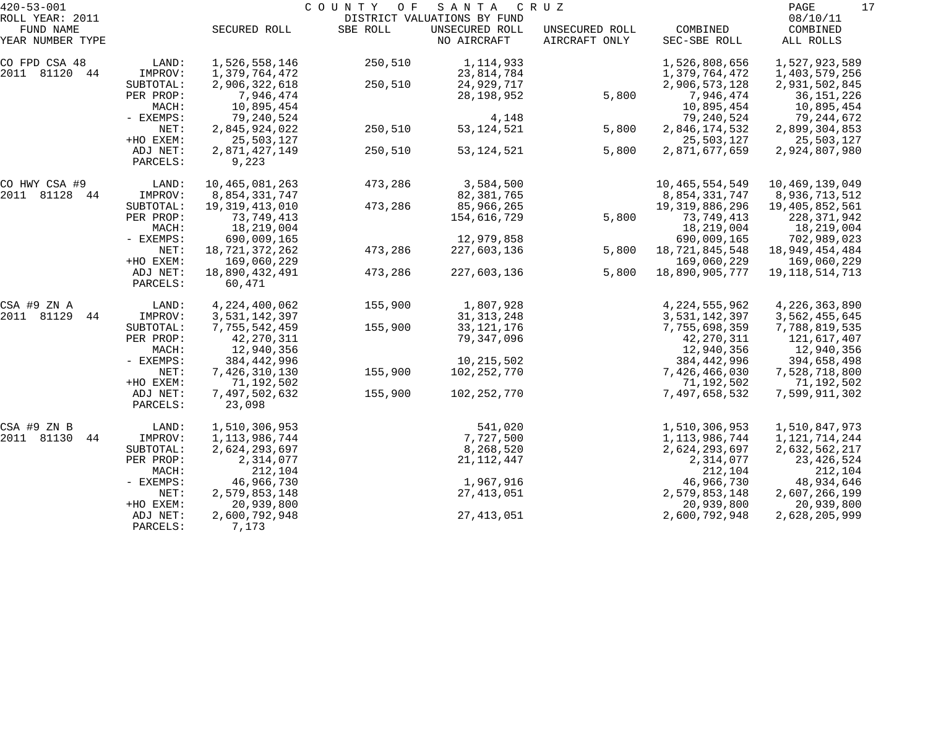|                      | PAGE                                                                                                                                                                                                                         |                                                                                                                                                                                                                                                                                                                                                                                                         |                                                                                                   |                                                                                                                                                                                                                                                                     |                                                      |                                                                                                                                                                                                                                                                                                                                                                   |                                                                                                                                                                                                                                                                                                                                                                                              |
|----------------------|------------------------------------------------------------------------------------------------------------------------------------------------------------------------------------------------------------------------------|---------------------------------------------------------------------------------------------------------------------------------------------------------------------------------------------------------------------------------------------------------------------------------------------------------------------------------------------------------------------------------------------------------|---------------------------------------------------------------------------------------------------|---------------------------------------------------------------------------------------------------------------------------------------------------------------------------------------------------------------------------------------------------------------------|------------------------------------------------------|-------------------------------------------------------------------------------------------------------------------------------------------------------------------------------------------------------------------------------------------------------------------------------------------------------------------------------------------------------------------|----------------------------------------------------------------------------------------------------------------------------------------------------------------------------------------------------------------------------------------------------------------------------------------------------------------------------------------------------------------------------------------------|
|                      | SECURED ROLL                                                                                                                                                                                                                 | SBE ROLL                                                                                                                                                                                                                                                                                                                                                                                                | UNSECURED ROLL<br>NO AIRCRAFT                                                                     | UNSECURED ROLL<br>AIRCRAFT ONLY                                                                                                                                                                                                                                     | COMBINED<br>SEC-SBE ROLL                             | COMBINED<br>ALL ROLLS                                                                                                                                                                                                                                                                                                                                             |                                                                                                                                                                                                                                                                                                                                                                                              |
| LAND:                | 1,526,558,146                                                                                                                                                                                                                | 250,510                                                                                                                                                                                                                                                                                                                                                                                                 | 1,114,933                                                                                         |                                                                                                                                                                                                                                                                     | 1,526,808,656                                        | 1,527,923,589                                                                                                                                                                                                                                                                                                                                                     |                                                                                                                                                                                                                                                                                                                                                                                              |
|                      |                                                                                                                                                                                                                              |                                                                                                                                                                                                                                                                                                                                                                                                         |                                                                                                   |                                                                                                                                                                                                                                                                     |                                                      |                                                                                                                                                                                                                                                                                                                                                                   |                                                                                                                                                                                                                                                                                                                                                                                              |
|                      |                                                                                                                                                                                                                              |                                                                                                                                                                                                                                                                                                                                                                                                         |                                                                                                   |                                                                                                                                                                                                                                                                     |                                                      |                                                                                                                                                                                                                                                                                                                                                                   |                                                                                                                                                                                                                                                                                                                                                                                              |
|                      |                                                                                                                                                                                                                              |                                                                                                                                                                                                                                                                                                                                                                                                         |                                                                                                   |                                                                                                                                                                                                                                                                     |                                                      |                                                                                                                                                                                                                                                                                                                                                                   |                                                                                                                                                                                                                                                                                                                                                                                              |
|                      |                                                                                                                                                                                                                              |                                                                                                                                                                                                                                                                                                                                                                                                         |                                                                                                   |                                                                                                                                                                                                                                                                     |                                                      |                                                                                                                                                                                                                                                                                                                                                                   |                                                                                                                                                                                                                                                                                                                                                                                              |
|                      |                                                                                                                                                                                                                              |                                                                                                                                                                                                                                                                                                                                                                                                         |                                                                                                   |                                                                                                                                                                                                                                                                     |                                                      |                                                                                                                                                                                                                                                                                                                                                                   |                                                                                                                                                                                                                                                                                                                                                                                              |
| +HO EXEM:            |                                                                                                                                                                                                                              |                                                                                                                                                                                                                                                                                                                                                                                                         |                                                                                                   |                                                                                                                                                                                                                                                                     |                                                      |                                                                                                                                                                                                                                                                                                                                                                   |                                                                                                                                                                                                                                                                                                                                                                                              |
| ADJ NET:<br>PARCELS: | 2,871,427,149<br>9,223                                                                                                                                                                                                       | 250,510                                                                                                                                                                                                                                                                                                                                                                                                 | 53, 124, 521                                                                                      | 5,800                                                                                                                                                                                                                                                               | 2,871,677,659                                        | 2,924,807,980                                                                                                                                                                                                                                                                                                                                                     |                                                                                                                                                                                                                                                                                                                                                                                              |
| LAND:                | 10,465,081,263                                                                                                                                                                                                               | 473,286                                                                                                                                                                                                                                                                                                                                                                                                 | 3,584,500                                                                                         |                                                                                                                                                                                                                                                                     | 10, 465, 554, 549                                    | 10,469,139,049                                                                                                                                                                                                                                                                                                                                                    |                                                                                                                                                                                                                                                                                                                                                                                              |
| IMPROV:              | 8,854,331,747                                                                                                                                                                                                                |                                                                                                                                                                                                                                                                                                                                                                                                         | 82,381,765                                                                                        |                                                                                                                                                                                                                                                                     | 8,854,331,747                                        | 8,936,713,512                                                                                                                                                                                                                                                                                                                                                     |                                                                                                                                                                                                                                                                                                                                                                                              |
| SUBTOTAL:            |                                                                                                                                                                                                                              |                                                                                                                                                                                                                                                                                                                                                                                                         | 85,966,265                                                                                        |                                                                                                                                                                                                                                                                     | 19, 319, 886, 296                                    | 19,405,852,561                                                                                                                                                                                                                                                                                                                                                    |                                                                                                                                                                                                                                                                                                                                                                                              |
| PER PROP:            | 73,749,413                                                                                                                                                                                                                   |                                                                                                                                                                                                                                                                                                                                                                                                         | 154,616,729                                                                                       |                                                                                                                                                                                                                                                                     | 73,749,413                                           | 228, 371, 942                                                                                                                                                                                                                                                                                                                                                     |                                                                                                                                                                                                                                                                                                                                                                                              |
|                      |                                                                                                                                                                                                                              |                                                                                                                                                                                                                                                                                                                                                                                                         |                                                                                                   |                                                                                                                                                                                                                                                                     |                                                      |                                                                                                                                                                                                                                                                                                                                                                   |                                                                                                                                                                                                                                                                                                                                                                                              |
|                      |                                                                                                                                                                                                                              |                                                                                                                                                                                                                                                                                                                                                                                                         |                                                                                                   |                                                                                                                                                                                                                                                                     |                                                      |                                                                                                                                                                                                                                                                                                                                                                   |                                                                                                                                                                                                                                                                                                                                                                                              |
|                      |                                                                                                                                                                                                                              |                                                                                                                                                                                                                                                                                                                                                                                                         |                                                                                                   |                                                                                                                                                                                                                                                                     |                                                      |                                                                                                                                                                                                                                                                                                                                                                   |                                                                                                                                                                                                                                                                                                                                                                                              |
|                      |                                                                                                                                                                                                                              |                                                                                                                                                                                                                                                                                                                                                                                                         |                                                                                                   |                                                                                                                                                                                                                                                                     |                                                      |                                                                                                                                                                                                                                                                                                                                                                   |                                                                                                                                                                                                                                                                                                                                                                                              |
| PARCELS:             | 60,471                                                                                                                                                                                                                       |                                                                                                                                                                                                                                                                                                                                                                                                         |                                                                                                   |                                                                                                                                                                                                                                                                     |                                                      |                                                                                                                                                                                                                                                                                                                                                                   |                                                                                                                                                                                                                                                                                                                                                                                              |
| LAND:                | 4, 224, 400, 062                                                                                                                                                                                                             | 155,900                                                                                                                                                                                                                                                                                                                                                                                                 | 1,807,928                                                                                         |                                                                                                                                                                                                                                                                     | 4, 224, 555, 962                                     | 4,226,363,890                                                                                                                                                                                                                                                                                                                                                     |                                                                                                                                                                                                                                                                                                                                                                                              |
| IMPROV:              | 3,531,142,397                                                                                                                                                                                                                |                                                                                                                                                                                                                                                                                                                                                                                                         | 31, 313, 248                                                                                      |                                                                                                                                                                                                                                                                     | 3,531,142,397                                        | 3,562,455,645                                                                                                                                                                                                                                                                                                                                                     |                                                                                                                                                                                                                                                                                                                                                                                              |
|                      |                                                                                                                                                                                                                              |                                                                                                                                                                                                                                                                                                                                                                                                         |                                                                                                   |                                                                                                                                                                                                                                                                     |                                                      |                                                                                                                                                                                                                                                                                                                                                                   |                                                                                                                                                                                                                                                                                                                                                                                              |
|                      |                                                                                                                                                                                                                              |                                                                                                                                                                                                                                                                                                                                                                                                         |                                                                                                   |                                                                                                                                                                                                                                                                     |                                                      |                                                                                                                                                                                                                                                                                                                                                                   |                                                                                                                                                                                                                                                                                                                                                                                              |
|                      |                                                                                                                                                                                                                              |                                                                                                                                                                                                                                                                                                                                                                                                         |                                                                                                   |                                                                                                                                                                                                                                                                     |                                                      |                                                                                                                                                                                                                                                                                                                                                                   |                                                                                                                                                                                                                                                                                                                                                                                              |
|                      |                                                                                                                                                                                                                              |                                                                                                                                                                                                                                                                                                                                                                                                         |                                                                                                   |                                                                                                                                                                                                                                                                     |                                                      |                                                                                                                                                                                                                                                                                                                                                                   |                                                                                                                                                                                                                                                                                                                                                                                              |
|                      |                                                                                                                                                                                                                              |                                                                                                                                                                                                                                                                                                                                                                                                         |                                                                                                   |                                                                                                                                                                                                                                                                     |                                                      |                                                                                                                                                                                                                                                                                                                                                                   |                                                                                                                                                                                                                                                                                                                                                                                              |
|                      |                                                                                                                                                                                                                              |                                                                                                                                                                                                                                                                                                                                                                                                         |                                                                                                   |                                                                                                                                                                                                                                                                     |                                                      |                                                                                                                                                                                                                                                                                                                                                                   |                                                                                                                                                                                                                                                                                                                                                                                              |
| PARCELS:             | 23,098                                                                                                                                                                                                                       |                                                                                                                                                                                                                                                                                                                                                                                                         |                                                                                                   |                                                                                                                                                                                                                                                                     |                                                      |                                                                                                                                                                                                                                                                                                                                                                   |                                                                                                                                                                                                                                                                                                                                                                                              |
|                      |                                                                                                                                                                                                                              |                                                                                                                                                                                                                                                                                                                                                                                                         | 541,020                                                                                           |                                                                                                                                                                                                                                                                     | 1,510,306,953                                        |                                                                                                                                                                                                                                                                                                                                                                   |                                                                                                                                                                                                                                                                                                                                                                                              |
| IMPROV:              | 1, 113, 986, 744                                                                                                                                                                                                             |                                                                                                                                                                                                                                                                                                                                                                                                         | 7,727,500                                                                                         |                                                                                                                                                                                                                                                                     | 1,113,986,744                                        | 1,121,714,244                                                                                                                                                                                                                                                                                                                                                     |                                                                                                                                                                                                                                                                                                                                                                                              |
| SUBTOTAL:            | 2,624,293,697                                                                                                                                                                                                                |                                                                                                                                                                                                                                                                                                                                                                                                         | 8,268,520                                                                                         |                                                                                                                                                                                                                                                                     | 2,624,293,697                                        | 2,632,562,217                                                                                                                                                                                                                                                                                                                                                     |                                                                                                                                                                                                                                                                                                                                                                                              |
| PER PROP:            | 2,314,077                                                                                                                                                                                                                    |                                                                                                                                                                                                                                                                                                                                                                                                         | 21, 112, 447                                                                                      |                                                                                                                                                                                                                                                                     | 2,314,077                                            | 23, 426, 524                                                                                                                                                                                                                                                                                                                                                      |                                                                                                                                                                                                                                                                                                                                                                                              |
| MACH:                |                                                                                                                                                                                                                              |                                                                                                                                                                                                                                                                                                                                                                                                         |                                                                                                   |                                                                                                                                                                                                                                                                     |                                                      | 212,104                                                                                                                                                                                                                                                                                                                                                           |                                                                                                                                                                                                                                                                                                                                                                                              |
| $-$ EXEMPS:          | 46,966,730                                                                                                                                                                                                                   |                                                                                                                                                                                                                                                                                                                                                                                                         | 1,967,916                                                                                         |                                                                                                                                                                                                                                                                     | 46,966,730                                           | 48,934,646                                                                                                                                                                                                                                                                                                                                                        |                                                                                                                                                                                                                                                                                                                                                                                              |
| NET:                 |                                                                                                                                                                                                                              |                                                                                                                                                                                                                                                                                                                                                                                                         |                                                                                                   |                                                                                                                                                                                                                                                                     |                                                      |                                                                                                                                                                                                                                                                                                                                                                   |                                                                                                                                                                                                                                                                                                                                                                                              |
| +HO EXEM:            |                                                                                                                                                                                                                              |                                                                                                                                                                                                                                                                                                                                                                                                         |                                                                                                   |                                                                                                                                                                                                                                                                     |                                                      |                                                                                                                                                                                                                                                                                                                                                                   |                                                                                                                                                                                                                                                                                                                                                                                              |
| PARCELS:             | 7,173                                                                                                                                                                                                                        |                                                                                                                                                                                                                                                                                                                                                                                                         |                                                                                                   |                                                                                                                                                                                                                                                                     |                                                      |                                                                                                                                                                                                                                                                                                                                                                   |                                                                                                                                                                                                                                                                                                                                                                                              |
|                      | IMPROV:<br>SUBTOTAL:<br>PER PROP:<br>MACH:<br>- EXEMPS:<br>NET:<br>MACH:<br>- EXEMPS:<br>NET:<br>+HO EXEM:<br>ADJ NET:<br>SUBTOTAL:<br>PER PROP:<br>MACH:<br>- EXEMPS:<br>NET:<br>+HO EXEM:<br>ADJ NET:<br>LAND:<br>ADJ NET: | 1,379,764,472<br>2,906,322,618<br>7,946,474<br>10,895,454<br>79,240,524<br>2,845,924,022<br>25,503,127<br>19, 319, 413, 010<br>18,219,004<br>690,009,165<br>18,721,372,262<br>169,060,229<br>18,890,432,491<br>7,755,542,459<br>42, 270, 311<br>12,940,356<br>384, 442, 996<br>7,426,310,130<br>71,192,502<br>7,497,502,632<br>1,510,306,953<br>212,104<br>2,579,853,148<br>20,939,800<br>2,600,792,948 | COUNTY OF<br>250,510<br>250,510<br>473,286<br>473,286<br>473,286<br>155,900<br>155,900<br>155,900 | SANTA<br>DISTRICT VALUATIONS BY FUND<br>23,814,784<br>24,929,717<br>28, 198, 952<br>4,148<br>53, 124, 521<br>12,979,858<br>227,603,136<br>227,603,136<br>33, 121, 176<br>79, 347, 096<br>10, 215, 502<br>102,252,770<br>102,252,770<br>27, 413, 051<br>27, 413, 051 | C R U Z<br>5,800<br>5,800<br>5,800<br>5,800<br>5,800 | 1,379,764,472<br>2,906,573,128<br>7,946,474<br>10,895,454<br>79,240,524<br>2,846,174,532<br>25,503,127<br>18,219,004<br>690,009,165<br>18,721,845,548<br>169,060,229<br>18,890,905,777<br>7,755,698,359<br>42, 270, 311<br>12,940,356<br>384, 442, 996<br>7,426,466,030<br>71,192,502<br>7,497,658,532<br>212,104<br>2,579,853,148<br>20,939,800<br>2,600,792,948 | 17<br>08/10/11<br>1,403,579,256<br>2,931,502,845<br>36, 151, 226<br>10,895,454<br>79,244,672<br>2,899,304,853<br>25,503,127<br>18,219,004<br>702,989,023<br>18,949,454,484<br>169,060,229<br>19, 118, 514, 713<br>7,788,819,535<br>121,617,407<br>12,940,356<br>394,658,498<br>7,528,718,800<br>71,192,502<br>7,599,911,302<br>1,510,847,973<br>2,607,266,199<br>20,939,800<br>2,628,205,999 |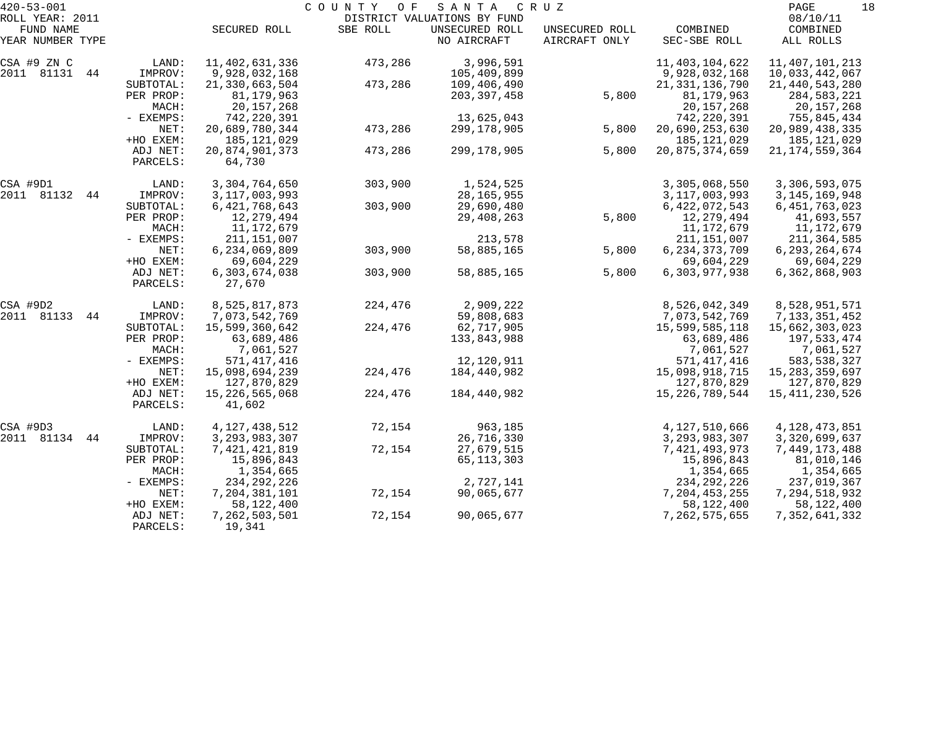| $420 - 53 - 001$             |             |                   | COUNTY<br>O F | SANTA                                         | C R U Z        |                   | PAGE<br>18           |
|------------------------------|-------------|-------------------|---------------|-----------------------------------------------|----------------|-------------------|----------------------|
| ROLL YEAR: 2011<br>FUND NAME |             | SECURED ROLL      | SBE ROLL      | DISTRICT VALUATIONS BY FUND<br>UNSECURED ROLL | UNSECURED ROLL | COMBINED          | 08/10/11<br>COMBINED |
| YEAR NUMBER TYPE             |             |                   |               | NO AIRCRAFT                                   | AIRCRAFT ONLY  | SEC-SBE ROLL      | ALL ROLLS            |
| CSA #9 ZN C                  | LAND:       | 11,402,631,336    | 473,286       | 3,996,591                                     |                | 11, 403, 104, 622 | 11, 407, 101, 213    |
| 2011 81131 44                | IMPROV:     | 9,928,032,168     |               | 105,409,899                                   |                | 9,928,032,168     | 10,033,442,067       |
|                              | SUBTOTAL:   | 21, 330, 663, 504 | 473,286       | 109,406,490                                   |                | 21, 331, 136, 790 | 21, 440, 543, 280    |
|                              | PER PROP:   | 81,179,963        |               | 203, 397, 458                                 | 5,800          | 81,179,963        | 284,583,221          |
|                              | MACH:       | 20,157,268        |               |                                               |                | 20,157,268        | 20,157,268           |
|                              | - EXEMPS:   | 742,220,391       |               | 13,625,043                                    |                | 742, 220, 391     | 755,845,434          |
|                              | NET:        | 20,689,780,344    | 473,286       | 299,178,905                                   | 5,800          | 20,690,253,630    | 20,989,438,335       |
|                              | +HO EXEM:   | 185,121,029       |               |                                               |                | 185, 121, 029     | 185,121,029          |
|                              | ADJ NET:    | 20,874,901,373    | 473,286       | 299,178,905                                   | 5,800          | 20,875,374,659    | 21, 174, 559, 364    |
|                              | PARCELS:    | 64,730            |               |                                               |                |                   |                      |
| CSA #9D1                     | LAND:       | 3,304,764,650     | 303,900       | 1,524,525                                     |                | 3,305,068,550     | 3,306,593,075        |
| 2011 81132<br>44             | IMPROV:     | 3, 117, 003, 993  |               | 28, 165, 955                                  |                | 3, 117, 003, 993  | 3, 145, 169, 948     |
|                              | SUBTOTAL:   | 6, 421, 768, 643  | 303,900       | 29,690,480                                    |                | 6,422,072,543     | 6, 451, 763, 023     |
|                              | PER PROP:   | 12,279,494        |               | 29,408,263                                    | 5,800          | 12,279,494        | 41,693,557           |
|                              | MACH:       | 11,172,679        |               |                                               |                | 11,172,679        | 11,172,679           |
|                              | - EXEMPS:   | 211,151,007       |               | 213,578                                       |                | 211, 151, 007     | 211,364,585          |
|                              | NET:        | 6,234,069,809     | 303,900       | 58,885,165                                    | 5,800          | 6, 234, 373, 709  | 6, 293, 264, 674     |
|                              | +HO EXEM:   | 69,604,229        |               |                                               |                | 69,604,229        | 69,604,229           |
|                              | ADJ NET:    | 6,303,674,038     | 303,900       | 58,885,165                                    | 5,800          | 6,303,977,938     | 6, 362, 868, 903     |
|                              | PARCELS:    | 27,670            |               |                                               |                |                   |                      |
| CSA #9D2                     | LAND:       | 8,525,817,873     | 224,476       | 2,909,222                                     |                | 8,526,042,349     | 8,528,951,571        |
| 2011 81133<br>44             | IMPROV:     | 7,073,542,769     |               | 59,808,683                                    |                | 7,073,542,769     | 7, 133, 351, 452     |
|                              | SUBTOTAL:   | 15,599,360,642    | 224,476       | 62,717,905                                    |                | 15,599,585,118    | 15,662,303,023       |
|                              | PER PROP:   | 63,689,486        |               | 133,843,988                                   |                | 63,689,486        | 197,533,474          |
|                              | MACH:       | 7,061,527         |               |                                               |                | 7,061,527         | 7,061,527            |
|                              | - EXEMPS:   | 571, 417, 416     |               | 12,120,911                                    |                | 571, 417, 416     | 583, 538, 327        |
|                              | NET:        | 15,098,694,239    | 224,476       | 184,440,982                                   |                | 15,098,918,715    | 15, 283, 359, 697    |
|                              | +HO EXEM:   | 127,870,829       |               |                                               |                | 127,870,829       | 127,870,829          |
|                              | ADJ NET:    | 15,226,565,068    | 224,476       | 184,440,982                                   |                | 15, 226, 789, 544 | 15,411,230,526       |
|                              | PARCELS:    | 41,602            |               |                                               |                |                   |                      |
| CSA #9D3                     | LAND:       | 4, 127, 438, 512  | 72,154        | 963,185                                       |                | 4,127,510,666     | 4,128,473,851        |
| 2011 81134<br>44             | IMPROV:     | 3, 293, 983, 307  |               | 26,716,330                                    |                | 3, 293, 983, 307  | 3,320,699,637        |
|                              | SUBTOTAL:   | 7,421,421,819     | 72,154        | 27,679,515                                    |                | 7,421,493,973     | 7,449,173,488        |
|                              | PER PROP:   | 15,896,843        |               | 65, 113, 303                                  |                | 15,896,843        | 81,010,146           |
|                              | MACH:       | 1,354,665         |               |                                               |                | 1,354,665         | 1,354,665            |
|                              | $-$ EXEMPS: | 234, 292, 226     |               | 2,727,141                                     |                | 234, 292, 226     | 237,019,367          |
|                              | NET:        | 7,204,381,101     | 72,154        | 90,065,677                                    |                | 7, 204, 453, 255  | 7,294,518,932        |
|                              | +HO EXEM:   | 58,122,400        |               |                                               |                | 58,122,400        | 58,122,400           |
|                              | ADJ NET:    | 7,262,503,501     | 72,154        | 90,065,677                                    |                | 7, 262, 575, 655  | 7, 352, 641, 332     |
|                              | PARCELS:    | 19,341            |               |                                               |                |                   |                      |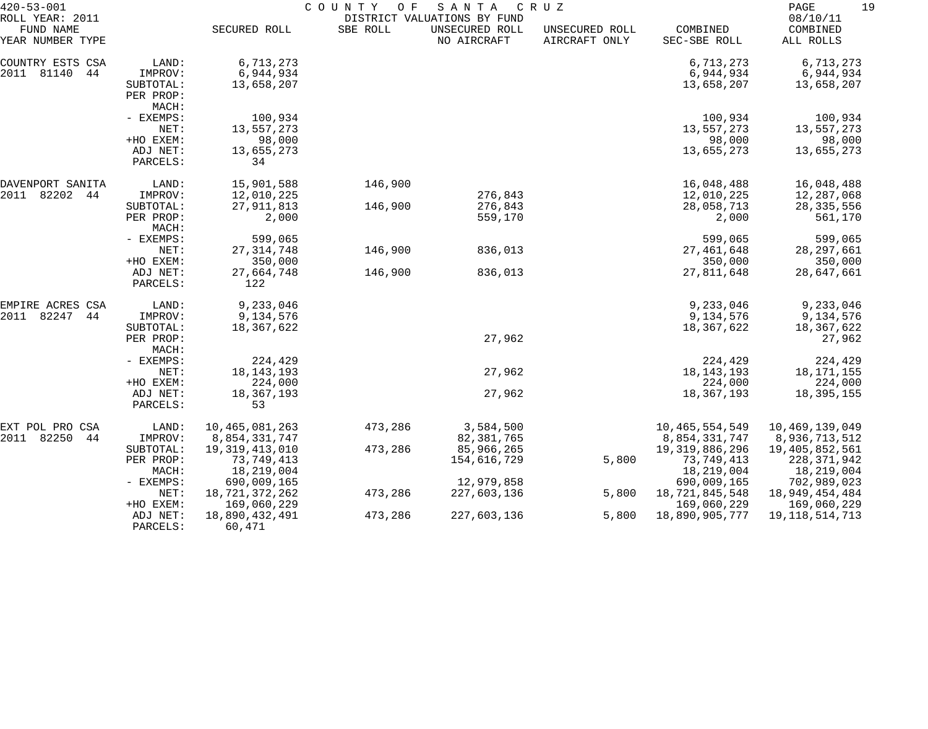| $420 - 53 - 001$                                 |                      | COUNTY<br>O F<br>SANTA<br>CRUZ |          |                                                              |                                 |                          |                                   |
|--------------------------------------------------|----------------------|--------------------------------|----------|--------------------------------------------------------------|---------------------------------|--------------------------|-----------------------------------|
| ROLL YEAR: 2011<br>FUND NAME<br>YEAR NUMBER TYPE |                      | SECURED ROLL                   | SBE ROLL | DISTRICT VALUATIONS BY FUND<br>UNSECURED ROLL<br>NO AIRCRAFT | UNSECURED ROLL<br>AIRCRAFT ONLY | COMBINED<br>SEC-SBE ROLL | 08/10/11<br>COMBINED<br>ALL ROLLS |
| COUNTRY ESTS CSA                                 | LAND:                | 6,713,273                      |          |                                                              |                                 | 6,713,273                | 6,713,273                         |
| 2011 81140<br>44                                 | IMPROV:              | 6,944,934                      |          |                                                              |                                 | 6,944,934                | 6,944,934                         |
|                                                  | SUBTOTAL:            | 13,658,207                     |          |                                                              |                                 | 13,658,207               | 13,658,207                        |
|                                                  | PER PROP:            |                                |          |                                                              |                                 |                          |                                   |
|                                                  | MACH:                |                                |          |                                                              |                                 |                          |                                   |
|                                                  | - EXEMPS:            | 100,934                        |          |                                                              |                                 | 100,934                  | 100,934                           |
|                                                  | NET:                 | 13,557,273                     |          |                                                              |                                 | 13,557,273               | 13,557,273                        |
|                                                  | +HO EXEM:            | 98,000                         |          |                                                              |                                 | 98,000                   | 98,000                            |
|                                                  | ADJ NET:             | 13,655,273                     |          |                                                              |                                 | 13,655,273               | 13,655,273                        |
|                                                  | PARCELS:             | 34                             |          |                                                              |                                 |                          |                                   |
| DAVENPORT SANITA                                 | LAND:                | 15,901,588                     | 146,900  |                                                              |                                 | 16,048,488               | 16,048,488                        |
| 82202<br>2011<br>44                              | IMPROV:              | 12,010,225                     |          | 276,843                                                      |                                 | 12,010,225               | 12,287,068                        |
|                                                  | SUBTOTAL:            | 27, 911, 813                   | 146,900  | 276,843                                                      |                                 | 28,058,713               | 28, 335, 556                      |
|                                                  | PER PROP:<br>MACH:   | 2,000                          |          | 559,170                                                      |                                 | 2,000                    | 561,170                           |
|                                                  | - EXEMPS:            | 599,065                        |          |                                                              |                                 | 599,065                  | 599,065                           |
|                                                  | NET:                 | 27, 314, 748                   | 146,900  | 836,013                                                      |                                 | 27, 461, 648             | 28, 297, 661                      |
|                                                  | +HO EXEM:            | 350,000                        |          |                                                              |                                 | 350,000                  | 350,000                           |
|                                                  | ADJ NET:<br>PARCELS: | 27,664,748<br>122              | 146,900  | 836,013                                                      |                                 | 27,811,648               | 28,647,661                        |
| EMPIRE ACRES CSA                                 | LAND:                | 9,233,046                      |          |                                                              |                                 | 9,233,046                | 9,233,046                         |
| 2011<br>82247<br>44                              | IMPROV:              | 9,134,576                      |          |                                                              |                                 | 9,134,576                | 9,134,576                         |
|                                                  | SUBTOTAL:            | 18,367,622                     |          |                                                              |                                 | 18,367,622               | 18,367,622                        |
|                                                  | PER PROP:            |                                |          | 27,962                                                       |                                 |                          | 27,962                            |
|                                                  | MACH:                |                                |          |                                                              |                                 |                          |                                   |
|                                                  | - EXEMPS:            | 224,429                        |          |                                                              |                                 | 224,429                  | 224,429                           |
|                                                  | NET:                 | 18, 143, 193                   |          | 27,962                                                       |                                 | 18, 143, 193             | 18,171,155                        |
|                                                  | +HO EXEM:            | 224,000                        |          |                                                              |                                 | 224,000                  | 224,000                           |
|                                                  | ADJ NET:<br>PARCELS: | 18,367,193<br>53               |          | 27,962                                                       |                                 | 18, 367, 193             | 18,395,155                        |
| EXT POL PRO CSA                                  | LAND:                | 10,465,081,263                 | 473,286  | 3,584,500                                                    |                                 | 10, 465, 554, 549        | 10,469,139,049                    |
| 82250<br>2011<br>44                              | IMPROV:              | 8,854,331,747                  |          | 82, 381, 765                                                 |                                 | 8,854,331,747            | 8,936,713,512                     |
|                                                  | SUBTOTAL:            | 19, 319, 413, 010              | 473,286  | 85,966,265                                                   |                                 | 19, 319, 886, 296        | 19,405,852,561                    |
|                                                  | PER PROP:            | 73,749,413                     |          | 154,616,729                                                  | 5,800                           | 73,749,413               | 228, 371, 942                     |
|                                                  | MACH:                | 18,219,004                     |          |                                                              |                                 | 18,219,004               | 18,219,004                        |
|                                                  | $-$ EXEMPS:          | 690,009,165                    |          | 12,979,858                                                   |                                 | 690,009,165              | 702,989,023                       |
|                                                  | NET:                 | 18,721,372,262                 | 473,286  | 227,603,136                                                  | 5,800                           | 18,721,845,548           | 18,949,454,484                    |
|                                                  | +HO EXEM:            | 169,060,229                    |          |                                                              |                                 | 169,060,229              | 169,060,229                       |
|                                                  | ADJ NET:<br>PARCELS: | 18,890,432,491<br>60,471       | 473,286  | 227,603,136                                                  | 5,800                           | 18,890,905,777           | 19, 118, 514, 713                 |
|                                                  |                      |                                |          |                                                              |                                 |                          |                                   |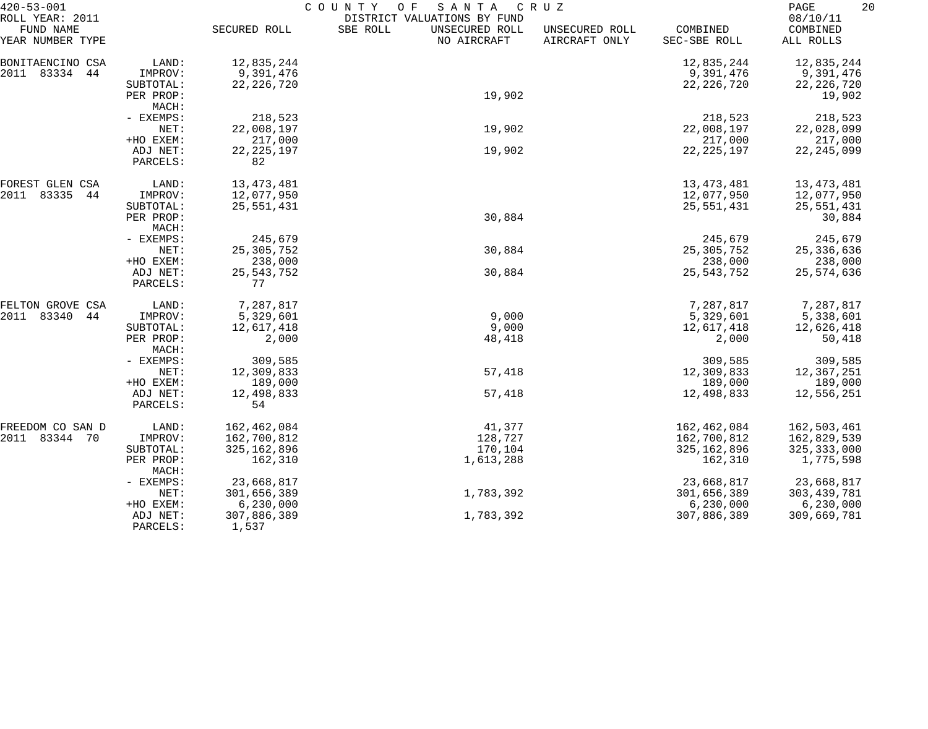| $420 - 53 - 001$             |                    | COUNTY<br>SANTA<br>O F<br>C R U Z |                                                           |                |               |                      |  |  |
|------------------------------|--------------------|-----------------------------------|-----------------------------------------------------------|----------------|---------------|----------------------|--|--|
| ROLL YEAR: 2011<br>FUND NAME |                    | SECURED ROLL                      | DISTRICT VALUATIONS BY FUND<br>SBE ROLL<br>UNSECURED ROLL | UNSECURED ROLL | COMBINED      | 08/10/11<br>COMBINED |  |  |
| YEAR NUMBER TYPE             |                    |                                   | NO AIRCRAFT                                               | AIRCRAFT ONLY  | SEC-SBE ROLL  | ALL ROLLS            |  |  |
| BONITAENCINO CSA             | LAND:              | 12,835,244                        |                                                           |                | 12,835,244    | 12,835,244           |  |  |
| 2011 83334<br>44             | IMPROV:            | 9,391,476                         |                                                           |                | 9,391,476     | 9,391,476            |  |  |
|                              | SUBTOTAL:          | 22, 226, 720                      |                                                           |                | 22, 226, 720  | 22, 226, 720         |  |  |
|                              | PER PROP:          |                                   | 19,902                                                    |                |               | 19,902               |  |  |
|                              | MACH:              |                                   |                                                           |                |               |                      |  |  |
|                              | - EXEMPS:          | 218,523                           |                                                           |                | 218,523       | 218,523              |  |  |
|                              | NET:               | 22,008,197                        | 19,902                                                    |                | 22,008,197    | 22,028,099           |  |  |
|                              | +HO EXEM:          | 217,000                           |                                                           |                | 217,000       | 217,000              |  |  |
|                              | ADJ NET:           | 22, 225, 197                      | 19,902                                                    |                | 22, 225, 197  | 22, 245, 099         |  |  |
|                              | PARCELS:           | 82                                |                                                           |                |               |                      |  |  |
| FOREST GLEN CSA              | LAND:              | 13, 473, 481                      |                                                           |                | 13, 473, 481  | 13,473,481           |  |  |
| 2011<br>83335<br>44          | IMPROV:            | 12,077,950                        |                                                           |                | 12,077,950    | 12,077,950           |  |  |
|                              | SUBTOTAL:          | 25,551,431                        |                                                           |                | 25,551,431    | 25,551,431           |  |  |
|                              | PER PROP:          |                                   | 30,884                                                    |                |               | 30,884               |  |  |
|                              | MACH:              |                                   |                                                           |                |               |                      |  |  |
|                              | - EXEMPS:          | 245,679                           |                                                           |                | 245,679       | 245,679              |  |  |
|                              | NET:               | 25, 305, 752                      | 30,884                                                    |                | 25, 305, 752  | 25, 336, 636         |  |  |
|                              | +HO EXEM:          | 238,000                           |                                                           |                | 238,000       | 238,000              |  |  |
|                              | ADJ NET:           | 25, 543, 752                      | 30,884                                                    |                | 25, 543, 752  | 25,574,636           |  |  |
|                              | PARCELS:           | 77                                |                                                           |                |               |                      |  |  |
| FELTON GROVE CSA             | LAND:              | 7,287,817                         |                                                           |                | 7,287,817     | 7,287,817            |  |  |
| 2011<br>83340<br>44          | IMPROV:            | 5,329,601                         | 9,000                                                     |                | 5,329,601     | 5,338,601            |  |  |
|                              | SUBTOTAL:          | 12,617,418                        | 9,000                                                     |                | 12,617,418    | 12,626,418           |  |  |
|                              | PER PROP:<br>MACH: | 2,000                             | 48,418                                                    |                | 2,000         | 50,418               |  |  |
|                              | - EXEMPS:          | 309,585                           |                                                           |                | 309,585       | 309,585              |  |  |
|                              | NET:               | 12,309,833                        | 57,418                                                    |                | 12,309,833    | 12,367,251           |  |  |
|                              | +HO EXEM:          | 189,000                           |                                                           |                | 189,000       | 189,000              |  |  |
|                              | ADJ NET:           | 12,498,833                        | 57,418                                                    |                | 12,498,833    | 12,556,251           |  |  |
|                              | PARCELS:           | 54                                |                                                           |                |               |                      |  |  |
| FREEDOM CO SAN D             | LAND:              | 162,462,084                       | 41,377                                                    |                | 162,462,084   | 162,503,461          |  |  |
| 2011 83344 70                | IMPROV:            | 162,700,812                       | 128,727                                                   |                | 162,700,812   | 162,829,539          |  |  |
|                              | SUBTOTAL:          | 325, 162, 896                     | 170,104                                                   |                | 325, 162, 896 | 325, 333, 000        |  |  |
|                              | PER PROP:          | 162,310                           | 1,613,288                                                 |                | 162,310       | 1,775,598            |  |  |
|                              | MACH:              |                                   |                                                           |                |               |                      |  |  |
|                              | - EXEMPS:          | 23,668,817                        |                                                           |                | 23,668,817    | 23,668,817           |  |  |
|                              | NET:               | 301,656,389                       | 1,783,392                                                 |                | 301,656,389   | 303, 439, 781        |  |  |
|                              | +HO EXEM:          | 6, 230, 000                       |                                                           |                | 6,230,000     | 6,230,000            |  |  |
|                              | ADJ NET:           | 307,886,389                       | 1,783,392                                                 |                | 307,886,389   | 309,669,781          |  |  |
|                              | PARCELS:           | 1,537                             |                                                           |                |               |                      |  |  |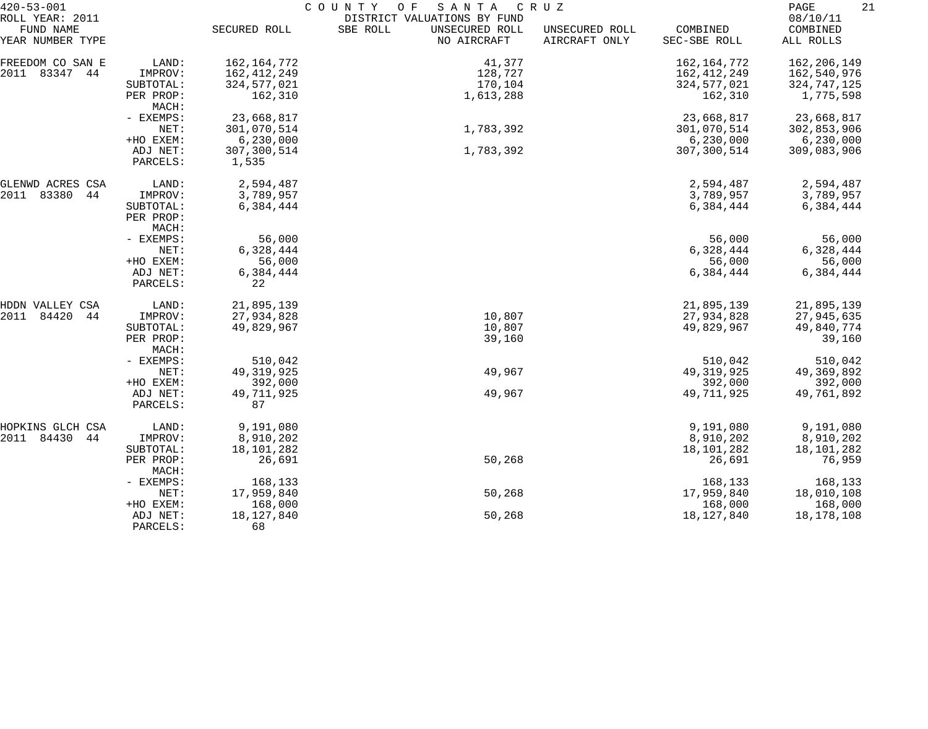| $420 - 53 - 001$             |           | COUNTY OF<br>SANTA<br>C R U Z |                                                           |                |               |                      |  |  |  |
|------------------------------|-----------|-------------------------------|-----------------------------------------------------------|----------------|---------------|----------------------|--|--|--|
| ROLL YEAR: 2011<br>FUND NAME |           | SECURED ROLL                  | DISTRICT VALUATIONS BY FUND<br>SBE ROLL<br>UNSECURED ROLL | UNSECURED ROLL | COMBINED      | 08/10/11<br>COMBINED |  |  |  |
| YEAR NUMBER TYPE             |           |                               | NO AIRCRAFT                                               | AIRCRAFT ONLY  | SEC-SBE ROLL  | ALL ROLLS            |  |  |  |
| FREEDOM CO SAN E             | LAND:     | 162, 164, 772                 | 41,377                                                    |                | 162, 164, 772 | 162,206,149          |  |  |  |
| 2011 83347<br>44             | IMPROV:   | 162, 412, 249                 | 128,727                                                   |                | 162, 412, 249 | 162,540,976          |  |  |  |
|                              | SUBTOTAL: | 324, 577, 021                 | 170,104                                                   |                | 324, 577, 021 | 324,747,125          |  |  |  |
|                              | PER PROP: | 162,310                       | 1,613,288                                                 |                | 162,310       | 1,775,598            |  |  |  |
|                              | MACH:     |                               |                                                           |                |               |                      |  |  |  |
|                              | - EXEMPS: | 23,668,817                    |                                                           |                | 23,668,817    | 23,668,817           |  |  |  |
|                              | NET:      | 301,070,514                   | 1,783,392                                                 |                | 301,070,514   | 302,853,906          |  |  |  |
|                              | +HO EXEM: | 6, 230, 000                   |                                                           |                | 6,230,000     | 6,230,000            |  |  |  |
|                              | ADJ NET:  | 307,300,514                   | 1,783,392                                                 |                | 307,300,514   | 309,083,906          |  |  |  |
|                              | PARCELS:  | 1,535                         |                                                           |                |               |                      |  |  |  |
|                              |           |                               |                                                           |                |               |                      |  |  |  |
| GLENWD ACRES CSA             | LAND:     | 2,594,487                     |                                                           |                | 2,594,487     | 2,594,487            |  |  |  |
| 83380<br>2011<br>44          | IMPROV:   | 3,789,957                     |                                                           |                | 3,789,957     | 3,789,957            |  |  |  |
|                              | SUBTOTAL: | 6,384,444                     |                                                           |                | 6,384,444     | 6,384,444            |  |  |  |
|                              | PER PROP: |                               |                                                           |                |               |                      |  |  |  |
|                              | MACH:     |                               |                                                           |                |               |                      |  |  |  |
|                              | - EXEMPS: | 56,000                        |                                                           |                | 56,000        | 56,000               |  |  |  |
|                              | NET:      | 6,328,444                     |                                                           |                | 6,328,444     | 6,328,444            |  |  |  |
|                              | +HO EXEM: | 56,000                        |                                                           |                | 56,000        | 56,000               |  |  |  |
|                              | ADJ NET:  | 6,384,444                     |                                                           |                | 6,384,444     | 6,384,444            |  |  |  |
|                              | PARCELS:  | 22                            |                                                           |                |               |                      |  |  |  |
| HDDN VALLEY CSA              | LAND:     | 21,895,139                    |                                                           |                | 21,895,139    | 21,895,139           |  |  |  |
| 84420<br>2011<br>44          | IMPROV:   | 27,934,828                    | 10,807                                                    |                | 27,934,828    | 27,945,635           |  |  |  |
|                              | SUBTOTAL: | 49,829,967                    | 10,807                                                    |                | 49,829,967    | 49,840,774           |  |  |  |
|                              | PER PROP: |                               | 39,160                                                    |                |               | 39,160               |  |  |  |
|                              | MACH:     |                               |                                                           |                |               |                      |  |  |  |
|                              | - EXEMPS: | 510,042                       |                                                           |                | 510,042       | 510,042              |  |  |  |
|                              | NET:      | 49, 319, 925                  | 49,967                                                    |                | 49, 319, 925  | 49,369,892           |  |  |  |
|                              | +HO EXEM: | 392,000                       |                                                           |                | 392,000       | 392,000              |  |  |  |
|                              | ADJ NET:  | 49,711,925                    | 49,967                                                    |                | 49,711,925    | 49,761,892           |  |  |  |
|                              | PARCELS:  | 87                            |                                                           |                |               |                      |  |  |  |
| HOPKINS GLCH CSA             | LAND:     | 9,191,080                     |                                                           |                | 9,191,080     | 9,191,080            |  |  |  |
| 84430<br>2011<br>44          | IMPROV:   | 8,910,202                     |                                                           |                | 8,910,202     | 8,910,202            |  |  |  |
|                              | SUBTOTAL: | 18,101,282                    |                                                           |                | 18,101,282    | 18,101,282           |  |  |  |
|                              | PER PROP: | 26,691                        | 50,268                                                    |                | 26,691        | 76,959               |  |  |  |
|                              | MACH:     |                               |                                                           |                |               |                      |  |  |  |
|                              | - EXEMPS: | 168,133                       |                                                           |                | 168,133       | 168,133              |  |  |  |
|                              | NET:      | 17,959,840                    | 50,268                                                    |                | 17,959,840    | 18,010,108           |  |  |  |
|                              | +HO EXEM: | 168,000                       |                                                           |                | 168,000       | 168,000              |  |  |  |
|                              | ADJ NET:  | 18, 127, 840                  | 50,268                                                    |                | 18, 127, 840  | 18,178,108           |  |  |  |
|                              | PARCELS:  | 68                            |                                                           |                |               |                      |  |  |  |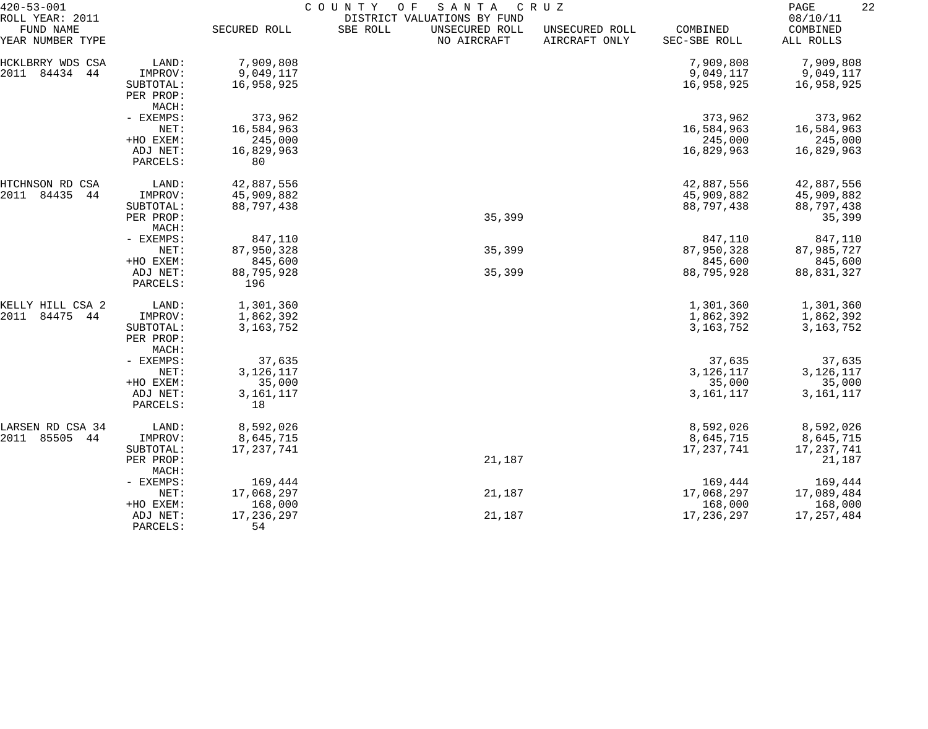| 08/10/11<br>DISTRICT VALUATIONS BY FUND<br>FUND NAME<br>SECURED ROLL<br>SBE ROLL<br>UNSECURED ROLL<br>COMBINED<br>COMBINED<br>UNSECURED ROLL<br>NO AIRCRAFT<br>AIRCRAFT ONLY<br>SEC-SBE ROLL<br>ALL ROLLS<br>7,909,808<br>7,909,808<br>HCKLBRRY WDS CSA<br>LAND:<br>7,909,808<br>2011<br>84434<br>9,049,117<br>44<br>IMPROV:<br>9,049,117<br>9,049,117<br>16,958,925<br>16,958,925<br>16,958,925<br>SUBTOTAL:<br>PER PROP:<br>MACH:<br>373,962<br>- EXEMPS:<br>373,962<br>373,962<br>16,584,963<br>16,584,963<br>16,584,963<br>NET:<br>245,000<br>245,000<br>+HO EXEM:<br>245,000<br>16,829,963<br>16,829,963<br>ADJ NET:<br>16,829,963<br>PARCELS:<br>80<br>LAND:<br>42,887,556<br>42,887,556<br>42,887,556<br>84435<br>44<br>45,909,882<br>45,909,882<br>45,909,882<br>IMPROV:<br>88,797,438<br>88,797,438<br>88,797,438<br>SUBTOTAL:<br>35,399<br>35,399<br>PER PROP:<br>MACH:<br>847,110<br>847,110<br>847,110<br>- EXEMPS:<br>87,950,328<br>35,399<br>87,950,328<br>NET:<br>87,985,727<br>845,600<br>+HO EXEM:<br>845,600<br>845,600<br>88,795,928<br>35,399<br>88,795,928<br>88,831,327<br>ADJ NET:<br>196<br>PARCELS:<br>1,301,360<br>1,301,360<br>1,301,360<br>KELLY HILL CSA 2<br>LAND:<br>84475<br>44<br>1,862,392<br>1,862,392<br>1,862,392<br>IMPROV:<br>3, 163, 752<br>3, 163, 752<br>SUBTOTAL:<br>3, 163, 752<br>PER PROP:<br>MACH:<br>37,635<br>37,635<br>37,635<br>- EXEMPS:<br>3,126,117<br>3, 126, 117<br>3,126,117<br>NET:<br>+HO EXEM:<br>35,000<br>35,000<br>35,000<br>3, 161, 117<br>3, 161, 117<br>3, 161, 117<br>ADJ NET:<br>18<br>PARCELS:<br>8,592,026<br>8,592,026<br>LARSEN RD CSA 34<br>LAND:<br>8,592,026<br>2011<br>85505<br>8,645,715<br>44<br>IMPROV:<br>8,645,715<br>8,645,715<br>17, 237, 741<br>17, 237, 741<br>17,237,741<br>SUBTOTAL:<br>21,187<br>21,187<br>PER PROP:<br>MACH:<br>169,444<br>169,444<br>169,444<br>- EXEMPS:<br>17,068,297<br>21,187<br>17,068,297<br>17,089,484<br>NET:<br>168,000<br>168,000<br>168,000<br>+HO EXEM:<br>17,236,297<br>21,187<br>17,236,297<br>17, 257, 484<br>ADJ NET:<br>54<br>PARCELS: | $420 - 53 - 001$ | COUNTY<br>O F<br>SANTA<br>C R U Z |  |  |  |  |  |  |  |
|-------------------------------------------------------------------------------------------------------------------------------------------------------------------------------------------------------------------------------------------------------------------------------------------------------------------------------------------------------------------------------------------------------------------------------------------------------------------------------------------------------------------------------------------------------------------------------------------------------------------------------------------------------------------------------------------------------------------------------------------------------------------------------------------------------------------------------------------------------------------------------------------------------------------------------------------------------------------------------------------------------------------------------------------------------------------------------------------------------------------------------------------------------------------------------------------------------------------------------------------------------------------------------------------------------------------------------------------------------------------------------------------------------------------------------------------------------------------------------------------------------------------------------------------------------------------------------------------------------------------------------------------------------------------------------------------------------------------------------------------------------------------------------------------------------------------------------------------------------------------------------------------------------------------------------------------------------------------------------------------------------------------------------------------------------------------|------------------|-----------------------------------|--|--|--|--|--|--|--|
|                                                                                                                                                                                                                                                                                                                                                                                                                                                                                                                                                                                                                                                                                                                                                                                                                                                                                                                                                                                                                                                                                                                                                                                                                                                                                                                                                                                                                                                                                                                                                                                                                                                                                                                                                                                                                                                                                                                                                                                                                                                                   | ROLL YEAR: 2011  |                                   |  |  |  |  |  |  |  |
|                                                                                                                                                                                                                                                                                                                                                                                                                                                                                                                                                                                                                                                                                                                                                                                                                                                                                                                                                                                                                                                                                                                                                                                                                                                                                                                                                                                                                                                                                                                                                                                                                                                                                                                                                                                                                                                                                                                                                                                                                                                                   | YEAR NUMBER TYPE |                                   |  |  |  |  |  |  |  |
|                                                                                                                                                                                                                                                                                                                                                                                                                                                                                                                                                                                                                                                                                                                                                                                                                                                                                                                                                                                                                                                                                                                                                                                                                                                                                                                                                                                                                                                                                                                                                                                                                                                                                                                                                                                                                                                                                                                                                                                                                                                                   |                  |                                   |  |  |  |  |  |  |  |
|                                                                                                                                                                                                                                                                                                                                                                                                                                                                                                                                                                                                                                                                                                                                                                                                                                                                                                                                                                                                                                                                                                                                                                                                                                                                                                                                                                                                                                                                                                                                                                                                                                                                                                                                                                                                                                                                                                                                                                                                                                                                   |                  |                                   |  |  |  |  |  |  |  |
|                                                                                                                                                                                                                                                                                                                                                                                                                                                                                                                                                                                                                                                                                                                                                                                                                                                                                                                                                                                                                                                                                                                                                                                                                                                                                                                                                                                                                                                                                                                                                                                                                                                                                                                                                                                                                                                                                                                                                                                                                                                                   |                  |                                   |  |  |  |  |  |  |  |
|                                                                                                                                                                                                                                                                                                                                                                                                                                                                                                                                                                                                                                                                                                                                                                                                                                                                                                                                                                                                                                                                                                                                                                                                                                                                                                                                                                                                                                                                                                                                                                                                                                                                                                                                                                                                                                                                                                                                                                                                                                                                   |                  |                                   |  |  |  |  |  |  |  |
|                                                                                                                                                                                                                                                                                                                                                                                                                                                                                                                                                                                                                                                                                                                                                                                                                                                                                                                                                                                                                                                                                                                                                                                                                                                                                                                                                                                                                                                                                                                                                                                                                                                                                                                                                                                                                                                                                                                                                                                                                                                                   |                  |                                   |  |  |  |  |  |  |  |
|                                                                                                                                                                                                                                                                                                                                                                                                                                                                                                                                                                                                                                                                                                                                                                                                                                                                                                                                                                                                                                                                                                                                                                                                                                                                                                                                                                                                                                                                                                                                                                                                                                                                                                                                                                                                                                                                                                                                                                                                                                                                   |                  |                                   |  |  |  |  |  |  |  |
|                                                                                                                                                                                                                                                                                                                                                                                                                                                                                                                                                                                                                                                                                                                                                                                                                                                                                                                                                                                                                                                                                                                                                                                                                                                                                                                                                                                                                                                                                                                                                                                                                                                                                                                                                                                                                                                                                                                                                                                                                                                                   |                  |                                   |  |  |  |  |  |  |  |
|                                                                                                                                                                                                                                                                                                                                                                                                                                                                                                                                                                                                                                                                                                                                                                                                                                                                                                                                                                                                                                                                                                                                                                                                                                                                                                                                                                                                                                                                                                                                                                                                                                                                                                                                                                                                                                                                                                                                                                                                                                                                   |                  |                                   |  |  |  |  |  |  |  |
|                                                                                                                                                                                                                                                                                                                                                                                                                                                                                                                                                                                                                                                                                                                                                                                                                                                                                                                                                                                                                                                                                                                                                                                                                                                                                                                                                                                                                                                                                                                                                                                                                                                                                                                                                                                                                                                                                                                                                                                                                                                                   |                  |                                   |  |  |  |  |  |  |  |
|                                                                                                                                                                                                                                                                                                                                                                                                                                                                                                                                                                                                                                                                                                                                                                                                                                                                                                                                                                                                                                                                                                                                                                                                                                                                                                                                                                                                                                                                                                                                                                                                                                                                                                                                                                                                                                                                                                                                                                                                                                                                   |                  |                                   |  |  |  |  |  |  |  |
|                                                                                                                                                                                                                                                                                                                                                                                                                                                                                                                                                                                                                                                                                                                                                                                                                                                                                                                                                                                                                                                                                                                                                                                                                                                                                                                                                                                                                                                                                                                                                                                                                                                                                                                                                                                                                                                                                                                                                                                                                                                                   |                  |                                   |  |  |  |  |  |  |  |
|                                                                                                                                                                                                                                                                                                                                                                                                                                                                                                                                                                                                                                                                                                                                                                                                                                                                                                                                                                                                                                                                                                                                                                                                                                                                                                                                                                                                                                                                                                                                                                                                                                                                                                                                                                                                                                                                                                                                                                                                                                                                   | HTCHNSON RD CSA  |                                   |  |  |  |  |  |  |  |
|                                                                                                                                                                                                                                                                                                                                                                                                                                                                                                                                                                                                                                                                                                                                                                                                                                                                                                                                                                                                                                                                                                                                                                                                                                                                                                                                                                                                                                                                                                                                                                                                                                                                                                                                                                                                                                                                                                                                                                                                                                                                   | 2011             |                                   |  |  |  |  |  |  |  |
|                                                                                                                                                                                                                                                                                                                                                                                                                                                                                                                                                                                                                                                                                                                                                                                                                                                                                                                                                                                                                                                                                                                                                                                                                                                                                                                                                                                                                                                                                                                                                                                                                                                                                                                                                                                                                                                                                                                                                                                                                                                                   |                  |                                   |  |  |  |  |  |  |  |
|                                                                                                                                                                                                                                                                                                                                                                                                                                                                                                                                                                                                                                                                                                                                                                                                                                                                                                                                                                                                                                                                                                                                                                                                                                                                                                                                                                                                                                                                                                                                                                                                                                                                                                                                                                                                                                                                                                                                                                                                                                                                   |                  |                                   |  |  |  |  |  |  |  |
|                                                                                                                                                                                                                                                                                                                                                                                                                                                                                                                                                                                                                                                                                                                                                                                                                                                                                                                                                                                                                                                                                                                                                                                                                                                                                                                                                                                                                                                                                                                                                                                                                                                                                                                                                                                                                                                                                                                                                                                                                                                                   |                  |                                   |  |  |  |  |  |  |  |
|                                                                                                                                                                                                                                                                                                                                                                                                                                                                                                                                                                                                                                                                                                                                                                                                                                                                                                                                                                                                                                                                                                                                                                                                                                                                                                                                                                                                                                                                                                                                                                                                                                                                                                                                                                                                                                                                                                                                                                                                                                                                   |                  |                                   |  |  |  |  |  |  |  |
|                                                                                                                                                                                                                                                                                                                                                                                                                                                                                                                                                                                                                                                                                                                                                                                                                                                                                                                                                                                                                                                                                                                                                                                                                                                                                                                                                                                                                                                                                                                                                                                                                                                                                                                                                                                                                                                                                                                                                                                                                                                                   |                  |                                   |  |  |  |  |  |  |  |
|                                                                                                                                                                                                                                                                                                                                                                                                                                                                                                                                                                                                                                                                                                                                                                                                                                                                                                                                                                                                                                                                                                                                                                                                                                                                                                                                                                                                                                                                                                                                                                                                                                                                                                                                                                                                                                                                                                                                                                                                                                                                   |                  |                                   |  |  |  |  |  |  |  |
|                                                                                                                                                                                                                                                                                                                                                                                                                                                                                                                                                                                                                                                                                                                                                                                                                                                                                                                                                                                                                                                                                                                                                                                                                                                                                                                                                                                                                                                                                                                                                                                                                                                                                                                                                                                                                                                                                                                                                                                                                                                                   |                  |                                   |  |  |  |  |  |  |  |
|                                                                                                                                                                                                                                                                                                                                                                                                                                                                                                                                                                                                                                                                                                                                                                                                                                                                                                                                                                                                                                                                                                                                                                                                                                                                                                                                                                                                                                                                                                                                                                                                                                                                                                                                                                                                                                                                                                                                                                                                                                                                   |                  |                                   |  |  |  |  |  |  |  |
|                                                                                                                                                                                                                                                                                                                                                                                                                                                                                                                                                                                                                                                                                                                                                                                                                                                                                                                                                                                                                                                                                                                                                                                                                                                                                                                                                                                                                                                                                                                                                                                                                                                                                                                                                                                                                                                                                                                                                                                                                                                                   |                  |                                   |  |  |  |  |  |  |  |
|                                                                                                                                                                                                                                                                                                                                                                                                                                                                                                                                                                                                                                                                                                                                                                                                                                                                                                                                                                                                                                                                                                                                                                                                                                                                                                                                                                                                                                                                                                                                                                                                                                                                                                                                                                                                                                                                                                                                                                                                                                                                   | 2011             |                                   |  |  |  |  |  |  |  |
|                                                                                                                                                                                                                                                                                                                                                                                                                                                                                                                                                                                                                                                                                                                                                                                                                                                                                                                                                                                                                                                                                                                                                                                                                                                                                                                                                                                                                                                                                                                                                                                                                                                                                                                                                                                                                                                                                                                                                                                                                                                                   |                  |                                   |  |  |  |  |  |  |  |
|                                                                                                                                                                                                                                                                                                                                                                                                                                                                                                                                                                                                                                                                                                                                                                                                                                                                                                                                                                                                                                                                                                                                                                                                                                                                                                                                                                                                                                                                                                                                                                                                                                                                                                                                                                                                                                                                                                                                                                                                                                                                   |                  |                                   |  |  |  |  |  |  |  |
|                                                                                                                                                                                                                                                                                                                                                                                                                                                                                                                                                                                                                                                                                                                                                                                                                                                                                                                                                                                                                                                                                                                                                                                                                                                                                                                                                                                                                                                                                                                                                                                                                                                                                                                                                                                                                                                                                                                                                                                                                                                                   |                  |                                   |  |  |  |  |  |  |  |
|                                                                                                                                                                                                                                                                                                                                                                                                                                                                                                                                                                                                                                                                                                                                                                                                                                                                                                                                                                                                                                                                                                                                                                                                                                                                                                                                                                                                                                                                                                                                                                                                                                                                                                                                                                                                                                                                                                                                                                                                                                                                   |                  |                                   |  |  |  |  |  |  |  |
|                                                                                                                                                                                                                                                                                                                                                                                                                                                                                                                                                                                                                                                                                                                                                                                                                                                                                                                                                                                                                                                                                                                                                                                                                                                                                                                                                                                                                                                                                                                                                                                                                                                                                                                                                                                                                                                                                                                                                                                                                                                                   |                  |                                   |  |  |  |  |  |  |  |
|                                                                                                                                                                                                                                                                                                                                                                                                                                                                                                                                                                                                                                                                                                                                                                                                                                                                                                                                                                                                                                                                                                                                                                                                                                                                                                                                                                                                                                                                                                                                                                                                                                                                                                                                                                                                                                                                                                                                                                                                                                                                   |                  |                                   |  |  |  |  |  |  |  |
|                                                                                                                                                                                                                                                                                                                                                                                                                                                                                                                                                                                                                                                                                                                                                                                                                                                                                                                                                                                                                                                                                                                                                                                                                                                                                                                                                                                                                                                                                                                                                                                                                                                                                                                                                                                                                                                                                                                                                                                                                                                                   |                  |                                   |  |  |  |  |  |  |  |
|                                                                                                                                                                                                                                                                                                                                                                                                                                                                                                                                                                                                                                                                                                                                                                                                                                                                                                                                                                                                                                                                                                                                                                                                                                                                                                                                                                                                                                                                                                                                                                                                                                                                                                                                                                                                                                                                                                                                                                                                                                                                   |                  |                                   |  |  |  |  |  |  |  |
|                                                                                                                                                                                                                                                                                                                                                                                                                                                                                                                                                                                                                                                                                                                                                                                                                                                                                                                                                                                                                                                                                                                                                                                                                                                                                                                                                                                                                                                                                                                                                                                                                                                                                                                                                                                                                                                                                                                                                                                                                                                                   |                  |                                   |  |  |  |  |  |  |  |
|                                                                                                                                                                                                                                                                                                                                                                                                                                                                                                                                                                                                                                                                                                                                                                                                                                                                                                                                                                                                                                                                                                                                                                                                                                                                                                                                                                                                                                                                                                                                                                                                                                                                                                                                                                                                                                                                                                                                                                                                                                                                   |                  |                                   |  |  |  |  |  |  |  |
|                                                                                                                                                                                                                                                                                                                                                                                                                                                                                                                                                                                                                                                                                                                                                                                                                                                                                                                                                                                                                                                                                                                                                                                                                                                                                                                                                                                                                                                                                                                                                                                                                                                                                                                                                                                                                                                                                                                                                                                                                                                                   |                  |                                   |  |  |  |  |  |  |  |
|                                                                                                                                                                                                                                                                                                                                                                                                                                                                                                                                                                                                                                                                                                                                                                                                                                                                                                                                                                                                                                                                                                                                                                                                                                                                                                                                                                                                                                                                                                                                                                                                                                                                                                                                                                                                                                                                                                                                                                                                                                                                   |                  |                                   |  |  |  |  |  |  |  |
|                                                                                                                                                                                                                                                                                                                                                                                                                                                                                                                                                                                                                                                                                                                                                                                                                                                                                                                                                                                                                                                                                                                                                                                                                                                                                                                                                                                                                                                                                                                                                                                                                                                                                                                                                                                                                                                                                                                                                                                                                                                                   |                  |                                   |  |  |  |  |  |  |  |
|                                                                                                                                                                                                                                                                                                                                                                                                                                                                                                                                                                                                                                                                                                                                                                                                                                                                                                                                                                                                                                                                                                                                                                                                                                                                                                                                                                                                                                                                                                                                                                                                                                                                                                                                                                                                                                                                                                                                                                                                                                                                   |                  |                                   |  |  |  |  |  |  |  |
|                                                                                                                                                                                                                                                                                                                                                                                                                                                                                                                                                                                                                                                                                                                                                                                                                                                                                                                                                                                                                                                                                                                                                                                                                                                                                                                                                                                                                                                                                                                                                                                                                                                                                                                                                                                                                                                                                                                                                                                                                                                                   |                  |                                   |  |  |  |  |  |  |  |
|                                                                                                                                                                                                                                                                                                                                                                                                                                                                                                                                                                                                                                                                                                                                                                                                                                                                                                                                                                                                                                                                                                                                                                                                                                                                                                                                                                                                                                                                                                                                                                                                                                                                                                                                                                                                                                                                                                                                                                                                                                                                   |                  |                                   |  |  |  |  |  |  |  |
|                                                                                                                                                                                                                                                                                                                                                                                                                                                                                                                                                                                                                                                                                                                                                                                                                                                                                                                                                                                                                                                                                                                                                                                                                                                                                                                                                                                                                                                                                                                                                                                                                                                                                                                                                                                                                                                                                                                                                                                                                                                                   |                  |                                   |  |  |  |  |  |  |  |
|                                                                                                                                                                                                                                                                                                                                                                                                                                                                                                                                                                                                                                                                                                                                                                                                                                                                                                                                                                                                                                                                                                                                                                                                                                                                                                                                                                                                                                                                                                                                                                                                                                                                                                                                                                                                                                                                                                                                                                                                                                                                   |                  |                                   |  |  |  |  |  |  |  |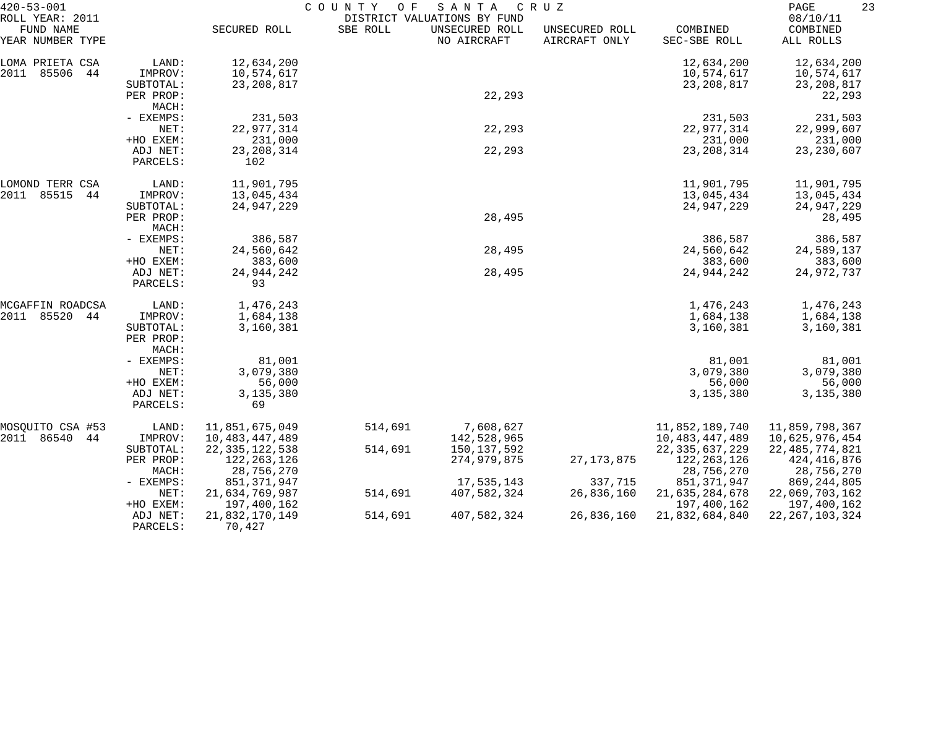| $420 - 53 - 001$                                 |                     |                                 | COUNTY<br>O F | SANTA                                                        | C R U Z                         |                                 | 23<br>PAGE                        |
|--------------------------------------------------|---------------------|---------------------------------|---------------|--------------------------------------------------------------|---------------------------------|---------------------------------|-----------------------------------|
| ROLL YEAR: 2011<br>FUND NAME<br>YEAR NUMBER TYPE |                     | SECURED ROLL                    | SBE ROLL      | DISTRICT VALUATIONS BY FUND<br>UNSECURED ROLL<br>NO AIRCRAFT | UNSECURED ROLL<br>AIRCRAFT ONLY | COMBINED<br>SEC-SBE ROLL        | 08/10/11<br>COMBINED<br>ALL ROLLS |
| LOMA PRIETA CSA                                  | LAND:               | 12,634,200                      |               |                                                              |                                 | 12,634,200                      | 12,634,200                        |
| 2011<br>85506<br>44                              | IMPROV:             | 10,574,617                      |               |                                                              |                                 | 10,574,617                      | 10,574,617                        |
|                                                  | SUBTOTAL:           | 23, 208, 817                    |               |                                                              |                                 | 23, 208, 817                    | 23, 208, 817                      |
|                                                  | PER PROP:           |                                 |               | 22,293                                                       |                                 |                                 | 22,293                            |
|                                                  | MACH:<br>- EXEMPS:  | 231,503                         |               |                                                              |                                 | 231,503                         | 231,503                           |
|                                                  | NET:                | 22,977,314                      |               | 22,293                                                       |                                 | 22,977,314                      | 22,999,607                        |
|                                                  | +HO EXEM:           | 231,000                         |               |                                                              |                                 | 231,000                         | 231,000                           |
|                                                  | ADJ NET:            | 23, 208, 314                    |               | 22,293                                                       |                                 | 23, 208, 314                    | 23, 230, 607                      |
|                                                  | PARCELS:            | 102                             |               |                                                              |                                 |                                 |                                   |
| LOMOND TERR CSA                                  | LAND:               | 11,901,795                      |               |                                                              |                                 | 11,901,795                      | 11,901,795                        |
| 85515<br>2011<br>44                              | IMPROV:             | 13,045,434                      |               |                                                              |                                 | 13,045,434                      | 13,045,434                        |
|                                                  | SUBTOTAL:           | 24,947,229                      |               |                                                              |                                 | 24,947,229                      | 24,947,229                        |
|                                                  | PER PROP:<br>MACH:  |                                 |               | 28,495                                                       |                                 |                                 | 28,495                            |
|                                                  | - EXEMPS:           | 386,587                         |               |                                                              |                                 | 386,587                         | 386,587                           |
|                                                  | NET:                | 24,560,642                      |               | 28,495                                                       |                                 | 24,560,642                      | 24,589,137                        |
|                                                  | +HO EXEM:           | 383,600                         |               |                                                              |                                 | 383,600                         | 383,600                           |
|                                                  | ADJ NET:            | 24,944,242                      |               | 28,495                                                       |                                 | 24,944,242                      | 24,972,737                        |
|                                                  | PARCELS:            | 93                              |               |                                                              |                                 |                                 |                                   |
| MCGAFFIN ROADCSA                                 | LAND:               | 1,476,243                       |               |                                                              |                                 | 1,476,243                       | 1,476,243                         |
| 85520<br>2011<br>44                              | IMPROV:             | 1,684,138                       |               |                                                              |                                 | 1,684,138                       | 1,684,138                         |
|                                                  | SUBTOTAL:           | 3,160,381                       |               |                                                              |                                 | 3,160,381                       | 3,160,381                         |
|                                                  | PER PROP:           |                                 |               |                                                              |                                 |                                 |                                   |
|                                                  | MACH:               |                                 |               |                                                              |                                 |                                 |                                   |
|                                                  | - EXEMPS:<br>NET:   | 81,001<br>3,079,380             |               |                                                              |                                 | 81,001<br>3,079,380             | 81,001<br>3,079,380               |
|                                                  | +HO EXEM:           | 56,000                          |               |                                                              |                                 | 56,000                          | 56,000                            |
|                                                  | ADJ NET:            | 3,135,380                       |               |                                                              |                                 | 3,135,380                       | 3,135,380                         |
|                                                  | PARCELS:            | 69                              |               |                                                              |                                 |                                 |                                   |
| MOSQUITO CSA #53                                 | LAND:               | 11,851,675,049                  | 514,691       | 7,608,627                                                    |                                 | 11,852,189,740                  | 11,859,798,367                    |
| 2011 86540<br>44                                 | IMPROV:             | 10,483,447,489                  |               | 142,528,965                                                  |                                 | 10, 483, 447, 489               | 10,625,976,454                    |
|                                                  | SUBTOTAL:           | 22, 335, 122, 538               | 514,691       | 150,137,592                                                  |                                 | 22, 335, 637, 229               | 22, 485, 774, 821                 |
|                                                  | PER PROP:           | 122, 263, 126                   |               | 274,979,875                                                  | 27, 173, 875                    | 122, 263, 126                   | 424, 416, 876                     |
|                                                  | MACH:               | 28,756,270                      |               |                                                              |                                 | 28,756,270                      | 28,756,270                        |
|                                                  | $-$ EXEMPS:<br>NET: | 851, 371, 947<br>21,634,769,987 | 514,691       | 17,535,143<br>407,582,324                                    | 337,715<br>26,836,160           | 851, 371, 947<br>21,635,284,678 | 869, 244, 805<br>22,069,703,162   |
|                                                  | +HO EXEM:           | 197,400,162                     |               |                                                              |                                 | 197,400,162                     | 197,400,162                       |
|                                                  | ADJ NET:            | 21,832,170,149                  | 514,691       | 407,582,324                                                  | 26,836,160                      | 21,832,684,840                  | 22, 267, 103, 324                 |
|                                                  | PARCELS:            | 70,427                          |               |                                                              |                                 |                                 |                                   |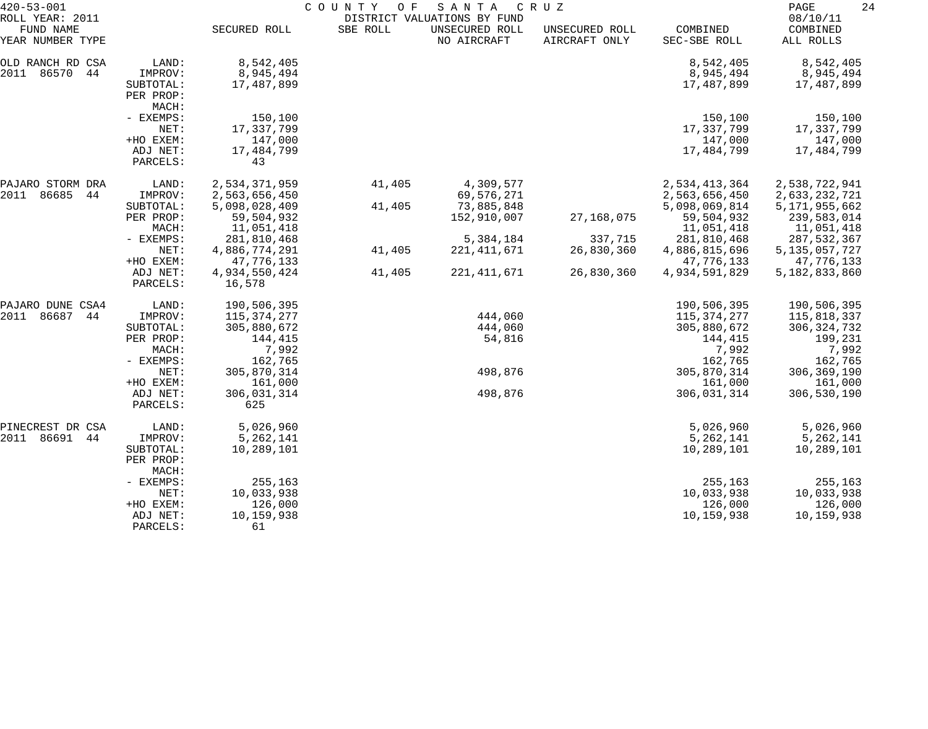| $420 - 53 - 001$<br>ROLL YEAR: 2011     |                                                        |                                                            | COUNTY OF | SANTA<br>DISTRICT VALUATIONS BY FUND    | C R U Z                         |                                                            | PAGE<br>24<br>08/10/11                                         |
|-----------------------------------------|--------------------------------------------------------|------------------------------------------------------------|-----------|-----------------------------------------|---------------------------------|------------------------------------------------------------|----------------------------------------------------------------|
| FUND NAME<br>YEAR NUMBER TYPE           |                                                        | SECURED ROLL                                               | SBE ROLL  | UNSECURED ROLL<br>NO AIRCRAFT           | UNSECURED ROLL<br>AIRCRAFT ONLY | COMBINED<br>SEC-SBE ROLL                                   | COMBINED<br>ALL ROLLS                                          |
| OLD RANCH RD CSA<br>2011<br>86570<br>44 | LAND:<br>IMPROV:<br>SUBTOTAL:<br>PER PROP:<br>MACH:    | 8,542,405<br>8,945,494<br>17,487,899                       |           |                                         |                                 | 8,542,405<br>8,945,494<br>17,487,899                       | 8,542,405<br>8,945,494<br>17,487,899                           |
|                                         | - EXEMPS:<br>NET:<br>+HO EXEM:<br>ADJ NET:<br>PARCELS: | 150,100<br>17,337,799<br>147,000<br>17,484,799<br>43       |           |                                         |                                 | 150,100<br>17,337,799<br>147,000<br>17,484,799             | 150,100<br>17,337,799<br>147,000<br>17,484,799                 |
| PAJARO STORM DRA                        | LAND:                                                  | 2,534,371,959                                              | 41,405    | 4,309,577                               |                                 | 2,534,413,364                                              | 2,538,722,941                                                  |
| 2011<br>86685<br>44                     | IMPROV:<br>SUBTOTAL:<br>PER PROP:<br>MACH:             | 2,563,656,450<br>5,098,028,409<br>59,504,932<br>11,051,418 | 41,405    | 69,576,271<br>73,885,848<br>152,910,007 | 27,168,075                      | 2,563,656,450<br>5,098,069,814<br>59,504,932<br>11,051,418 | 2,633,232,721<br>5, 171, 955, 662<br>239,583,014<br>11,051,418 |
|                                         | - EXEMPS:<br>NET:<br>+HO EXEM:                         | 281,810,468<br>4,886,774,291<br>47,776,133                 | 41,405    | 5,384,184<br>221, 411, 671              | 337,715<br>26,830,360           | 281,810,468<br>4,886,815,696<br>47,776,133                 | 287,532,367<br>5, 135, 057, 727<br>47,776,133                  |
|                                         | ADJ NET:<br>PARCELS:                                   | 4,934,550,424<br>16,578                                    | 41,405    | 221, 411, 671                           | 26,830,360                      | 4,934,591,829                                              | 5,182,833,860                                                  |
| PAJARO DUNE CSA4                        | LAND:                                                  | 190,506,395                                                |           |                                         |                                 | 190,506,395                                                | 190,506,395                                                    |
| 2011<br>86687<br>44                     | IMPROV:<br>SUBTOTAL:                                   | 115, 374, 277<br>305,880,672                               |           | 444,060<br>444,060                      |                                 | 115,374,277<br>305,880,672                                 | 115,818,337<br>306, 324, 732                                   |
|                                         | PER PROP:<br>MACH:<br>- EXEMPS:                        | 144,415<br>7,992<br>162,765                                |           | 54,816                                  |                                 | 144,415<br>7,992<br>162,765                                | 199,231<br>7,992<br>162,765                                    |
|                                         | NET:<br>+HO EXEM:                                      | 305,870,314<br>161,000                                     |           | 498,876                                 |                                 | 305,870,314<br>161,000                                     | 306,369,190<br>161,000                                         |
|                                         | ADJ NET:<br>PARCELS:                                   | 306,031,314<br>625                                         |           | 498,876                                 |                                 | 306,031,314                                                | 306,530,190                                                    |
| PINECREST DR CSA<br>86691<br>2011<br>44 | LAND:<br>IMPROV:                                       | 5,026,960<br>5,262,141                                     |           |                                         |                                 | 5,026,960<br>5, 262, 141                                   | 5,026,960<br>5,262,141                                         |
|                                         | SUBTOTAL:<br>PER PROP:<br>MACH:                        | 10,289,101                                                 |           |                                         |                                 | 10,289,101                                                 | 10,289,101                                                     |
|                                         | - EXEMPS:                                              | 255,163                                                    |           |                                         |                                 | 255,163                                                    | 255,163                                                        |
|                                         | NET:<br>+HO EXEM:                                      | 10,033,938<br>126,000                                      |           |                                         |                                 | 10,033,938<br>126,000                                      | 10,033,938<br>126,000                                          |
|                                         | ADJ NET:<br>PARCELS:                                   | 10,159,938<br>61                                           |           |                                         |                                 | 10,159,938                                                 | 10,159,938                                                     |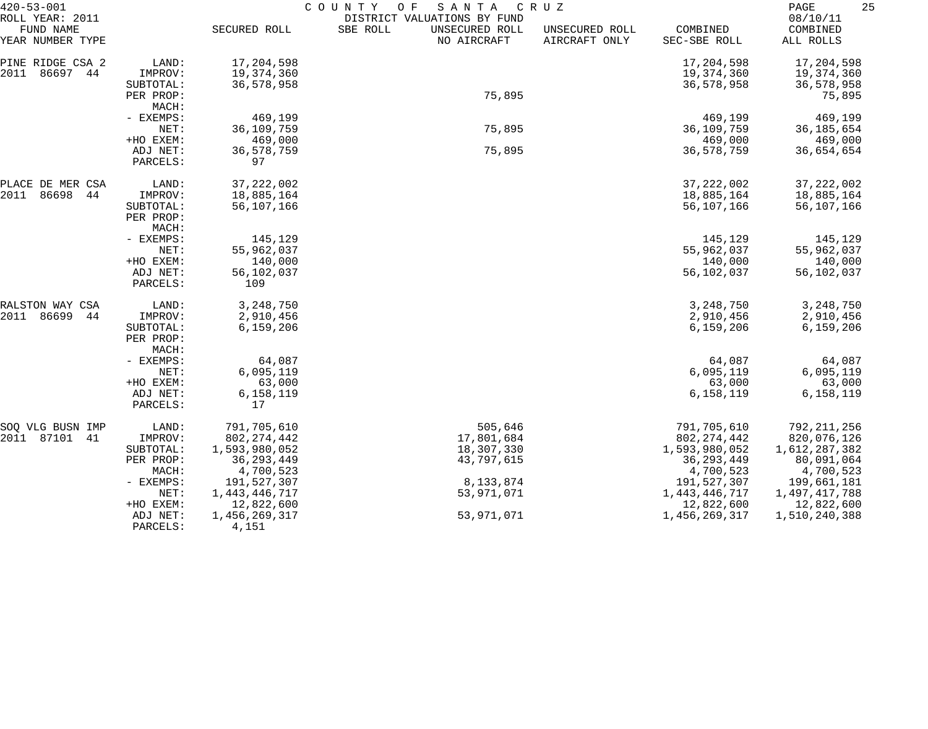| $420 - 53 - 001$                                  |                                            | COUNTY<br>SANTA<br>O F<br>C R U Z               |                                                                          |                                 |                                                 |                                              |  |
|---------------------------------------------------|--------------------------------------------|-------------------------------------------------|--------------------------------------------------------------------------|---------------------------------|-------------------------------------------------|----------------------------------------------|--|
| ROLL YEAR: 2011<br>FUND NAME<br>YEAR NUMBER TYPE  |                                            | SECURED ROLL                                    | DISTRICT VALUATIONS BY FUND<br>SBE ROLL<br>UNSECURED ROLL<br>NO AIRCRAFT | UNSECURED ROLL<br>AIRCRAFT ONLY | COMBINED<br>SEC-SBE ROLL                        | 08/10/11<br>COMBINED<br>ALL ROLLS            |  |
| PINE RIDGE CSA 2<br>2011<br>86697 44<br>SUBTOTAL: | LAND:<br>IMPROV:                           | 17,204,598<br>19,374,360<br>36,578,958          |                                                                          |                                 | 17,204,598<br>19,374,360<br>36,578,958          | 17,204,598<br>19,374,360<br>36,578,958       |  |
|                                                   | PER PROP:<br>MACH:                         |                                                 | 75,895                                                                   |                                 |                                                 | 75,895                                       |  |
|                                                   | - EXEMPS:<br>NET:                          | 469,199<br>36,109,759                           | 75,895                                                                   |                                 | 469,199<br>36,109,759                           | 469,199<br>36, 185, 654                      |  |
|                                                   | +HO EXEM:<br>ADJ NET:<br>PARCELS:          | 469,000<br>36,578,759<br>97                     | 75,895                                                                   |                                 | 469,000<br>36,578,759                           | 469,000<br>36,654,654                        |  |
| PLACE DE MER CSA<br>2011<br>86698<br>44           | LAND:<br>IMPROV:                           | 37, 222, 002<br>18,885,164                      |                                                                          |                                 | 37, 222, 002<br>18,885,164                      | 37, 222, 002<br>18,885,164                   |  |
|                                                   | SUBTOTAL:<br>PER PROP:<br>MACH:            | 56,107,166                                      |                                                                          |                                 | 56,107,166                                      | 56,107,166                                   |  |
|                                                   | - EXEMPS:<br>NET:                          | 145,129<br>55,962,037                           |                                                                          |                                 | 145,129<br>55,962,037                           | 145,129<br>55,962,037                        |  |
|                                                   | +HO EXEM:<br>ADJ NET:<br>PARCELS:          | 140,000<br>56,102,037<br>109                    |                                                                          |                                 | 140,000<br>56,102,037                           | 140,000<br>56,102,037                        |  |
| RALSTON WAY CSA                                   | LAND:                                      | 3, 248, 750                                     |                                                                          |                                 | 3, 248, 750                                     | 3, 248, 750                                  |  |
| 2011<br>86699<br>44                               | IMPROV:<br>SUBTOTAL:<br>PER PROP:<br>MACH: | 2,910,456<br>6,159,206                          |                                                                          |                                 | 2,910,456<br>6,159,206                          | 2,910,456<br>6,159,206                       |  |
|                                                   | - EXEMPS:<br>NET:                          | 64,087<br>6,095,119                             |                                                                          |                                 | 64,087<br>6,095,119                             | 64,087<br>6,095,119                          |  |
|                                                   | +HO EXEM:<br>ADJ NET:<br>PARCELS:          | 63,000<br>6,158,119<br>17                       |                                                                          |                                 | 63,000<br>6,158,119                             | 63,000<br>6,158,119                          |  |
| SOQ VLG BUSN IMP                                  | LAND:                                      | 791,705,610                                     | 505,646                                                                  |                                 | 791,705,610                                     | 792,211,256                                  |  |
| 2011 87101 41                                     | IMPROV:                                    | 802, 274, 442                                   | 17,801,684                                                               |                                 | 802, 274, 442                                   | 820,076,126                                  |  |
|                                                   | SUBTOTAL:<br>PER PROP:<br>MACH:            | 1,593,980,052<br>36, 293, 449<br>4,700,523      | 18,307,330<br>43,797,615                                                 |                                 | 1,593,980,052<br>36, 293, 449<br>4,700,523      | 1,612,287,382<br>80,091,064<br>4,700,523     |  |
|                                                   | - EXEMPS:                                  | 191,527,307                                     | 8, 133, 874                                                              |                                 | 191,527,307                                     | 199,661,181                                  |  |
|                                                   | NET:<br>+HO EXEM:<br>ADJ NET:              | 1, 443, 446, 717<br>12,822,600<br>1,456,269,317 | 53,971,071<br>53,971,071                                                 |                                 | 1, 443, 446, 717<br>12,822,600<br>1,456,269,317 | 1,497,417,788<br>12,822,600<br>1,510,240,388 |  |
|                                                   | PARCELS:                                   | 4,151                                           |                                                                          |                                 |                                                 |                                              |  |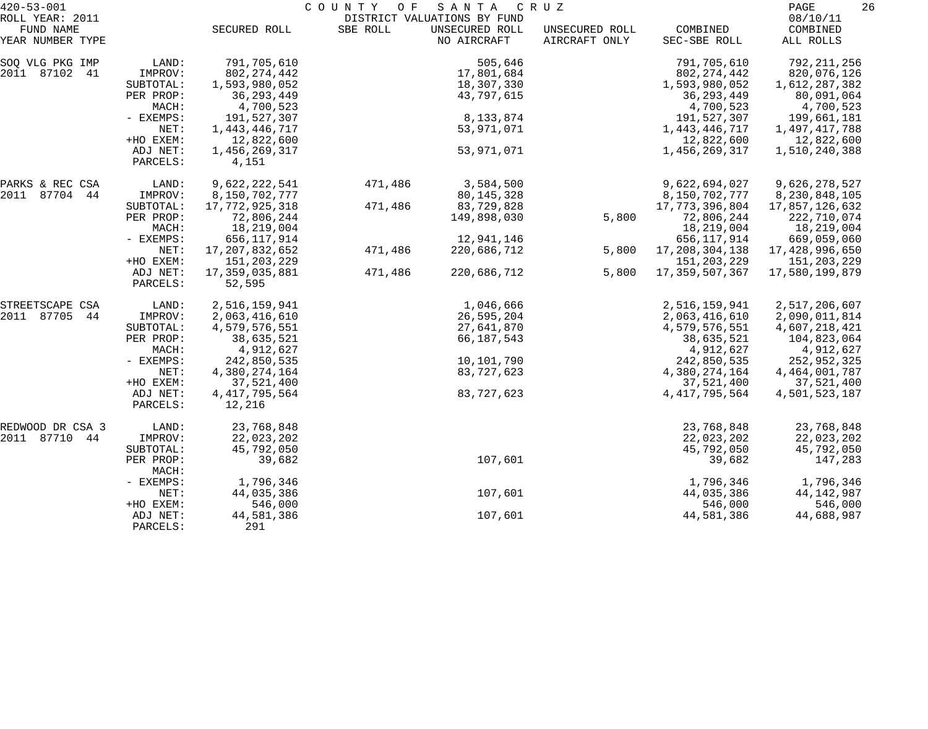| $420 - 53 - 001$              |                      | COUNTY<br>O F<br>SANTA<br>C R U Z |          |                               |                                 |                          |                       |  |
|-------------------------------|----------------------|-----------------------------------|----------|-------------------------------|---------------------------------|--------------------------|-----------------------|--|
| ROLL YEAR: 2011               |                      |                                   |          | DISTRICT VALUATIONS BY FUND   |                                 |                          | 08/10/11              |  |
| FUND NAME<br>YEAR NUMBER TYPE |                      | SECURED ROLL                      | SBE ROLL | UNSECURED ROLL<br>NO AIRCRAFT | UNSECURED ROLL<br>AIRCRAFT ONLY | COMBINED<br>SEC-SBE ROLL | COMBINED<br>ALL ROLLS |  |
| SOQ VLG PKG IMP               | LAND:                | 791,705,610                       |          | 505,646                       |                                 | 791,705,610              | 792, 211, 256         |  |
| 2011 87102<br>41              | IMPROV:              | 802, 274, 442                     |          | 17,801,684                    |                                 | 802, 274, 442            | 820,076,126           |  |
|                               | SUBTOTAL:            | 1,593,980,052                     |          | 18,307,330                    |                                 | 1,593,980,052            | 1,612,287,382         |  |
|                               | PER PROP:            | 36, 293, 449                      |          | 43,797,615                    |                                 | 36, 293, 449             | 80,091,064            |  |
|                               | MACH:                | 4,700,523                         |          |                               |                                 | 4,700,523                | 4,700,523             |  |
|                               | - EXEMPS:            | 191,527,307                       |          | 8,133,874                     |                                 | 191,527,307              | 199,661,181           |  |
|                               | NET:                 | 1,443,446,717                     |          | 53,971,071                    |                                 | 1, 443, 446, 717         | 1,497,417,788         |  |
|                               | +HO EXEM:            | 12,822,600                        |          |                               |                                 | 12,822,600               | 12,822,600            |  |
|                               | ADJ NET:<br>PARCELS: | 1,456,269,317<br>4,151            |          | 53,971,071                    |                                 | 1,456,269,317            | 1,510,240,388         |  |
| PARKS & REC CSA               | LAND:                | 9,622,222,541                     | 471,486  | 3,584,500                     |                                 | 9,622,694,027            | 9,626,278,527         |  |
| 2011 87704 44                 | IMPROV:              | 8,150,702,777                     |          | 80, 145, 328                  |                                 | 8,150,702,777            | 8, 230, 848, 105      |  |
|                               | SUBTOTAL:            | 17,772,925,318                    | 471,486  | 83,729,828                    |                                 | 17, 773, 396, 804        | 17,857,126,632        |  |
|                               | PER PROP:            | 72,806,244                        |          | 149,898,030                   | 5,800                           | 72,806,244               | 222,710,074           |  |
|                               | MACH:                | 18,219,004                        |          |                               |                                 | 18,219,004               | 18,219,004            |  |
|                               | - EXEMPS:            | 656, 117, 914                     |          | 12,941,146                    |                                 | 656, 117, 914            | 669,059,060           |  |
|                               | NET:                 | 17,207,832,652                    | 471,486  | 220,686,712                   | 5,800                           | 17,208,304,138           | 17,428,996,650        |  |
|                               | +HO EXEM:            | 151,203,229                       |          |                               |                                 | 151,203,229              | 151,203,229           |  |
|                               | ADJ NET:<br>PARCELS: | 17,359,035,881<br>52,595          | 471,486  | 220,686,712                   | 5,800                           | 17,359,507,367           | 17,580,199,879        |  |
| STREETSCAPE CSA               | LAND:                | 2,516,159,941                     |          | 1,046,666                     |                                 | 2,516,159,941            | 2,517,206,607         |  |
| 2011 87705<br>44              | IMPROV:              | 2,063,416,610                     |          | 26,595,204                    |                                 | 2,063,416,610            | 2,090,011,814         |  |
|                               | SUBTOTAL:            | 4,579,576,551                     |          | 27,641,870                    |                                 | 4,579,576,551            | 4,607,218,421         |  |
|                               | PER PROP:            | 38,635,521                        |          | 66, 187, 543                  |                                 | 38,635,521               | 104,823,064           |  |
|                               | MACH:                | 4,912,627                         |          |                               |                                 | 4,912,627                | 4,912,627             |  |
|                               | - EXEMPS:            | 242,850,535                       |          | 10,101,790                    |                                 | 242,850,535              | 252,952,325           |  |
|                               | NET:                 | 4,380,274,164                     |          | 83,727,623                    |                                 | 4,380,274,164            | 4, 464, 001, 787      |  |
|                               | +HO EXEM:            | 37,521,400                        |          |                               |                                 | 37,521,400               | 37,521,400            |  |
|                               | ADJ NET:<br>PARCELS: | 4, 417, 795, 564<br>12,216        |          | 83,727,623                    |                                 | 4, 417, 795, 564         | 4,501,523,187         |  |
| REDWOOD DR CSA 3              | LAND:                | 23,768,848                        |          |                               |                                 | 23,768,848               | 23,768,848            |  |
| 2011 87710<br>44              | IMPROV:              | 22,023,202                        |          |                               |                                 | 22,023,202               | 22,023,202            |  |
|                               | SUBTOTAL:            | 45,792,050                        |          |                               |                                 | 45,792,050               | 45,792,050            |  |
|                               | PER PROP:<br>MACH:   | 39,682                            |          | 107,601                       |                                 | 39,682                   | 147,283               |  |
|                               | - EXEMPS:            | 1,796,346                         |          |                               |                                 | 1,796,346                | 1,796,346             |  |
|                               | NET:                 | 44,035,386                        |          | 107,601                       |                                 | 44,035,386               | 44, 142, 987          |  |
|                               | +HO EXEM:            | 546,000                           |          |                               |                                 | 546,000                  | 546,000               |  |
|                               | ADJ NET:<br>PARCELS: | 44,581,386<br>291                 |          | 107,601                       |                                 | 44,581,386               | 44,688,987            |  |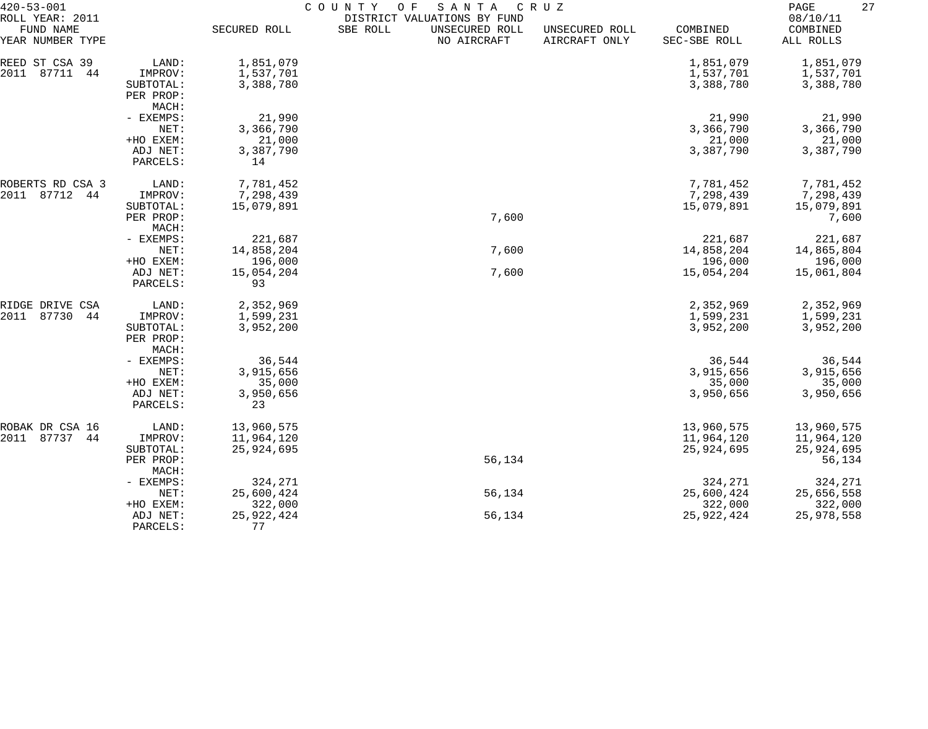| $420 - 53 - 001$                                 |                    | COUNTY<br>O F<br>SANTA<br>C R U Z |                                                                          |                                 |                          |                                   |  |  |
|--------------------------------------------------|--------------------|-----------------------------------|--------------------------------------------------------------------------|---------------------------------|--------------------------|-----------------------------------|--|--|
| ROLL YEAR: 2011<br>FUND NAME<br>YEAR NUMBER TYPE |                    | SECURED ROLL                      | DISTRICT VALUATIONS BY FUND<br>SBE ROLL<br>UNSECURED ROLL<br>NO AIRCRAFT | UNSECURED ROLL<br>AIRCRAFT ONLY | COMBINED<br>SEC-SBE ROLL | 08/10/11<br>COMBINED<br>ALL ROLLS |  |  |
| REED ST CSA 39                                   | LAND:              | 1,851,079                         |                                                                          |                                 | 1,851,079                | 1,851,079                         |  |  |
| 87711<br>2011<br>44                              | IMPROV:            | 1,537,701                         |                                                                          |                                 | 1,537,701                | 1,537,701                         |  |  |
|                                                  | SUBTOTAL:          | 3,388,780                         |                                                                          |                                 | 3,388,780                | 3,388,780                         |  |  |
|                                                  | PER PROP:          |                                   |                                                                          |                                 |                          |                                   |  |  |
|                                                  | MACH:              |                                   |                                                                          |                                 |                          |                                   |  |  |
|                                                  | - EXEMPS:          | 21,990                            |                                                                          |                                 | 21,990                   | 21,990                            |  |  |
|                                                  | NET:               | 3,366,790                         |                                                                          |                                 | 3,366,790                | 3,366,790                         |  |  |
|                                                  | +HO EXEM:          | 21,000                            |                                                                          |                                 | 21,000                   | 21,000                            |  |  |
|                                                  | ADJ NET:           | 3,387,790                         |                                                                          |                                 | 3,387,790                | 3,387,790                         |  |  |
|                                                  | PARCELS:           | 14                                |                                                                          |                                 |                          |                                   |  |  |
| ROBERTS RD CSA 3                                 | LAND:              | 7,781,452                         |                                                                          |                                 | 7,781,452                | 7,781,452                         |  |  |
| 87712<br>2011<br>44                              | IMPROV:            | 7,298,439                         |                                                                          |                                 | 7,298,439                | 7,298,439                         |  |  |
|                                                  | SUBTOTAL:          | 15,079,891                        |                                                                          |                                 | 15,079,891               | 15,079,891                        |  |  |
|                                                  | PER PROP:          |                                   | 7,600                                                                    |                                 |                          | 7,600                             |  |  |
|                                                  | MACH:<br>- EXEMPS: |                                   |                                                                          |                                 |                          |                                   |  |  |
|                                                  | NET:               | 221,687<br>14,858,204             | 7,600                                                                    |                                 | 221,687<br>14,858,204    | 221,687<br>14,865,804             |  |  |
|                                                  | +HO EXEM:          | 196,000                           |                                                                          |                                 | 196,000                  | 196,000                           |  |  |
|                                                  | ADJ NET:           | 15,054,204                        | 7,600                                                                    |                                 | 15,054,204               | 15,061,804                        |  |  |
|                                                  | PARCELS:           | 93                                |                                                                          |                                 |                          |                                   |  |  |
| RIDGE DRIVE CSA                                  | LAND:              | 2,352,969                         |                                                                          |                                 | 2,352,969                | 2,352,969                         |  |  |
| 2011<br>87730<br>44                              | IMPROV:            | 1,599,231                         |                                                                          |                                 | 1,599,231                | 1,599,231                         |  |  |
|                                                  | SUBTOTAL:          | 3,952,200                         |                                                                          |                                 | 3,952,200                | 3,952,200                         |  |  |
|                                                  | PER PROP:          |                                   |                                                                          |                                 |                          |                                   |  |  |
|                                                  | MACH:              |                                   |                                                                          |                                 |                          |                                   |  |  |
|                                                  | - EXEMPS:          | 36,544                            |                                                                          |                                 | 36,544                   | 36,544                            |  |  |
|                                                  | NET:               | 3,915,656                         |                                                                          |                                 | 3,915,656                | 3,915,656                         |  |  |
|                                                  | +HO EXEM:          | 35,000                            |                                                                          |                                 | 35,000                   | 35,000                            |  |  |
|                                                  | ADJ NET:           | 3,950,656                         |                                                                          |                                 | 3,950,656                | 3,950,656                         |  |  |
|                                                  | PARCELS:           | 23                                |                                                                          |                                 |                          |                                   |  |  |
| ROBAK DR CSA 16                                  | LAND:              | 13,960,575                        |                                                                          |                                 | 13,960,575               | 13,960,575                        |  |  |
| 87737<br>2011<br>44                              | IMPROV:            | 11,964,120                        |                                                                          |                                 | 11,964,120               | 11,964,120                        |  |  |
|                                                  | SUBTOTAL:          | 25,924,695                        |                                                                          |                                 | 25,924,695               | 25,924,695                        |  |  |
|                                                  | PER PROP:<br>MACH: |                                   | 56,134                                                                   |                                 |                          | 56,134                            |  |  |
|                                                  | - EXEMPS:          | 324,271                           |                                                                          |                                 | 324,271                  | 324,271                           |  |  |
|                                                  | NET:               | 25,600,424                        | 56,134                                                                   |                                 | 25,600,424               | 25,656,558                        |  |  |
|                                                  | +HO EXEM:          | 322,000                           |                                                                          |                                 | 322,000                  | 322,000                           |  |  |
|                                                  | ADJ NET:           | 25,922,424                        | 56,134                                                                   |                                 | 25,922,424               | 25,978,558                        |  |  |
|                                                  | PARCELS:           | 77                                |                                                                          |                                 |                          |                                   |  |  |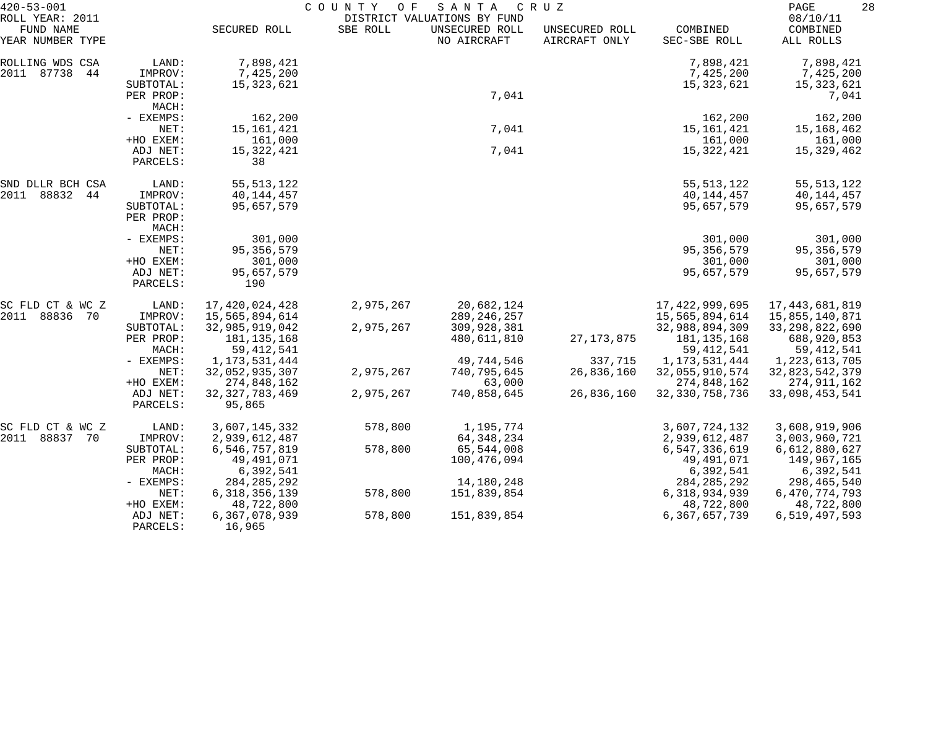| $420 - 53 - 001$                                 |                      | COUNTY<br>O F<br>S A N T A<br>C R U Z<br>DISTRICT VALUATIONS BY FUND |           |                               |                                 |                          | 28<br>PAGE                        |  |
|--------------------------------------------------|----------------------|----------------------------------------------------------------------|-----------|-------------------------------|---------------------------------|--------------------------|-----------------------------------|--|
| ROLL YEAR: 2011<br>FUND NAME<br>YEAR NUMBER TYPE |                      | SECURED ROLL                                                         | SBE ROLL  | UNSECURED ROLL<br>NO AIRCRAFT | UNSECURED ROLL<br>AIRCRAFT ONLY | COMBINED<br>SEC-SBE ROLL | 08/10/11<br>COMBINED<br>ALL ROLLS |  |
| ROLLING WDS CSA                                  | LAND:                | 7,898,421                                                            |           |                               |                                 | 7,898,421                | 7,898,421                         |  |
| 2011 87738<br>-44                                | IMPROV:              | 7,425,200                                                            |           |                               |                                 | 7,425,200                | 7,425,200                         |  |
|                                                  | SUBTOTAL:            | 15,323,621                                                           |           |                               |                                 | 15,323,621               | 15,323,621                        |  |
|                                                  | PER PROP:<br>MACH:   |                                                                      |           | 7,041                         |                                 |                          | 7,041                             |  |
|                                                  | - EXEMPS:            | 162,200                                                              |           |                               |                                 | 162,200                  | 162,200                           |  |
|                                                  | NET:                 | 15, 161, 421                                                         |           | 7,041                         |                                 | 15,161,421               | 15,168,462                        |  |
|                                                  | +HO EXEM:            | 161,000                                                              |           |                               |                                 | 161,000                  | 161,000                           |  |
|                                                  | ADJ NET:<br>PARCELS: | 15,322,421<br>38                                                     |           | 7,041                         |                                 | 15,322,421               | 15,329,462                        |  |
| SND DLLR BCH CSA                                 | LAND:                | 55, 513, 122                                                         |           |                               |                                 | 55, 513, 122             | 55, 513, 122                      |  |
| 2011<br>88832<br>44                              | IMPROV:              | 40,144,457                                                           |           |                               |                                 | 40,144,457               | 40,144,457                        |  |
|                                                  | SUBTOTAL:            | 95,657,579                                                           |           |                               |                                 | 95,657,579               | 95,657,579                        |  |
|                                                  | PER PROP:            |                                                                      |           |                               |                                 |                          |                                   |  |
|                                                  | MACH:                |                                                                      |           |                               |                                 |                          |                                   |  |
|                                                  | - EXEMPS:            | 301,000                                                              |           |                               |                                 | 301,000                  | 301,000                           |  |
|                                                  | NET:                 | 95, 356, 579                                                         |           |                               |                                 | 95, 356, 579             | 95, 356, 579                      |  |
|                                                  | +HO EXEM:            | 301,000                                                              |           |                               |                                 | 301,000                  | 301,000                           |  |
|                                                  | ADJ NET:<br>PARCELS: | 95,657,579<br>190                                                    |           |                               |                                 | 95,657,579               | 95,657,579                        |  |
| SC FLD CT & WC Z                                 | LAND:                | 17,420,024,428                                                       | 2,975,267 | 20,682,124                    |                                 | 17,422,999,695           | 17,443,681,819                    |  |
| 2011<br>88836 70                                 | IMPROV:              | 15,565,894,614                                                       |           | 289, 246, 257                 |                                 | 15,565,894,614           | 15,855,140,871                    |  |
|                                                  | SUBTOTAL:            | 32,985,919,042                                                       | 2,975,267 | 309,928,381                   |                                 | 32,988,894,309           | 33, 298, 822, 690                 |  |
|                                                  | PER PROP:            | 181,135,168                                                          |           | 480,611,810                   | 27, 173, 875                    | 181, 135, 168            | 688,920,853                       |  |
|                                                  | MACH:                | 59, 412, 541                                                         |           |                               |                                 | 59, 412, 541             | 59, 412, 541                      |  |
|                                                  | - EXEMPS:            | 1, 173, 531, 444                                                     |           | 49,744,546                    | 337,715                         | 1,173,531,444            | 1,223,613,705                     |  |
|                                                  | NET:                 | 32,052,935,307                                                       | 2,975,267 | 740,795,645                   | 26,836,160                      | 32,055,910,574           | 32,823,542,379                    |  |
|                                                  | +HO EXEM:            | 274,848,162                                                          |           | 63,000                        |                                 | 274,848,162              | 274,911,162                       |  |
|                                                  | ADJ NET:<br>PARCELS: | 32, 327, 783, 469<br>95,865                                          | 2,975,267 | 740,858,645                   | 26,836,160                      | 32, 330, 758, 736        | 33,098,453,541                    |  |
| SC FLD CT & WC Z                                 | LAND:                | 3,607,145,332                                                        | 578,800   | 1,195,774                     |                                 | 3,607,724,132            | 3,608,919,906                     |  |
| 2011<br>88837 70                                 | IMPROV:              | 2,939,612,487                                                        |           | 64, 348, 234                  |                                 | 2,939,612,487            | 3,003,960,721                     |  |
|                                                  | SUBTOTAL:            | 6,546,757,819                                                        | 578,800   | 65,544,008                    |                                 | 6,547,336,619            | 6,612,880,627                     |  |
|                                                  | PER PROP:            | 49,491,071                                                           |           | 100,476,094                   |                                 | 49,491,071               | 149,967,165                       |  |
|                                                  | MACH:                | 6,392,541                                                            |           |                               |                                 | 6,392,541                | 6,392,541                         |  |
|                                                  | - EXEMPS:            | 284, 285, 292                                                        |           | 14,180,248                    |                                 | 284, 285, 292            | 298,465,540                       |  |
|                                                  | NET:                 | 6, 318, 356, 139                                                     | 578,800   | 151,839,854                   |                                 | 6, 318, 934, 939         | 6,470,774,793                     |  |
|                                                  | +HO EXEM:            | 48,722,800                                                           |           |                               |                                 | 48,722,800               | 48,722,800                        |  |
|                                                  | ADJ NET:<br>PARCELS: | 6,367,078,939<br>16,965                                              | 578,800   | 151,839,854                   |                                 | 6,367,657,739            | 6,519,497,593                     |  |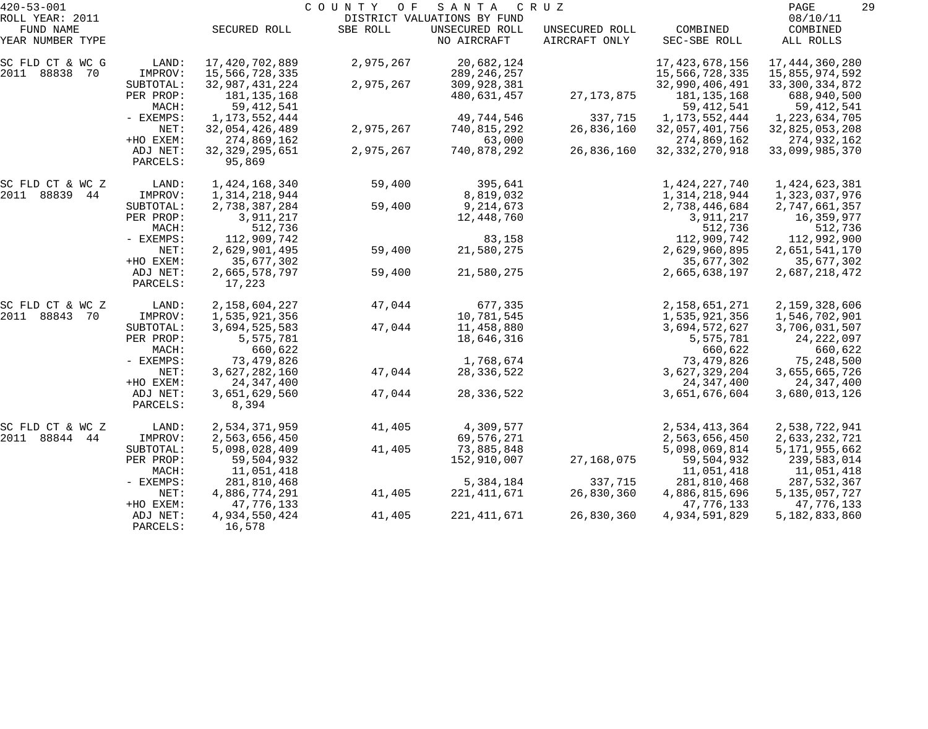| $420 - 53 - 001$<br>ROLL YEAR: 2011 |                                   | 29<br>PAGE<br>08/10/11                     |           |                                                              |                                 |                                       |                                          |
|-------------------------------------|-----------------------------------|--------------------------------------------|-----------|--------------------------------------------------------------|---------------------------------|---------------------------------------|------------------------------------------|
| FUND NAME<br>YEAR NUMBER TYPE       |                                   | SECURED ROLL                               | SBE ROLL  | DISTRICT VALUATIONS BY FUND<br>UNSECURED ROLL<br>NO AIRCRAFT | UNSECURED ROLL<br>AIRCRAFT ONLY | COMBINED<br>SEC-SBE ROLL              | COMBINED<br>ALL ROLLS                    |
| SC FLD CT & WC G<br>2011 88838 70   | LAND:<br>IMPROV:                  | 17,420,702,889<br>15,566,728,335           | 2,975,267 | 20,682,124<br>289, 246, 257                                  |                                 | 17, 423, 678, 156<br>15,566,728,335   | 17, 444, 360, 280<br>15,855,974,592      |
|                                     | SUBTOTAL:<br>PER PROP:            | 32,987,431,224<br>181, 135, 168            | 2,975,267 | 309,928,381<br>480,631,457                                   | 27, 173, 875                    | 32,990,406,491<br>181, 135, 168       | 33, 300, 334, 872<br>688,940,500         |
|                                     | MACH:<br>- EXEMPS:                | 59, 412, 541<br>1, 173, 552, 444           |           | 49,744,546                                                   | 337,715                         | 59, 412, 541<br>1, 173, 552, 444      | 59,412,541<br>1,223,634,705              |
|                                     | NET:                              | 32,054,426,489                             | 2,975,267 | 740,815,292                                                  | 26,836,160                      | 32,057,401,756                        | 32,825,053,208                           |
|                                     | +HO EXEM:<br>ADJ NET:<br>PARCELS: | 274,869,162<br>32, 329, 295, 651<br>95,869 | 2,975,267 | 63,000<br>740,878,292                                        | 26,836,160                      | 274,869,162<br>32, 332, 270, 918      | 274,932,162<br>33,099,985,370            |
| SC FLD CT & WC Z                    | LAND:                             | 1,424,168,340                              | 59,400    | 395,641                                                      |                                 | 1,424,227,740                         | 1,424,623,381                            |
| 2011 88839 44                       | IMPROV:                           | 1,314,218,944                              |           | 8,819,032                                                    |                                 | 1,314,218,944                         | 1,323,037,976                            |
|                                     | SUBTOTAL:<br>PER PROP:            | 2,738,387,284<br>3,911,217                 | 59,400    | 9,214,673<br>12,448,760                                      |                                 | 2,738,446,684<br>3,911,217            | 2,747,661,357<br>16,359,977              |
|                                     | MACH:<br>- EXEMPS:                | 512,736<br>112,909,742                     |           | 83,158                                                       |                                 | 512,736<br>112,909,742                | 512,736<br>112,992,900                   |
|                                     | NET:<br>+HO EXEM:                 | 2,629,901,495<br>35,677,302                | 59,400    | 21,580,275                                                   |                                 | 2,629,960,895<br>35,677,302           | 2,651,541,170<br>35,677,302              |
|                                     | ADJ NET:<br>PARCELS:              | 2,665,578,797<br>17,223                    | 59,400    | 21,580,275                                                   |                                 | 2,665,638,197                         | 2,687,218,472                            |
| SC FLD CT & WC Z                    | LAND:                             | 2,158,604,227                              | 47,044    | 677,335                                                      |                                 | 2,158,651,271                         | 2,159,328,606                            |
| 2011 88843 70                       | IMPROV:                           | 1,535,921,356                              |           | 10,781,545                                                   |                                 | 1,535,921,356                         | 1,546,702,901                            |
|                                     | SUBTOTAL:<br>PER PROP:<br>MACH:   | 3,694,525,583<br>5,575,781<br>660,622      | 47,044    | 11,458,880<br>18,646,316                                     |                                 | 3,694,572,627<br>5,575,781<br>660,622 | 3,706,031,507<br>24, 222, 097<br>660,622 |
|                                     | - EXEMPS:                         | 73,479,826                                 |           | 1,768,674                                                    |                                 | 73,479,826                            | 75,248,500                               |
|                                     | NET:<br>+HO EXEM:                 | 3,627,282,160<br>24, 347, 400              | 47,044    | 28, 336, 522                                                 |                                 | 3,627,329,204<br>24, 347, 400         | 3,655,665,726<br>24,347,400              |
|                                     | ADJ NET:<br>PARCELS:              | 3,651,629,560<br>8,394                     | 47,044    | 28, 336, 522                                                 |                                 | 3,651,676,604                         | 3,680,013,126                            |
| SC FLD CT & WC Z                    | LAND:                             | 2,534,371,959                              | 41,405    | 4,309,577                                                    |                                 | 2,534,413,364                         | 2,538,722,941                            |
| 2011 88844 44                       | IMPROV:                           | 2,563,656,450                              |           | 69,576,271                                                   |                                 | 2,563,656,450                         | 2,633,232,721                            |
|                                     | SUBTOTAL:<br>PER PROP:            | 5,098,028,409<br>59,504,932                | 41,405    | 73,885,848<br>152,910,007                                    | 27,168,075                      | 5,098,069,814<br>59,504,932           | 5, 171, 955, 662<br>239,583,014          |
|                                     | MACH:                             | 11,051,418                                 |           |                                                              |                                 | 11,051,418                            | 11,051,418                               |
|                                     | $-$ EXEMPS:<br>NET:               | 281,810,468<br>4,886,774,291               | 41,405    | 5,384,184<br>221,411,671                                     | 337,715<br>26,830,360           | 281,810,468<br>4,886,815,696          | 287,532,367<br>5, 135, 057, 727          |
|                                     | +HO EXEM:                         | 47,776,133                                 |           |                                                              |                                 | 47,776,133                            | 47,776,133                               |
|                                     | ADJ NET:<br>PARCELS:              | 4,934,550,424<br>16,578                    | 41,405    | 221, 411, 671                                                | 26,830,360                      | 4,934,591,829                         | 5,182,833,860                            |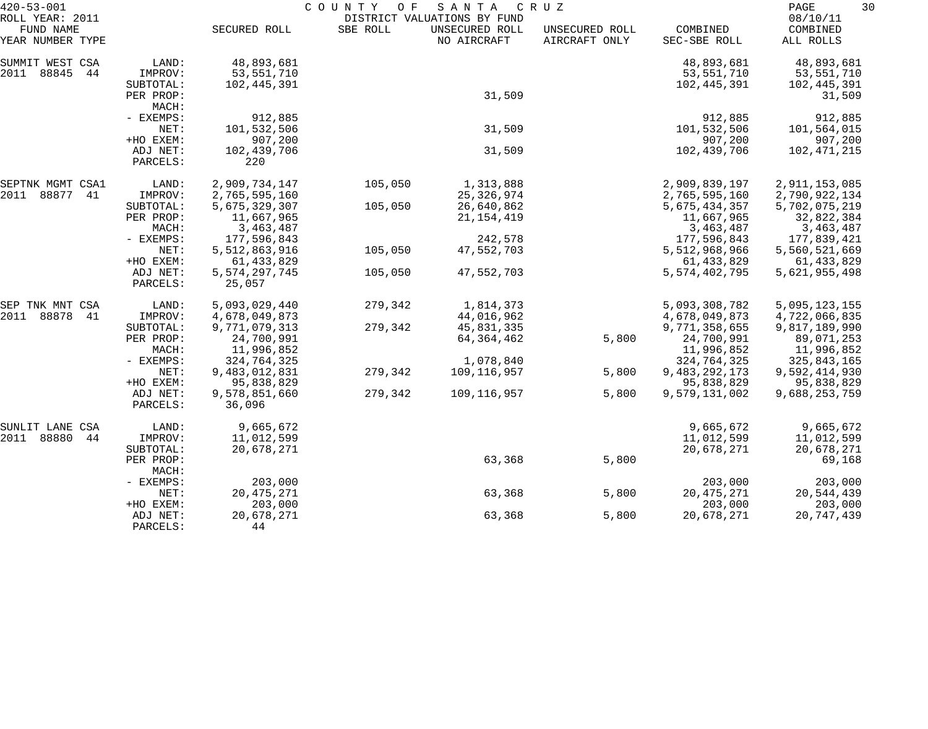| $420 - 53 - 001$             |           | COUNTY<br>O F<br>SANTA<br>C R U Z |          |                                               |                |                  |                      | 30 |
|------------------------------|-----------|-----------------------------------|----------|-----------------------------------------------|----------------|------------------|----------------------|----|
| ROLL YEAR: 2011<br>FUND NAME |           | SECURED ROLL                      | SBE ROLL | DISTRICT VALUATIONS BY FUND<br>UNSECURED ROLL | UNSECURED ROLL | COMBINED         | 08/10/11<br>COMBINED |    |
| YEAR NUMBER TYPE             |           |                                   |          | NO AIRCRAFT                                   | AIRCRAFT ONLY  | SEC-SBE ROLL     | ALL ROLLS            |    |
| SUMMIT WEST CSA              | LAND:     | 48,893,681                        |          |                                               |                | 48,893,681       | 48,893,681           |    |
| 2011<br>88845<br>44          | IMPROV:   | 53,551,710                        |          |                                               |                | 53,551,710       | 53,551,710           |    |
|                              | SUBTOTAL: | 102,445,391                       |          |                                               |                | 102,445,391      | 102,445,391          |    |
|                              | PER PROP: |                                   |          | 31,509                                        |                |                  | 31,509               |    |
|                              | MACH:     |                                   |          |                                               |                |                  |                      |    |
|                              | - EXEMPS: | 912,885                           |          |                                               |                | 912,885          | 912,885              |    |
|                              | NET:      | 101,532,506                       |          | 31,509                                        |                | 101,532,506      | 101,564,015          |    |
|                              | +HO EXEM: | 907,200                           |          |                                               |                | 907,200          | 907,200              |    |
|                              | ADJ NET:  | 102,439,706                       |          | 31,509                                        |                | 102,439,706      | 102,471,215          |    |
|                              | PARCELS:  | 220                               |          |                                               |                |                  |                      |    |
| SEPTNK MGMT CSA1             | LAND:     | 2,909,734,147                     | 105,050  | 1,313,888                                     |                | 2,909,839,197    | 2,911,153,085        |    |
| 2011<br>88877<br>41          | IMPROV:   | 2,765,595,160                     |          | 25, 326, 974                                  |                | 2,765,595,160    | 2,790,922,134        |    |
|                              | SUBTOTAL: | 5,675,329,307                     | 105,050  | 26,640,862                                    |                | 5,675,434,357    | 5,702,075,219        |    |
|                              | PER PROP: | 11,667,965                        |          | 21, 154, 419                                  |                | 11,667,965       | 32,822,384           |    |
|                              | MACH:     | 3,463,487                         |          |                                               |                | 3,463,487        | 3,463,487            |    |
|                              | - EXEMPS: | 177,596,843                       |          | 242,578                                       |                | 177,596,843      | 177,839,421          |    |
|                              | NET:      | 5,512,863,916                     | 105,050  | 47,552,703                                    |                | 5,512,968,966    | 5,560,521,669        |    |
|                              | +HO EXEM: | 61, 433, 829                      |          |                                               |                | 61, 433, 829     | 61, 433, 829         |    |
|                              | ADJ NET:  | 5, 574, 297, 745                  | 105,050  | 47,552,703                                    |                | 5, 574, 402, 795 | 5,621,955,498        |    |
|                              | PARCELS:  | 25,057                            |          |                                               |                |                  |                      |    |
| SEP TNK MNT CSA              | LAND:     | 5,093,029,440                     | 279,342  | 1,814,373                                     |                | 5,093,308,782    | 5,095,123,155        |    |
| 2011<br>88878<br>41          | IMPROV:   | 4,678,049,873                     |          | 44,016,962                                    |                | 4,678,049,873    | 4,722,066,835        |    |
|                              | SUBTOTAL: | 9,771,079,313                     | 279,342  | 45,831,335                                    |                | 9,771,358,655    | 9,817,189,990        |    |
|                              | PER PROP: | 24,700,991                        |          | 64, 364, 462                                  | 5,800          | 24,700,991       | 89,071,253           |    |
|                              | MACH:     | 11,996,852                        |          |                                               |                | 11,996,852       | 11,996,852           |    |
|                              | - EXEMPS: | 324,764,325                       |          | 1,078,840                                     |                | 324,764,325      | 325,843,165          |    |
|                              | NET:      | 9,483,012,831                     | 279,342  | 109,116,957                                   | 5,800          | 9, 483, 292, 173 | 9,592,414,930        |    |
|                              | +HO EXEM: | 95,838,829                        |          |                                               |                | 95,838,829       | 95,838,829           |    |
|                              | ADJ NET:  | 9,578,851,660                     | 279,342  | 109,116,957                                   | 5,800          | 9,579,131,002    | 9,688,253,759        |    |
|                              | PARCELS:  | 36,096                            |          |                                               |                |                  |                      |    |
| SUNLIT LANE CSA              | LAND:     | 9,665,672                         |          |                                               |                | 9,665,672        | 9,665,672            |    |
| 2011<br>88880<br>44          | IMPROV:   | 11,012,599                        |          |                                               |                | 11,012,599       | 11,012,599           |    |
|                              | SUBTOTAL: | 20,678,271                        |          |                                               |                | 20,678,271       | 20,678,271           |    |
|                              | PER PROP: |                                   |          | 63,368                                        | 5,800          |                  | 69,168               |    |
|                              | MACH:     |                                   |          |                                               |                |                  |                      |    |
|                              | - EXEMPS: | 203,000                           |          |                                               |                | 203,000          | 203,000              |    |
|                              | NET:      | 20, 475, 271                      |          | 63,368                                        | 5,800          | 20, 475, 271     | 20,544,439           |    |
|                              | +HO EXEM: | 203,000                           |          |                                               |                | 203,000          | 203,000              |    |
|                              | ADJ NET:  | 20,678,271                        |          | 63,368                                        | 5,800          | 20,678,271       | 20,747,439           |    |
|                              | PARCELS:  | 44                                |          |                                               |                |                  |                      |    |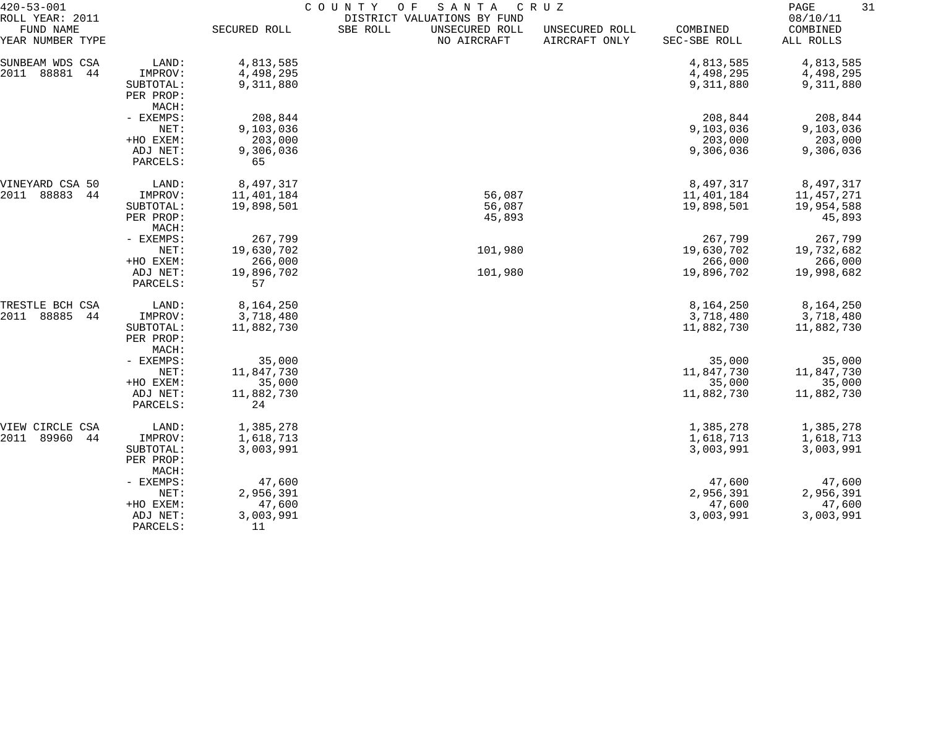| $420 - 53 - 001$              |                                 | COUNTY<br>O F<br>SANTA<br>C R U Z |          |                               |                                 |                          |                       |  |
|-------------------------------|---------------------------------|-----------------------------------|----------|-------------------------------|---------------------------------|--------------------------|-----------------------|--|
| ROLL YEAR: 2011               |                                 |                                   |          | DISTRICT VALUATIONS BY FUND   |                                 |                          | 08/10/11              |  |
| FUND NAME<br>YEAR NUMBER TYPE |                                 | SECURED ROLL                      | SBE ROLL | UNSECURED ROLL<br>NO AIRCRAFT | UNSECURED ROLL<br>AIRCRAFT ONLY | COMBINED<br>SEC-SBE ROLL | COMBINED<br>ALL ROLLS |  |
| SUNBEAM WDS CSA               | LAND:                           | 4,813,585                         |          |                               |                                 | 4,813,585                | 4,813,585             |  |
| 2011<br>88881<br>44           | IMPROV:                         | 4,498,295                         |          |                               |                                 | 4,498,295                | 4,498,295             |  |
|                               | SUBTOTAL:                       | 9,311,880                         |          |                               |                                 | 9,311,880                | 9,311,880             |  |
|                               | PER PROP:                       |                                   |          |                               |                                 |                          |                       |  |
|                               | MACH:                           |                                   |          |                               |                                 |                          |                       |  |
|                               | - EXEMPS:                       | 208,844                           |          |                               |                                 | 208,844                  | 208,844               |  |
|                               | NET:                            | 9,103,036                         |          |                               |                                 | 9,103,036                | 9,103,036             |  |
|                               | +HO EXEM:                       | 203,000                           |          |                               |                                 | 203,000                  | 203,000               |  |
|                               | ADJ NET:                        | 9,306,036                         |          |                               |                                 | 9,306,036                | 9,306,036             |  |
|                               | PARCELS:                        | 65                                |          |                               |                                 |                          |                       |  |
| VINEYARD CSA 50               | LAND:                           | 8,497,317                         |          |                               |                                 | 8,497,317                | 8,497,317             |  |
| 88883<br>2011<br>44           | IMPROV:                         | 11,401,184                        |          | 56,087                        |                                 | 11,401,184               | 11,457,271            |  |
|                               | SUBTOTAL:                       | 19,898,501                        |          | 56,087                        |                                 | 19,898,501               | 19,954,588            |  |
|                               | PER PROP:                       |                                   |          | 45,893                        |                                 |                          | 45,893                |  |
|                               | MACH:                           |                                   |          |                               |                                 |                          |                       |  |
|                               | - EXEMPS:                       | 267,799                           |          |                               |                                 | 267,799                  | 267,799               |  |
|                               | NET:                            | 19,630,702                        |          | 101,980                       |                                 | 19,630,702               | 19,732,682            |  |
|                               | +HO EXEM:                       | 266,000                           |          |                               |                                 | 266,000                  | 266,000               |  |
|                               | ADJ NET:<br>PARCELS:            | 19,896,702<br>57                  |          | 101,980                       |                                 | 19,896,702               | 19,998,682            |  |
| TRESTLE BCH CSA               | LAND:                           | 8,164,250                         |          |                               |                                 | 8,164,250                | 8,164,250             |  |
| 2011<br>88885<br>44           | IMPROV:                         | 3,718,480                         |          |                               |                                 | 3,718,480                | 3,718,480             |  |
|                               | SUBTOTAL:<br>PER PROP:<br>MACH: | 11,882,730                        |          |                               |                                 | 11,882,730               | 11,882,730            |  |
|                               | - EXEMPS:                       | 35,000                            |          |                               |                                 | 35,000                   | 35,000                |  |
|                               | NET:                            | 11,847,730                        |          |                               |                                 | 11,847,730               | 11,847,730            |  |
|                               | +HO EXEM:                       | 35,000                            |          |                               |                                 | 35,000                   | 35,000                |  |
|                               | ADJ NET:                        | 11,882,730                        |          |                               |                                 | 11,882,730               | 11,882,730            |  |
|                               | PARCELS:                        | 24                                |          |                               |                                 |                          |                       |  |
| VIEW CIRCLE CSA               | LAND:                           | 1,385,278                         |          |                               |                                 | 1,385,278                | 1,385,278             |  |
| 2011<br>89960<br>44           | IMPROV:                         | 1,618,713                         |          |                               |                                 | 1,618,713                | 1,618,713             |  |
|                               | SUBTOTAL:<br>PER PROP:<br>MACH: | 3,003,991                         |          |                               |                                 | 3,003,991                | 3,003,991             |  |
|                               | - EXEMPS:                       | 47,600                            |          |                               |                                 | 47,600                   | 47,600                |  |
|                               | NET:                            | 2,956,391                         |          |                               |                                 | 2,956,391                | 2,956,391             |  |
|                               | +HO EXEM:                       | 47,600                            |          |                               |                                 | 47,600                   | 47,600                |  |
|                               | ADJ NET:                        | 3,003,991                         |          |                               |                                 | 3,003,991                | 3,003,991             |  |
|                               | PARCELS:                        | 11                                |          |                               |                                 |                          |                       |  |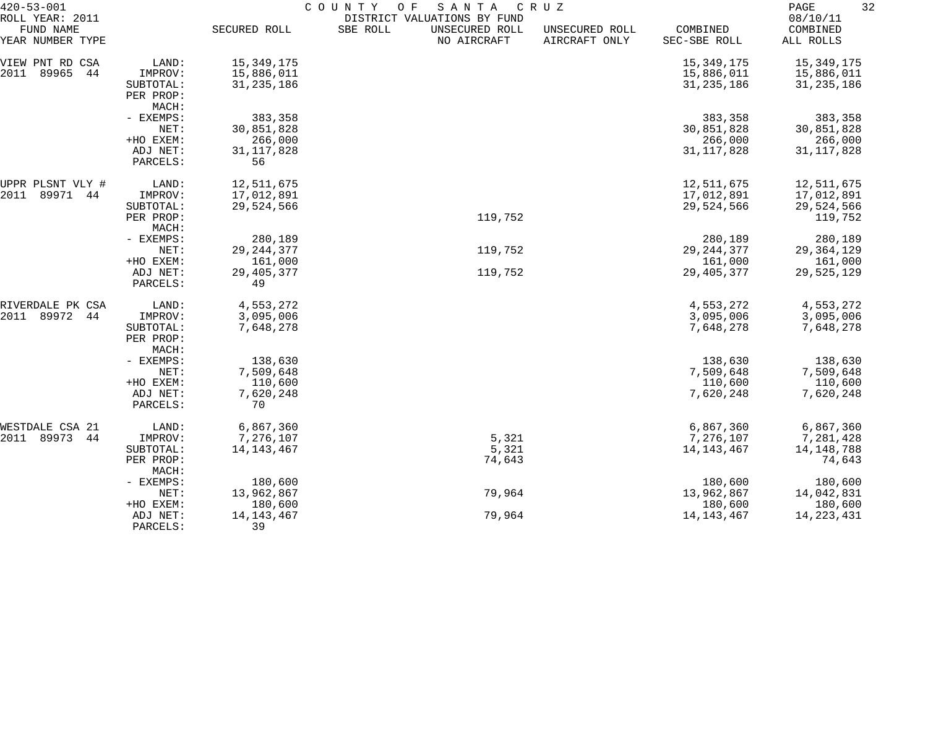| $420 - 53 - 001$             |                      | COUNTY<br>SANTA<br>CRUZ<br>O F |                                                           |                |              |                      |  |
|------------------------------|----------------------|--------------------------------|-----------------------------------------------------------|----------------|--------------|----------------------|--|
| ROLL YEAR: 2011<br>FUND NAME |                      | SECURED ROLL                   | DISTRICT VALUATIONS BY FUND<br>SBE ROLL<br>UNSECURED ROLL | UNSECURED ROLL | COMBINED     | 08/10/11<br>COMBINED |  |
| YEAR NUMBER TYPE             |                      |                                | NO AIRCRAFT                                               | AIRCRAFT ONLY  | SEC-SBE ROLL | ALL ROLLS            |  |
| VIEW PNT RD CSA              | LAND:                | 15,349,175                     |                                                           |                | 15,349,175   | 15,349,175           |  |
| 89965<br>2011<br>44          | IMPROV:              | 15,886,011                     |                                                           |                | 15,886,011   | 15,886,011           |  |
|                              | SUBTOTAL:            | 31, 235, 186                   |                                                           |                | 31, 235, 186 | 31, 235, 186         |  |
|                              | PER PROP:            |                                |                                                           |                |              |                      |  |
|                              | MACH:                |                                |                                                           |                |              |                      |  |
|                              | - EXEMPS:            | 383,358                        |                                                           |                | 383,358      | 383,358              |  |
|                              | NET:                 | 30,851,828                     |                                                           |                | 30,851,828   | 30,851,828           |  |
|                              | +HO EXEM:            | 266,000                        |                                                           |                | 266,000      | 266,000              |  |
|                              | ADJ NET:             | 31, 117, 828                   |                                                           |                | 31, 117, 828 | 31, 117, 828         |  |
|                              | PARCELS:             | 56                             |                                                           |                |              |                      |  |
| UPPR PLSNT VLY #             | LAND:                | 12,511,675                     |                                                           |                | 12,511,675   | 12,511,675           |  |
| 89971<br>2011<br>44          | IMPROV:              | 17,012,891                     |                                                           |                | 17,012,891   | 17,012,891           |  |
|                              | SUBTOTAL:            | 29,524,566                     |                                                           |                | 29,524,566   | 29,524,566           |  |
|                              | PER PROP:            |                                | 119,752                                                   |                |              | 119,752              |  |
|                              | MACH:                |                                |                                                           |                |              |                      |  |
|                              | - EXEMPS:            | 280,189                        |                                                           |                | 280,189      | 280,189              |  |
|                              | NET:                 | 29, 244, 377                   | 119,752                                                   |                | 29, 244, 377 | 29, 364, 129         |  |
|                              | +HO EXEM:            | 161,000                        | 119,752                                                   |                | 161,000      | 161,000              |  |
|                              | ADJ NET:<br>PARCELS: | 29, 405, 377<br>49             |                                                           |                | 29,405,377   | 29,525,129           |  |
| RIVERDALE PK CSA             | LAND:                | 4,553,272                      |                                                           |                | 4,553,272    | 4,553,272            |  |
| 89972<br>2011<br>44          | IMPROV:              | 3,095,006                      |                                                           |                | 3,095,006    | 3,095,006            |  |
|                              | SUBTOTAL:            | 7,648,278                      |                                                           |                | 7,648,278    | 7,648,278            |  |
|                              | PER PROP:            |                                |                                                           |                |              |                      |  |
|                              | MACH:                |                                |                                                           |                |              |                      |  |
|                              | - EXEMPS:            | 138,630                        |                                                           |                | 138,630      | 138,630              |  |
|                              | NET:                 | 7,509,648                      |                                                           |                | 7,509,648    | 7,509,648            |  |
|                              | +HO EXEM:            | 110,600                        |                                                           |                | 110,600      | 110,600              |  |
|                              | ADJ NET:             | 7,620,248                      |                                                           |                | 7,620,248    | 7,620,248            |  |
|                              | PARCELS:             | 70                             |                                                           |                |              |                      |  |
| WESTDALE CSA 21              | LAND:                | 6,867,360                      |                                                           |                | 6,867,360    | 6,867,360            |  |
| 2011 89973<br>44             | IMPROV:              | 7,276,107                      | 5,321                                                     |                | 7,276,107    | 7,281,428            |  |
|                              | SUBTOTAL:            | 14, 143, 467                   | 5,321                                                     |                | 14,143,467   | 14,148,788           |  |
|                              | PER PROP:<br>MACH:   |                                | 74,643                                                    |                |              | 74,643               |  |
|                              | - EXEMPS:            | 180,600                        |                                                           |                | 180,600      | 180,600              |  |
|                              | NET:                 | 13,962,867                     | 79,964                                                    |                | 13,962,867   | 14,042,831           |  |
|                              | +HO EXEM:            | 180,600                        |                                                           |                | 180,600      | 180,600              |  |
|                              | ADJ NET:             | 14, 143, 467                   | 79,964                                                    |                | 14,143,467   | 14,223,431           |  |
|                              | PARCELS:             | 39                             |                                                           |                |              |                      |  |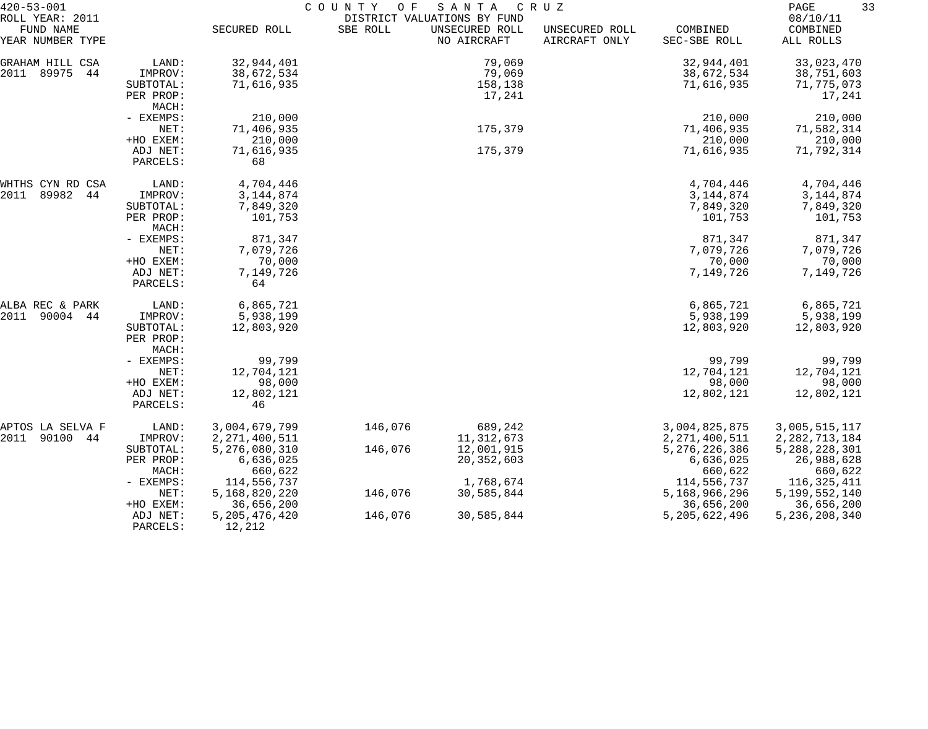| $420 - 53 - 001$                                 |                      | COUNTY<br>O F<br>SANTA<br>C R U Z<br>DISTRICT VALUATIONS BY FUND |          |                               |                                 |                          |                                   |
|--------------------------------------------------|----------------------|------------------------------------------------------------------|----------|-------------------------------|---------------------------------|--------------------------|-----------------------------------|
| ROLL YEAR: 2011<br>FUND NAME<br>YEAR NUMBER TYPE |                      | SECURED ROLL                                                     | SBE ROLL | UNSECURED ROLL<br>NO AIRCRAFT | UNSECURED ROLL<br>AIRCRAFT ONLY | COMBINED<br>SEC-SBE ROLL | 08/10/11<br>COMBINED<br>ALL ROLLS |
| GRAHAM HILL CSA                                  | LAND:                | 32,944,401                                                       |          | 79,069                        |                                 | 32,944,401               | 33,023,470                        |
| 2011<br>89975<br>44                              | IMPROV:              | 38,672,534                                                       |          | 79,069                        |                                 | 38,672,534               | 38,751,603                        |
|                                                  | SUBTOTAL:            | 71,616,935                                                       |          | 158,138                       |                                 | 71,616,935               | 71,775,073                        |
|                                                  | PER PROP:            |                                                                  |          | 17,241                        |                                 |                          | 17,241                            |
|                                                  | MACH:                |                                                                  |          |                               |                                 |                          |                                   |
|                                                  | - EXEMPS:            | 210,000                                                          |          |                               |                                 | 210,000                  | 210,000                           |
|                                                  | NET:                 | 71,406,935                                                       |          | 175,379                       |                                 | 71,406,935               | 71,582,314                        |
|                                                  | +HO EXEM:            | 210,000                                                          |          |                               |                                 | 210,000                  | 210,000                           |
|                                                  | ADJ NET:             | 71,616,935                                                       |          | 175,379                       |                                 | 71,616,935               | 71,792,314                        |
|                                                  | PARCELS:             | 68                                                               |          |                               |                                 |                          |                                   |
| WHTHS CYN RD CSA                                 | LAND:                | 4,704,446                                                        |          |                               |                                 | 4,704,446                | 4,704,446                         |
| 89982<br>2011<br>44                              | IMPROV:              | 3, 144, 874                                                      |          |                               |                                 | 3, 144, 874              | 3, 144, 874                       |
|                                                  | SUBTOTAL:            | 7,849,320                                                        |          |                               |                                 | 7,849,320                | 7,849,320                         |
|                                                  | PER PROP:<br>MACH:   | 101,753                                                          |          |                               |                                 | 101,753                  | 101,753                           |
|                                                  | - EXEMPS:            | 871,347                                                          |          |                               |                                 | 871,347                  | 871,347                           |
|                                                  | NET:                 | 7,079,726                                                        |          |                               |                                 | 7,079,726                | 7,079,726                         |
|                                                  | +HO EXEM:            | 70,000                                                           |          |                               |                                 | 70,000                   | 70,000                            |
|                                                  | ADJ NET:             | 7,149,726                                                        |          |                               |                                 | 7,149,726                | 7,149,726                         |
|                                                  | PARCELS:             | 64                                                               |          |                               |                                 |                          |                                   |
| ALBA REC & PARK                                  | LAND:                | 6,865,721                                                        |          |                               |                                 | 6,865,721                | 6,865,721                         |
| 2011<br>90004 44                                 | IMPROV:              | 5,938,199                                                        |          |                               |                                 | 5,938,199                | 5,938,199                         |
|                                                  | SUBTOTAL:            | 12,803,920                                                       |          |                               |                                 | 12,803,920               | 12,803,920                        |
|                                                  | PER PROP:            |                                                                  |          |                               |                                 |                          |                                   |
|                                                  | MACH:                |                                                                  |          |                               |                                 |                          |                                   |
|                                                  | - EXEMPS:            | 99,799                                                           |          |                               |                                 | 99,799                   | 99,799                            |
|                                                  | NET:                 | 12,704,121                                                       |          |                               |                                 | 12,704,121               | 12,704,121                        |
|                                                  | +HO EXEM:            | 98,000                                                           |          |                               |                                 | 98,000                   | 98,000                            |
|                                                  | ADJ NET:             | 12,802,121                                                       |          |                               |                                 | 12,802,121               | 12,802,121                        |
|                                                  | PARCELS:             | 46                                                               |          |                               |                                 |                          |                                   |
| APTOS LA SELVA F                                 | LAND:                | 3,004,679,799                                                    | 146,076  | 689,242                       |                                 | 3,004,825,875            | 3,005,515,117                     |
| 90100<br>44<br>2011                              | IMPROV:              | 2, 271, 400, 511                                                 |          | 11, 312, 673                  |                                 | 2, 271, 400, 511         | 2, 282, 713, 184                  |
|                                                  | SUBTOTAL:            | 5,276,080,310                                                    | 146,076  | 12,001,915                    |                                 | 5, 276, 226, 386         | 5, 288, 228, 301                  |
|                                                  | PER PROP:            | 6,636,025                                                        |          | 20, 352, 603                  |                                 | 6,636,025                | 26,988,628                        |
|                                                  | MACH:                | 660,622                                                          |          |                               |                                 | 660,622                  | 660,622                           |
|                                                  | - EXEMPS:            | 114,556,737                                                      |          | 1,768,674                     |                                 | 114,556,737              | 116, 325, 411                     |
|                                                  | NET:                 | 5,168,820,220                                                    | 146,076  | 30,585,844                    |                                 | 5,168,966,296            | 5,199,552,140                     |
|                                                  | +HO EXEM:            | 36,656,200                                                       |          |                               |                                 | 36,656,200               | 36,656,200                        |
|                                                  | ADJ NET:<br>PARCELS: | 5, 205, 476, 420<br>12,212                                       | 146,076  | 30,585,844                    |                                 | 5,205,622,496            | 5, 236, 208, 340                  |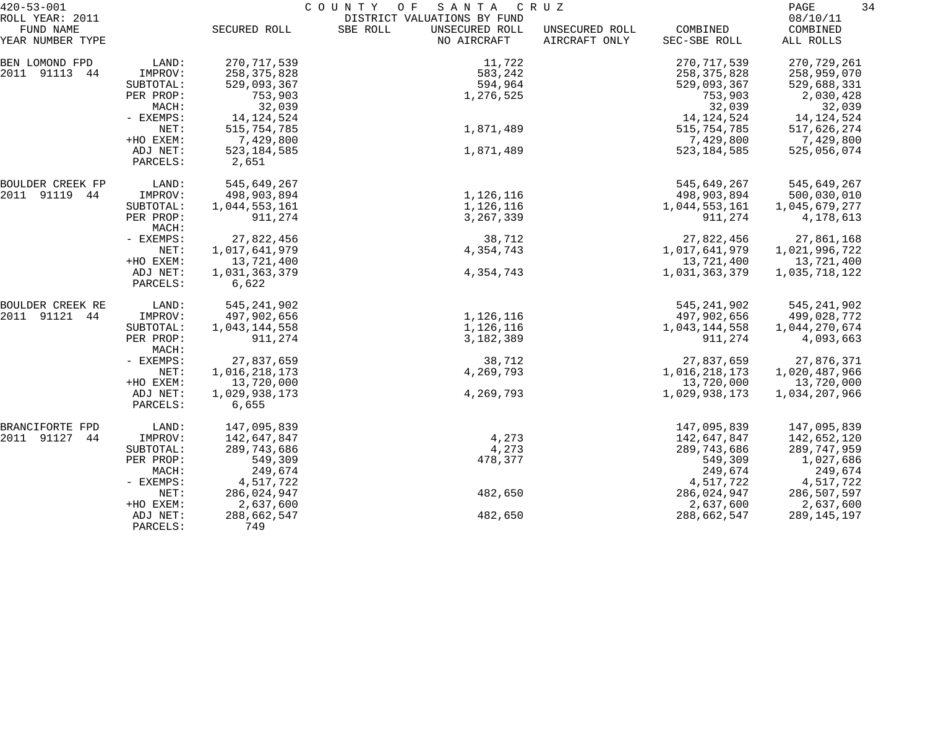| $420 - 53 - 001$<br>ROLL YEAR: 2011 |                      | COUNTY<br>O F<br>SANTA<br>CRUZ<br>DISTRICT VALUATIONS BY FUND |                                           |                                 |                          |                       |
|-------------------------------------|----------------------|---------------------------------------------------------------|-------------------------------------------|---------------------------------|--------------------------|-----------------------|
| FUND NAME<br>YEAR NUMBER TYPE       |                      | SECURED ROLL                                                  | SBE ROLL<br>UNSECURED ROLL<br>NO AIRCRAFT | UNSECURED ROLL<br>AIRCRAFT ONLY | COMBINED<br>SEC-SBE ROLL | COMBINED<br>ALL ROLLS |
| BEN LOMOND FPD                      | LAND:                | 270, 717, 539                                                 | 11,722                                    |                                 | 270, 717, 539            | 270,729,261           |
| 2011 91113 44                       | IMPROV:              | 258, 375, 828                                                 | 583,242                                   |                                 | 258, 375, 828            | 258,959,070           |
|                                     | SUBTOTAL:            | 529,093,367                                                   | 594,964                                   |                                 | 529,093,367              | 529,688,331           |
|                                     | PER PROP:            | 753,903                                                       | 1,276,525                                 |                                 | 753,903                  | 2,030,428             |
|                                     | MACH:                | 32,039                                                        |                                           |                                 | 32,039                   | 32,039                |
|                                     | - EXEMPS:            | 14, 124, 524                                                  |                                           |                                 | 14, 124, 524             | 14,124,524            |
|                                     | NET:                 | 515,754,785                                                   | 1,871,489                                 |                                 | 515,754,785              | 517,626,274           |
|                                     | +HO EXEM:            | 7,429,800                                                     |                                           |                                 | 7,429,800                | 7,429,800             |
|                                     | ADJ NET:<br>PARCELS: | 523, 184, 585<br>2,651                                        | 1,871,489                                 |                                 | 523, 184, 585            | 525,056,074           |
| BOULDER CREEK FP                    | LAND:                | 545,649,267                                                   |                                           |                                 | 545,649,267              | 545,649,267           |
| 2011 91119 44                       | IMPROV:              | 498,903,894                                                   | 1,126,116                                 |                                 | 498,903,894              | 500,030,010           |
|                                     | SUBTOTAL:            | 1,044,553,161                                                 | 1,126,116                                 |                                 | 1,044,553,161            | 1,045,679,277         |
|                                     | PER PROP:<br>MACH:   | 911,274                                                       | 3, 267, 339                               |                                 | 911,274                  | 4,178,613             |
|                                     | - EXEMPS:            | 27,822,456                                                    | 38,712                                    |                                 | 27,822,456               | 27,861,168            |
|                                     | NET:                 | 1,017,641,979                                                 | 4,354,743                                 |                                 | 1,017,641,979            | 1,021,996,722         |
|                                     | +HO EXEM:            | 13,721,400                                                    |                                           |                                 | 13,721,400               | 13,721,400            |
|                                     | ADJ NET:<br>PARCELS: | 1,031,363,379<br>6,622                                        | 4,354,743                                 |                                 | 1,031,363,379            | 1,035,718,122         |
| BOULDER CREEK RE                    | LAND:                | 545, 241, 902                                                 |                                           |                                 | 545, 241, 902            | 545, 241, 902         |
| 2011 91121 44                       | IMPROV:              | 497,902,656                                                   | 1,126,116                                 |                                 | 497,902,656              | 499,028,772           |
|                                     | SUBTOTAL:            | 1,043,144,558                                                 | 1,126,116                                 |                                 | 1,043,144,558            | 1,044,270,674         |
|                                     | PER PROP:<br>MACH:   | 911,274                                                       | 3,182,389                                 |                                 | 911,274                  | 4,093,663             |
|                                     | - EXEMPS:            | 27,837,659                                                    | 38,712                                    |                                 | 27,837,659               | 27,876,371            |
|                                     | NET:                 | 1,016,218,173                                                 | 4,269,793                                 |                                 | 1,016,218,173            | 1,020,487,966         |
|                                     | +HO EXEM:            | 13,720,000                                                    |                                           |                                 | 13,720,000               | 13,720,000            |
|                                     | ADJ NET:             | 1,029,938,173                                                 | 4,269,793                                 |                                 | 1,029,938,173            | 1,034,207,966         |
|                                     | PARCELS:             | 6,655                                                         |                                           |                                 |                          |                       |
| BRANCIFORTE FPD                     | LAND:                | 147,095,839                                                   |                                           |                                 | 147,095,839              | 147,095,839           |
| 2011 91127<br>44                    | IMPROV:              | 142,647,847                                                   | 4,273                                     |                                 | 142,647,847              | 142,652,120           |
|                                     | SUBTOTAL:            | 289,743,686                                                   | 4,273                                     |                                 | 289,743,686              | 289,747,959           |
|                                     | PER PROP:            | 549,309                                                       | 478,377                                   |                                 | 549,309                  | 1,027,686             |
|                                     | MACH:                | 249,674                                                       |                                           |                                 | 249,674                  | 249,674               |
|                                     | - EXEMPS:            | 4,517,722                                                     |                                           |                                 | 4,517,722                | 4,517,722             |
|                                     | NET:                 | 286,024,947                                                   | 482,650                                   |                                 | 286,024,947              | 286,507,597           |
|                                     | +HO EXEM:            | 2,637,600                                                     |                                           |                                 | 2,637,600                | 2,637,600             |
|                                     | ADJ NET:<br>PARCELS: | 288,662,547<br>749                                            | 482,650                                   |                                 | 288,662,547              | 289,145,197           |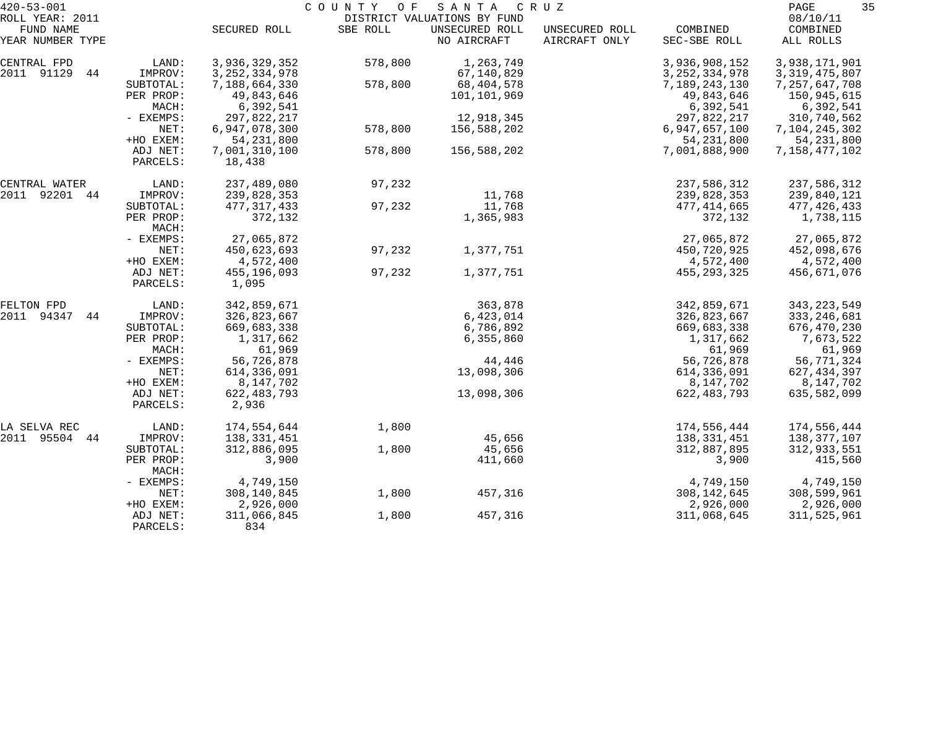| $420 - 53 - 001$    |                    | COUNTY OF<br>SANTA<br>C R U Z |          |                             |                |                  |                  |  |
|---------------------|--------------------|-------------------------------|----------|-----------------------------|----------------|------------------|------------------|--|
| ROLL YEAR: 2011     |                    |                               |          | DISTRICT VALUATIONS BY FUND |                |                  | 08/10/11         |  |
| FUND NAME           |                    | SECURED ROLL                  | SBE ROLL | UNSECURED ROLL              | UNSECURED ROLL | COMBINED         | COMBINED         |  |
| YEAR NUMBER TYPE    |                    |                               |          | NO AIRCRAFT                 | AIRCRAFT ONLY  | SEC-SBE ROLL     | ALL ROLLS        |  |
| CENTRAL FPD         | LAND:              | 3,936,329,352                 | 578,800  | 1,263,749                   |                | 3,936,908,152    | 3,938,171,901    |  |
| 2011 91129<br>44    | IMPROV:            | 3, 252, 334, 978              |          | 67,140,829                  |                | 3, 252, 334, 978 | 3, 319, 475, 807 |  |
|                     | SUBTOTAL:          | 7,188,664,330                 | 578,800  | 68,404,578                  |                | 7,189,243,130    | 7,257,647,708    |  |
|                     | PER PROP:          | 49,843,646                    |          | 101,101,969                 |                | 49,843,646       | 150,945,615      |  |
|                     | MACH:              | 6,392,541                     |          |                             |                | 6,392,541        | 6,392,541        |  |
|                     | - EXEMPS:          | 297,822,217                   |          | 12,918,345                  |                | 297,822,217      | 310,740,562      |  |
|                     | NET:               | 6,947,078,300                 | 578,800  | 156,588,202                 |                | 6,947,657,100    | 7,104,245,302    |  |
|                     | +HO EXEM:          | 54, 231, 800                  |          |                             |                | 54, 231, 800     | 54, 231, 800     |  |
|                     | ADJ NET:           | 7,001,310,100                 | 578,800  | 156,588,202                 |                | 7,001,888,900    | 7,158,477,102    |  |
|                     | PARCELS:           | 18,438                        |          |                             |                |                  |                  |  |
| CENTRAL WATER       | LAND:              | 237,489,080                   | 97,232   |                             |                | 237,586,312      | 237,586,312      |  |
| 2011<br>92201 44    | IMPROV:            | 239,828,353                   |          | 11,768                      |                | 239,828,353      | 239,840,121      |  |
|                     | SUBTOTAL:          | 477, 317, 433                 | 97,232   | 11,768                      |                | 477,414,665      | 477,426,433      |  |
|                     | PER PROP:<br>MACH: | 372,132                       |          | 1,365,983                   |                | 372,132          | 1,738,115        |  |
|                     | - EXEMPS:          | 27,065,872                    |          |                             |                | 27,065,872       | 27,065,872       |  |
|                     | NET:               | 450,623,693                   | 97,232   | 1,377,751                   |                | 450,720,925      | 452,098,676      |  |
|                     | +HO EXEM:          | 4,572,400                     |          |                             |                | 4,572,400        | 4,572,400        |  |
|                     | ADJ NET:           | 455,196,093                   | 97,232   | 1,377,751                   |                | 455, 293, 325    | 456,671,076      |  |
|                     | PARCELS:           | 1,095                         |          |                             |                |                  |                  |  |
| FELTON FPD          | LAND:              | 342,859,671                   |          | 363,878                     |                | 342,859,671      | 343, 223, 549    |  |
| 94347<br>2011<br>44 | IMPROV:            | 326,823,667                   |          | 6,423,014                   |                | 326,823,667      | 333, 246, 681    |  |
|                     | SUBTOTAL:          | 669,683,338                   |          | 6,786,892                   |                | 669,683,338      | 676,470,230      |  |
|                     | PER PROP:          | 1,317,662                     |          | 6,355,860                   |                | 1,317,662        | 7,673,522        |  |
|                     | MACH:              | 61,969                        |          |                             |                | 61,969           | 61,969           |  |
|                     | - EXEMPS:          | 56,726,878                    |          | 44,446                      |                | 56,726,878       | 56,771,324       |  |
|                     | NET:               | 614,336,091                   |          | 13,098,306                  |                | 614,336,091      | 627,434,397      |  |
|                     | +HO EXEM:          | 8,147,702                     |          |                             |                | 8,147,702        | 8,147,702        |  |
|                     | ADJ NET:           | 622, 483, 793                 |          | 13,098,306                  |                | 622, 483, 793    | 635,582,099      |  |
|                     | PARCELS:           | 2,936                         |          |                             |                |                  |                  |  |
| LA SELVA REC        | LAND:              | 174,554,644                   | 1,800    |                             |                | 174,556,444      | 174,556,444      |  |
| 2011<br>95504 44    | IMPROV:            | 138,331,451                   |          | 45,656                      |                | 138, 331, 451    | 138,377,107      |  |
|                     | SUBTOTAL:          | 312,886,095                   | 1,800    | 45,656                      |                | 312,887,895      | 312,933,551      |  |
|                     | PER PROP:<br>MACH: | 3,900                         |          | 411,660                     |                | 3,900            | 415,560          |  |
|                     | - EXEMPS:          | 4,749,150                     |          |                             |                | 4,749,150        | 4,749,150        |  |
|                     | NET:               | 308,140,845                   | 1,800    | 457,316                     |                | 308, 142, 645    | 308,599,961      |  |
|                     | +HO EXEM:          | 2,926,000                     |          |                             |                | 2,926,000        | 2,926,000        |  |
|                     | ADJ NET:           | 311,066,845                   | 1,800    | 457,316                     |                | 311,068,645      | 311,525,961      |  |
|                     | PARCELS:           | 834                           |          |                             |                |                  |                  |  |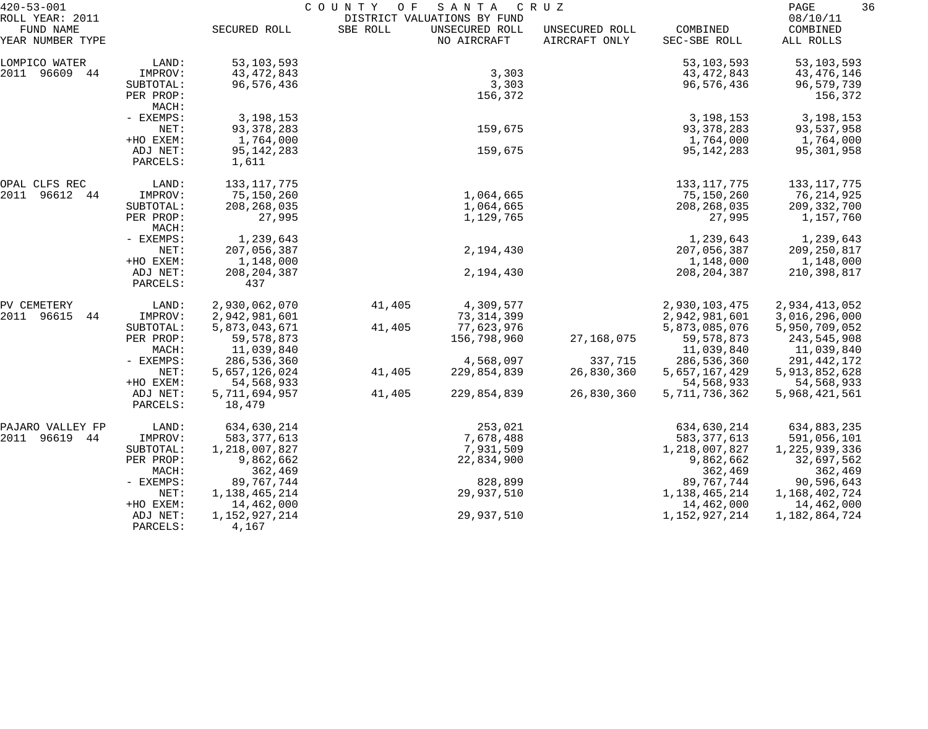| $420 - 53 - 001$                                 |                      | COUNTY<br>SANTA<br>O F<br>C R U Z |          |                                                              |                                 |                          |                                   | 36 |
|--------------------------------------------------|----------------------|-----------------------------------|----------|--------------------------------------------------------------|---------------------------------|--------------------------|-----------------------------------|----|
| ROLL YEAR: 2011<br>FUND NAME<br>YEAR NUMBER TYPE |                      | SECURED ROLL                      | SBE ROLL | DISTRICT VALUATIONS BY FUND<br>UNSECURED ROLL<br>NO AIRCRAFT | UNSECURED ROLL<br>AIRCRAFT ONLY | COMBINED<br>SEC-SBE ROLL | 08/10/11<br>COMBINED<br>ALL ROLLS |    |
|                                                  |                      |                                   |          |                                                              |                                 |                          |                                   |    |
| LOMPICO WATER                                    | LAND:                | 53, 103, 593                      |          |                                                              |                                 | 53, 103, 593             | 53, 103, 593                      |    |
| 2011 96609 44                                    | IMPROV:              | 43, 472, 843                      |          | 3,303                                                        |                                 | 43, 472, 843             | 43,476,146                        |    |
|                                                  | SUBTOTAL:            | 96,576,436                        |          | 3,303                                                        |                                 | 96,576,436               | 96,579,739                        |    |
|                                                  | PER PROP:<br>MACH:   |                                   |          | 156,372                                                      |                                 |                          | 156,372                           |    |
|                                                  | - EXEMPS:            | 3,198,153                         |          |                                                              |                                 | 3, 198, 153              | 3,198,153                         |    |
|                                                  | NET:                 | 93, 378, 283                      |          | 159,675                                                      |                                 | 93, 378, 283             | 93,537,958                        |    |
|                                                  | +HO EXEM:            | 1,764,000                         |          |                                                              |                                 | 1,764,000                | 1,764,000                         |    |
|                                                  | ADJ NET:<br>PARCELS: | 95, 142, 283<br>1,611             |          | 159,675                                                      |                                 | 95, 142, 283             | 95,301,958                        |    |
| OPAL CLFS REC                                    | LAND:                | 133, 117, 775                     |          |                                                              |                                 | 133, 117, 775            | 133, 117, 775                     |    |
| 2011<br>96612 44                                 | IMPROV:              | 75,150,260                        |          | 1,064,665                                                    |                                 | 75,150,260               | 76,214,925                        |    |
|                                                  | SUBTOTAL:            | 208, 268, 035                     |          | 1,064,665                                                    |                                 | 208, 268, 035            | 209, 332, 700                     |    |
|                                                  | PER PROP:            | 27,995                            |          | 1,129,765                                                    |                                 | 27,995                   | 1,157,760                         |    |
|                                                  | MACH:                |                                   |          |                                                              |                                 |                          |                                   |    |
|                                                  | - EXEMPS:            | 1,239,643                         |          |                                                              |                                 | 1,239,643                | 1,239,643                         |    |
|                                                  | NET:                 | 207,056,387                       |          | 2,194,430                                                    |                                 | 207,056,387              | 209,250,817                       |    |
|                                                  | +HO EXEM:            | 1,148,000                         |          |                                                              |                                 | 1,148,000                | 1,148,000                         |    |
|                                                  | ADJ NET:<br>PARCELS: | 208, 204, 387<br>437              |          | 2,194,430                                                    |                                 | 208, 204, 387            | 210,398,817                       |    |
| PV CEMETERY                                      | LAND:                | 2,930,062,070                     | 41,405   | 4,309,577                                                    |                                 | 2,930,103,475            | 2,934,413,052                     |    |
| 2011 96615<br>44                                 | IMPROV:              | 2,942,981,601                     |          | 73, 314, 399                                                 |                                 | 2,942,981,601            | 3,016,296,000                     |    |
|                                                  | SUBTOTAL:            | 5,873,043,671                     | 41,405   | 77,623,976                                                   |                                 | 5,873,085,076            | 5,950,709,052                     |    |
|                                                  | PER PROP:            | 59, 578, 873                      |          | 156,798,960                                                  | 27,168,075                      | 59, 578, 873             | 243,545,908                       |    |
|                                                  | MACH:                | 11,039,840                        |          |                                                              |                                 | 11,039,840               | 11,039,840                        |    |
|                                                  | - EXEMPS:            | 286,536,360                       |          | 4,568,097                                                    | 337,715                         | 286,536,360              | 291,442,172                       |    |
|                                                  | NET:                 | 5,657,126,024                     | 41,405   | 229,854,839                                                  | 26,830,360                      | 5,657,167,429            | 5, 913, 852, 628                  |    |
|                                                  | +HO EXEM:            | 54,568,933                        |          |                                                              |                                 | 54,568,933               | 54,568,933                        |    |
|                                                  | ADJ NET:             | 5,711,694,957                     | 41,405   | 229,854,839                                                  | 26,830,360                      | 5,711,736,362            | 5,968,421,561                     |    |
|                                                  | PARCELS:             | 18,479                            |          |                                                              |                                 |                          |                                   |    |
| PAJARO VALLEY FP                                 | LAND:                | 634,630,214                       |          | 253,021                                                      |                                 | 634,630,214              | 634,883,235                       |    |
| 2011<br>96619 44                                 | IMPROV:              | 583, 377, 613                     |          | 7,678,488                                                    |                                 | 583, 377, 613            | 591,056,101                       |    |
|                                                  | SUBTOTAL:            | 1,218,007,827                     |          | 7,931,509                                                    |                                 | 1,218,007,827            | 1,225,939,336                     |    |
|                                                  | PER PROP:            | 9,862,662                         |          | 22,834,900                                                   |                                 | 9,862,662                | 32,697,562                        |    |
|                                                  | MACH:                | 362,469                           |          |                                                              |                                 | 362,469                  | 362,469                           |    |
|                                                  | - EXEMPS:            | 89,767,744                        |          | 828,899                                                      |                                 | 89,767,744               | 90,596,643                        |    |
|                                                  | NET:                 | 1,138,465,214                     |          | 29,937,510                                                   |                                 | 1,138,465,214            | 1,168,402,724                     |    |
|                                                  | +HO EXEM:            | 14,462,000                        |          |                                                              |                                 | 14,462,000               | 14,462,000                        |    |
|                                                  | ADJ NET:<br>PARCELS: | 1, 152, 927, 214<br>4,167         |          | 29,937,510                                                   |                                 | 1,152,927,214            | 1,182,864,724                     |    |
|                                                  |                      |                                   |          |                                                              |                                 |                          |                                   |    |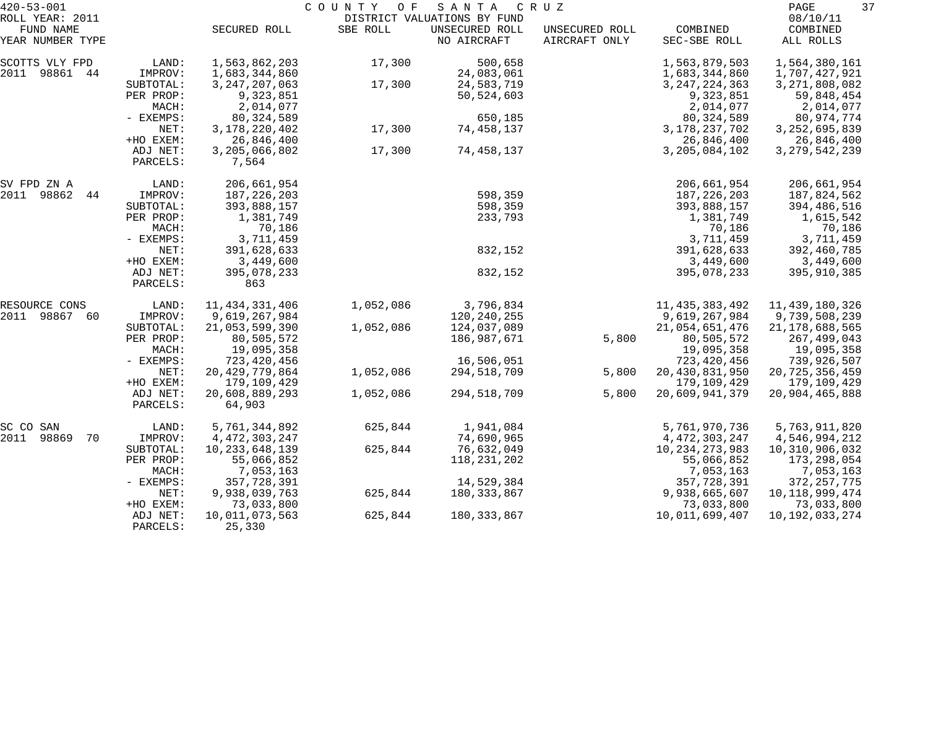| $420 - 53 - 001$              |                      |                          | COUNTY OF | SANTA                         | C R U Z                         |                          | 37<br>PAGE            |
|-------------------------------|----------------------|--------------------------|-----------|-------------------------------|---------------------------------|--------------------------|-----------------------|
| ROLL YEAR: 2011               |                      |                          |           | DISTRICT VALUATIONS BY FUND   |                                 |                          | 08/10/11              |
| FUND NAME<br>YEAR NUMBER TYPE |                      | SECURED ROLL             | SBE ROLL  | UNSECURED ROLL<br>NO AIRCRAFT | UNSECURED ROLL<br>AIRCRAFT ONLY | COMBINED<br>SEC-SBE ROLL | COMBINED<br>ALL ROLLS |
| SCOTTS VLY FPD                | LAND:                | 1,563,862,203            | 17,300    | 500,658                       |                                 | 1,563,879,503            | 1,564,380,161         |
| 2011<br>98861<br>44           | IMPROV:              | 1,683,344,860            |           | 24,083,061                    |                                 | 1,683,344,860            | 1,707,427,921         |
|                               | SUBTOTAL:            | 3, 247, 207, 063         | 17,300    | 24,583,719                    |                                 | 3, 247, 224, 363         | 3, 271, 808, 082      |
|                               | PER PROP:            | 9,323,851                |           | 50,524,603                    |                                 | 9,323,851                | 59,848,454            |
|                               | MACH:                | 2,014,077                |           |                               |                                 | 2,014,077                | 2,014,077             |
|                               | - EXEMPS:            | 80, 324, 589             |           | 650,185                       |                                 | 80, 324, 589             | 80,974,774            |
|                               | NET:                 | 3, 178, 220, 402         | 17,300    | 74,458,137                    |                                 | 3, 178, 237, 702         | 3, 252, 695, 839      |
|                               | +HO EXEM:            | 26,846,400               |           |                               |                                 | 26,846,400               | 26,846,400            |
|                               | ADJ NET:<br>PARCELS: | 3,205,066,802<br>7,564   | 17,300    | 74,458,137                    |                                 | 3, 205, 084, 102         | 3, 279, 542, 239      |
| SV FPD ZN A                   | LAND:                | 206,661,954              |           |                               |                                 | 206,661,954              | 206,661,954           |
| 2011 98862<br>44              | IMPROV:              | 187, 226, 203            |           | 598,359                       |                                 | 187, 226, 203            | 187,824,562           |
|                               | SUBTOTAL:            | 393,888,157              |           | 598,359                       |                                 | 393,888,157              | 394,486,516           |
|                               | PER PROP:            | 1,381,749                |           | 233,793                       |                                 | 1,381,749                | 1,615,542             |
|                               | MACH:                | 70,186                   |           |                               |                                 | 70,186                   | 70,186                |
|                               | - EXEMPS:            | 3,711,459                |           |                               |                                 | 3,711,459                | 3,711,459             |
|                               | NET:                 | 391,628,633              |           | 832,152                       |                                 | 391,628,633              | 392,460,785           |
|                               | +HO EXEM:            | 3,449,600                |           |                               |                                 | 3,449,600                | 3,449,600             |
|                               | ADJ NET:             | 395,078,233              |           | 832,152                       |                                 | 395,078,233              | 395,910,385           |
|                               | PARCELS:             | 863                      |           |                               |                                 |                          |                       |
| RESOURCE CONS                 | LAND:                | 11, 434, 331, 406        | 1,052,086 | 3,796,834                     |                                 | 11, 435, 383, 492        | 11, 439, 180, 326     |
| 2011<br>98867<br>60           | IMPROV:              | 9,619,267,984            |           | 120,240,255                   |                                 | 9,619,267,984            | 9,739,508,239         |
|                               | SUBTOTAL:            | 21,053,599,390           | 1,052,086 | 124,037,089                   |                                 | 21,054,651,476           | 21, 178, 688, 565     |
|                               | PER PROP:            | 80,505,572               |           | 186,987,671                   | 5,800                           | 80,505,572               | 267,499,043           |
|                               | MACH:                | 19,095,358               |           |                               |                                 | 19,095,358               | 19,095,358            |
|                               | - EXEMPS:            | 723,420,456              |           | 16,506,051                    |                                 | 723, 420, 456            | 739,926,507           |
|                               | NET:                 | 20, 429, 779, 864        | 1,052,086 | 294,518,709                   | 5,800                           | 20, 430, 831, 950        | 20, 725, 356, 459     |
|                               | +HO EXEM:            | 179,109,429              |           |                               |                                 | 179,109,429              | 179,109,429           |
|                               | ADJ NET:<br>PARCELS: | 20,608,889,293<br>64,903 | 1,052,086 | 294,518,709                   | 5,800                           | 20,609,941,379           | 20,904,465,888        |
| SC CO<br>SAN                  | LAND:                | 5,761,344,892            | 625,844   | 1,941,084                     |                                 | 5,761,970,736            | 5,763,911,820         |
| 2011<br>98869<br>70           | IMPROV:              | 4, 472, 303, 247         |           | 74,690,965                    |                                 | 4,472,303,247            | 4,546,994,212         |
|                               | SUBTOTAL:            | 10, 233, 648, 139        | 625,844   | 76,632,049                    |                                 | 10, 234, 273, 983        | 10,310,906,032        |
|                               | PER PROP:            | 55,066,852               |           | 118,231,202                   |                                 | 55,066,852               | 173,298,054           |
|                               | MACH:                | 7,053,163                |           |                               |                                 | 7,053,163                | 7,053,163             |
|                               | $-$ EXEMPS:          | 357,728,391              |           | 14,529,384                    |                                 | 357,728,391              | 372, 257, 775         |
|                               | NET:                 | 9,938,039,763            | 625,844   | 180, 333, 867                 |                                 | 9,938,665,607            | 10, 118, 999, 474     |
|                               | +HO EXEM:            | 73,033,800               |           |                               |                                 | 73,033,800               | 73,033,800            |
|                               | ADJ NET:             | 10,011,073,563           | 625,844   | 180, 333, 867                 |                                 | 10,011,699,407           | 10, 192, 033, 274     |
|                               | PARCELS:             | 25,330                   |           |                               |                                 |                          |                       |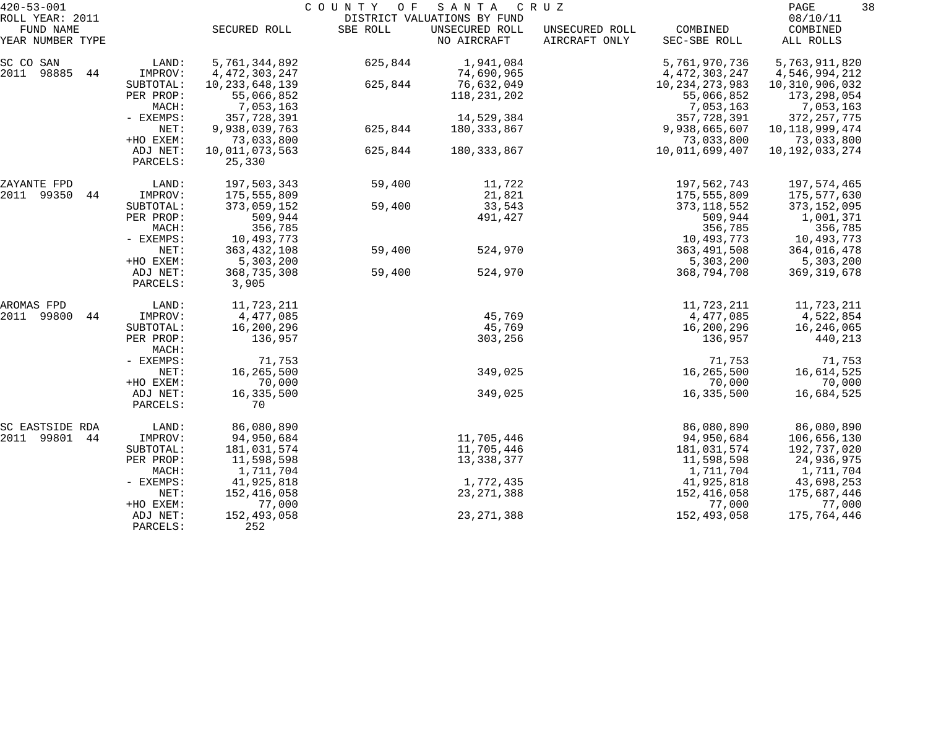| ROLL YEAR: 2011<br>DISTRICT VALUATIONS BY FUND<br>FUND NAME<br>SBE ROLL<br>UNSECURED ROLL<br>COMBINED<br>SECURED ROLL<br>UNSECURED ROLL<br>NO AIRCRAFT<br>AIRCRAFT ONLY<br>YEAR NUMBER TYPE<br>SEC-SBE ROLL<br>5,761,344,892<br>1,941,084<br>5,761,970,736<br>SC CO SAN<br>LAND:<br>625,844<br>2011<br>98885<br>74,690,965<br>44<br>IMPROV:<br>4, 472, 303, 247<br>4,472,303,247<br>10, 233, 648, 139<br>76,632,049<br>SUBTOTAL:<br>625,844<br>10, 234, 273, 983<br>PER PROP:<br>55,066,852<br>118,231,202<br>55,066,852<br>MACH:<br>7,053,163<br>7,053,163<br>14,529,384<br>- EXEMPS:<br>357,728,391<br>357,728,391<br>NET:<br>9,938,039,763<br>625,844<br>180,333,867<br>9,938,665,607 | 08/10/11<br>COMBINED<br>ALL ROLLS<br>5,763,911,820<br>4,546,994,212<br>10,310,906,032<br>173,298,054<br>7,053,163<br>372, 257, 775<br>10, 118, 999, 474<br>73,033,800<br>10, 192, 033, 274 |
|------------------------------------------------------------------------------------------------------------------------------------------------------------------------------------------------------------------------------------------------------------------------------------------------------------------------------------------------------------------------------------------------------------------------------------------------------------------------------------------------------------------------------------------------------------------------------------------------------------------------------------------------------------------------------------------|--------------------------------------------------------------------------------------------------------------------------------------------------------------------------------------------|
|                                                                                                                                                                                                                                                                                                                                                                                                                                                                                                                                                                                                                                                                                          |                                                                                                                                                                                            |
|                                                                                                                                                                                                                                                                                                                                                                                                                                                                                                                                                                                                                                                                                          |                                                                                                                                                                                            |
| +HO EXEM:<br>73,033,800<br>73,033,800<br>180, 333, 867<br>ADJ NET:<br>10,011,073,563<br>625,844<br>10,011,699,407<br>PARCELS:<br>25,330                                                                                                                                                                                                                                                                                                                                                                                                                                                                                                                                                  |                                                                                                                                                                                            |
| LAND:<br>197,503,343<br>59,400<br>11,722<br>197,562,743<br>ZAYANTE FPD<br>2011 99350<br>21,821<br>IMPROV:<br>175,555,809<br>175,555,809<br>44<br>33,543<br>SUBTOTAL:<br>373,059,152<br>59,400<br>373, 118, 552                                                                                                                                                                                                                                                                                                                                                                                                                                                                           | 197,574,465<br>175,577,630<br>373, 152, 095                                                                                                                                                |
| PER PROP:<br>509,944<br>491,427<br>509,944<br>356,785<br>MACH:<br>356,785<br>- EXEMPS:<br>10,493,773<br>10,493,773                                                                                                                                                                                                                                                                                                                                                                                                                                                                                                                                                                       | 1,001,371<br>356,785<br>10,493,773                                                                                                                                                         |
| NET:<br>363, 432, 108<br>59,400<br>524,970<br>363, 491, 508<br>+HO EXEM:<br>5,303,200<br>5,303,200<br>524,970<br>ADJ NET:<br>368,735,308<br>59,400<br>368,794,708<br>PARCELS:<br>3,905                                                                                                                                                                                                                                                                                                                                                                                                                                                                                                   | 364,016,478<br>5,303,200<br>369, 319, 678                                                                                                                                                  |
| 11,723,211<br>11,723,211<br>LAND:<br>AROMAS FPD<br>2011<br>4,477,085<br>45,769<br>99800<br>IMPROV:<br>4,477,085<br>44<br>45,769<br>SUBTOTAL:<br>16,200,296<br>16,200,296<br>PER PROP:<br>136,957<br>136,957<br>303,256                                                                                                                                                                                                                                                                                                                                                                                                                                                                   | 11,723,211<br>4,522,854<br>16,246,065<br>440,213                                                                                                                                           |
| MACH:<br>71,753<br>71,753<br>- EXEMPS:<br>349,025<br>NET:<br>16,265,500<br>16,265,500<br>+HO EXEM:<br>70,000<br>70,000                                                                                                                                                                                                                                                                                                                                                                                                                                                                                                                                                                   | 71,753<br>16,614,525<br>70,000                                                                                                                                                             |
| 349,025<br>ADJ NET:<br>16,335,500<br>16,335,500<br>70<br>PARCELS:                                                                                                                                                                                                                                                                                                                                                                                                                                                                                                                                                                                                                        | 16,684,525                                                                                                                                                                                 |
| 86,080,890<br>86,080,890<br>LAND:<br>SC EASTSIDE RDA<br>11,705,446<br>2011 99801<br>44<br>94,950,684<br>94,950,684<br>IMPROV:<br>181,031,574<br>11,705,446<br>181,031,574<br>SUBTOTAL:<br>11,598,598<br>13,338,377<br>11,598,598<br>PER PROP:<br>1,711,704<br>1,711,704<br>MACH:                                                                                                                                                                                                                                                                                                                                                                                                         | 86,080,890<br>106,656,130<br>192,737,020<br>24,936,975<br>1,711,704                                                                                                                        |
| 1,772,435<br>41,925,818<br>41,925,818<br>$-$ EXEMPS:<br>152,416,058<br>152,416,058<br>23, 271, 388<br>NET:<br>77,000<br>77,000<br>+HO EXEM:<br>152,493,058<br>23, 271, 388<br>152,493,058<br>ADJ NET:<br>252<br>PARCELS:                                                                                                                                                                                                                                                                                                                                                                                                                                                                 | 43,698,253<br>175,687,446<br>77,000<br>175,764,446                                                                                                                                         |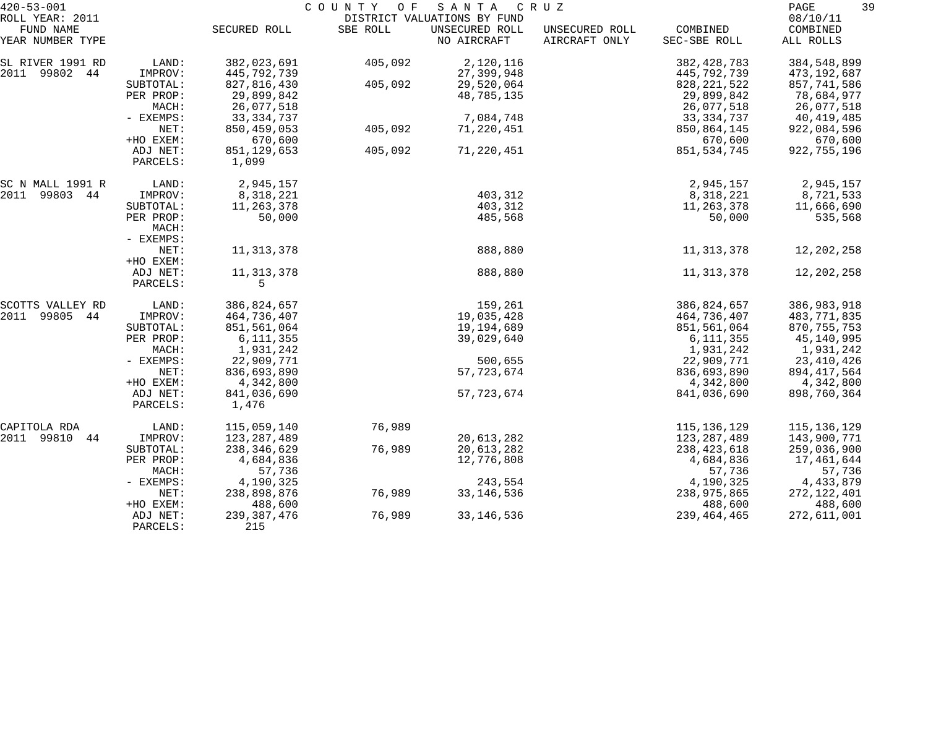| $420 - 53 - 001$              |                      |                        | COUNTY OF | SANTA                         | C R U Z                         |                          | 39<br>PAGE            |
|-------------------------------|----------------------|------------------------|-----------|-------------------------------|---------------------------------|--------------------------|-----------------------|
| ROLL YEAR: 2011               |                      |                        |           | DISTRICT VALUATIONS BY FUND   |                                 |                          | 08/10/11              |
| FUND NAME<br>YEAR NUMBER TYPE |                      | SECURED ROLL           | SBE ROLL  | UNSECURED ROLL<br>NO AIRCRAFT | UNSECURED ROLL<br>AIRCRAFT ONLY | COMBINED<br>SEC-SBE ROLL | COMBINED<br>ALL ROLLS |
| SL RIVER 1991 RD              | LAND:                | 382,023,691            | 405,092   | 2,120,116                     |                                 | 382, 428, 783            | 384,548,899           |
| 2011 99802 44                 | IMPROV:              | 445,792,739            |           | 27,399,948                    |                                 | 445,792,739              | 473,192,687           |
|                               | SUBTOTAL:            | 827,816,430            | 405,092   | 29,520,064                    |                                 | 828, 221, 522            | 857,741,586           |
|                               | PER PROP:            | 29,899,842             |           | 48,785,135                    |                                 | 29,899,842               | 78,684,977            |
|                               | MACH:                | 26,077,518             |           |                               |                                 | 26,077,518               | 26,077,518            |
|                               | - EXEMPS:            | 33, 334, 737           |           | 7,084,748                     |                                 | 33, 334, 737             | 40,419,485            |
|                               | NET:                 | 850, 459, 053          | 405,092   | 71,220,451                    |                                 | 850,864,145              | 922,084,596           |
|                               | +HO EXEM:            | 670,600                |           |                               |                                 | 670,600                  | 670,600               |
|                               | ADJ NET:<br>PARCELS: | 851, 129, 653<br>1,099 | 405,092   | 71,220,451                    |                                 | 851, 534, 745            | 922,755,196           |
| SC N MALL 1991 R              | LAND:                | 2,945,157              |           |                               |                                 | 2,945,157                | 2,945,157             |
| 2011 99803 44                 | IMPROV:              | 8,318,221              |           | 403,312                       |                                 | 8,318,221                | 8,721,533             |
|                               | SUBTOTAL:            | 11,263,378             |           | 403,312                       |                                 | 11,263,378               | 11,666,690            |
|                               | PER PROP:            | 50,000                 |           | 485,568                       |                                 | 50,000                   | 535,568               |
|                               | MACH:                |                        |           |                               |                                 |                          |                       |
|                               | - EXEMPS:            |                        |           |                               |                                 |                          |                       |
|                               | NET:                 | 11, 313, 378           |           | 888,880                       |                                 | 11, 313, 378             | 12,202,258            |
|                               | +HO EXEM:            |                        |           |                               |                                 |                          |                       |
|                               | ADJ NET:             | 11, 313, 378           |           | 888,880                       |                                 | 11, 313, 378             | 12,202,258            |
|                               | PARCELS:             | 5                      |           |                               |                                 |                          |                       |
| SCOTTS VALLEY RD              | LAND:                | 386,824,657            |           | 159,261                       |                                 | 386,824,657              | 386,983,918           |
| 2011<br>99805 44              | IMPROV:              | 464,736,407            |           | 19,035,428                    |                                 | 464,736,407              | 483,771,835           |
|                               | SUBTOTAL:            | 851,561,064            |           | 19,194,689                    |                                 | 851,561,064              | 870, 755, 753         |
|                               | PER PROP:            | 6, 111, 355            |           | 39,029,640                    |                                 | 6,111,355                | 45,140,995            |
|                               | MACH:                | 1,931,242              |           |                               |                                 | 1,931,242                | 1,931,242             |
|                               | - EXEMPS:            | 22,909,771             |           | 500,655                       |                                 | 22,909,771               | 23, 410, 426          |
|                               | NET:                 | 836,693,890            |           | 57, 723, 674                  |                                 | 836,693,890              | 894, 417, 564         |
|                               | +HO EXEM:            | 4,342,800              |           |                               |                                 | 4,342,800                | 4,342,800             |
|                               | ADJ NET:             | 841,036,690            |           | 57, 723, 674                  |                                 | 841,036,690              | 898,760,364           |
|                               | PARCELS:             | 1,476                  |           |                               |                                 |                          |                       |
| CAPITOLA RDA                  | LAND:                | 115,059,140            | 76,989    |                               |                                 | 115, 136, 129            | 115,136,129           |
| 2011 99810<br>44              | IMPROV:              | 123, 287, 489          |           | 20,613,282                    |                                 | 123, 287, 489            | 143,900,771           |
|                               | SUBTOTAL:            | 238,346,629            | 76,989    | 20,613,282                    |                                 | 238, 423, 618            | 259,036,900           |
|                               | PER PROP:            | 4,684,836              |           | 12,776,808                    |                                 | 4,684,836                | 17,461,644            |
|                               | MACH:                | 57,736                 |           |                               |                                 | 57,736                   | 57,736                |
|                               | - EXEMPS:            | 4,190,325              |           | 243,554                       |                                 | 4,190,325                | 4,433,879             |
|                               | NET:                 | 238,898,876            | 76,989    | 33, 146, 536                  |                                 | 238,975,865              | 272, 122, 401         |
|                               | +HO EXEM:            | 488,600                |           |                               |                                 | 488,600                  | 488,600               |
|                               | ADJ NET:             | 239, 387, 476          | 76,989    | 33, 146, 536                  |                                 | 239, 464, 465            | 272,611,001           |
|                               | PARCELS:             | 215                    |           |                               |                                 |                          |                       |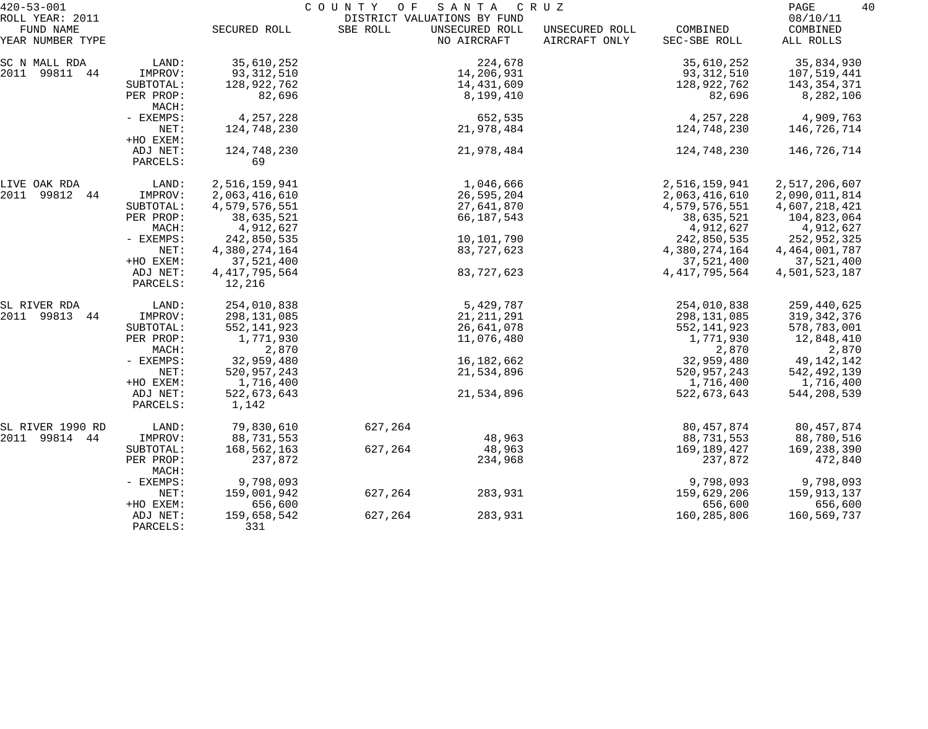| $420 - 53 - 001$              |                      |                            | COUNTY<br>O F | SANTA                         | C R U Z                         |                          | PAGE                  | 40 |
|-------------------------------|----------------------|----------------------------|---------------|-------------------------------|---------------------------------|--------------------------|-----------------------|----|
| ROLL YEAR: 2011               |                      |                            |               | DISTRICT VALUATIONS BY FUND   |                                 |                          | 08/10/11              |    |
| FUND NAME<br>YEAR NUMBER TYPE |                      | SECURED ROLL               | SBE ROLL      | UNSECURED ROLL<br>NO AIRCRAFT | UNSECURED ROLL<br>AIRCRAFT ONLY | COMBINED<br>SEC-SBE ROLL | COMBINED<br>ALL ROLLS |    |
| SC N MALL RDA                 | LAND:                | 35,610,252                 |               | 224,678                       |                                 | 35,610,252               | 35,834,930            |    |
| 2011 99811 44                 | IMPROV:              | 93, 312, 510               |               | 14,206,931                    |                                 | 93,312,510               | 107,519,441           |    |
|                               | SUBTOTAL:            | 128,922,762                |               | 14,431,609                    |                                 | 128,922,762              | 143,354,371           |    |
|                               | PER PROP:<br>MACH:   | 82,696                     |               | 8,199,410                     |                                 | 82,696                   | 8,282,106             |    |
|                               | - EXEMPS:            | 4,257,228                  |               | 652,535                       |                                 | 4,257,228                | 4,909,763             |    |
|                               | NET:<br>+HO EXEM:    | 124,748,230                |               | 21,978,484                    |                                 | 124,748,230              | 146,726,714           |    |
|                               | ADJ NET:             | 124,748,230                |               | 21,978,484                    |                                 | 124,748,230              | 146,726,714           |    |
|                               | PARCELS:             | 69                         |               |                               |                                 |                          |                       |    |
| LIVE OAK RDA                  | LAND:                | 2,516,159,941              |               | 1,046,666                     |                                 | 2,516,159,941            | 2,517,206,607         |    |
| 2011 99812 44                 | IMPROV:              | 2,063,416,610              |               | 26,595,204                    |                                 | 2,063,416,610            | 2,090,011,814         |    |
|                               | SUBTOTAL:            | 4,579,576,551              |               | 27,641,870                    |                                 | 4,579,576,551            | 4,607,218,421         |    |
|                               | PER PROP:            | 38,635,521                 |               | 66,187,543                    |                                 | 38,635,521               | 104,823,064           |    |
|                               | MACH:                | 4,912,627                  |               |                               |                                 | 4,912,627                | 4,912,627             |    |
|                               | - EXEMPS:            | 242,850,535                |               | 10,101,790                    |                                 | 242,850,535              | 252,952,325           |    |
|                               | NET:                 | 4,380,274,164              |               | 83,727,623                    |                                 | 4,380,274,164            | 4, 464, 001, 787      |    |
|                               | +HO EXEM:            | 37,521,400                 |               |                               |                                 | 37,521,400               | 37,521,400            |    |
|                               | ADJ NET:<br>PARCELS: | 4, 417, 795, 564<br>12,216 |               | 83,727,623                    |                                 | 4, 417, 795, 564         | 4,501,523,187         |    |
| SL RIVER RDA                  | LAND:                | 254,010,838                |               | 5,429,787                     |                                 | 254,010,838              | 259,440,625           |    |
| 2011 99813 44                 | IMPROV:              | 298,131,085                |               | 21, 211, 291                  |                                 | 298,131,085              | 319, 342, 376         |    |
|                               | SUBTOTAL:            | 552, 141, 923              |               | 26,641,078                    |                                 | 552, 141, 923            | 578,783,001           |    |
|                               | PER PROP:            | 1,771,930                  |               | 11,076,480                    |                                 | 1,771,930                | 12,848,410            |    |
|                               | MACH:                | 2,870                      |               |                               |                                 | 2,870                    | 2,870                 |    |
|                               | - EXEMPS:            | 32,959,480                 |               | 16, 182, 662                  |                                 | 32,959,480               | 49,142,142            |    |
|                               | NET:                 | 520,957,243                |               | 21,534,896                    |                                 | 520,957,243              | 542,492,139           |    |
|                               | +HO EXEM:            | 1,716,400                  |               |                               |                                 | 1,716,400                | 1,716,400             |    |
|                               | ADJ NET:<br>PARCELS: | 522,673,643<br>1,142       |               | 21,534,896                    |                                 | 522,673,643              | 544,208,539           |    |
| SL RIVER 1990 RD              | LAND:                | 79,830,610                 | 627,264       |                               |                                 | 80, 457, 874             | 80, 457, 874          |    |
| 2011 99814 44                 | IMPROV:              | 88,731,553                 |               | 48,963                        |                                 | 88,731,553               | 88,780,516            |    |
|                               | SUBTOTAL:            | 168,562,163                | 627,264       | 48,963                        |                                 | 169,189,427              | 169,238,390           |    |
|                               | PER PROP:<br>MACH:   | 237,872                    |               | 234,968                       |                                 | 237,872                  | 472,840               |    |
|                               | - EXEMPS:            | 9,798,093                  |               |                               |                                 | 9,798,093                | 9,798,093             |    |
|                               | NET:                 | 159,001,942                | 627,264       | 283,931                       |                                 | 159,629,206              | 159,913,137           |    |
|                               | +HO EXEM:            | 656,600                    |               |                               |                                 | 656,600                  | 656,600               |    |
|                               | ADJ NET:<br>PARCELS: | 159,658,542<br>331         | 627,264       | 283,931                       |                                 | 160,285,806              | 160,569,737           |    |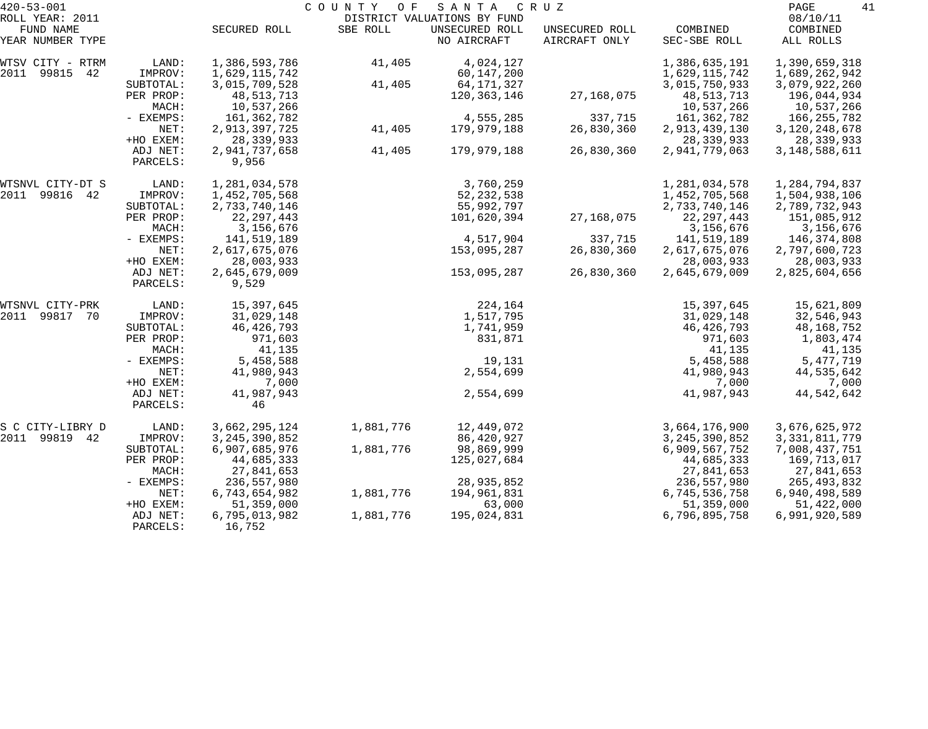| $420 - 53 - 001$              |                      |                         | COUNTY OF | SANTA                         | CRUZ                            |                          | PAGE<br>41            |
|-------------------------------|----------------------|-------------------------|-----------|-------------------------------|---------------------------------|--------------------------|-----------------------|
| ROLL YEAR: 2011               |                      |                         |           | DISTRICT VALUATIONS BY FUND   |                                 |                          | 08/10/11              |
| FUND NAME<br>YEAR NUMBER TYPE |                      | SECURED ROLL            | SBE ROLL  | UNSECURED ROLL<br>NO AIRCRAFT | UNSECURED ROLL<br>AIRCRAFT ONLY | COMBINED<br>SEC-SBE ROLL | COMBINED<br>ALL ROLLS |
| WTSV CITY - RTRM              | LAND:                | 1,386,593,786           | 41,405    | 4,024,127                     |                                 | 1,386,635,191            | 1,390,659,318         |
| 2011 99815<br>42              | IMPROV:              | 1,629,115,742           |           | 60,147,200                    |                                 | 1,629,115,742            | 1,689,262,942         |
|                               | SUBTOTAL:            | 3,015,709,528           | 41,405    | 64,171,327                    |                                 | 3,015,750,933            | 3,079,922,260         |
|                               | PER PROP:            | 48, 513, 713            |           | 120,363,146                   | 27,168,075                      | 48, 513, 713             | 196,044,934           |
|                               | MACH:                | 10,537,266              |           |                               |                                 | 10,537,266               | 10,537,266            |
|                               | - EXEMPS:            | 161, 362, 782           |           | 4,555,285                     | 337,715                         | 161,362,782              | 166,255,782           |
|                               | NET:                 | 2,913,397,725           | 41,405    | 179,979,188                   | 26,830,360                      | 2,913,439,130            | 3, 120, 248, 678      |
|                               | +HO EXEM:            | 28, 339, 933            |           |                               |                                 | 28, 339, 933             | 28,339,933            |
|                               | ADJ NET:             | 2,941,737,658           | 41,405    | 179,979,188                   | 26,830,360                      | 2,941,779,063            | 3, 148, 588, 611      |
|                               | PARCELS:             | 9,956                   |           |                               |                                 |                          |                       |
| WTSNVL CITY-DT S              | LAND:                | 1,281,034,578           |           | 3,760,259                     |                                 | 1,281,034,578            | 1,284,794,837         |
| 99816<br>2011<br>42           | IMPROV:              | 1,452,705,568           |           | 52, 232, 538                  |                                 | 1,452,705,568            | 1,504,938,106         |
|                               | SUBTOTAL:            | 2,733,740,146           |           | 55,992,797                    |                                 | 2,733,740,146            | 2,789,732,943         |
|                               | PER PROP:            | 22, 297, 443            |           | 101,620,394                   | 27,168,075                      | 22, 297, 443             | 151,085,912           |
|                               | MACH:                | 3,156,676               |           |                               |                                 | 3,156,676                | 3,156,676             |
|                               | - EXEMPS:            | 141,519,189             |           | 4,517,904                     | 337,715                         | 141,519,189              | 146,374,808           |
|                               | NET:                 | 2,617,675,076           |           | 153,095,287                   | 26,830,360                      | 2,617,675,076            | 2,797,600,723         |
|                               | +HO EXEM:            | 28,003,933              |           |                               |                                 | 28,003,933               | 28,003,933            |
|                               | ADJ NET:<br>PARCELS: | 2,645,679,009<br>9,529  |           | 153,095,287                   | 26,830,360                      | 2,645,679,009            | 2,825,604,656         |
| WTSNVL CITY-PRK               | LAND:                | 15,397,645              |           | 224,164                       |                                 | 15,397,645               | 15,621,809            |
| 2011<br>99817<br>70           | IMPROV:              | 31,029,148              |           | 1,517,795                     |                                 | 31,029,148               | 32,546,943            |
|                               | SUBTOTAL:            | 46, 426, 793            |           | 1,741,959                     |                                 | 46, 426, 793             | 48, 168, 752          |
|                               | PER PROP:            | 971,603                 |           | 831,871                       |                                 | 971,603                  | 1,803,474             |
|                               | MACH:                | 41,135                  |           |                               |                                 | 41,135                   | 41,135                |
|                               | - EXEMPS:            | 5,458,588               |           | 19,131                        |                                 | 5,458,588                | 5,477,719             |
|                               | NET:                 | 41,980,943              |           | 2,554,699                     |                                 | 41,980,943               | 44,535,642            |
|                               | +HO EXEM:            | 7,000                   |           |                               |                                 | 7,000                    | 7,000                 |
|                               | ADJ NET:             | 41,987,943              |           | 2,554,699                     |                                 | 41,987,943               | 44,542,642            |
|                               | PARCELS:             | 46                      |           |                               |                                 |                          |                       |
| S C CITY-LIBRY D              | LAND:                | 3,662,295,124           | 1,881,776 | 12,449,072                    |                                 | 3,664,176,900            | 3,676,625,972         |
| 2011<br>99819 42              | IMPROV:              | 3, 245, 390, 852        |           | 86,420,927                    |                                 | 3, 245, 390, 852         | 3, 331, 811, 779      |
|                               | SUBTOTAL:            | 6,907,685,976           | 1,881,776 | 98,869,999                    |                                 | 6,909,567,752            | 7,008,437,751         |
|                               | PER PROP:            | 44,685,333              |           | 125,027,684                   |                                 | 44,685,333               | 169,713,017           |
|                               | MACH:                | 27,841,653              |           |                               |                                 | 27,841,653               | 27,841,653            |
|                               | $-$ EXEMPS:          | 236,557,980             |           | 28,935,852                    |                                 | 236,557,980              | 265,493,832           |
|                               | NET:                 | 6,743,654,982           | 1,881,776 | 194,961,831                   |                                 | 6,745,536,758            | 6,940,498,589         |
|                               | +HO EXEM:            | 51,359,000              |           | 63,000                        |                                 | 51,359,000               | 51,422,000            |
|                               | ADJ NET:<br>PARCELS: | 6,795,013,982<br>16,752 | 1,881,776 | 195,024,831                   |                                 | 6,796,895,758            | 6,991,920,589         |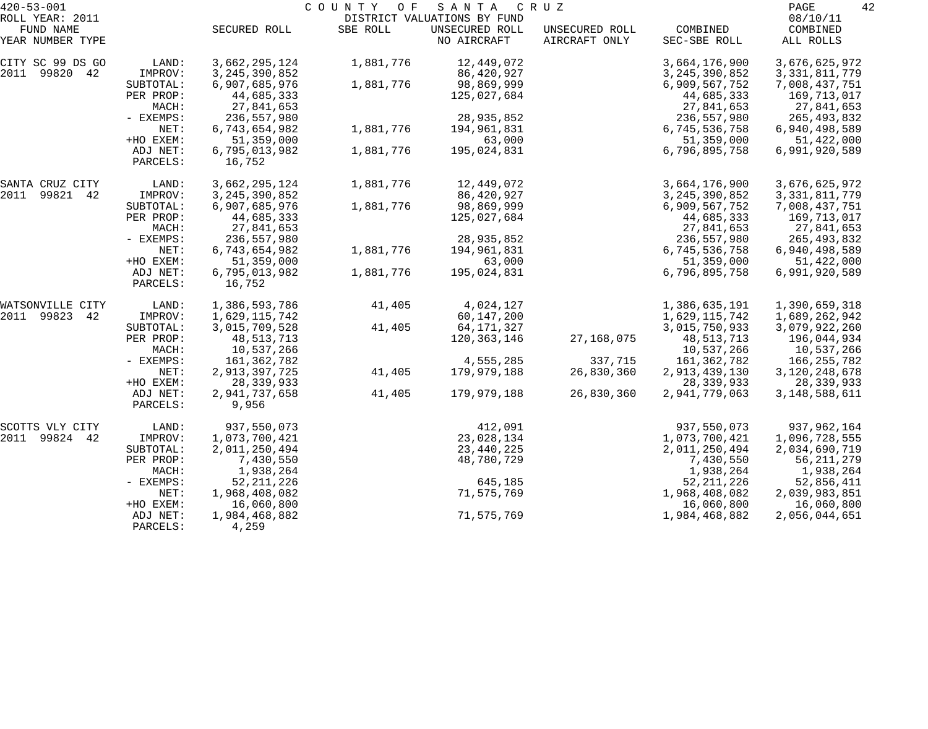| $420 - 53 - 001$                                 |                      |                         | COUNTY<br>O F | SANTA                                                        | C R U Z                         |                          | PAGE                              | 42 |
|--------------------------------------------------|----------------------|-------------------------|---------------|--------------------------------------------------------------|---------------------------------|--------------------------|-----------------------------------|----|
| ROLL YEAR: 2011<br>FUND NAME<br>YEAR NUMBER TYPE |                      | SECURED ROLL            | SBE ROLL      | DISTRICT VALUATIONS BY FUND<br>UNSECURED ROLL<br>NO AIRCRAFT | UNSECURED ROLL<br>AIRCRAFT ONLY | COMBINED<br>SEC-SBE ROLL | 08/10/11<br>COMBINED<br>ALL ROLLS |    |
|                                                  |                      |                         |               |                                                              |                                 |                          |                                   |    |
| CITY SC 99 DS GO                                 | LAND:                | 3,662,295,124           | 1,881,776     | 12,449,072                                                   |                                 | 3,664,176,900            | 3,676,625,972                     |    |
| 2011 99820 42                                    | IMPROV:              | 3, 245, 390, 852        |               | 86,420,927                                                   |                                 | 3, 245, 390, 852         | 3, 331, 811, 779                  |    |
|                                                  | SUBTOTAL:            | 6,907,685,976           | 1,881,776     | 98,869,999                                                   |                                 | 6,909,567,752            | 7,008,437,751                     |    |
|                                                  | PER PROP:            | 44,685,333              |               | 125,027,684                                                  |                                 | 44,685,333               | 169,713,017                       |    |
|                                                  | MACH:                | 27,841,653              |               |                                                              |                                 | 27,841,653               | 27,841,653                        |    |
|                                                  | - EXEMPS:            | 236,557,980             |               | 28,935,852                                                   |                                 | 236,557,980              | 265,493,832                       |    |
|                                                  | NET:                 | 6,743,654,982           | 1,881,776     | 194,961,831                                                  |                                 | 6,745,536,758            | 6,940,498,589                     |    |
|                                                  | +HO EXEM:            | 51,359,000              |               | 63,000                                                       |                                 | 51,359,000               | 51,422,000                        |    |
|                                                  | ADJ NET:<br>PARCELS: | 6,795,013,982<br>16,752 | 1,881,776     | 195,024,831                                                  |                                 | 6,796,895,758            | 6,991,920,589                     |    |
| SANTA CRUZ CITY                                  | LAND:                | 3,662,295,124           | 1,881,776     | 12,449,072                                                   |                                 | 3,664,176,900            | 3,676,625,972                     |    |
| 2011<br>99821 42                                 | IMPROV:              | 3, 245, 390, 852        |               | 86,420,927                                                   |                                 | 3, 245, 390, 852         | 3, 331, 811, 779                  |    |
|                                                  | SUBTOTAL:            | 6,907,685,976           | 1,881,776     | 98,869,999                                                   |                                 | 6,909,567,752            | 7,008,437,751                     |    |
|                                                  | PER PROP:            | 44,685,333              |               | 125,027,684                                                  |                                 | 44,685,333               | 169,713,017                       |    |
|                                                  | MACH:                | 27,841,653              |               |                                                              |                                 | 27,841,653               | 27,841,653                        |    |
|                                                  | - EXEMPS:            | 236,557,980             |               | 28,935,852                                                   |                                 | 236,557,980              | 265,493,832                       |    |
|                                                  | NET:                 | 6,743,654,982           | 1,881,776     | 194,961,831                                                  |                                 | 6,745,536,758            | 6,940,498,589                     |    |
|                                                  | +HO EXEM:            | 51,359,000              |               | 63,000                                                       |                                 | 51,359,000               | 51,422,000                        |    |
|                                                  | ADJ NET:<br>PARCELS: | 6,795,013,982<br>16,752 | 1,881,776     | 195,024,831                                                  |                                 | 6,796,895,758            | 6,991,920,589                     |    |
| WATSONVILLE CITY                                 | LAND:                | 1,386,593,786           | 41,405        | 4,024,127                                                    |                                 | 1,386,635,191            | 1,390,659,318                     |    |
| 2011 99823<br>42                                 | IMPROV:              | 1,629,115,742           |               | 60,147,200                                                   |                                 | 1,629,115,742            | 1,689,262,942                     |    |
|                                                  | SUBTOTAL:            | 3,015,709,528           | 41,405        | 64,171,327                                                   |                                 | 3,015,750,933            | 3,079,922,260                     |    |
|                                                  | PER PROP:            | 48,513,713              |               | 120,363,146                                                  | 27,168,075                      | 48,513,713               | 196,044,934                       |    |
|                                                  | MACH:                | 10,537,266              |               |                                                              |                                 | 10,537,266               | 10,537,266                        |    |
|                                                  | - EXEMPS:            | 161,362,782             |               | 4,555,285                                                    | 337,715                         | 161, 362, 782            | 166,255,782                       |    |
|                                                  | NET:                 | 2,913,397,725           | 41,405        | 179,979,188                                                  | 26,830,360                      | 2,913,439,130            | 3,120,248,678                     |    |
|                                                  | +HO EXEM:            | 28, 339, 933            |               |                                                              |                                 | 28,339,933               | 28,339,933                        |    |
|                                                  | ADJ NET:             | 2,941,737,658           | 41,405        | 179,979,188                                                  | 26,830,360                      | 2,941,779,063            | 3, 148, 588, 611                  |    |
|                                                  | PARCELS:             | 9,956                   |               |                                                              |                                 |                          |                                   |    |
| SCOTTS VLY CITY                                  | LAND:                | 937,550,073             |               | 412,091                                                      |                                 | 937,550,073              | 937,962,164                       |    |
| 2011 99824 42                                    | IMPROV:              | 1,073,700,421           |               | 23,028,134                                                   |                                 | 1,073,700,421            | 1,096,728,555                     |    |
|                                                  | SUBTOTAL:            | 2,011,250,494           |               | 23,440,225                                                   |                                 | 2,011,250,494            | 2,034,690,719                     |    |
|                                                  | PER PROP:            | 7,430,550               |               | 48,780,729                                                   |                                 | 7,430,550                | 56, 211, 279                      |    |
|                                                  | MACH:                | 1,938,264               |               |                                                              |                                 | 1,938,264                | 1,938,264                         |    |
|                                                  | $-$ EXEMPS:          | 52, 211, 226            |               | 645,185                                                      |                                 | 52, 211, 226             | 52,856,411                        |    |
|                                                  | NET:                 | 1,968,408,082           |               | 71,575,769                                                   |                                 | 1,968,408,082            | 2,039,983,851                     |    |
|                                                  | +HO EXEM:            | 16,060,800              |               |                                                              |                                 | 16,060,800               | 16,060,800                        |    |
|                                                  | ADJ NET:             | 1,984,468,882           |               | 71,575,769                                                   |                                 | 1,984,468,882            | 2,056,044,651                     |    |
|                                                  | PARCELS:             | 4,259                   |               |                                                              |                                 |                          |                                   |    |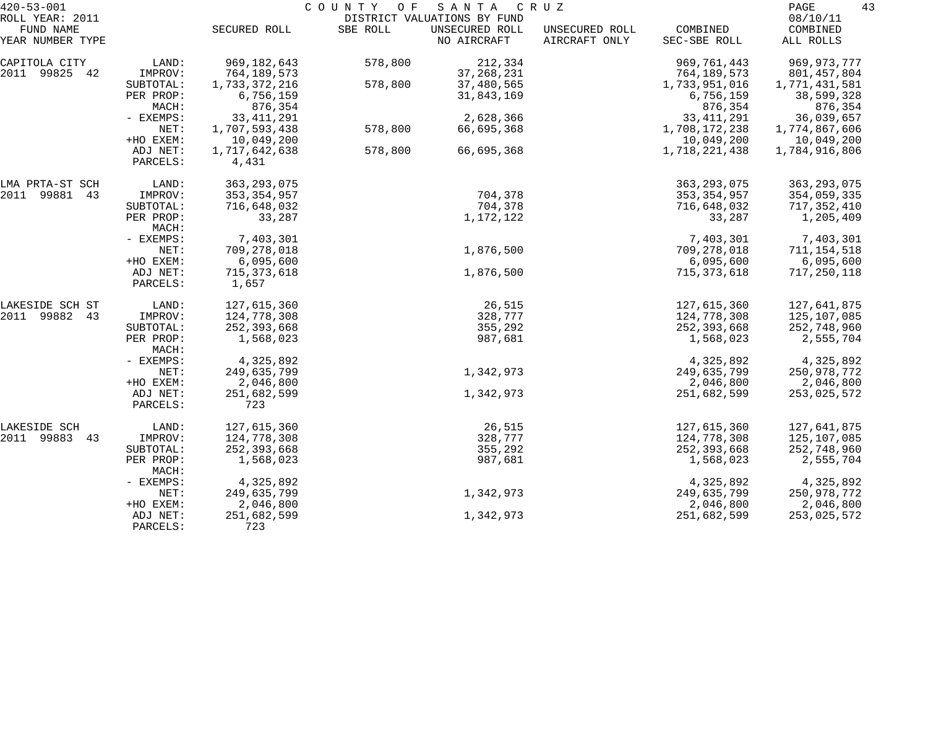| $420 - 53 - 001$<br>ROLL YEAR: 2011 |                        |                            | COUNTY OF | S A N T A<br>DISTRICT VALUATIONS BY FUND | C R U Z                         |                            | PAGE<br>08/10/11            | 43 |
|-------------------------------------|------------------------|----------------------------|-----------|------------------------------------------|---------------------------------|----------------------------|-----------------------------|----|
| FUND NAME<br>YEAR NUMBER TYPE       |                        | SECURED ROLL               | SBE ROLL  | UNSECURED ROLL<br>NO AIRCRAFT            | UNSECURED ROLL<br>AIRCRAFT ONLY | COMBINED<br>SEC-SBE ROLL   | COMBINED<br>ALL ROLLS       |    |
| CAPITOLA CITY                       | LAND:                  | 969,182,643                | 578,800   | 212,334                                  |                                 | 969,761,443                | 969,973,777                 |    |
| 2011 99825 42                       | IMPROV:                | 764,189,573                |           | 37, 268, 231                             |                                 | 764,189,573                | 801,457,804                 |    |
|                                     | SUBTOTAL:<br>PER PROP: | 1,733,372,216<br>6,756,159 | 578,800   | 37,480,565<br>31,843,169                 |                                 | 1,733,951,016<br>6,756,159 | 1,771,431,581<br>38,599,328 |    |
|                                     | MACH:                  | 876,354                    |           |                                          |                                 | 876,354                    | 876,354                     |    |
|                                     | - EXEMPS:              | 33, 411, 291               |           | 2,628,366                                |                                 | 33, 411, 291               | 36,039,657                  |    |
|                                     | NET:                   | 1,707,593,438              | 578,800   | 66,695,368                               |                                 | 1,708,172,238              | 1,774,867,606               |    |
|                                     | +HO EXEM:              | 10,049,200                 |           |                                          |                                 | 10,049,200                 | 10,049,200                  |    |
|                                     | ADJ NET:<br>PARCELS:   | 1,717,642,638<br>4,431     | 578,800   | 66,695,368                               |                                 | 1,718,221,438              | 1,784,916,806               |    |
| LMA PRTA-ST SCH                     | LAND:                  | 363, 293, 075              |           |                                          |                                 | 363, 293, 075              | 363, 293, 075               |    |
| 2011 99881<br>43                    | IMPROV:                | 353, 354, 957              |           | 704,378                                  |                                 | 353,354,957                | 354,059,335                 |    |
|                                     | SUBTOTAL:              | 716,648,032                |           | 704,378                                  |                                 | 716,648,032                | 717,352,410                 |    |
|                                     | PER PROP:<br>MACH:     | 33,287                     |           | 1,172,122                                |                                 | 33,287                     | 1,205,409                   |    |
|                                     | - EXEMPS:              | 7,403,301                  |           |                                          |                                 | 7,403,301                  | 7,403,301                   |    |
|                                     | NET:                   | 709,278,018                |           | 1,876,500                                |                                 | 709,278,018                | 711, 154, 518               |    |
|                                     | +HO EXEM:              | 6,095,600                  |           |                                          |                                 | 6,095,600                  | 6,095,600                   |    |
|                                     | ADJ NET:<br>PARCELS:   | 715, 373, 618<br>1,657     |           | 1,876,500                                |                                 | 715,373,618                | 717,250,118                 |    |
| LAKESIDE SCH ST                     | LAND:                  | 127,615,360                |           | 26,515                                   |                                 | 127,615,360                | 127,641,875                 |    |
| 2011 99882 43                       | IMPROV:                | 124,778,308                |           | 328,777                                  |                                 | 124,778,308                | 125,107,085                 |    |
|                                     | SUBTOTAL:              | 252, 393, 668              |           | 355,292                                  |                                 | 252,393,668                | 252,748,960                 |    |
|                                     | PER PROP:<br>MACH:     | 1,568,023                  |           | 987,681                                  |                                 | 1,568,023                  | 2,555,704                   |    |
|                                     | - EXEMPS:              | 4,325,892                  |           |                                          |                                 | 4,325,892                  | 4,325,892                   |    |
|                                     | NET:                   | 249,635,799                |           | 1,342,973                                |                                 | 249,635,799                | 250,978,772                 |    |
|                                     | +HO EXEM:              | 2,046,800                  |           |                                          |                                 | 2,046,800                  | 2,046,800                   |    |
|                                     | ADJ NET:<br>PARCELS:   | 251,682,599<br>723         |           | 1,342,973                                |                                 | 251,682,599                | 253,025,572                 |    |
| LAKESIDE SCH                        | LAND:                  | 127,615,360                |           | 26,515                                   |                                 | 127,615,360                | 127,641,875                 |    |
| 2011 99883<br>43                    | IMPROV:                | 124,778,308                |           | 328,777                                  |                                 | 124,778,308                | 125,107,085                 |    |
|                                     | SUBTOTAL:              | 252, 393, 668              |           | 355,292                                  |                                 | 252, 393, 668              | 252,748,960                 |    |
|                                     | PER PROP:<br>MACH:     | 1,568,023                  |           | 987,681                                  |                                 | 1,568,023                  | 2,555,704                   |    |
|                                     | - EXEMPS:              | 4,325,892                  |           |                                          |                                 | 4,325,892                  | 4,325,892                   |    |
|                                     | NET:                   | 249,635,799                |           | 1,342,973                                |                                 | 249,635,799                | 250,978,772                 |    |
|                                     | +HO EXEM:              | 2,046,800                  |           |                                          |                                 | 2,046,800                  | 2,046,800                   |    |
|                                     | ADJ NET:<br>PARCELS:   | 251,682,599<br>723         |           | 1,342,973                                |                                 | 251,682,599                | 253,025,572                 |    |
|                                     |                        |                            |           |                                          |                                 |                            |                             |    |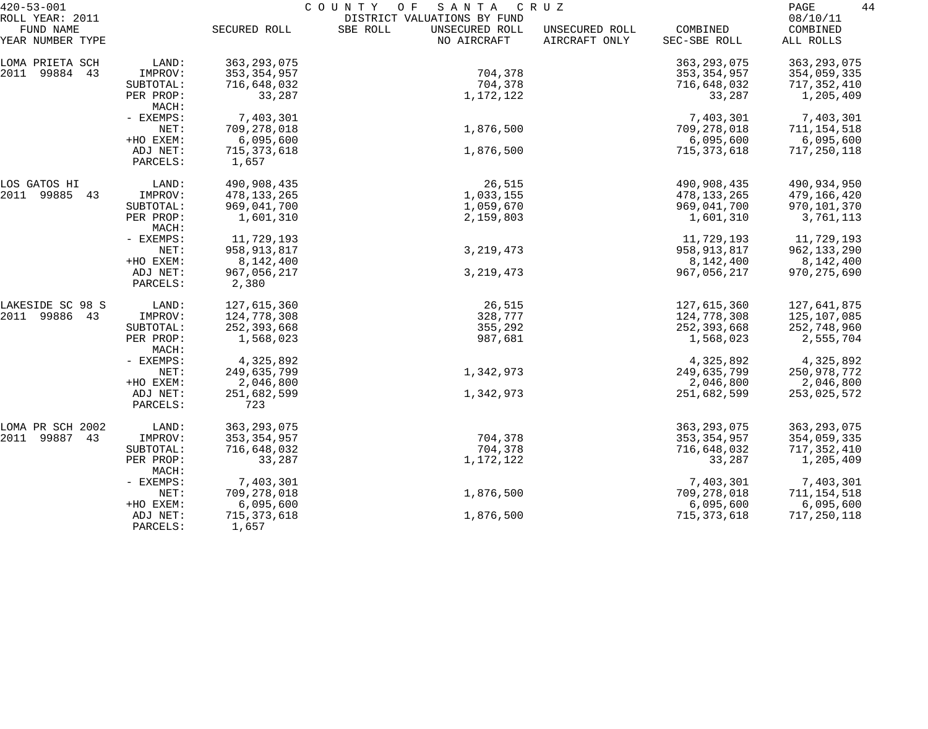| $420 - 53 - 001$                                 |                      | COUNTY<br>O F<br>SANTA<br>C R U Z |                                                                          |                                 |                          |                                   |  |
|--------------------------------------------------|----------------------|-----------------------------------|--------------------------------------------------------------------------|---------------------------------|--------------------------|-----------------------------------|--|
| ROLL YEAR: 2011<br>FUND NAME<br>YEAR NUMBER TYPE |                      | SECURED ROLL                      | DISTRICT VALUATIONS BY FUND<br>SBE ROLL<br>UNSECURED ROLL<br>NO AIRCRAFT | UNSECURED ROLL<br>AIRCRAFT ONLY | COMBINED<br>SEC-SBE ROLL | 08/10/11<br>COMBINED<br>ALL ROLLS |  |
|                                                  |                      |                                   |                                                                          |                                 |                          |                                   |  |
| LOMA PRIETA SCH                                  | LAND:                | 363, 293, 075                     |                                                                          |                                 | 363, 293, 075            | 363, 293, 075                     |  |
| 2011 99884 43                                    | IMPROV:              | 353, 354, 957                     | 704,378                                                                  |                                 | 353, 354, 957            | 354,059,335                       |  |
|                                                  | SUBTOTAL:            | 716,648,032                       | 704,378                                                                  |                                 | 716,648,032              | 717,352,410                       |  |
|                                                  | PER PROP:<br>MACH:   | 33,287                            | 1,172,122                                                                |                                 | 33,287                   | 1,205,409                         |  |
|                                                  | - EXEMPS:            | 7,403,301                         |                                                                          |                                 | 7,403,301                | 7,403,301                         |  |
|                                                  | NET:                 | 709,278,018                       | 1,876,500                                                                |                                 | 709,278,018              | 711, 154, 518                     |  |
|                                                  | +HO EXEM:            | 6,095,600                         |                                                                          |                                 | 6,095,600                | 6,095,600                         |  |
|                                                  | ADJ NET:             | 715, 373, 618                     | 1,876,500                                                                |                                 | 715, 373, 618            | 717,250,118                       |  |
|                                                  | PARCELS:             | 1,657                             |                                                                          |                                 |                          |                                   |  |
| LOS GATOS HI                                     | LAND:                | 490,908,435                       | 26,515                                                                   |                                 | 490,908,435              | 490,934,950                       |  |
| 2011 99885 43                                    | IMPROV:              | 478,133,265                       | 1,033,155                                                                |                                 | 478, 133, 265            | 479,166,420                       |  |
|                                                  | SUBTOTAL:            | 969,041,700                       | 1,059,670                                                                |                                 | 969,041,700              | 970,101,370                       |  |
|                                                  | PER PROP:<br>MACH:   | 1,601,310                         | 2,159,803                                                                |                                 | 1,601,310                | 3,761,113                         |  |
|                                                  | - EXEMPS:            | 11,729,193                        |                                                                          |                                 | 11,729,193               | 11,729,193                        |  |
|                                                  | NET:                 | 958, 913, 817                     | 3, 219, 473                                                              |                                 | 958, 913, 817            | 962, 133, 290                     |  |
|                                                  | +HO EXEM:            | 8,142,400                         |                                                                          |                                 | 8,142,400                | 8,142,400                         |  |
|                                                  | ADJ NET:<br>PARCELS: | 967,056,217<br>2,380              | 3, 219, 473                                                              |                                 | 967,056,217              | 970, 275, 690                     |  |
| LAKESIDE SC 98 S                                 | LAND:                | 127,615,360                       | 26,515                                                                   |                                 | 127,615,360              | 127,641,875                       |  |
| 2011 99886 43                                    | IMPROV:              | 124,778,308                       | 328,777                                                                  |                                 | 124,778,308              | 125,107,085                       |  |
|                                                  | SUBTOTAL:            | 252,393,668                       | 355,292                                                                  |                                 | 252,393,668              | 252,748,960                       |  |
|                                                  | PER PROP:            | 1,568,023                         | 987,681                                                                  |                                 | 1,568,023                | 2,555,704                         |  |
|                                                  | MACH:                |                                   |                                                                          |                                 |                          |                                   |  |
|                                                  | - EXEMPS:            | 4,325,892                         |                                                                          |                                 | 4,325,892                | 4,325,892                         |  |
|                                                  | NET:                 | 249,635,799                       | 1,342,973                                                                |                                 | 249,635,799              | 250,978,772                       |  |
|                                                  | +HO EXEM:            | 2,046,800                         |                                                                          |                                 | 2,046,800                | 2,046,800                         |  |
|                                                  | ADJ NET:<br>PARCELS: | 251,682,599<br>723                | 1,342,973                                                                |                                 | 251,682,599              | 253,025,572                       |  |
| LOMA PR SCH 2002                                 | LAND:                | 363, 293, 075                     |                                                                          |                                 | 363, 293, 075            | 363, 293, 075                     |  |
| 2011 99887<br>43                                 | IMPROV:              | 353, 354, 957                     | 704,378                                                                  |                                 | 353, 354, 957            | 354,059,335                       |  |
|                                                  | SUBTOTAL:            | 716,648,032                       | 704,378                                                                  |                                 | 716,648,032              | 717,352,410                       |  |
|                                                  | PER PROP:<br>MACH:   | 33,287                            | 1,172,122                                                                |                                 | 33,287                   | 1,205,409                         |  |
|                                                  | - EXEMPS:            | 7,403,301                         |                                                                          |                                 | 7,403,301                | 7,403,301                         |  |
|                                                  | NET:                 | 709,278,018                       | 1,876,500                                                                |                                 | 709,278,018              | 711,154,518                       |  |
|                                                  | +HO EXEM:            | 6,095,600                         |                                                                          |                                 | 6,095,600                | 6,095,600                         |  |
|                                                  | ADJ NET:<br>PARCELS: | 715, 373, 618<br>1,657            | 1,876,500                                                                |                                 | 715, 373, 618            | 717,250,118                       |  |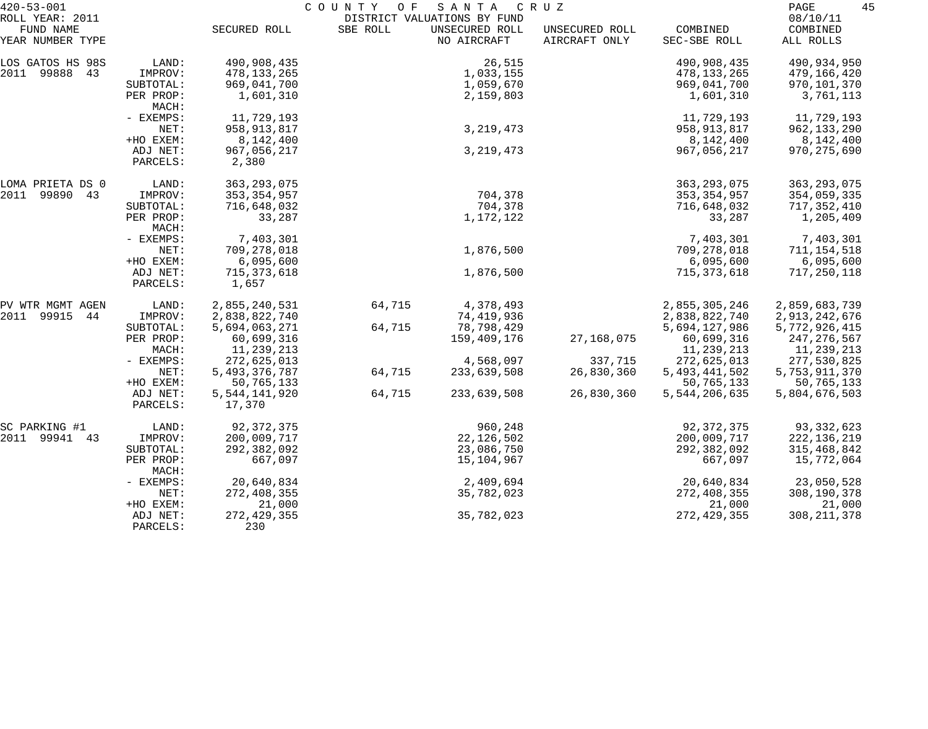| $420 - 53 - 001$                                 |                      |                         | COUNTY<br>O F | SANTA                                                        | C R U Z                         |                          | 45<br>PAGE                        |  |
|--------------------------------------------------|----------------------|-------------------------|---------------|--------------------------------------------------------------|---------------------------------|--------------------------|-----------------------------------|--|
| ROLL YEAR: 2011<br>FUND NAME<br>YEAR NUMBER TYPE |                      | SECURED ROLL            | SBE ROLL      | DISTRICT VALUATIONS BY FUND<br>UNSECURED ROLL<br>NO AIRCRAFT | UNSECURED ROLL<br>AIRCRAFT ONLY | COMBINED<br>SEC-SBE ROLL | 08/10/11<br>COMBINED<br>ALL ROLLS |  |
| LOS GATOS HS 98S                                 | LAND:                | 490,908,435             |               | 26,515                                                       |                                 | 490,908,435              | 490,934,950                       |  |
| 2011 99888 43                                    | IMPROV:              | 478, 133, 265           |               | 1,033,155                                                    |                                 | 478,133,265              | 479,166,420                       |  |
|                                                  | SUBTOTAL:            | 969,041,700             |               | 1,059,670                                                    |                                 | 969,041,700              | 970,101,370                       |  |
|                                                  | PER PROP:<br>MACH:   | 1,601,310               |               | 2,159,803                                                    |                                 | 1,601,310                | 3,761,113                         |  |
|                                                  | - EXEMPS:            | 11,729,193              |               |                                                              |                                 | 11,729,193               | 11,729,193                        |  |
|                                                  | NET:                 | 958,913,817             |               | 3, 219, 473                                                  |                                 | 958, 913, 817            | 962, 133, 290                     |  |
|                                                  | +HO EXEM:            | 8,142,400               |               |                                                              |                                 | 8,142,400                | 8,142,400                         |  |
|                                                  | ADJ NET:<br>PARCELS: | 967,056,217<br>2,380    |               | 3, 219, 473                                                  |                                 | 967,056,217              | 970, 275, 690                     |  |
| LOMA PRIETA DS 0                                 | LAND:                | 363, 293, 075           |               |                                                              |                                 | 363, 293, 075            | 363, 293, 075                     |  |
| 2011 99890 43                                    | IMPROV:              | 353, 354, 957           |               | 704,378                                                      |                                 | 353, 354, 957            | 354,059,335                       |  |
|                                                  | SUBTOTAL:            | 716,648,032             |               | 704,378                                                      |                                 | 716,648,032              | 717,352,410                       |  |
|                                                  | PER PROP:<br>MACH:   | 33,287                  |               | 1,172,122                                                    |                                 | 33,287                   | 1,205,409                         |  |
|                                                  | - EXEMPS:            | 7,403,301               |               |                                                              |                                 | 7,403,301                | 7,403,301                         |  |
|                                                  | NET:                 | 709,278,018             |               | 1,876,500                                                    |                                 | 709,278,018              | 711,154,518                       |  |
|                                                  | +HO EXEM:            | 6,095,600               |               |                                                              |                                 | 6,095,600                | 6,095,600                         |  |
|                                                  | ADJ NET:<br>PARCELS: | 715, 373, 618<br>1,657  |               | 1,876,500                                                    |                                 | 715,373,618              | 717, 250, 118                     |  |
| PV WTR MGMT AGEN                                 | LAND:                | 2,855,240,531           | 64,715        | 4,378,493                                                    |                                 | 2,855,305,246            | 2,859,683,739                     |  |
| 2011 99915<br>44                                 | IMPROV:              | 2,838,822,740           |               | 74,419,936                                                   |                                 | 2,838,822,740            | 2,913,242,676                     |  |
|                                                  | SUBTOTAL:            | 5,694,063,271           | 64,715        | 78,798,429                                                   |                                 | 5,694,127,986            | 5,772,926,415                     |  |
|                                                  | PER PROP:            | 60,699,316              |               | 159,409,176                                                  | 27,168,075                      | 60,699,316               | 247, 276, 567                     |  |
|                                                  | MACH:                | 11,239,213              |               |                                                              |                                 | 11,239,213               | 11,239,213                        |  |
|                                                  | - EXEMPS:            | 272,625,013             |               | 4,568,097                                                    | 337,715                         | 272,625,013              | 277,530,825                       |  |
|                                                  | NET:                 | 5, 493, 376, 787        | 64,715        | 233,639,508                                                  | 26,830,360                      | 5, 493, 441, 502         | 5,753,911,370                     |  |
|                                                  | +HO EXEM:            | 50,765,133              |               |                                                              |                                 | 50,765,133               | 50,765,133                        |  |
|                                                  | ADJ NET:<br>PARCELS: | 5,544,141,920<br>17,370 | 64,715        | 233,639,508                                                  | 26,830,360                      | 5,544,206,635            | 5,804,676,503                     |  |
| SC PARKING #1                                    | LAND:                | 92, 372, 375            |               | 960,248                                                      |                                 | 92, 372, 375             | 93, 332, 623                      |  |
| 2011 99941 43                                    | IMPROV:              | 200,009,717             |               | 22, 126, 502                                                 |                                 | 200,009,717              | 222,136,219                       |  |
|                                                  | SUBTOTAL:            | 292,382,092             |               | 23,086,750                                                   |                                 | 292,382,092              | 315, 468, 842                     |  |
|                                                  | PER PROP:<br>MACH:   | 667,097                 |               | 15,104,967                                                   |                                 | 667,097                  | 15,772,064                        |  |
|                                                  | - EXEMPS:            | 20,640,834              |               | 2,409,694                                                    |                                 | 20,640,834               | 23,050,528                        |  |
|                                                  | NET:                 | 272,408,355             |               | 35,782,023                                                   |                                 | 272,408,355              | 308,190,378                       |  |
|                                                  | +HO EXEM:            | 21,000                  |               |                                                              |                                 | 21,000                   | 21,000                            |  |
|                                                  | ADJ NET:<br>PARCELS: | 272, 429, 355<br>230    |               | 35,782,023                                                   |                                 | 272, 429, 355            | 308, 211, 378                     |  |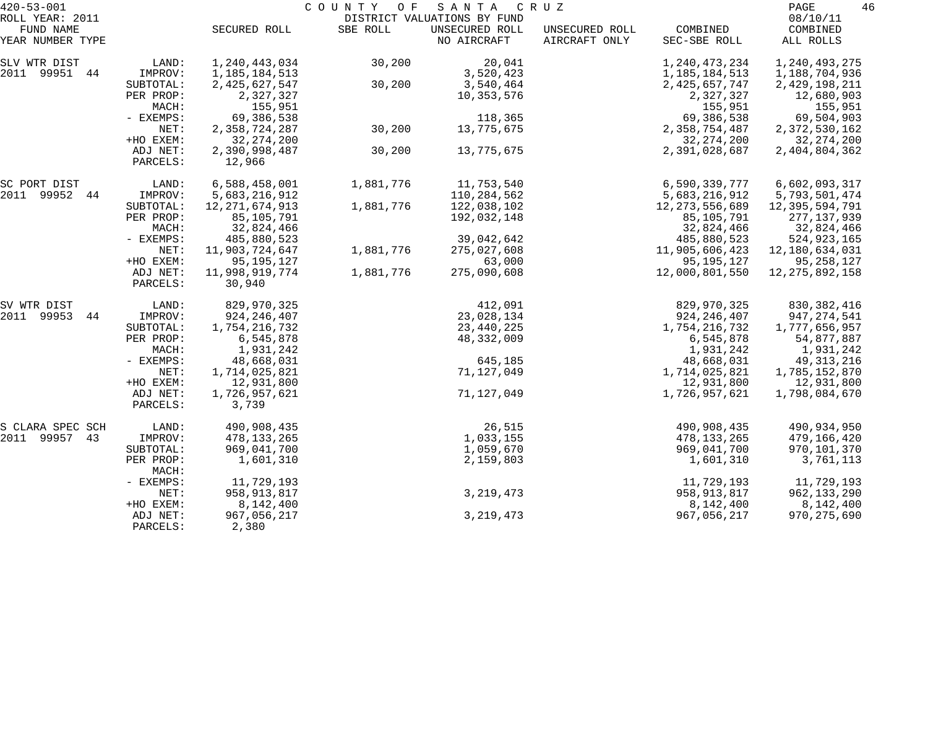| $420 - 53 - 001$              |                    |                   | COUNTY OF | SANTA                         | C R U Z                         |                          | PAGE                  | 46 |
|-------------------------------|--------------------|-------------------|-----------|-------------------------------|---------------------------------|--------------------------|-----------------------|----|
| ROLL YEAR: 2011               |                    |                   |           | DISTRICT VALUATIONS BY FUND   |                                 |                          | 08/10/11              |    |
| FUND NAME<br>YEAR NUMBER TYPE |                    | SECURED ROLL      | SBE ROLL  | UNSECURED ROLL<br>NO AIRCRAFT | UNSECURED ROLL<br>AIRCRAFT ONLY | COMBINED<br>SEC-SBE ROLL | COMBINED<br>ALL ROLLS |    |
|                               |                    |                   |           |                               |                                 |                          |                       |    |
| SLV WTR DIST                  | LAND:              | 1,240,443,034     | 30,200    | 20,041                        |                                 | 1, 240, 473, 234         | 1,240,493,275         |    |
| 2011 99951<br>44              | IMPROV:            | 1,185,184,513     |           | 3,520,423                     |                                 | 1,185,184,513            | 1,188,704,936         |    |
|                               | SUBTOTAL:          | 2,425,627,547     | 30,200    | 3,540,464                     |                                 | 2,425,657,747            | 2,429,198,211         |    |
|                               | PER PROP:          | 2,327,327         |           | 10,353,576                    |                                 | 2,327,327                | 12,680,903            |    |
|                               | MACH:              | 155,951           |           |                               |                                 | 155,951                  | 155,951               |    |
|                               | - EXEMPS:          | 69,386,538        |           | 118,365                       |                                 | 69,386,538               | 69,504,903            |    |
|                               | NET:               | 2,358,724,287     | 30,200    | 13,775,675                    |                                 | 2,358,754,487            | 2,372,530,162         |    |
|                               | +HO EXEM:          | 32, 274, 200      |           |                               |                                 | 32, 274, 200             | 32, 274, 200          |    |
|                               | ADJ NET:           | 2,390,998,487     | 30,200    | 13,775,675                    |                                 | 2,391,028,687            | 2,404,804,362         |    |
|                               | PARCELS:           | 12,966            |           |                               |                                 |                          |                       |    |
| SC PORT DIST                  | LAND:              | 6,588,458,001     | 1,881,776 | 11,753,540                    |                                 | 6,590,339,777            | 6,602,093,317         |    |
| 2011 99952<br>44              | IMPROV:            | 5,683,216,912     |           | 110,284,562                   |                                 | 5,683,216,912            | 5,793,501,474         |    |
|                               | SUBTOTAL:          | 12, 271, 674, 913 | 1,881,776 | 122,038,102                   |                                 | 12, 273, 556, 689        | 12,395,594,791        |    |
|                               | PER PROP:          | 85,105,791        |           | 192,032,148                   |                                 | 85,105,791               | 277,137,939           |    |
|                               | MACH:              | 32,824,466        |           |                               |                                 | 32,824,466               | 32,824,466            |    |
|                               | - EXEMPS:          | 485,880,523       |           | 39,042,642                    |                                 | 485,880,523              | 524,923,165           |    |
|                               | NET:               | 11,903,724,647    | 1,881,776 | 275,027,608                   |                                 | 11,905,606,423           | 12,180,634,031        |    |
|                               | +HO EXEM:          | 95, 195, 127      |           | 63,000                        |                                 | 95, 195, 127             | 95,258,127            |    |
|                               | ADJ NET:           | 11,998,919,774    | 1,881,776 | 275,090,608                   |                                 | 12,000,801,550           | 12, 275, 892, 158     |    |
|                               | PARCELS:           | 30,940            |           |                               |                                 |                          |                       |    |
| SV WTR DIST                   | LAND:              | 829,970,325       |           | 412,091                       |                                 | 829,970,325              | 830,382,416           |    |
| 2011 99953<br>44              | IMPROV:            | 924, 246, 407     |           | 23,028,134                    |                                 | 924, 246, 407            | 947, 274, 541         |    |
|                               | SUBTOTAL:          | 1,754,216,732     |           | 23,440,225                    |                                 | 1,754,216,732            | 1,777,656,957         |    |
|                               | PER PROP:          | 6,545,878         |           | 48,332,009                    |                                 | 6,545,878                | 54,877,887            |    |
|                               | MACH:              | 1,931,242         |           |                               |                                 | 1,931,242                | 1,931,242             |    |
|                               | - EXEMPS:          | 48,668,031        |           | 645,185                       |                                 | 48,668,031               | 49, 313, 216          |    |
|                               | NET:               | 1,714,025,821     |           | 71,127,049                    |                                 | 1,714,025,821            | 1,785,152,870         |    |
|                               | +HO EXEM:          | 12,931,800        |           |                               |                                 | 12,931,800               | 12,931,800            |    |
|                               | ADJ NET:           | 1,726,957,621     |           | 71,127,049                    |                                 | 1,726,957,621            | 1,798,084,670         |    |
|                               | PARCELS:           | 3,739             |           |                               |                                 |                          |                       |    |
| S CLARA SPEC SCH              | LAND:              | 490,908,435       |           | 26,515                        |                                 | 490,908,435              | 490,934,950           |    |
| 2011<br>99957<br>43           | IMPROV:            | 478,133,265       |           | 1,033,155                     |                                 | 478, 133, 265            | 479,166,420           |    |
|                               | SUBTOTAL:          | 969,041,700       |           | 1,059,670                     |                                 | 969,041,700              | 970,101,370           |    |
|                               | PER PROP:<br>MACH: | 1,601,310         |           | 2,159,803                     |                                 | 1,601,310                | 3,761,113             |    |
|                               | - EXEMPS:          | 11,729,193        |           |                               |                                 | 11,729,193               | 11,729,193            |    |
|                               | NET:               | 958, 913, 817     |           | 3, 219, 473                   |                                 | 958, 913, 817            | 962, 133, 290         |    |
|                               | +HO EXEM:          | 8,142,400         |           |                               |                                 | 8,142,400                | 8,142,400             |    |
|                               | ADJ NET:           | 967,056,217       |           | 3, 219, 473                   |                                 | 967,056,217              | 970, 275, 690         |    |
|                               | PARCELS:           | 2,380             |           |                               |                                 |                          |                       |    |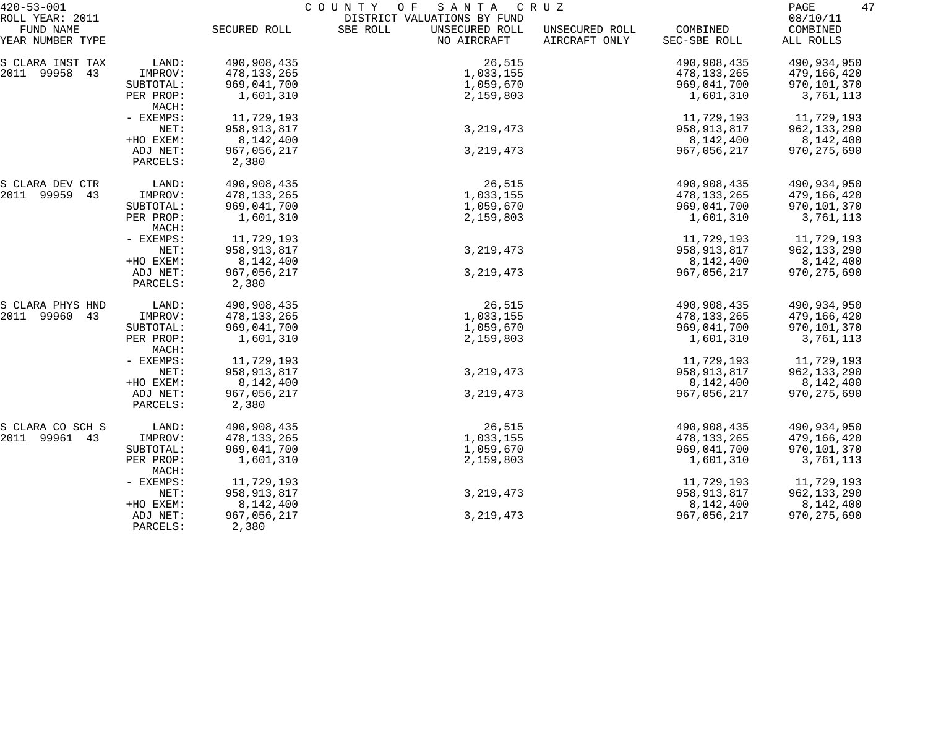| $420 - 53 - 001$                                 |                      |                      | COUNTY<br>SANTA<br>O F                                                   | C R U Z                         |                          | 47<br>PAGE                        |
|--------------------------------------------------|----------------------|----------------------|--------------------------------------------------------------------------|---------------------------------|--------------------------|-----------------------------------|
| ROLL YEAR: 2011<br>FUND NAME<br>YEAR NUMBER TYPE |                      | SECURED ROLL         | DISTRICT VALUATIONS BY FUND<br>SBE ROLL<br>UNSECURED ROLL<br>NO AIRCRAFT | UNSECURED ROLL<br>AIRCRAFT ONLY | COMBINED<br>SEC-SBE ROLL | 08/10/11<br>COMBINED<br>ALL ROLLS |
| S CLARA INST TAX                                 | LAND:                | 490,908,435          | 26,515                                                                   |                                 | 490,908,435              | 490,934,950                       |
| 2011 99958 43                                    | IMPROV:              | 478, 133, 265        | 1,033,155                                                                |                                 | 478,133,265              | 479,166,420                       |
|                                                  | SUBTOTAL:            | 969,041,700          | 1,059,670                                                                |                                 | 969,041,700              | 970,101,370                       |
|                                                  | PER PROP:<br>MACH:   | 1,601,310            | 2,159,803                                                                |                                 | 1,601,310                | 3,761,113                         |
|                                                  | - EXEMPS:            | 11,729,193           |                                                                          |                                 | 11,729,193               | 11,729,193                        |
|                                                  | NET:                 | 958,913,817          | 3, 219, 473                                                              |                                 | 958,913,817              | 962,133,290                       |
|                                                  | +HO EXEM:            | 8,142,400            |                                                                          |                                 | 8,142,400                | 8,142,400                         |
|                                                  | ADJ NET:<br>PARCELS: | 967,056,217<br>2,380 | 3, 219, 473                                                              |                                 | 967,056,217              | 970, 275, 690                     |
| S CLARA DEV CTR                                  | LAND:                | 490,908,435          | 26,515                                                                   |                                 | 490,908,435              | 490,934,950                       |
| 2011 99959 43                                    | IMPROV:              | 478, 133, 265        | 1,033,155                                                                |                                 | 478, 133, 265            | 479,166,420                       |
|                                                  | SUBTOTAL:            | 969,041,700          | 1,059,670                                                                |                                 | 969,041,700              | 970,101,370                       |
|                                                  | PER PROP:<br>MACH:   | 1,601,310            | 2,159,803                                                                |                                 | 1,601,310                | 3,761,113                         |
|                                                  | - EXEMPS:            | 11,729,193           |                                                                          |                                 | 11,729,193               | 11,729,193                        |
|                                                  | NET:                 | 958, 913, 817        | 3, 219, 473                                                              |                                 | 958, 913, 817            | 962, 133, 290                     |
|                                                  | +HO EXEM:            | 8,142,400            |                                                                          |                                 | 8,142,400                | 8,142,400                         |
|                                                  | ADJ NET:<br>PARCELS: | 967,056,217<br>2,380 | 3, 219, 473                                                              |                                 | 967,056,217              | 970, 275, 690                     |
| S CLARA PHYS HND                                 | LAND:                | 490,908,435          | 26,515                                                                   |                                 | 490,908,435              | 490,934,950                       |
| 2011 99960 43                                    | IMPROV:              | 478, 133, 265        | 1,033,155                                                                |                                 | 478,133,265              | 479,166,420                       |
|                                                  | SUBTOTAL:            | 969,041,700          | 1,059,670                                                                |                                 | 969,041,700              | 970,101,370                       |
|                                                  | PER PROP:<br>MACH:   | 1,601,310            | 2,159,803                                                                |                                 | 1,601,310                | 3,761,113                         |
|                                                  | - EXEMPS:            | 11,729,193           |                                                                          |                                 | 11,729,193               | 11,729,193                        |
|                                                  | NET:                 | 958,913,817          | 3, 219, 473                                                              |                                 | 958, 913, 817            | 962,133,290                       |
|                                                  | +HO EXEM:            | 8,142,400            |                                                                          |                                 | 8,142,400                | 8,142,400                         |
|                                                  | ADJ NET:<br>PARCELS: | 967,056,217<br>2,380 | 3, 219, 473                                                              |                                 | 967,056,217              | 970, 275, 690                     |
| S CLARA CO SCH S                                 | LAND:                | 490,908,435          | 26,515                                                                   |                                 | 490,908,435              | 490,934,950                       |
| 2011 99961 43                                    | IMPROV:              | 478,133,265          | 1,033,155                                                                |                                 | 478,133,265              | 479,166,420                       |
|                                                  | SUBTOTAL:            | 969,041,700          | 1,059,670                                                                |                                 | 969,041,700              | 970,101,370                       |
|                                                  | PER PROP:<br>MACH:   | 1,601,310            | 2,159,803                                                                |                                 | 1,601,310                | 3,761,113                         |
|                                                  | - EXEMPS:            | 11,729,193           |                                                                          |                                 | 11,729,193               | 11,729,193                        |
|                                                  | NET:                 | 958, 913, 817        | 3, 219, 473                                                              |                                 | 958, 913, 817            | 962,133,290                       |
|                                                  | +HO EXEM:            | 8,142,400            |                                                                          |                                 | 8,142,400                | 8,142,400                         |
|                                                  | ADJ NET:<br>PARCELS: | 967,056,217<br>2,380 | 3, 219, 473                                                              |                                 | 967,056,217              | 970, 275, 690                     |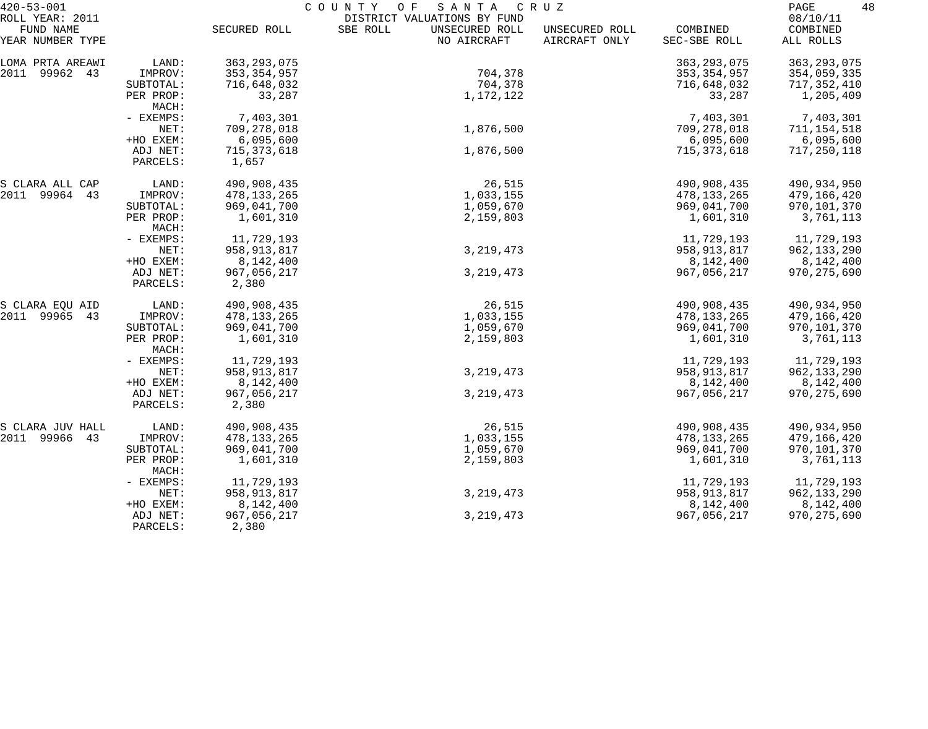| $420 - 53 - 001$                                 |                      |                        | COUNTY<br>SANTA<br>O F<br>C R U Z                                        |                                 |                          |                                   |  |
|--------------------------------------------------|----------------------|------------------------|--------------------------------------------------------------------------|---------------------------------|--------------------------|-----------------------------------|--|
| ROLL YEAR: 2011<br>FUND NAME<br>YEAR NUMBER TYPE |                      | SECURED ROLL           | DISTRICT VALUATIONS BY FUND<br>SBE ROLL<br>UNSECURED ROLL<br>NO AIRCRAFT | UNSECURED ROLL<br>AIRCRAFT ONLY | COMBINED<br>SEC-SBE ROLL | 08/10/11<br>COMBINED<br>ALL ROLLS |  |
| LOMA PRTA AREAWI                                 | LAND:                | 363, 293, 075          |                                                                          |                                 | 363, 293, 075            | 363, 293, 075                     |  |
| 2011 99962 43                                    | IMPROV:              | 353, 354, 957          | 704,378                                                                  |                                 | 353, 354, 957            | 354,059,335                       |  |
|                                                  | SUBTOTAL:            | 716,648,032            | 704,378                                                                  |                                 | 716,648,032              | 717,352,410                       |  |
|                                                  | PER PROP:<br>MACH:   | 33,287                 | 1,172,122                                                                |                                 | 33,287                   | 1,205,409                         |  |
|                                                  | - EXEMPS:            | 7,403,301              |                                                                          |                                 | 7,403,301                | 7,403,301                         |  |
|                                                  | NET:                 | 709,278,018            | 1,876,500                                                                |                                 | 709,278,018              | 711, 154, 518                     |  |
|                                                  | +HO EXEM:            | 6,095,600              |                                                                          |                                 | 6,095,600                | 6,095,600                         |  |
|                                                  | ADJ NET:<br>PARCELS: | 715, 373, 618<br>1,657 | 1,876,500                                                                |                                 | 715,373,618              | 717,250,118                       |  |
| S CLARA ALL CAP                                  | LAND:                | 490,908,435            | 26,515                                                                   |                                 | 490,908,435              | 490,934,950                       |  |
| 2011 99964 43                                    | IMPROV:              | 478, 133, 265          | 1,033,155                                                                |                                 | 478, 133, 265            | 479,166,420                       |  |
|                                                  | SUBTOTAL:            | 969,041,700            | 1,059,670                                                                |                                 | 969,041,700              | 970,101,370                       |  |
|                                                  | PER PROP:<br>MACH:   | 1,601,310              | 2,159,803                                                                |                                 | 1,601,310                | 3,761,113                         |  |
|                                                  | - EXEMPS:            | 11,729,193             |                                                                          |                                 | 11,729,193               | 11,729,193                        |  |
|                                                  | NET:                 | 958,913,817            | 3, 219, 473                                                              |                                 | 958,913,817              | 962, 133, 290                     |  |
|                                                  | +HO EXEM:            | 8,142,400              |                                                                          |                                 | 8,142,400                | 8,142,400                         |  |
|                                                  | ADJ NET:<br>PARCELS: | 967,056,217<br>2,380   | 3, 219, 473                                                              |                                 | 967,056,217              | 970, 275, 690                     |  |
| S CLARA EQU AID                                  | LAND:                | 490,908,435            | 26,515                                                                   |                                 | 490,908,435              | 490,934,950                       |  |
| 2011 99965 43                                    | IMPROV:              | 478, 133, 265          | 1,033,155                                                                |                                 | 478,133,265              | 479,166,420                       |  |
|                                                  | SUBTOTAL:            | 969,041,700            | 1,059,670                                                                |                                 | 969,041,700              | 970,101,370                       |  |
|                                                  | PER PROP:<br>MACH:   | 1,601,310              | 2,159,803                                                                |                                 | 1,601,310                | 3,761,113                         |  |
|                                                  | - EXEMPS:            | 11,729,193             |                                                                          |                                 | 11,729,193               | 11,729,193                        |  |
|                                                  | NET:                 | 958,913,817            | 3, 219, 473                                                              |                                 | 958, 913, 817            | 962,133,290                       |  |
|                                                  | +HO EXEM:            | 8,142,400              |                                                                          |                                 | 8,142,400                | 8,142,400                         |  |
|                                                  | ADJ NET:<br>PARCELS: | 967,056,217<br>2,380   | 3, 219, 473                                                              |                                 | 967,056,217              | 970, 275, 690                     |  |
| S CLARA JUV HALL                                 | LAND:                | 490,908,435            | 26,515                                                                   |                                 | 490,908,435              | 490,934,950                       |  |
| 2011 99966<br>43                                 | IMPROV:              | 478,133,265            | 1,033,155                                                                |                                 | 478,133,265              | 479,166,420                       |  |
|                                                  | SUBTOTAL:            | 969,041,700            | 1,059,670                                                                |                                 | 969,041,700              | 970,101,370                       |  |
|                                                  | PER PROP:<br>MACH:   | 1,601,310              | 2,159,803                                                                |                                 | 1,601,310                | 3,761,113                         |  |
|                                                  | - EXEMPS:            | 11,729,193             |                                                                          |                                 | 11,729,193               | 11,729,193                        |  |
|                                                  | NET:                 | 958, 913, 817          | 3, 219, 473                                                              |                                 | 958, 913, 817            | 962,133,290                       |  |
|                                                  | +HO EXEM:            | 8,142,400              |                                                                          |                                 | 8,142,400                | 8,142,400                         |  |
|                                                  | ADJ NET:<br>PARCELS: | 967,056,217<br>2,380   | 3, 219, 473                                                              |                                 | 967,056,217              | 970, 275, 690                     |  |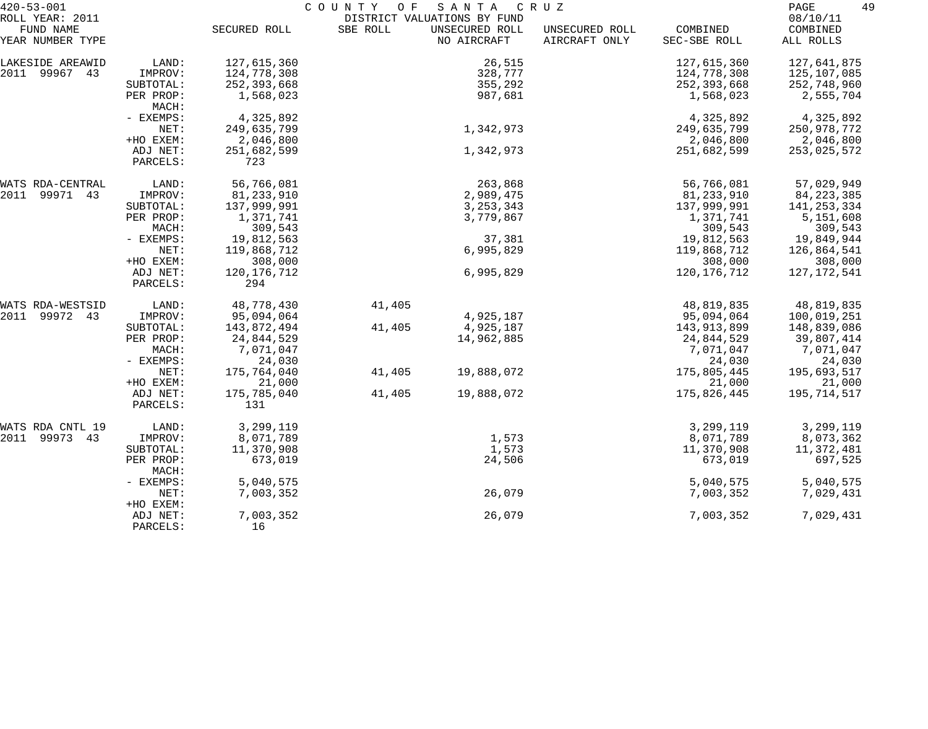| $420 - 53 - 001$              | C O U N T Y<br>O F<br>SANTA<br>C R U Z |                    |          |                               |                                 |                          |                       |
|-------------------------------|----------------------------------------|--------------------|----------|-------------------------------|---------------------------------|--------------------------|-----------------------|
| ROLL YEAR: 2011               |                                        |                    |          | DISTRICT VALUATIONS BY FUND   |                                 |                          | 08/10/11              |
| FUND NAME<br>YEAR NUMBER TYPE |                                        | SECURED ROLL       | SBE ROLL | UNSECURED ROLL<br>NO AIRCRAFT | UNSECURED ROLL<br>AIRCRAFT ONLY | COMBINED<br>SEC-SBE ROLL | COMBINED<br>ALL ROLLS |
| LAKESIDE AREAWID              | LAND:                                  | 127,615,360        |          | 26,515                        |                                 | 127,615,360              | 127,641,875           |
| 2011 99967 43                 | IMPROV:                                | 124,778,308        |          | 328,777                       |                                 | 124,778,308              | 125,107,085           |
|                               | SUBTOTAL:                              | 252, 393, 668      |          | 355,292                       |                                 | 252,393,668              | 252,748,960           |
|                               | PER PROP:<br>MACH:                     | 1,568,023          |          | 987,681                       |                                 | 1,568,023                | 2,555,704             |
|                               | - EXEMPS:                              | 4,325,892          |          |                               |                                 | 4,325,892                | 4,325,892             |
|                               | NET:                                   | 249,635,799        |          | 1,342,973                     |                                 | 249,635,799              | 250,978,772           |
|                               | +HO EXEM:                              | 2,046,800          |          |                               |                                 | 2,046,800                | 2,046,800             |
|                               | ADJ NET:                               | 251,682,599        |          | 1,342,973                     |                                 | 251,682,599              | 253,025,572           |
|                               | PARCELS:                               | 723                |          |                               |                                 |                          |                       |
| WATS RDA-CENTRAL              | LAND:                                  | 56,766,081         |          | 263,868                       |                                 | 56,766,081               | 57,029,949            |
| 2011<br>99971 43              | IMPROV:                                | 81, 233, 910       |          | 2,989,475                     |                                 | 81, 233, 910             | 84, 223, 385          |
|                               | SUBTOTAL:                              | 137,999,991        |          | 3, 253, 343                   |                                 | 137,999,991              | 141, 253, 334         |
|                               | PER PROP:                              | 1,371,741          |          | 3,779,867                     |                                 | 1,371,741                | 5,151,608             |
|                               | MACH:                                  | 309,543            |          |                               |                                 | 309,543                  | 309,543               |
|                               | - EXEMPS:                              | 19,812,563         |          | 37,381                        |                                 | 19,812,563               | 19,849,944            |
|                               | NET:                                   | 119,868,712        |          | 6,995,829                     |                                 | 119,868,712              | 126,864,541           |
|                               | +HO EXEM:                              | 308,000            |          |                               |                                 | 308,000                  | 308,000               |
|                               | ADJ NET:<br>PARCELS:                   | 120,176,712<br>294 |          | 6,995,829                     |                                 | 120, 176, 712            | 127,172,541           |
| WATS RDA-WESTSID              | LAND:                                  | 48,778,430         | 41,405   |                               |                                 | 48,819,835               | 48,819,835            |
| 99972 43<br>2011              | IMPROV:                                | 95,094,064         |          | 4,925,187                     |                                 | 95,094,064               | 100,019,251           |
|                               | SUBTOTAL:                              | 143,872,494        | 41,405   | 4,925,187                     |                                 | 143,913,899              | 148,839,086           |
|                               | PER PROP:                              | 24,844,529         |          | 14,962,885                    |                                 | 24,844,529               | 39,807,414            |
|                               | MACH:                                  | 7,071,047          |          |                               |                                 | 7,071,047                | 7,071,047             |
|                               | - EXEMPS:                              | 24,030             |          |                               |                                 | 24,030                   | 24,030                |
|                               | NET:                                   | 175,764,040        | 41,405   | 19,888,072                    |                                 | 175,805,445              | 195,693,517           |
|                               | +HO EXEM:                              | 21,000             |          |                               |                                 | 21,000                   | 21,000                |
|                               | ADJ NET:                               | 175,785,040        | 41,405   | 19,888,072                    |                                 | 175,826,445              | 195,714,517           |
|                               | PARCELS:                               | 131                |          |                               |                                 |                          |                       |
| WATS RDA CNTL 19              | LAND:                                  | 3,299,119          |          |                               |                                 | 3,299,119                | 3,299,119             |
| 2011 99973<br>43              | IMPROV:                                | 8,071,789          |          | 1,573                         |                                 | 8,071,789                | 8,073,362             |
|                               | SUBTOTAL:                              | 11,370,908         |          | 1,573                         |                                 | 11,370,908               | 11,372,481            |
|                               | PER PROP:<br>MACH:                     | 673,019            |          | 24,506                        |                                 | 673,019                  | 697,525               |
|                               | - EXEMPS:                              | 5,040,575          |          |                               |                                 | 5,040,575                | 5,040,575             |
|                               | NET:<br>+HO EXEM:                      | 7,003,352          |          | 26,079                        |                                 | 7,003,352                | 7,029,431             |
|                               | ADJ NET:<br>PARCELS:                   | 7,003,352<br>16    |          | 26,079                        |                                 | 7,003,352                | 7,029,431             |